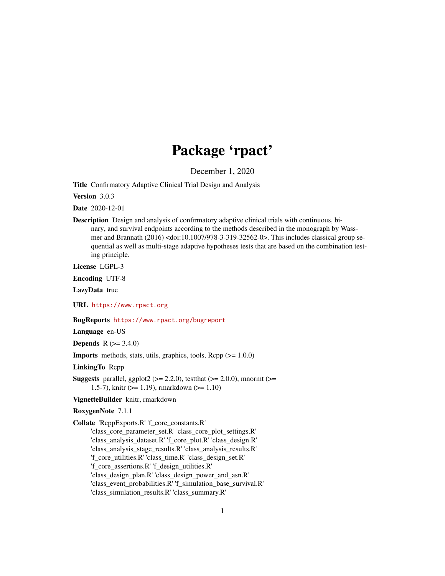# Package 'rpact'

December 1, 2020

<span id="page-0-0"></span>Title Confirmatory Adaptive Clinical Trial Design and Analysis

Version 3.0.3

Date 2020-12-01

Description Design and analysis of confirmatory adaptive clinical trials with continuous, binary, and survival endpoints according to the methods described in the monograph by Wassmer and Brannath (2016) <doi:10.1007/978-3-319-32562-0>. This includes classical group sequential as well as multi-stage adaptive hypotheses tests that are based on the combination testing principle.

License LGPL-3

Encoding UTF-8

LazyData true

URL <https://www.rpact.org>

#### BugReports <https://www.rpact.org/bugreport>

Language en-US

**Depends** R  $(>= 3.4.0)$ 

**Imports** methods, stats, utils, graphics, tools,  $\text{Rcpp} (> = 1.0.0)$ 

LinkingTo Rcpp

**Suggests** parallel, ggplot2 ( $>= 2.2.0$ ), testthat ( $>= 2.0.0$ ), mnormt ( $>= 1.00$ 1.5-7), knitr (>= 1.19), rmarkdown (>= 1.10)

VignetteBuilder knitr, rmarkdown

RoxygenNote 7.1.1

Collate 'RcppExports.R' 'f\_core\_constants.R' 'class\_core\_parameter\_set.R' 'class\_core\_plot\_settings.R' 'class\_analysis\_dataset.R' 'f\_core\_plot.R' 'class\_design.R' 'class\_analysis\_stage\_results.R' 'class\_analysis\_results.R' 'f\_core\_utilities.R' 'class\_time.R' 'class\_design\_set.R' 'f\_core\_assertions.R' 'f\_design\_utilities.R' 'class\_design\_plan.R' 'class\_design\_power\_and\_asn.R' 'class\_event\_probabilities.R' 'f\_simulation\_base\_survival.R'

'class\_simulation\_results.R' 'class\_summary.R'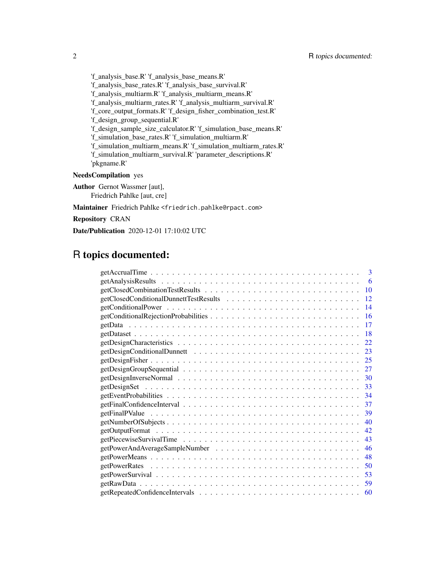'f\_analysis\_base.R' 'f\_analysis\_base\_means.R' 'f\_analysis\_base\_rates.R' 'f\_analysis\_base\_survival.R' 'f\_analysis\_multiarm.R' 'f\_analysis\_multiarm\_means.R' 'f\_analysis\_multiarm\_rates.R' 'f\_analysis\_multiarm\_survival.R' 'f\_core\_output\_formats.R' 'f\_design\_fisher\_combination\_test.R' 'f\_design\_group\_sequential.R' 'f\_design\_sample\_size\_calculator.R' 'f\_simulation\_base\_means.R' 'f\_simulation\_base\_rates.R' 'f\_simulation\_multiarm.R' 'f\_simulation\_multiarm\_means.R' 'f\_simulation\_multiarm\_rates.R' 'f\_simulation\_multiarm\_survival.R' 'parameter\_descriptions.R' 'pkgname.R'

# NeedsCompilation yes

Author Gernot Wassmer [aut], Friedrich Pahlke [aut, cre]

Maintainer Friedrich Pahlke <friedrich.pahlke@rpact.com>

Repository CRAN

Date/Publication 2020-12-01 17:10:02 UTC

# R topics documented:

| 3   |
|-----|
| 6   |
| 10  |
| 12  |
| 14  |
| 16  |
| 17  |
| -18 |
| 22  |
| 23  |
| 25  |
| 27  |
|     |
| 33  |
| 34  |
| 37  |
| 39  |
| 40  |
| 42  |
| 43  |
| 46  |
| 48  |
| 50  |
| 53  |
| 59  |
| 60  |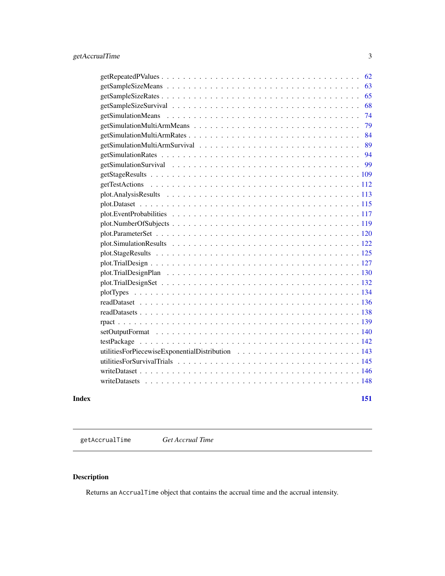<span id="page-2-0"></span>

|       | 62  |
|-------|-----|
|       | 63  |
|       | 65  |
|       | 68  |
|       | 74  |
|       | 79  |
|       | 84  |
|       | 89  |
|       | 94  |
|       | 99  |
|       |     |
|       |     |
|       |     |
|       |     |
|       |     |
|       |     |
|       |     |
|       |     |
|       |     |
|       |     |
|       |     |
|       |     |
|       |     |
|       |     |
|       |     |
|       |     |
|       |     |
|       |     |
|       |     |
|       |     |
|       |     |
|       |     |
|       |     |
| Index | 151 |

<span id="page-2-1"></span>getAccrualTime *Get Accrual Time*

# Description

Returns an AccrualTime object that contains the accrual time and the accrual intensity.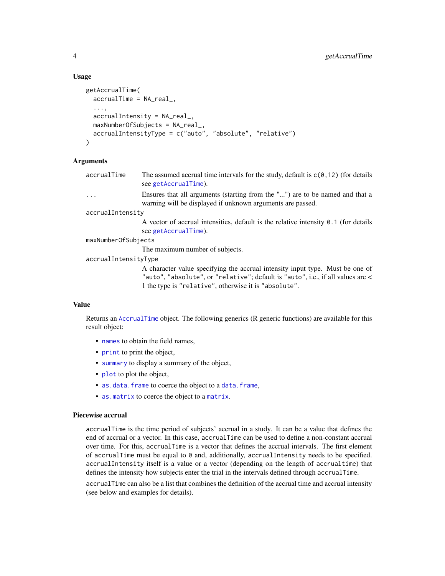#### Usage

```
getAccrualTime(
  accrualTime = NA_real_,
  ...,
  accrualIntensity = NA_real_,
  maxNumberOfSubjects = NA_real_,
  accrualIntensityType = c("auto", "absolute", "relative")
)
```
#### Arguments

| accrualTime | The assumed accrual time intervals for the study, default is $c(0, 12)$ (for details |
|-------------|--------------------------------------------------------------------------------------|
|             | see getAccrualTime).                                                                 |

... Ensures that all arguments (starting from the "...") are to be named and that a warning will be displayed if unknown arguments are passed.

accrualIntensity

A vector of accrual intensities, default is the relative intensity 0.1 (for details see [getAccrualTime](#page-2-1)).

maxNumberOfSubjects

The maximum number of subjects.

accrualIntensityType

A character value specifying the accrual intensity input type. Must be one of "auto", "absolute", or "relative"; default is "auto", i.e., if all values are < 1 the type is "relative", otherwise it is "absolute".

#### Value

Returns an [AccrualTime](#page-0-0) object. The following generics (R generic functions) are available for this result object:

- [names](#page-0-0) to obtain the field names,
- [print](#page-0-0) to print the object,
- [summary](#page-0-0) to display a summary of the object,
- [plot](#page-119-1) to plot the object,
- [as.data.frame](#page-0-0) to coerce the object to a [data.frame](#page-0-0),
- [as.matrix](#page-0-0) to coerce the object to a [matrix](#page-0-0).

# Piecewise accrual

accrualTime is the time period of subjects' accrual in a study. It can be a value that defines the end of accrual or a vector. In this case, accrualTime can be used to define a non-constant accrual over time. For this, accrualTime is a vector that defines the accrual intervals. The first element of accrualTime must be equal to  $\theta$  and, additionally, accrualIntensity needs to be specified. accrualIntensity itself is a value or a vector (depending on the length of accrualtime) that defines the intensity how subjects enter the trial in the intervals defined through accrualTime.

accrualTime can also be a list that combines the definition of the accrual time and accrual intensity (see below and examples for details).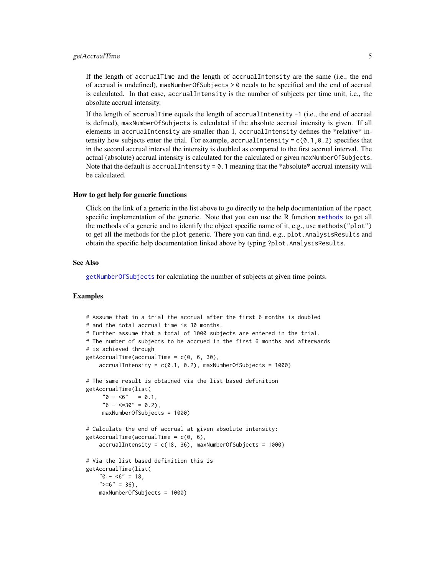# getAccrualTime 5

If the length of accrualTime and the length of accrualIntensity are the same (i.e., the end of accrual is undefined), maxNumberOfSubjects > 0 needs to be specified and the end of accrual is calculated. In that case, accrualIntensity is the number of subjects per time unit, i.e., the absolute accrual intensity.

If the length of accrualTime equals the length of accrualIntensity -1 (i.e., the end of accrual is defined), maxNumberOfSubjects is calculated if the absolute accrual intensity is given. If all elements in accrualIntensity are smaller than 1, accrualIntensity defines the \*relative\* intensity how subjects enter the trial. For example, accrualIntensity =  $c(0.1, 0.2)$  specifies that in the second accrual interval the intensity is doubled as compared to the first accrual interval. The actual (absolute) accrual intensity is calculated for the calculated or given maxNumberOfSubjects. Note that the default is accrualIntensity =  $0.1$  meaning that the \*absolute\* accrual intensity will be calculated.

#### How to get help for generic functions

Click on the link of a generic in the list above to go directly to the help documentation of the rpact specific implementation of the generic. Note that you can use the R function [methods](#page-0-0) to get all the methods of a generic and to identify the object specific name of it, e.g., use methods("plot") to get all the methods for the plot generic. There you can find, e.g., plot.AnalysisResults and obtain the specific help documentation linked above by typing ?plot.AnalysisResults.

#### See Also

[getNumberOfSubjects](#page-39-1) for calculating the number of subjects at given time points.

### Examples

```
# Assume that in a trial the accrual after the first 6 months is doubled
# and the total accrual time is 30 months.
# Further assume that a total of 1000 subjects are entered in the trial.
# The number of subjects to be accrued in the first 6 months and afterwards
# is achieved through
getAccrualTime(accrualTime = c(0, 6, 30),accrualIntensity = c(0.1, 0.2), maxNumberOfSubjects = 1000)
# The same result is obtained via the list based definition
getAccrualTime(list(
     "0 - 5" = 0.1,"6 - \langle =30" = 0.2 \rangle,
     maxNumberOfSubjects = 1000)
# Calculate the end of accrual at given absolute intensity:
getAccrualTime(accrualTime = c(0, 6),accrualIntensity = c(18, 36), maxNumberOfSubjects = 1000)
# Via the list based definition this is
getAccrualTime(list(
    "0 - 5" = 18,">=6" = 36,
   maxNumberOfSubjects = 1000)
```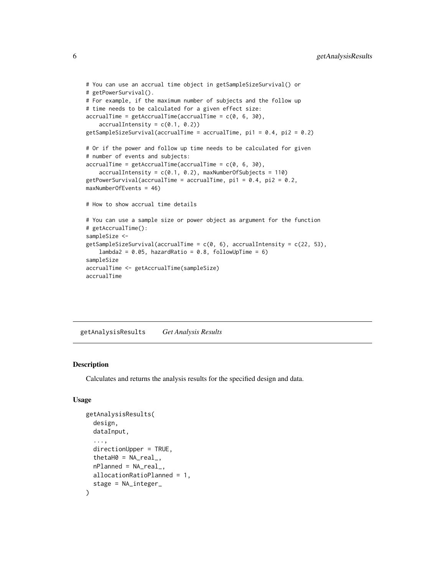```
# You can use an accrual time object in getSampleSizeSurvival() or
# getPowerSurvival().
# For example, if the maximum number of subjects and the follow up
# time needs to be calculated for a given effect size:
\text{accrualTime} = \text{getAccrualTime}(\text{accrualTime} = c(0, 6, 30),accrualIntensity = c(0.1, 0.2)getSampleSizeSurvival(accrualTime = accrualTime, pi1 = 0.4, pi2 = 0.2)
# Or if the power and follow up time needs to be calculated for given
# number of events and subjects:
accrualTime = getAccrualTime(accrualTime = c(0, 6, 30),accruallIntensity = c(0.1, 0.2), maxNumberOfSubjects = 110)
getPowerSurvival(accrualTime = accrualTime, pi1 = 0.4, pi2 = 0.2,
maxNumberOfEvents = 46)
# How to show accrual time details
# You can use a sample size or power object as argument for the function
# getAccrualTime():
sampleSize <-
getSampleSizeSurvival(accrualTime = c(0, 6), accrualIntensity = c(22, 53),
    lambda2 = 0.05, hazardRatio = 0.8, followUpTime = 6)
sampleSize
accrualTime <- getAccrualTime(sampleSize)
accrualTime
```
<span id="page-5-1"></span>getAnalysisResults *Get Analysis Results*

#### **Description**

Calculates and returns the analysis results for the specified design and data.

#### Usage

```
getAnalysisResults(
  design,
  dataInput,
  ...,
  directionUpper = TRUE,
  theta = NA\_real_,
  nPlanned = NA_real_,
 allocationRatioPlanned = 1,
  stage = NA_integer_
)
```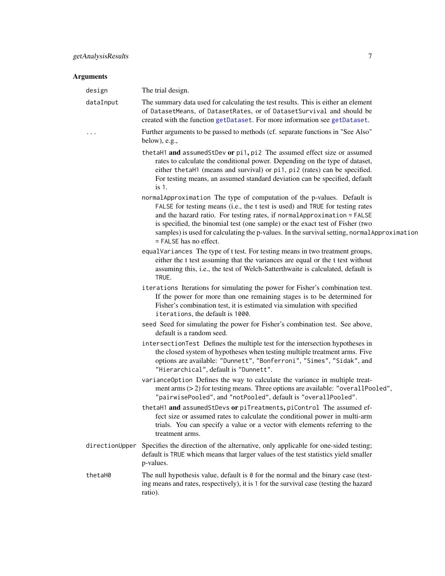# Arguments

design The trial design.

| uesign         | THE that design.                                                                                                                                                                                                                                                                                                                                                                                                                                |
|----------------|-------------------------------------------------------------------------------------------------------------------------------------------------------------------------------------------------------------------------------------------------------------------------------------------------------------------------------------------------------------------------------------------------------------------------------------------------|
| dataInput      | The summary data used for calculating the test results. This is either an element<br>of DatasetMeans, of DatasetRates, or of DatasetSurvival and should be<br>created with the function getDataset. For more information see getDataset.                                                                                                                                                                                                        |
| .              | Further arguments to be passed to methods (cf. separate functions in "See Also"<br>below), e.g.,                                                                                                                                                                                                                                                                                                                                                |
|                | thetaH1 and assumedStDev or pi1, pi2 The assumed effect size or assumed<br>rates to calculate the conditional power. Depending on the type of dataset,<br>either the taH1 (means and survival) or pi1, pi2 (rates) can be specified.<br>For testing means, an assumed standard deviation can be specified, default<br>$is1$ .                                                                                                                   |
|                | normalApproximation The type of computation of the p-values. Default is<br>FALSE for testing means (i.e., the t test is used) and TRUE for testing rates<br>and the hazard ratio. For testing rates, if normal Approximation = FALSE<br>is specified, the binomial test (one sample) or the exact test of Fisher (two<br>samples) is used for calculating the p-values. In the survival setting, normal Approximation<br>= FALSE has no effect. |
|                | equalVariances The type of t test. For testing means in two treatment groups,<br>either the t test assuming that the variances are equal or the t test without<br>assuming this, i.e., the test of Welch-Satterthwaite is calculated, default is<br>TRUE.                                                                                                                                                                                       |
|                | iterations Iterations for simulating the power for Fisher's combination test.<br>If the power for more than one remaining stages is to be determined for<br>Fisher's combination test, it is estimated via simulation with specified<br>iterations, the default is 1000.                                                                                                                                                                        |
|                | seed Seed for simulating the power for Fisher's combination test. See above,<br>default is a random seed.                                                                                                                                                                                                                                                                                                                                       |
|                | intersectionTest Defines the multiple test for the intersection hypotheses in<br>the closed system of hypotheses when testing multiple treatment arms. Five<br>options are available: "Dunnett", "Bonferroni", "Simes", "Sidak", and<br>"Hierarchical", default is "Dunnett".                                                                                                                                                                   |
|                | variance Option Defines the way to calculate the variance in multiple treat-<br>ment arms $(>2)$ for testing means. Three options are available: "overallPooled",<br>"pairwisePooled", and "notPooled", default is "overallPooled".                                                                                                                                                                                                             |
|                | thetaH1 and assumedStDevs or piTreatments, piControl The assumed ef-<br>fect size or assumed rates to calculate the conditional power in multi-arm<br>trials. You can specify a value or a vector with elements referring to the<br>treatment arms.                                                                                                                                                                                             |
| directionUpper | Specifies the direction of the alternative, only applicable for one-sided testing;<br>default is TRUE which means that larger values of the test statistics yield smaller<br>p-values.                                                                                                                                                                                                                                                          |
| thetaH0        | The null hypothesis value, default is $\theta$ for the normal and the binary case (test-<br>ing means and rates, respectively), it is 1 for the survival case (testing the hazard<br>ratio).                                                                                                                                                                                                                                                    |
|                |                                                                                                                                                                                                                                                                                                                                                                                                                                                 |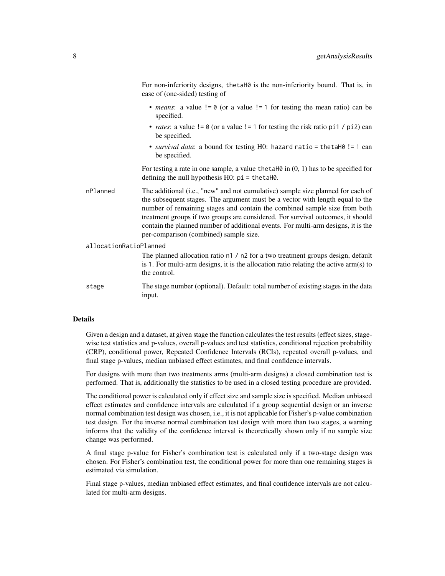For non-inferiority designs, thetaH0 is the non-inferiority bound. That is, in case of (one-sided) testing of

- *means*: a value != 0 (or a value != 1 for testing the mean ratio) can be specified.
- *rates*: a value  $!= 0$  (or a value  $!= 1$  for testing the risk ratio pi1 / pi2) can be specified.
- *survival data*: a bound for testing H0: hazard ratio = thetaH0 != 1 can be specified.

For testing a rate in one sample, a value the talled in  $(0, 1)$  has to be specified for defining the null hypothesis H0: pi = thetaH0.

nPlanned The additional (i.e., "new" and not cumulative) sample size planned for each of the subsequent stages. The argument must be a vector with length equal to the number of remaining stages and contain the combined sample size from both treatment groups if two groups are considered. For survival outcomes, it should contain the planned number of additional events. For multi-arm designs, it is the per-comparison (combined) sample size.

```
allocationRatioPlanned
```
The planned allocation ratio n1 / n2 for a two treatment groups design, default is 1. For multi-arm designs, it is the allocation ratio relating the active arm(s) to the control.

stage The stage number (optional). Default: total number of existing stages in the data input.

# Details

Given a design and a dataset, at given stage the function calculates the test results (effect sizes, stagewise test statistics and p-values, overall p-values and test statistics, conditional rejection probability (CRP), conditional power, Repeated Confidence Intervals (RCIs), repeated overall p-values, and final stage p-values, median unbiased effect estimates, and final confidence intervals.

For designs with more than two treatments arms (multi-arm designs) a closed combination test is performed. That is, additionally the statistics to be used in a closed testing procedure are provided.

The conditional power is calculated only if effect size and sample size is specified. Median unbiased effect estimates and confidence intervals are calculated if a group sequential design or an inverse normal combination test design was chosen, i.e., it is not applicable for Fisher's p-value combination test design. For the inverse normal combination test design with more than two stages, a warning informs that the validity of the confidence interval is theoretically shown only if no sample size change was performed.

A final stage p-value for Fisher's combination test is calculated only if a two-stage design was chosen. For Fisher's combination test, the conditional power for more than one remaining stages is estimated via simulation.

Final stage p-values, median unbiased effect estimates, and final confidence intervals are not calculated for multi-arm designs.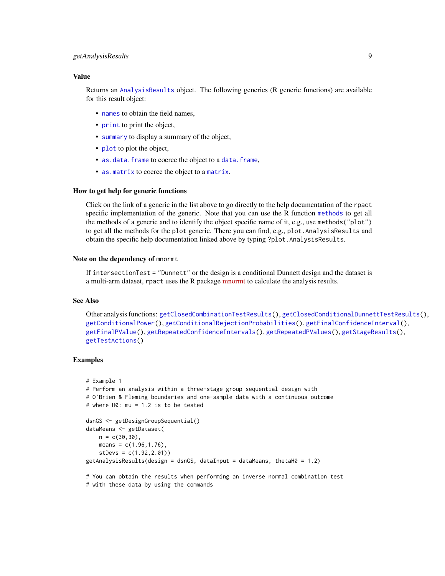# getAnalysisResults 9

### Value

Returns an [AnalysisResults](#page-0-0) object. The following generics (R generic functions) are available for this result object:

- [names](#page-0-0) to obtain the field names.
- [print](#page-0-0) to print the object,
- [summary](#page-0-0) to display a summary of the object,
- [plot](#page-112-1) to plot the object,
- [as.data.frame](#page-0-0) to coerce the object to a [data.frame](#page-0-0),
- [as.matrix](#page-0-0) to coerce the object to a [matrix](#page-0-0).

#### How to get help for generic functions

Click on the link of a generic in the list above to go directly to the help documentation of the rpact specific implementation of the generic. Note that you can use the R function [methods](#page-0-0) to get all the methods of a generic and to identify the object specific name of it, e.g., use methods("plot") to get all the methods for the plot generic. There you can find, e.g., plot.AnalysisResults and obtain the specific help documentation linked above by typing ?plot.AnalysisResults.

#### Note on the dependency of mnormt

If intersectionTest = "Dunnett" or the design is a conditional Dunnett design and the dataset is a multi-arm dataset, rpact uses the R package [mnormt](https://cran.r-project.org/package=mnormt) to calculate the analysis results.

#### See Also

Other analysis functions: [getClosedCombinationTestResults\(](#page-9-1)), [getClosedConditionalDunnettTestResults\(](#page-11-1)), [getConditionalPower\(](#page-13-1)), [getConditionalRejectionProbabilities\(](#page-15-1)), [getFinalConfidenceInterval\(](#page-36-1)), [getFinalPValue\(](#page-38-1)), [getRepeatedConfidenceIntervals\(](#page-59-1)), [getRepeatedPValues\(](#page-61-1)), [getStageResults\(](#page-108-1)), [getTestActions\(](#page-111-1))

# Examples

```
# Example 1
# Perform an analysis within a three-stage group sequential design with
# O'Brien & Fleming boundaries and one-sample data with a continuous outcome
# where H0: mu = 1.2 is to be tested
dsnGS <- getDesignGroupSequential()
dataMeans <- getDataset(
   n = c(30, 30),
   means = c(1.96, 1.76),
    stDevs = c(1.92,2.01))
getAnalysisResults(design = dsnGS, dataInput = dataMeans, thetaH0 = 1.2)
# You can obtain the results when performing an inverse normal combination test
# with these data by using the commands
```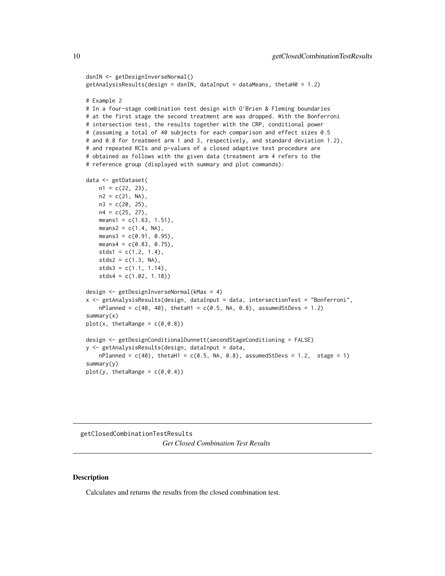```
dsnIN <- getDesignInverseNormal()
getAnalysisResults(design = dsnIN, dataInput = dataMeans, thetaH0 = 1.2)
# Example 2
# In a four-stage combination test design with O'Brien & Fleming boundaries
# at the first stage the second treatment arm was dropped. With the Bonferroni
# intersection test, the results together with the CRP, conditional power
# (assuming a total of 40 subjects for each comparison and effect sizes 0.5
# and 0.8 for treatment arm 1 and 3, respectively, and standard deviation 1.2),
# and repeated RCIs and p-values of a closed adaptive test procedure are
# obtained as follows with the given data (treatment arm 4 refers to the
# reference group (displayed with summary and plot commands):
data <- getDataset(
   n1 = c(22, 23),
   n2 = c(21, NA),n3 = c(20, 25),n4 = c(25, 27),
   means1 = c(1.63, 1.51),
   means2 = c(1.4, NA),means3 = c(0.91, 0.95),
   means4 = c(0.83, 0.75),
   stds1 = c(1.2, 1.4),stds2 = c(1.3, NA),stds3 = c(1.1, 1.14),stds4 = c(1.02, 1.18))
design <- getDesignInverseNormal(kMax = 4)
x <- getAnalysisResults(design, dataInput = data, intersectionTest = "Bonferroni",
   nPlanned = c(40, 40), thetaH1 = c(0.5, NA, 0.8), assumedStDevs = 1.2)
summary(x)
plot(x, thetaRange = c(0, 0.8))design <- getDesignConditionalDunnett(secondStageConditioning = FALSE)
y <- getAnalysisResults(design, dataInput = data,
    nPlanned = c(40), thetaH1 = c(0.5, NA, 0.8), assumedStDevs = 1.2, stage = 1)
summary(y)
plot(y, thetaRange = c(0, 0.4))
```
<span id="page-9-1"></span>getClosedCombinationTestResults *Get Closed Combination Test Results*

#### **Description**

Calculates and returns the results from the closed combination test.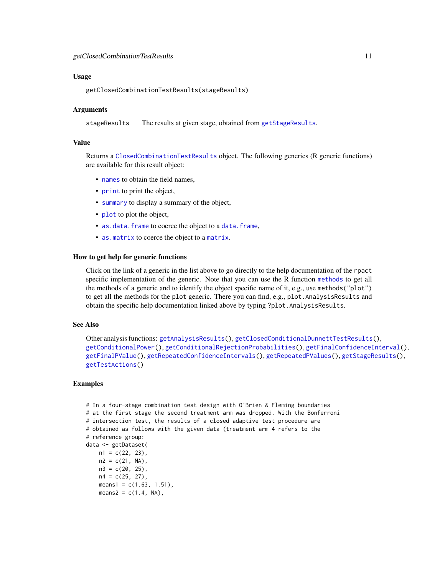#### Usage

getClosedCombinationTestResults(stageResults)

#### Arguments

stageResults The results at given stage, obtained from [getStageResults](#page-108-1).

#### Value

Returns a [ClosedCombinationTestResults](#page-0-0) object. The following generics (R generic functions) are available for this result object:

- [names](#page-0-0) to obtain the field names,
- [print](#page-0-0) to print the object,
- [summary](#page-0-0) to display a summary of the object,
- [plot](#page-119-1) to plot the object,
- [as.data.frame](#page-0-0) to coerce the object to a [data.frame](#page-0-0),
- [as.matrix](#page-0-0) to coerce the object to a [matrix](#page-0-0).

#### How to get help for generic functions

Click on the link of a generic in the list above to go directly to the help documentation of the rpact specific implementation of the generic. Note that you can use the R function [methods](#page-0-0) to get all the methods of a generic and to identify the object specific name of it, e.g., use methods("plot") to get all the methods for the plot generic. There you can find, e.g., plot.AnalysisResults and obtain the specific help documentation linked above by typing ?plot.AnalysisResults.

# See Also

```
Other analysis functions: getAnalysisResults(), getClosedConditionalDunnettTestResults(),
getConditionalPower(), getConditionalRejectionProbabilities(), getFinalConfidenceInterval(),
getFinalPValue(), getRepeatedConfidenceIntervals(), getRepeatedPValues(), getStageResults(),
getTestActions()
```
#### Examples

```
# In a four-stage combination test design with O'Brien & Fleming boundaries
# at the first stage the second treatment arm was dropped. With the Bonferroni
# intersection test, the results of a closed adaptive test procedure are
# obtained as follows with the given data (treatment arm 4 refers to the
# reference group:
data <- getDataset(
   n1 = c(22, 23),
   n2 = c(21, NA),
   n3 = c(20, 25),
   n4 = c(25, 27),
   means1 = c(1.63, 1.51),means2 = c(1.4, NA),
```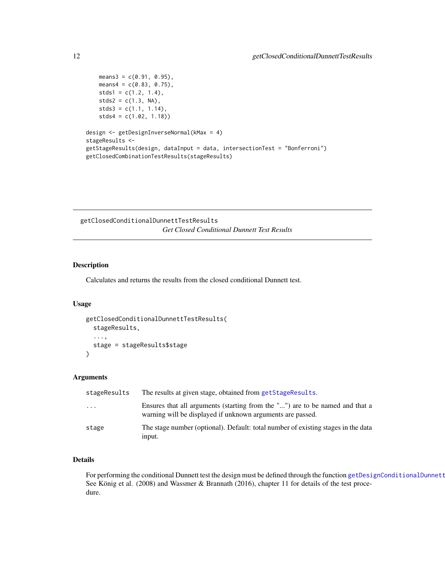```
means3 = c(0.91, 0.95),
   means4 = c(0.83, 0.75),
   stds1 = c(1.2, 1.4),stds2 = c(1.3, NA),stds3 = c(1.1, 1.14),stds4 = c(1.02, 1.18))
design <- getDesignInverseNormal(kMax = 4)
stageResults <-
getStageResults(design, dataInput = data, intersectionTest = "Bonferroni")
getClosedCombinationTestResults(stageResults)
```
<span id="page-11-1"></span>getClosedConditionalDunnettTestResults *Get Closed Conditional Dunnett Test Results*

# Description

Calculates and returns the results from the closed conditional Dunnett test.

# Usage

```
getClosedConditionalDunnettTestResults(
  stageResults,
  ...,
  stage = stageResults$stage
)
```
### Arguments

| stageResults | The results at given stage, obtained from getStageResults.                                                                                 |
|--------------|--------------------------------------------------------------------------------------------------------------------------------------------|
| $\ddotsc$    | Ensures that all arguments (starting from the "") are to be named and that a<br>warning will be displayed if unknown arguments are passed. |
| stage        | The stage number (optional). Default: total number of existing stages in the data<br>input.                                                |

# Details

For performing the conditional Dunnett test the design must be defined through the function [getDesignConditionalDunnett](#page-22-1) See König et al. (2008) and Wassmer & Brannath (2016), chapter 11 for details of the test procedure.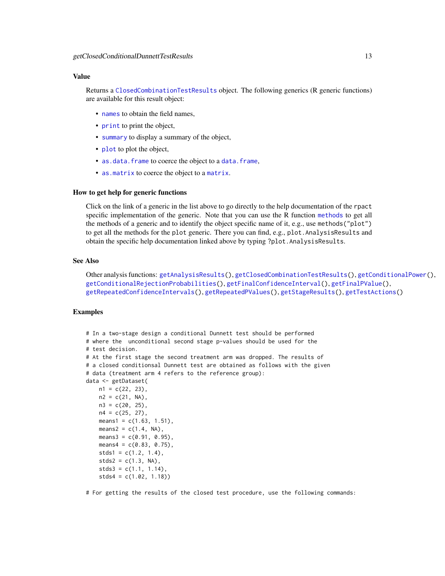# Value

Returns a [ClosedCombinationTestResults](#page-0-0) object. The following generics (R generic functions) are available for this result object:

- [names](#page-0-0) to obtain the field names.
- [print](#page-0-0) to print the object,
- [summary](#page-0-0) to display a summary of the object,
- [plot](#page-119-1) to plot the object,
- [as.data.frame](#page-0-0) to coerce the object to a [data.frame](#page-0-0),
- [as.matrix](#page-0-0) to coerce the object to a [matrix](#page-0-0).

# How to get help for generic functions

Click on the link of a generic in the list above to go directly to the help documentation of the rpact specific implementation of the generic. Note that you can use the R function [methods](#page-0-0) to get all the methods of a generic and to identify the object specific name of it, e.g., use methods("plot") to get all the methods for the plot generic. There you can find, e.g., plot.AnalysisResults and obtain the specific help documentation linked above by typing ?plot.AnalysisResults.

#### See Also

Other analysis functions: [getAnalysisResults\(](#page-5-1)), [getClosedCombinationTestResults\(](#page-9-1)), [getConditionalPower\(](#page-13-1)), [getConditionalRejectionProbabilities\(](#page-15-1)), [getFinalConfidenceInterval\(](#page-36-1)), [getFinalPValue\(](#page-38-1)), [getRepeatedConfidenceIntervals\(](#page-59-1)), [getRepeatedPValues\(](#page-61-1)), [getStageResults\(](#page-108-1)), [getTestActions\(](#page-111-1))

# Examples

```
# In a two-stage design a conditional Dunnett test should be performed
# where the unconditional second stage p-values should be used for the
# test decision.
# At the first stage the second treatment arm was dropped. The results of
# a closed conditionsal Dunnett test are obtained as follows with the given
# data (treatment arm 4 refers to the reference group):
data <- getDataset(
   n1 = c(22, 23),
   n2 = c(21, NA),
   n3 = c(20, 25),n4 = c(25, 27),
   means1 = c(1.63, 1.51),
   means2 = c(1.4, NA),means3 = c(0.91, 0.95),
   means4 = c(0.83, 0.75),
   stds1 = c(1.2, 1.4),stds2 = c(1.3, NA),stds3 = c(1.1, 1.14),
   stds4 = c(1.02, 1.18)
```
# For getting the results of the closed test procedure, use the following commands: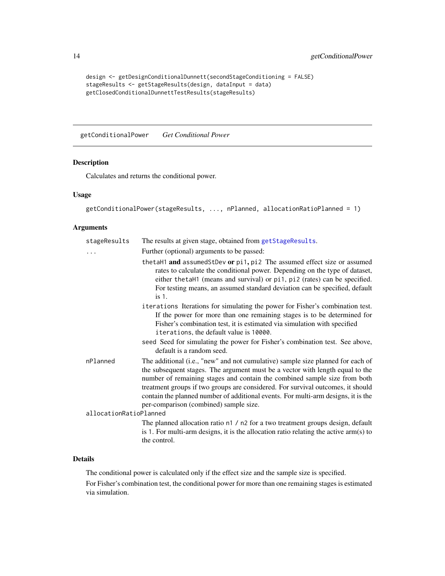```
design <- getDesignConditionalDunnett(secondStageConditioning = FALSE)
stageResults <- getStageResults(design, dataInput = data)
getClosedConditionalDunnettTestResults(stageResults)
```
<span id="page-13-1"></span>getConditionalPower *Get Conditional Power*

# Description

Calculates and returns the conditional power.

# Usage

```
getConditionalPower(stageResults, ..., nPlanned, allocationRatioPlanned = 1)
```
# Arguments

| stageResults           | The results at given stage, obtained from getStageResults.                                                                                                                                                                                                                                                                                                                                                                                                      |
|------------------------|-----------------------------------------------------------------------------------------------------------------------------------------------------------------------------------------------------------------------------------------------------------------------------------------------------------------------------------------------------------------------------------------------------------------------------------------------------------------|
|                        | Further (optional) arguments to be passed:                                                                                                                                                                                                                                                                                                                                                                                                                      |
|                        | thetaH1 and assumedStDev or pi1, pi2 The assumed effect size or assumed<br>rates to calculate the conditional power. Depending on the type of dataset,<br>either the taH1 (means and survival) or pi1, pi2 (rates) can be specified.<br>For testing means, an assumed standard deviation can be specified, default<br>$is1$ .                                                                                                                                   |
|                        | iterations Iterations for simulating the power for Fisher's combination test.<br>If the power for more than one remaining stages is to be determined for<br>Fisher's combination test, it is estimated via simulation with specified<br>iterations, the default value is 10000.                                                                                                                                                                                 |
|                        | seed Seed for simulating the power for Fisher's combination test. See above,<br>default is a random seed.                                                                                                                                                                                                                                                                                                                                                       |
| nPlanned               | The additional (i.e., "new" and not cumulative) sample size planned for each of<br>the subsequent stages. The argument must be a vector with length equal to the<br>number of remaining stages and contain the combined sample size from both<br>treatment groups if two groups are considered. For survival outcomes, it should<br>contain the planned number of additional events. For multi-arm designs, it is the<br>per-comparison (combined) sample size. |
| allocationRatioPlanned |                                                                                                                                                                                                                                                                                                                                                                                                                                                                 |
|                        | The planned allocation ratio n1 / n2 for a two treatment groups design, default<br>is 1. For multi-arm designs, it is the allocation ratio relating the active $arm(s)$ to<br>the control.                                                                                                                                                                                                                                                                      |

#### Details

The conditional power is calculated only if the effect size and the sample size is specified.

For Fisher's combination test, the conditional power for more than one remaining stages is estimated via simulation.

<span id="page-13-0"></span>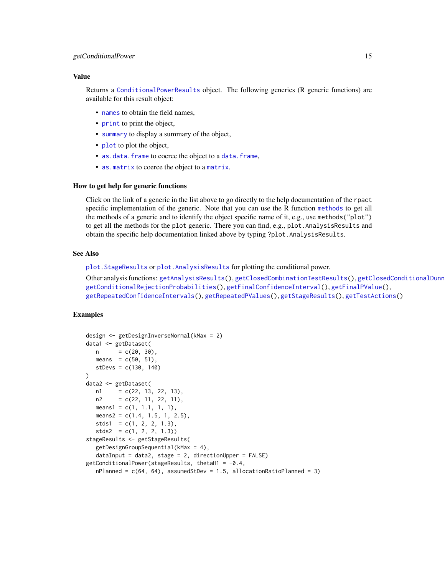#### getConditionalPower 15

### Value

Returns a [ConditionalPowerResults](#page-0-0) object. The following generics (R generic functions) are available for this result object:

- [names](#page-0-0) to obtain the field names,
- [print](#page-0-0) to print the object,
- [summary](#page-0-0) to display a summary of the object,
- [plot](#page-119-1) to plot the object,
- [as.data.frame](#page-0-0) to coerce the object to a [data.frame](#page-0-0),
- [as.matrix](#page-0-0) to coerce the object to a [matrix](#page-0-0).

#### How to get help for generic functions

Click on the link of a generic in the list above to go directly to the help documentation of the rpact specific implementation of the generic. Note that you can use the R function [methods](#page-0-0) to get all the methods of a generic and to identify the object specific name of it, e.g., use methods("plot") to get all the methods for the plot generic. There you can find, e.g., plot.AnalysisResults and obtain the specific help documentation linked above by typing ?plot.AnalysisResults.

#### See Also

[plot.StageResults](#page-124-1) or [plot.AnalysisResults](#page-112-1) for plotting the conditional power.

```
getAnalysisResults(getClosedCombinationTestResults(), getClosedConditionalDunn
getConditionalRejectionProbabilities(), getFinalConfidenceInterval(), getFinalPValue(),
getRepeatedConfidenceIntervals(), getRepeatedPValues(), getStageResults(), getTestActions()
```
#### Examples

```
design <- getDesignInverseNormal(kMax = 2)
data1 <- getDataset(
  n = c(20, 30),means = c(50, 51),stDevs = c(130, 140)
\lambdadata2 <- getDataset(
  n1 = c(22, 13, 22, 13),
  n2 = c(22, 11, 22, 11),means1 = c(1, 1.1, 1, 1),means2 = c(1.4, 1.5, 1, 2.5),
  stds1 = c(1, 2, 2, 1.3),stds2 = c(1, 2, 2, 1.3)stageResults <- getStageResults(
  getDesignGroupSequential(kMax = 4),
  dataInput = data2, stage = 2, directionUpper = FALSE)getConditionalPower(stageResults, thetaH1 = -0.4,nPlanned = c(64, 64), assumedStDev = 1.5, allocationRatioPlanned = 3)
```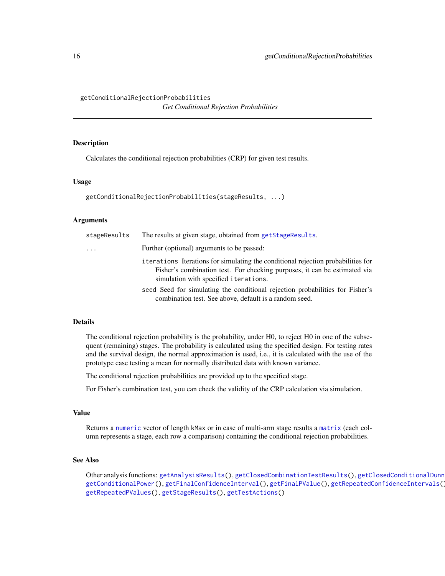# <span id="page-15-1"></span><span id="page-15-0"></span>getConditionalRejectionProbabilities *Get Conditional Rejection Probabilities*

# **Description**

Calculates the conditional rejection probabilities (CRP) for given test results.

#### Usage

```
getConditionalRejectionProbabilities(stageResults, ...)
```
#### Arguments

| stageResults | The results at given stage, obtained from getStageResults.                                                                                                                                             |
|--------------|--------------------------------------------------------------------------------------------------------------------------------------------------------------------------------------------------------|
| $\ddots$ .   | Further (optional) arguments to be passed:                                                                                                                                                             |
|              | iterations Iterations for simulating the conditional rejection probabilities for<br>Fisher's combination test. For checking purposes, it can be estimated via<br>simulation with specified iterations. |
|              | seed Seed for simulating the conditional rejection probabilities for Fisher's<br>combination test. See above, default is a random seed.                                                                |

#### Details

The conditional rejection probability is the probability, under H0, to reject H0 in one of the subsequent (remaining) stages. The probability is calculated using the specified design. For testing rates and the survival design, the normal approximation is used, i.e., it is calculated with the use of the prototype case testing a mean for normally distributed data with known variance.

The conditional rejection probabilities are provided up to the specified stage.

For Fisher's combination test, you can check the validity of the CRP calculation via simulation.

#### Value

Returns a [numeric](#page-0-0) vector of length kMax or in case of multi-arm stage results a [matrix](#page-0-0) (each column represents a stage, each row a comparison) containing the conditional rejection probabilities.

# See Also

Other analysis functions: [getAnalysisResults\(](#page-5-1)), [getClosedCombinationTestResults\(](#page-9-1)), getClosedConditionalDunn [getConditionalPower\(](#page-13-1)), [getFinalConfidenceInterval\(](#page-36-1)), [getFinalPValue\(](#page-38-1)), [getRepeatedConfidenceIntervals\(](#page-59-1)), [getRepeatedPValues\(](#page-61-1)), [getStageResults\(](#page-108-1)), [getTestActions\(](#page-111-1))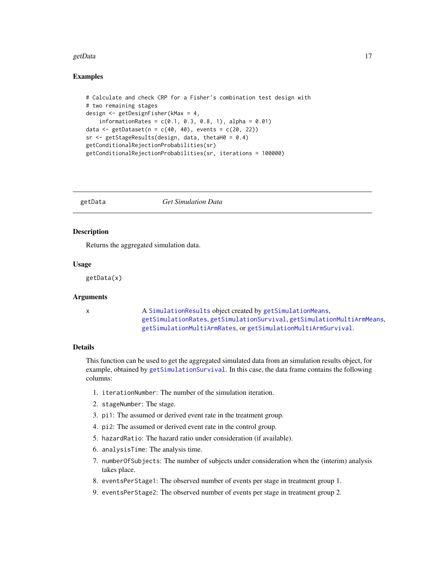#### <span id="page-16-0"></span>getData and the set of the set of the set of the set of the set of the set of the set of the set of the set of the set of the set of the set of the set of the set of the set of the set of the set of the set of the set of t

## Examples

```
# Calculate and check CRP for a Fisher's combination test design with
# two remaining stages
design <- getDesignFisher(kMax = 4,
    information Rates = c(0.1, 0.3, 0.8, 1), alpha = 0.01)data <- getDataset(n = c(40, 40), events = c(20, 22))
sr < - getStageResults(design, data, thetaH0 = 0.4)
getConditionalRejectionProbabilities(sr)
getConditionalRejectionProbabilities(sr, iterations = 100000)
```
getData *Get Simulation Data*

# Description

Returns the aggregated simulation data.

#### Usage

getData(x)

## **Arguments**

x A [SimulationResults](#page-0-0) object created by [getSimulationMeans](#page-73-1), [getSimulationRates](#page-93-1), [getSimulationSurvival](#page-98-1), [getSimulationMultiArmMeans](#page-78-1), [getSimulationMultiArmRates](#page-83-1), or [getSimulationMultiArmSurvival](#page-88-1).

#### Details

This function can be used to get the aggregated simulated data from an simulation results object, for example, obtained by [getSimulationSurvival](#page-98-1). In this case, the data frame contains the following columns:

- 1. iterationNumber: The number of the simulation iteration.
- 2. stageNumber: The stage.
- 3. pi1: The assumed or derived event rate in the treatment group.
- 4. pi2: The assumed or derived event rate in the control group.
- 5. hazardRatio: The hazard ratio under consideration (if available).
- 6. analysisTime: The analysis time.
- 7. numberOfSubjects: The number of subjects under consideration when the (interim) analysis takes place.
- 8. eventsPerStage1: The observed number of events per stage in treatment group 1.
- 9. eventsPerStage2: The observed number of events per stage in treatment group 2.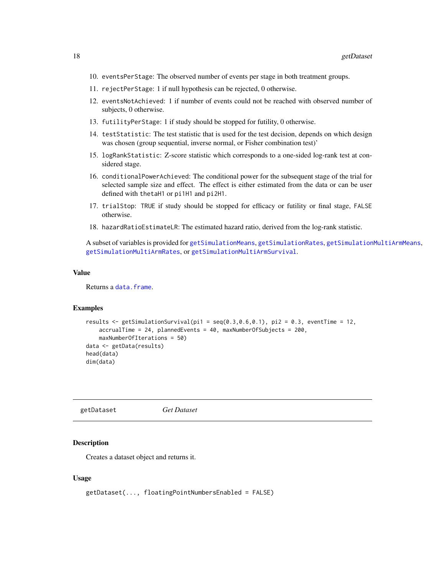- <span id="page-17-0"></span>10. eventsPerStage: The observed number of events per stage in both treatment groups.
- 11. rejectPerStage: 1 if null hypothesis can be rejected, 0 otherwise.
- 12. eventsNotAchieved: 1 if number of events could not be reached with observed number of subjects, 0 otherwise.
- 13. futilityPerStage: 1 if study should be stopped for futility, 0 otherwise.
- 14. testStatistic: The test statistic that is used for the test decision, depends on which design was chosen (group sequential, inverse normal, or Fisher combination test)'
- 15. logRankStatistic: Z-score statistic which corresponds to a one-sided log-rank test at considered stage.
- 16. conditionalPowerAchieved: The conditional power for the subsequent stage of the trial for selected sample size and effect. The effect is either estimated from the data or can be user defined with thetaH1 or pi1H1 and pi2H1.
- 17. trialStop: TRUE if study should be stopped for efficacy or futility or final stage, FALSE otherwise.
- 18. hazardRatioEstimateLR: The estimated hazard ratio, derived from the log-rank statistic.

A subset of variables is provided for [getSimulationMeans](#page-73-1), [getSimulationRates](#page-93-1), [getSimulationMultiArmMeans](#page-78-1), [getSimulationMultiArmRates](#page-83-1), or [getSimulationMultiArmSurvival](#page-88-1).

#### Value

Returns a [data.frame](#page-0-0).

#### Examples

```
results \leq getSimulationSurvival(pi1 = seq(0.3,0.6,0.1), pi2 = 0.3, eventTime = 12,
    accrualTime = 24, plannedEvents = 40, maxNumberOfSubjects = 200,
   maxNumberOfIterations = 50)
data <- getData(results)
head(data)
dim(data)
```
<span id="page-17-1"></span>getDataset *Get Dataset*

#### Description

Creates a dataset object and returns it.

#### Usage

```
getDataset(..., floatingPointNumbersEnabled = FALSE)
```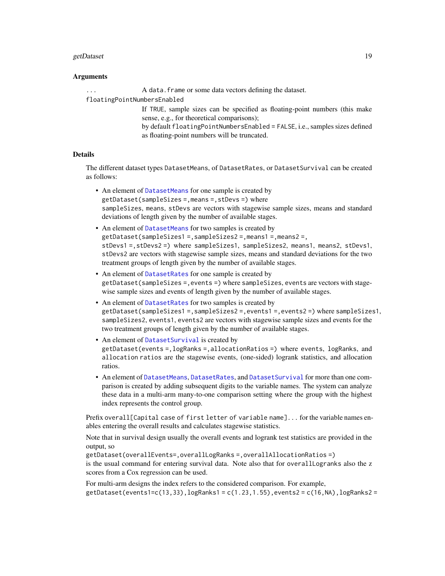#### getDataset 2002 and 2003 and 2008 and 2008 and 2008 and 2008 and 2008 and 2008 and 2008 and 2008 and 2008 and 2008 and 2008 and 2008 and 2008 and 2008 and 2008 and 2008 and 2008 and 2008 and 2008 and 2008 and 2008 and 2008

#### Arguments

... A data.frame or some data vectors defining the dataset.

floatingPointNumbersEnabled

If TRUE, sample sizes can be specified as floating-point numbers (this make sense, e.g., for theoretical comparisons);

by default floatingPointNumbersEnabled = FALSE, i.e., samples sizes defined as floating-point numbers will be truncated.

# **Details**

The different dataset types DatasetMeans, of DatasetRates, or DatasetSurvival can be created as follows:

- An element of [DatasetMeans](#page-0-0) for one sample is created by getDataset(sampleSizes =,means =,stDevs =) where sampleSizes, means, stDevs are vectors with stagewise sample sizes, means and standard deviations of length given by the number of available stages.
- An element of [DatasetMeans](#page-0-0) for two samples is created by getDataset(sampleSizes1 =,sampleSizes2 =,means1 =,means2 =, stDevs1 =,stDevs2 =) where sampleSizes1, sampleSizes2, means1, means2, stDevs1, stDevs2 are vectors with stagewise sample sizes, means and standard deviations for the two treatment groups of length given by the number of available stages.
- An element of [DatasetRates](#page-0-0) for one sample is created by getDataset(sampleSizes =,events =) where sampleSizes, events are vectors with stagewise sample sizes and events of length given by the number of available stages.
- An element of [DatasetRates](#page-0-0) for two samples is created by getDataset(sampleSizes1 =,sampleSizes2 =,events1 =,events2 =) where sampleSizes1, sampleSizes2, events1, events2 are vectors with stagewise sample sizes and events for the two treatment groups of length given by the number of available stages.
- An element of [DatasetSurvival](#page-0-0) is created by getDataset(events =,logRanks =,allocationRatios =) where events, logRanks, and allocation ratios are the stagewise events, (one-sided) logrank statistics, and allocation ratios.
- An element of [DatasetMeans](#page-0-0), [DatasetRates](#page-0-0), and [DatasetSurvival](#page-0-0) for more than one comparison is created by adding subsequent digits to the variable names. The system can analyze these data in a multi-arm many-to-one comparison setting where the group with the highest index represents the control group.

Prefix overall[Capital case of first letter of variable name]... for the variable names enables entering the overall results and calculates stagewise statistics.

Note that in survival design usually the overall events and logrank test statistics are provided in the output, so

getDataset(overallEvents=,overallLogRanks =,overallAllocationRatios =) is the usual command for entering survival data. Note also that for overallLogranks also the z scores from a Cox regression can be used.

For multi-arm designs the index refers to the considered comparison. For example,  $getDatabase(events1=c(13,33),logRanks1=c(1.23,1.55), events2=c(16,NA),logRanks2=$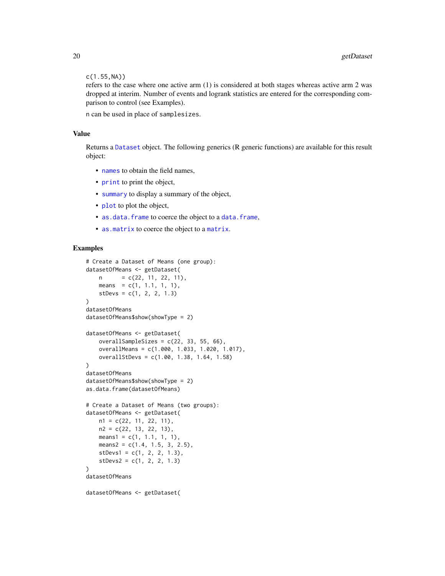```
c(1.55,NA))
```
refers to the case where one active arm (1) is considered at both stages whereas active arm 2 was dropped at interim. Number of events and logrank statistics are entered for the corresponding comparison to control (see Examples).

n can be used in place of samplesizes.

#### Value

Returns a [Dataset](#page-0-0) object. The following generics (R generic functions) are available for this result object:

- [names](#page-0-0) to obtain the field names,
- [print](#page-0-0) to print the object,
- [summary](#page-0-0) to display a summary of the object,
- [plot](#page-114-1) to plot the object,
- [as.data.frame](#page-0-0) to coerce the object to a [data.frame](#page-0-0),
- [as.matrix](#page-0-0) to coerce the object to a [matrix](#page-0-0).

#### Examples

```
# Create a Dataset of Means (one group):
datasetOfMeans <- getDataset(
   n = c(22, 11, 22, 11),means = c(1, 1.1, 1, 1),
   stDevs = c(1, 2, 2, 1.3)\lambdadatasetOfMeans
datasetOfMeans$show(showType = 2)
datasetOfMeans <- getDataset(
   overallSampleSizes = c(22, 33, 55, 66),
    overallMeans = c(1.000, 1.033, 1.020, 1.017),
    overallStDevs = c(1.00, 1.38, 1.64, 1.58)
)
datasetOfMeans
datasetOfMeans$show(showType = 2)
as.data.frame(datasetOfMeans)
# Create a Dataset of Means (two groups):
datasetOfMeans <- getDataset(
   n1 = c(22, 11, 22, 11),
   n2 = c(22, 13, 22, 13),means1 = c(1, 1.1, 1, 1),means2 = c(1.4, 1.5, 3, 2.5),
    stDevs1 = c(1, 2, 2, 1.3),stDevs2 = c(1, 2, 2, 1.3))
datasetOfMeans
datasetOfMeans <- getDataset(
```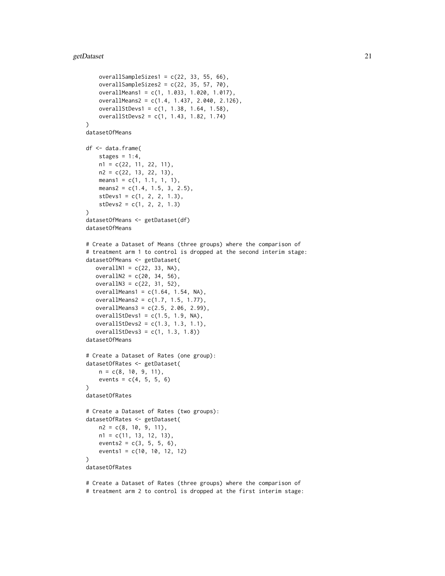#### getDataset 21

```
overallSampleSizes1 = c(22, 33, 55, 66),
    overallSampleSizes2 = c(22, 35, 57, 70),
    overallMeans1 = c(1, 1.033, 1.020, 1.017),
    overallMeans2 = c(1.4, 1.437, 2.040, 2.126),
    overallStDevs1 = c(1, 1.38, 1.64, 1.58),
    overallStDevs2 = c(1, 1.43, 1.82, 1.74)
)
datasetOfMeans
df <- data.frame(
    stages = 1:4,
   n1 = c(22, 11, 22, 11),
   n2 = c(22, 13, 22, 13),means1 = c(1, 1.1, 1, 1),means2 = c(1.4, 1.5, 3, 2.5),
    stDevs1 = c(1, 2, 2, 1.3),
    stDevs2 = c(1, 2, 2, 1.3))
datasetOfMeans <- getDataset(df)
datasetOfMeans
# Create a Dataset of Means (three groups) where the comparison of
# treatment arm 1 to control is dropped at the second interim stage:
datasetOfMeans <- getDataset(
   overallN1 = c(22, 33, NA),overallN2 = c(20, 34, 56),
   overallN3 = c(22, 31, 52),
   overallMeans1 = c(1.64, 1.54, NA),overallMeans2 = c(1.7, 1.5, 1.77),
   overallMeans3 = c(2.5, 2.06, 2.99),
   overallStDevs1 = c(1.5, 1.9, NA),
   overallStDevs2 = c(1.3, 1.3, 1.1),
   overallStDevs3 = c(1, 1.3, 1.8)datasetOfMeans
# Create a Dataset of Rates (one group):
datasetOfRates <- getDataset(
    n = c(8, 10, 9, 11),
    events = c(4, 5, 5, 6))
datasetOfRates
# Create a Dataset of Rates (two groups):
datasetOfRates <- getDataset(
   n2 = c(8, 10, 9, 11),
   n1 = c(11, 13, 12, 13),
    events2 = c(3, 5, 5, 6),
    events1 = c(10, 10, 12, 12)
\lambdadatasetOfRates
# Create a Dataset of Rates (three groups) where the comparison of
```
# treatment arm 2 to control is dropped at the first interim stage: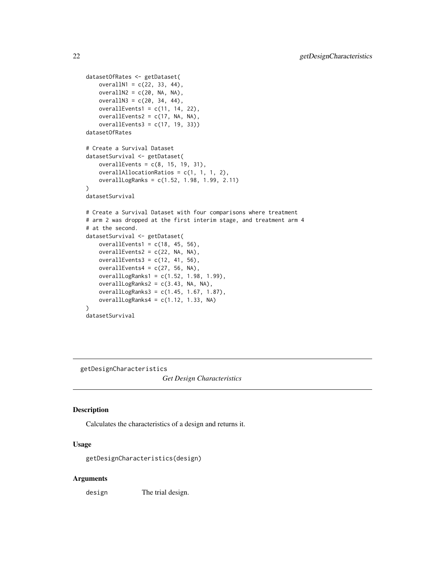```
datasetOfRates <- getDataset(
   overallN1 = c(22, 33, 44),
   overally2 = c(20, NA, NA),overallN3 = c(20, 34, 44),
   overallEvents1 = c(11, 14, 22),
   overallEvents2 = c(17, NA, NA),
   overallEvents3 = c(17, 19, 33))
datasetOfRates
# Create a Survival Dataset
datasetSurvival <- getDataset(
   overallEvents = c(8, 15, 19, 31),
   overallAllocationRatios = c(1, 1, 1, 2),
   overallLogRanks = c(1.52, 1.98, 1.99, 2.11)
\mathcal{E}datasetSurvival
# Create a Survival Dataset with four comparisons where treatment
# arm 2 was dropped at the first interim stage, and treatment arm 4
# at the second.
datasetSurvival <- getDataset(
   overallEvents1 = c(18, 45, 56),
   overallEvents2 = c(22, NA, NA),
   overallEvents3 = c(12, 41, 56),
   overallEvents4 = c(27, 56, NA),
   overallLogRanks1 = c(1.52, 1.98, 1.99),
   overallLogRanks2 = c(3.43, NA, NA),
   overallLogRanks3 = c(1.45, 1.67, 1.87),
   overallLogRanks4 = c(1.12, 1.33, NA)\mathcal{L}datasetSurvival
```
<span id="page-21-1"></span>getDesignCharacteristics

*Get Design Characteristics*

#### Description

Calculates the characteristics of a design and returns it.

# Usage

getDesignCharacteristics(design)

#### Arguments

design The trial design.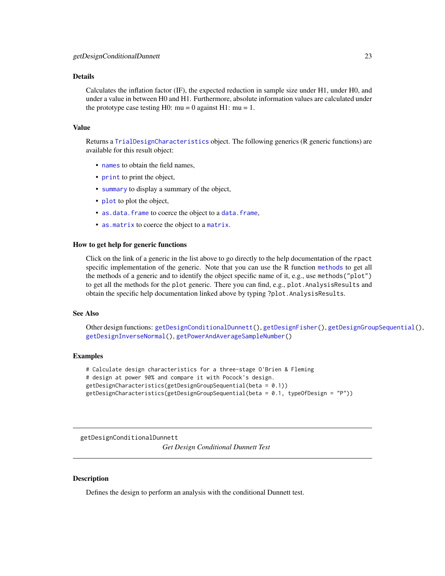#### <span id="page-22-0"></span>Details

Calculates the inflation factor (IF), the expected reduction in sample size under H1, under H0, and under a value in between H0 and H1. Furthermore, absolute information values are calculated under the prototype case testing H0:  $mu = 0$  against H1:  $mu = 1$ .

# Value

Returns a [TrialDesignCharacteristics](#page-0-0) object. The following generics (R generic functions) are available for this result object:

- [names](#page-0-0) to obtain the field names,
- [print](#page-0-0) to print the object,
- [summary](#page-0-0) to display a summary of the object,
- [plot](#page-119-1) to plot the object,
- [as.data.frame](#page-0-0) to coerce the object to a [data.frame](#page-0-0),
- [as.matrix](#page-0-0) to coerce the object to a [matrix](#page-0-0).

#### How to get help for generic functions

Click on the link of a generic in the list above to go directly to the help documentation of the rpact specific implementation of the generic. Note that you can use the R function [methods](#page-0-0) to get all the methods of a generic and to identify the object specific name of it, e.g., use methods("plot") to get all the methods for the plot generic. There you can find, e.g., plot. AnalysisResults and obtain the specific help documentation linked above by typing ?plot.AnalysisResults.

#### See Also

Other design functions: [getDesignConditionalDunnett\(](#page-22-1)), [getDesignFisher\(](#page-24-1)), [getDesignGroupSequential\(](#page-26-1)), [getDesignInverseNormal\(](#page-29-1)), [getPowerAndAverageSampleNumber\(](#page-45-1))

#### Examples

```
# Calculate design characteristics for a three-stage O'Brien & Fleming
# design at power 90% and compare it with Pocock's design.
getDesignCharacteristics(getDesignGroupSequential(beta = 0.1))
getDesignCharacteristics(getDesignGroupSequential(beta = 0.1, typeOfDesign = "P"))
```
<span id="page-22-1"></span>getDesignConditionalDunnett

*Get Design Conditional Dunnett Test*

# Description

Defines the design to perform an analysis with the conditional Dunnett test.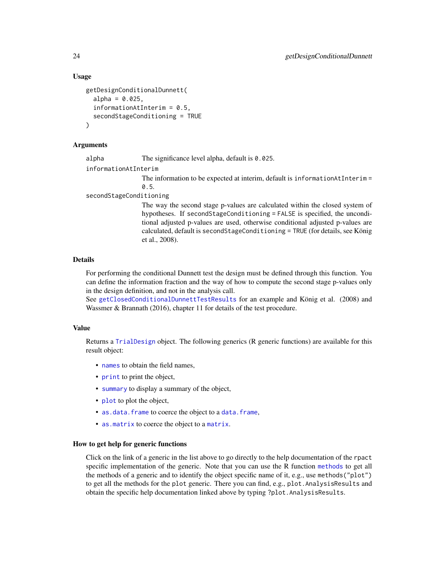#### Usage

```
getDesignConditionalDunnett(
  alpha = 0.025,
  informationAtInterim = 0.5,
  secondStageConditioning = TRUE
\lambda
```
# Arguments

alpha The significance level alpha, default is 0.025.

informationAtInterim

The information to be expected at interim, default is informationAtInterim = 0.5.

secondStageConditioning

The way the second stage p-values are calculated within the closed system of hypotheses. If secondStageConditioning = FALSE is specified, the unconditional adjusted p-values are used, otherwise conditional adjusted p-values are calculated, default is secondStageConditioning = TRUE (for details, see König et al., 2008).

# Details

For performing the conditional Dunnett test the design must be defined through this function. You can define the information fraction and the way of how to compute the second stage p-values only in the design definition, and not in the analysis call.

See [getClosedConditionalDunnettTestResults](#page-11-1) for an example and König et al. (2008) and Wassmer & Brannath (2016), chapter 11 for details of the test procedure.

# Value

Returns a [TrialDesign](#page-0-0) object. The following generics (R generic functions) are available for this result object:

- [names](#page-0-0) to obtain the field names,
- [print](#page-0-0) to print the object,
- [summary](#page-0-0) to display a summary of the object,
- [plot](#page-126-1) to plot the object,
- [as.data.frame](#page-0-0) to coerce the object to a [data.frame](#page-0-0),
- [as.matrix](#page-0-0) to coerce the object to a [matrix](#page-0-0).

# How to get help for generic functions

Click on the link of a generic in the list above to go directly to the help documentation of the rpact specific implementation of the generic. Note that you can use the R function [methods](#page-0-0) to get all the methods of a generic and to identify the object specific name of it, e.g., use methods("plot") to get all the methods for the plot generic. There you can find, e.g., plot.AnalysisResults and obtain the specific help documentation linked above by typing ?plot.AnalysisResults.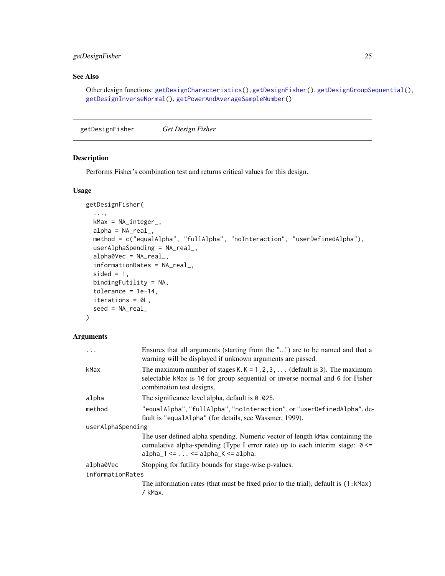# <span id="page-24-0"></span>getDesignFisher 25

# See Also

Other design functions: [getDesignCharacteristics\(](#page-21-1)), [getDesignFisher\(](#page-24-1)), [getDesignGroupSequential\(](#page-26-1)), [getDesignInverseNormal\(](#page-29-1)), [getPowerAndAverageSampleNumber\(](#page-45-1))

<span id="page-24-1"></span>getDesignFisher *Get Design Fisher*

# Description

Performs Fisher's combination test and returns critical values for this design.

# Usage

```
getDesignFisher(
  ...,
 kMax = NA_integer_,
 alpha = NA\_real_method = c("equalAlpha", "fullAlpha", "noInteraction", "userDefinedAlpha"),
 userAlphaSpending = NA_real_,
 alpha0Vec = NA_real_,
  informationRates = NA_real_,
  sided = 1,
 bindingFutility = NA,
  tolerance = 1e-14,iterations = 0L,
 seed = NA_real_
```

```
\mathcal{L}
```
# Arguments

|                   | Ensures that all arguments (starting from the "") are to be named and that a<br>warning will be displayed if unknown arguments are passed.                                                                                            |  |
|-------------------|---------------------------------------------------------------------------------------------------------------------------------------------------------------------------------------------------------------------------------------|--|
| kMax              | The maximum number of stages K. $K = 1, 2, 3, \ldots$ (default is 3). The maximum<br>selectable kMax is 10 for group sequential or inverse normal and 6 for Fisher<br>combination test designs.                                       |  |
| alpha             | The significance level alpha, default is $0.025$ .                                                                                                                                                                                    |  |
| method            | "equalAlpha", "fullAlpha", "noInteraction", or "userDefinedAlpha", de-<br>fault is "equalAlpha" (for details, see Wassmer, 1999).                                                                                                     |  |
| userAlphaSpending |                                                                                                                                                                                                                                       |  |
|                   | The user defined alpha spending. Numeric vector of length kMax containing the<br>cumulative alpha-spending (Type I error rate) up to each interim stage: $0 \le$<br>$alpha_1 \leftarrow \ldots \leftarrow alpha_K \leftarrow alpha$ . |  |
| alpha0Vec         | Stopping for futility bounds for stage-wise p-values.                                                                                                                                                                                 |  |
| informationRates  |                                                                                                                                                                                                                                       |  |
|                   | The information rates (that must be fixed prior to the trial), default is (1:kMax)<br>/ kMax.                                                                                                                                         |  |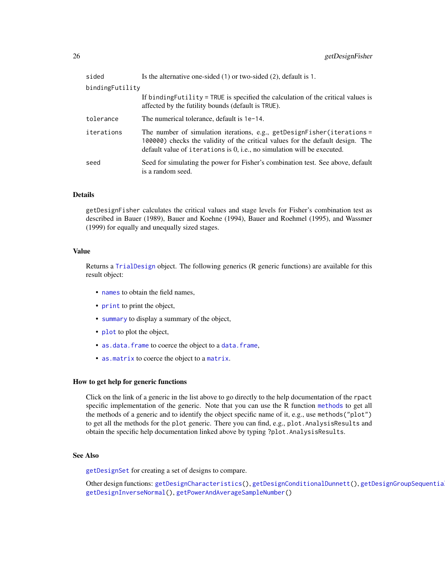| sided           | Is the alternative one-sided $(1)$ or two-sided $(2)$ , default is 1.                                                                                                                                                                   |
|-----------------|-----------------------------------------------------------------------------------------------------------------------------------------------------------------------------------------------------------------------------------------|
| bindingFutility |                                                                                                                                                                                                                                         |
|                 | If binding Futility = TRUE is specified the calculation of the critical values is<br>affected by the futility bounds (default is TRUE).                                                                                                 |
| tolerance       | The numerical tolerance, default is 1e-14.                                                                                                                                                                                              |
| iterations      | The number of simulation iterations, e.g., getDesignFisher(iterations =<br>100000) checks the validity of the critical values for the default design. The<br>default value of iterations is $0$ , i.e., no simulation will be executed. |
| seed            | Seed for simulating the power for Fisher's combination test. See above, default<br>is a random seed.                                                                                                                                    |

#### Details

getDesignFisher calculates the critical values and stage levels for Fisher's combination test as described in Bauer (1989), Bauer and Koehne (1994), Bauer and Roehmel (1995), and Wassmer (1999) for equally and unequally sized stages.

# Value

Returns a [TrialDesign](#page-0-0) object. The following generics (R generic functions) are available for this result object:

- [names](#page-0-0) to obtain the field names,
- [print](#page-0-0) to print the object,
- [summary](#page-0-0) to display a summary of the object,
- [plot](#page-126-1) to plot the object,
- [as.data.frame](#page-0-0) to coerce the object to a [data.frame](#page-0-0),
- [as.matrix](#page-0-0) to coerce the object to a [matrix](#page-0-0).

#### How to get help for generic functions

Click on the link of a generic in the list above to go directly to the help documentation of the rpact specific implementation of the generic. Note that you can use the R function [methods](#page-0-0) to get all the methods of a generic and to identify the object specific name of it, e.g., use methods("plot") to get all the methods for the plot generic. There you can find, e.g., plot.AnalysisResults and obtain the specific help documentation linked above by typing ?plot.AnalysisResults.

# See Also

[getDesignSet](#page-32-1) for creating a set of designs to compare.

Other design functions: [getDesignCharacteristics\(](#page-21-1)), [getDesignConditionalDunnett\(](#page-22-1)), [getDesignGroupSequential\(](#page-26-1)), [getDesignInverseNormal\(](#page-29-1)), [getPowerAndAverageSampleNumber\(](#page-45-1))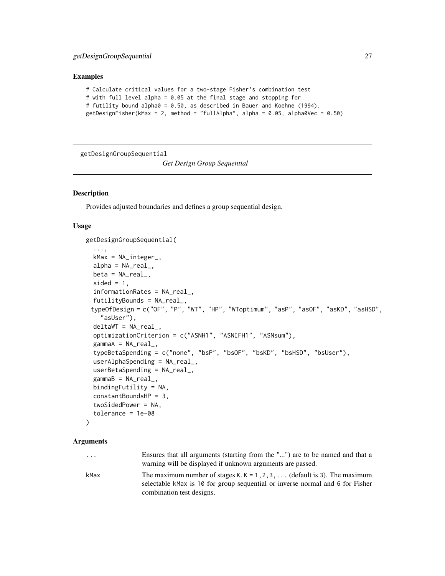#### <span id="page-26-0"></span>Examples

```
# Calculate critical values for a two-stage Fisher's combination test
# with full level alpha = 0.05 at the final stage and stopping for
# futility bound alpha0 = 0.50, as described in Bauer and Koehne (1994).
getDesignFisher(kMax = 2, method = "fullAlpha", alpha = 0.05, alpha0Vec = 0.50)
```
<span id="page-26-1"></span>getDesignGroupSequential

*Get Design Group Sequential*

#### Description

Provides adjusted boundaries and defines a group sequential design.

# Usage

```
getDesignGroupSequential(
  ...,
  kMax = NA_integer_,
  alpha = NA\_real_,
  beta = NA\_real_.
  sided = 1,
  informationRates = NA_real_,
  futilityBounds = NA_real_,
 typeOfDesign = c("OF", "P", "WT", "HP", "WToptimum", "asP", "asOF", "asKD", "asHSD",
    "asUser"),
  deltaWT = NA_real_,
  optimizationCriterion = c("ASNH1", "ASNIFH1", "ASNsum"),
  gamma = NA_{real_-,typeBetaSpending = c("none", "bsP", "bsOF", "bsKD", "bsHSD", "bsUser"),
  userAlphaSpending = NA_real_,
  userBetaSpending = NA_real_,
  gammaB = NA_{real_-,bindingFutility = NA,
  constantBoundsHP = 3,
  twoSidedPower = NA,
  tolerance = 1e-08
)
```
#### Arguments

| $\ddotsc$ | Ensures that all arguments (starting from the "") are to be named and that a                                                                                       |
|-----------|--------------------------------------------------------------------------------------------------------------------------------------------------------------------|
|           | warning will be displayed if unknown arguments are passed.                                                                                                         |
| kMax      | The maximum number of stages K. $K = 1, 2, 3, \ldots$ (default is 3). The maximum<br>selectable kMax is 10 for group sequential or inverse normal and 6 for Fisher |
|           | combination test designs.                                                                                                                                          |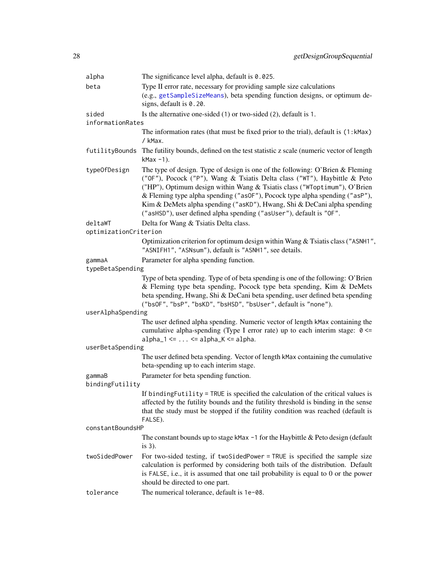| alpha                     | The significance level alpha, default is $0.025$ .                                                                                                                                                                                                                                                                                                                                                                                                                        |
|---------------------------|---------------------------------------------------------------------------------------------------------------------------------------------------------------------------------------------------------------------------------------------------------------------------------------------------------------------------------------------------------------------------------------------------------------------------------------------------------------------------|
| beta                      | Type II error rate, necessary for providing sample size calculations                                                                                                                                                                                                                                                                                                                                                                                                      |
|                           | (e.g., getSampleSizeMeans), beta spending function designs, or optimum de-<br>signs, default is 0.20.                                                                                                                                                                                                                                                                                                                                                                     |
| sided                     | Is the alternative one-sided $(1)$ or two-sided $(2)$ , default is 1.                                                                                                                                                                                                                                                                                                                                                                                                     |
| informationRates          |                                                                                                                                                                                                                                                                                                                                                                                                                                                                           |
|                           | The information rates (that must be fixed prior to the trial), default is (1:kMax)<br>/ kMax.                                                                                                                                                                                                                                                                                                                                                                             |
|                           | futilityBounds The futility bounds, defined on the test statistic z scale (numeric vector of length<br>$k$ Max $-1$ ).                                                                                                                                                                                                                                                                                                                                                    |
| typeOfDesign              | The type of design. Type of design is one of the following: O'Brien & Fleming<br>("OF"), Pocock ("P"), Wang & Tsiatis Delta class ("WT"), Haybittle & Peto<br>("HP"), Optimum design within Wang & Tsiatis class ("WToptimum"), O'Brien<br>& Fleming type alpha spending ("asOF"), Pocock type alpha spending ("asP"),<br>Kim & DeMets alpha spending ("asKD"), Hwang, Shi & DeCani alpha spending<br>("asHSD"), user defined alpha spending ("asUser"), default is "OF". |
| deltaWT                   | Delta for Wang & Tsiatis Delta class.                                                                                                                                                                                                                                                                                                                                                                                                                                     |
| optimizationCriterion     |                                                                                                                                                                                                                                                                                                                                                                                                                                                                           |
|                           | Optimization criterion for optimum design within Wang & Tsiatis class ("ASNH1",<br>"ASNIFH1", "ASNsum"), default is "ASNH1", see details.                                                                                                                                                                                                                                                                                                                                 |
| gammaA                    | Parameter for alpha spending function.                                                                                                                                                                                                                                                                                                                                                                                                                                    |
| typeBetaSpending          |                                                                                                                                                                                                                                                                                                                                                                                                                                                                           |
|                           | Type of beta spending. Type of of beta spending is one of the following: O'Brien<br>& Fleming type beta spending, Pocock type beta spending, Kim & DeMets<br>beta spending, Hwang, Shi & DeCani beta spending, user defined beta spending<br>("bsOF", "bsP", "bsKD", "bsHSD", "bsUser", default is "none").                                                                                                                                                               |
| userAlphaSpending         |                                                                                                                                                                                                                                                                                                                                                                                                                                                                           |
|                           | The user defined alpha spending. Numeric vector of length kMax containing the<br>cumulative alpha-spending (Type I error rate) up to each interim stage: $0 \le$<br>$alpha_1 \leftarrow \ldots \leftarrow alpha_K \leftarrow alpha$ .                                                                                                                                                                                                                                     |
| userBetaSpending          |                                                                                                                                                                                                                                                                                                                                                                                                                                                                           |
|                           | The user defined beta spending. Vector of length kMax containing the cumulative<br>beta-spending up to each interim stage.                                                                                                                                                                                                                                                                                                                                                |
| gammaB<br>bindingFutility | Parameter for beta spending function.                                                                                                                                                                                                                                                                                                                                                                                                                                     |
|                           | If binding Futility = TRUE is specified the calculation of the critical values is<br>affected by the futility bounds and the futility threshold is binding in the sense<br>that the study must be stopped if the futility condition was reached (default is<br>FALSE).                                                                                                                                                                                                    |
| constantBoundsHP          |                                                                                                                                                                                                                                                                                                                                                                                                                                                                           |
|                           | The constant bounds up to stage kMax -1 for the Haybittle & Peto design (default<br>is $3$ ).                                                                                                                                                                                                                                                                                                                                                                             |
| twoSidedPower             | For two-sided testing, if twoSidedPower = TRUE is specified the sample size<br>calculation is performed by considering both tails of the distribution. Default<br>is FALSE, i.e., it is assumed that one tail probability is equal to 0 or the power<br>should be directed to one part.                                                                                                                                                                                   |
| tolerance                 | The numerical tolerance, default is 1e-08.                                                                                                                                                                                                                                                                                                                                                                                                                                |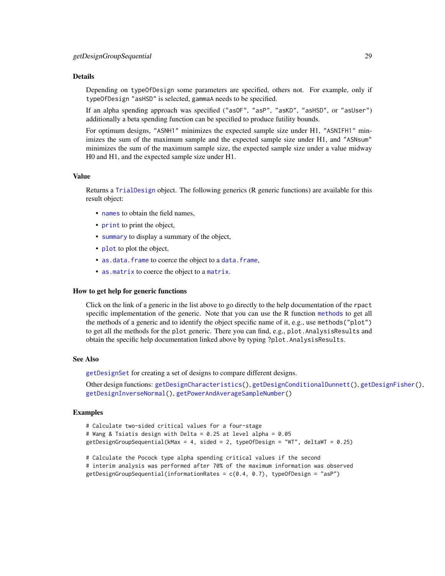# Details

Depending on typeOfDesign some parameters are specified, others not. For example, only if typeOfDesign "asHSD" is selected, gammaA needs to be specified.

If an alpha spending approach was specified ("asOF", "asP", "asKD", "asHSD", or "asUser") additionally a beta spending function can be specified to produce futility bounds.

For optimum designs, "ASNH1" minimizes the expected sample size under H1, "ASNIFH1" minimizes the sum of the maximum sample and the expected sample size under H1, and "ASNsum" minimizes the sum of the maximum sample size, the expected sample size under a value midway H0 and H1, and the expected sample size under H1.

#### Value

Returns a [TrialDesign](#page-0-0) object. The following generics (R generic functions) are available for this result object:

- [names](#page-0-0) to obtain the field names,
- [print](#page-0-0) to print the object,
- [summary](#page-0-0) to display a summary of the object,
- [plot](#page-126-1) to plot the object,
- [as.data.frame](#page-0-0) to coerce the object to a [data.frame](#page-0-0),
- [as.matrix](#page-0-0) to coerce the object to a [matrix](#page-0-0).

#### How to get help for generic functions

Click on the link of a generic in the list above to go directly to the help documentation of the rpact specific implementation of the generic. Note that you can use the R function [methods](#page-0-0) to get all the methods of a generic and to identify the object specific name of it, e.g., use methods("plot") to get all the methods for the plot generic. There you can find, e.g., plot.AnalysisResults and obtain the specific help documentation linked above by typing ?plot.AnalysisResults.

# See Also

[getDesignSet](#page-32-1) for creating a set of designs to compare different designs.

Other design functions: [getDesignCharacteristics\(](#page-21-1)), [getDesignConditionalDunnett\(](#page-22-1)), [getDesignFisher\(](#page-24-1)), [getDesignInverseNormal\(](#page-29-1)), [getPowerAndAverageSampleNumber\(](#page-45-1))

#### Examples

```
# Calculate two-sided critical values for a four-stage
# Wang & Tsiatis design with Delta = 0.25 at level alpha = 0.05
getDesignGroupSequential(kMax = 4, sided = 2, typeOfDesign = "WT", deltaWT = 0.25)
```
# Calculate the Pocock type alpha spending critical values if the second # interim analysis was performed after 70% of the maximum information was observed getDesignGroupSequential(informationRates =  $c(0.4, 0.7)$ , typeOfDesign = "asP")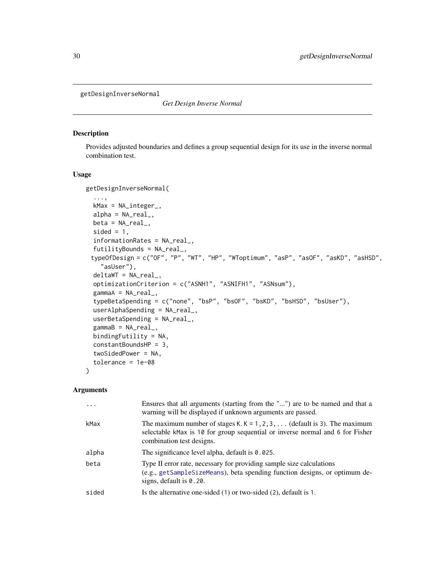<span id="page-29-1"></span><span id="page-29-0"></span>getDesignInverseNormal

*Get Design Inverse Normal*

# Description

Provides adjusted boundaries and defines a group sequential design for its use in the inverse normal combination test.

#### Usage

```
getDesignInverseNormal(
  ...,
  kMax = NA_integer_,
  alpha = NA\_real_beta = NA\_real_sided = 1,
  informationRates = NA_real_,
  futilityBounds = NA_real_,
 typeOfDesign = c("OF", "P", "WT", "HP", "WToptimum", "asP", "asOF", "asKD", "asHSD",
    "asUser"),
  delta/T = NA_{real_-,optimizationCriterion = c("ASNH1", "ASNIFH1", "ASNsum"),
  gamma = NA_{real_typeBetaSpending = c("none", "bsP", "bsOF", "bsKD", "bsHSD", "bsUser"),
  userAlphaSpending = NA_real_,
  userBetaSpending = NA_real_,
  gamma = NA_{real_-,bindingFutility = NA,
  constantBoundsHP = 3,
  twoSidedPower = NA,
  tolerance = 1e-08
\lambda
```
#### Arguments

|       | Ensures that all arguments (starting from the "") are to be named and that a<br>warning will be displayed if unknown arguments are passed.                                                      |
|-------|-------------------------------------------------------------------------------------------------------------------------------------------------------------------------------------------------|
| kMax  | The maximum number of stages K. $K = 1, 2, 3, \ldots$ (default is 3). The maximum<br>selectable kMax is 10 for group sequential or inverse normal and 6 for Fisher<br>combination test designs. |
| alpha | The significance level alpha, default is 0.025.                                                                                                                                                 |
| beta  | Type II error rate, necessary for providing sample size calculations<br>(e.g., getSampleSizeMeans), beta spending function designs, or optimum de-<br>signs, default is $0.20$ .                |
| sided | Is the alternative one-sided $(1)$ or two-sided $(2)$ , default is 1.                                                                                                                           |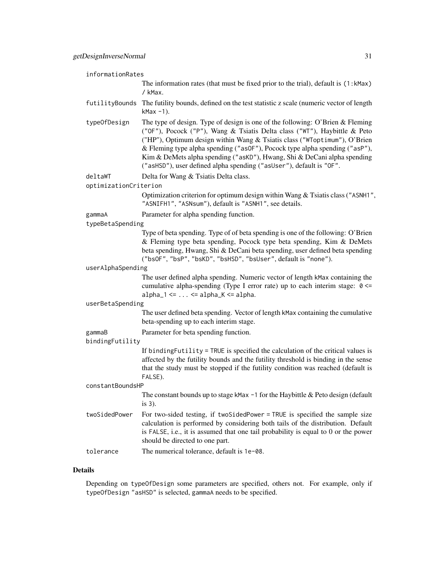| informationRates                                                   |                                                                                                                                                                                                                                                                                                                                                                                                                                                                           |  |
|--------------------------------------------------------------------|---------------------------------------------------------------------------------------------------------------------------------------------------------------------------------------------------------------------------------------------------------------------------------------------------------------------------------------------------------------------------------------------------------------------------------------------------------------------------|--|
|                                                                    | The information rates (that must be fixed prior to the trial), default is (1:kMax)<br>/ kMax.                                                                                                                                                                                                                                                                                                                                                                             |  |
| futilityBounds                                                     | The futility bounds, defined on the test statistic z scale (numeric vector of length<br>$k$ Max $-1$ ).                                                                                                                                                                                                                                                                                                                                                                   |  |
| typeOfDesign                                                       | The type of design. Type of design is one of the following: O'Brien & Fleming<br>("OF"), Pocock ("P"), Wang & Tsiatis Delta class ("WT"), Haybittle & Peto<br>("HP"), Optimum design within Wang & Tsiatis class ("WToptimum"), O'Brien<br>& Fleming type alpha spending ("as0F"), Pocock type alpha spending ("asP"),<br>Kim & DeMets alpha spending ("asKD"), Hwang, Shi & DeCani alpha spending<br>("asHSD"), user defined alpha spending ("asUser"), default is "OF". |  |
| deltaWT                                                            | Delta for Wang & Tsiatis Delta class.                                                                                                                                                                                                                                                                                                                                                                                                                                     |  |
| optimizationCriterion                                              |                                                                                                                                                                                                                                                                                                                                                                                                                                                                           |  |
|                                                                    | Optimization criterion for optimum design within Wang & Tsiatis class ("ASNH1",<br>"ASNIFH1", "ASNsum"), default is "ASNH1", see details.                                                                                                                                                                                                                                                                                                                                 |  |
| gammaA                                                             | Parameter for alpha spending function.                                                                                                                                                                                                                                                                                                                                                                                                                                    |  |
| typeBetaSpending                                                   |                                                                                                                                                                                                                                                                                                                                                                                                                                                                           |  |
|                                                                    | Type of beta spending. Type of of beta spending is one of the following: O'Brien<br>& Fleming type beta spending, Pocock type beta spending, Kim & DeMets<br>beta spending, Hwang, Shi & DeCani beta spending, user defined beta spending<br>("bsOF", "bsP", "bsKD", "bsHSD", "bsUser", default is "none").                                                                                                                                                               |  |
| userAlphaSpending                                                  |                                                                                                                                                                                                                                                                                                                                                                                                                                                                           |  |
|                                                                    | The user defined alpha spending. Numeric vector of length kMax containing the<br>cumulative alpha-spending (Type I error rate) up to each interim stage: $0 \le$<br>$alpha_1 \leftarrow \ldots \leftarrow alpha_K \leftarrow alpha$ .                                                                                                                                                                                                                                     |  |
| userBetaSpending                                                   |                                                                                                                                                                                                                                                                                                                                                                                                                                                                           |  |
|                                                                    | The user defined beta spending. Vector of length kMax containing the cumulative<br>beta-spending up to each interim stage.                                                                                                                                                                                                                                                                                                                                                |  |
| Parameter for beta spending function.<br>gammaB<br>bindingFutility |                                                                                                                                                                                                                                                                                                                                                                                                                                                                           |  |
|                                                                    | If binding Futility = TRUE is specified the calculation of the critical values is<br>affected by the futility bounds and the futility threshold is binding in the sense<br>that the study must be stopped if the futility condition was reached (default is<br>FALSE).                                                                                                                                                                                                    |  |
| constantBoundsHP                                                   |                                                                                                                                                                                                                                                                                                                                                                                                                                                                           |  |
|                                                                    | The constant bounds up to stage kMax $-1$ for the Haybittle & Peto design (default<br>is $3$ ).                                                                                                                                                                                                                                                                                                                                                                           |  |
| twoSidedPower                                                      | For two-sided testing, if two SidedPower = TRUE is specified the sample size<br>calculation is performed by considering both tails of the distribution. Default<br>is FALSE, i.e., it is assumed that one tail probability is equal to 0 or the power<br>should be directed to one part.                                                                                                                                                                                  |  |
| tolerance                                                          | The numerical tolerance, default is 1e-08.                                                                                                                                                                                                                                                                                                                                                                                                                                |  |
|                                                                    |                                                                                                                                                                                                                                                                                                                                                                                                                                                                           |  |

# Details

Depending on typeOfDesign some parameters are specified, others not. For example, only if typeOfDesign "asHSD" is selected, gammaA needs to be specified.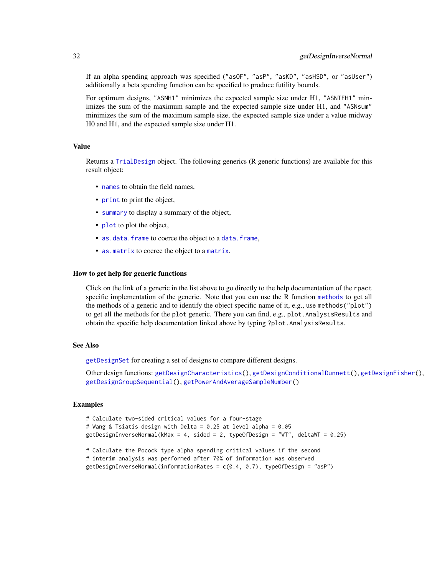If an alpha spending approach was specified ("asOF", "asP", "asKD", "asHSD", or "asUser") additionally a beta spending function can be specified to produce futility bounds.

For optimum designs, "ASNH1" minimizes the expected sample size under H1, "ASNIFH1" minimizes the sum of the maximum sample and the expected sample size under H1, and "ASNsum" minimizes the sum of the maximum sample size, the expected sample size under a value midway H0 and H1, and the expected sample size under H1.

# Value

Returns a [TrialDesign](#page-0-0) object. The following generics (R generic functions) are available for this result object:

- [names](#page-0-0) to obtain the field names,
- [print](#page-0-0) to print the object,
- [summary](#page-0-0) to display a summary of the object,
- [plot](#page-126-1) to plot the object,
- [as.data.frame](#page-0-0) to coerce the object to a [data.frame](#page-0-0),
- [as.matrix](#page-0-0) to coerce the object to a [matrix](#page-0-0).

#### How to get help for generic functions

Click on the link of a generic in the list above to go directly to the help documentation of the rpact specific implementation of the generic. Note that you can use the R function [methods](#page-0-0) to get all the methods of a generic and to identify the object specific name of it, e.g., use methods("plot") to get all the methods for the plot generic. There you can find, e.g., plot.AnalysisResults and obtain the specific help documentation linked above by typing ?plot.AnalysisResults.

#### See Also

[getDesignSet](#page-32-1) for creating a set of designs to compare different designs.

Other design functions: [getDesignCharacteristics\(](#page-21-1)), [getDesignConditionalDunnett\(](#page-22-1)), [getDesignFisher\(](#page-24-1)), [getDesignGroupSequential\(](#page-26-1)), [getPowerAndAverageSampleNumber\(](#page-45-1))

#### Examples

```
# Calculate two-sided critical values for a four-stage
# Wang & Tsiatis design with Delta = 0.25 at level alpha = 0.05
getDesignInverseNormal(kMax = 4, sided = 2, typeOfDesign = "WT", deltaWT = 0.25)
```
# Calculate the Pocock type alpha spending critical values if the second # interim analysis was performed after 70% of information was observed getDesignInverseNormal(informationRates =  $c(0.4, 0.7)$ , typeOfDesign = "asP")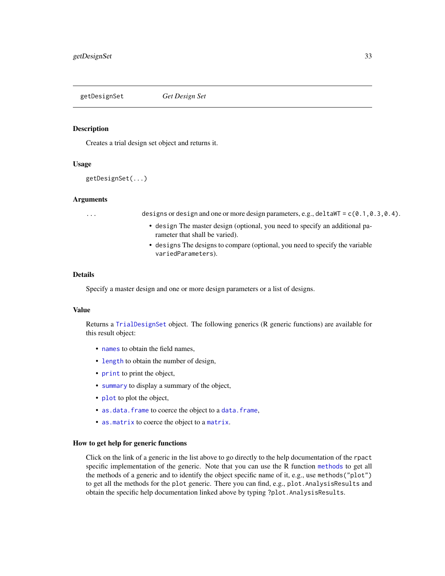<span id="page-32-1"></span><span id="page-32-0"></span>

#### Description

Creates a trial design set object and returns it.

# Usage

```
getDesignSet(...)
```
#### Arguments

... designs or design and one or more design parameters, e.g., deltaWT = c(0.1,0.3,0.4).

- design The master design (optional, you need to specify an additional parameter that shall be varied).
- designs The designs to compare (optional, you need to specify the variable variedParameters).

#### Details

Specify a master design and one or more design parameters or a list of designs.

#### Value

Returns a [TrialDesignSet](#page-0-0) object. The following generics (R generic functions) are available for this result object:

- [names](#page-0-0) to obtain the field names,
- [length](#page-0-0) to obtain the number of design,
- [print](#page-0-0) to print the object,
- [summary](#page-0-0) to display a summary of the object,
- [plot](#page-131-1) to plot the object,
- [as.data.frame](#page-0-0) to coerce the object to a [data.frame](#page-0-0),
- [as.matrix](#page-0-0) to coerce the object to a [matrix](#page-0-0).

#### How to get help for generic functions

Click on the link of a generic in the list above to go directly to the help documentation of the rpact specific implementation of the generic. Note that you can use the R function [methods](#page-0-0) to get all the methods of a generic and to identify the object specific name of it, e.g., use methods("plot") to get all the methods for the plot generic. There you can find, e.g., plot.AnalysisResults and obtain the specific help documentation linked above by typing ?plot.AnalysisResults.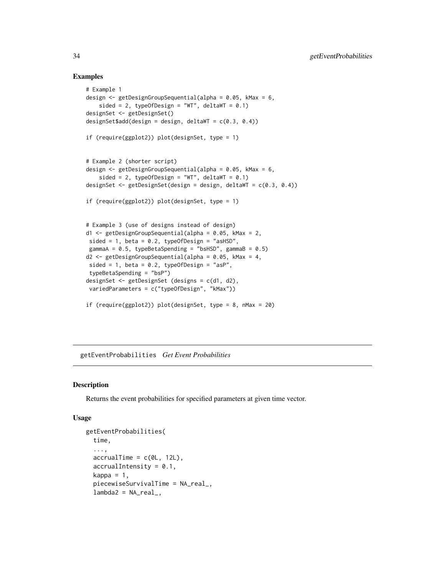## Examples

```
# Example 1
design <- getDesignGroupSequential(alpha = 0.05, kMax = 6,
   sided = 2, typeOfDesign = "WT", deltaWT = (0.1)designSet <- getDesignSet()
designSet$add(design = design, deltaWT = c(0.3, 0.4))
if (require(ggplot2)) plot(designSet, type = 1)
# Example 2 (shorter script)
design <- getDesignGroupSequential(alpha = 0.05, kMax = 6,
    sided = 2, typeOfDesign = "WT", deltaWT = 0.1)
designSet <- getDesignSet(design = design, deltaWT = c(0.3, 0.4))
if (require(ggplot2)) plot(designSet, type = 1)
# Example 3 (use of designs instead of design)
d1 <- getDesignGroupSequential(alpha = 0.05, kMax = 2,
sided = 1, beta = 0.2, typeOfDesign = "asHSD",
gammaA = 0.5, typeBetaSpending = "bsHSD", gammaB = 0.5)
d2 \leq getDesignGroupSequential(alpha = 0.05, kMax = 4,
sided = 1, beta = 0.2, typeOfDesign = "asP",
typeBetaSpending = "bsP")
designSet <- getDesignSet (designs = c(d1, d2),
variedParameters = c("typeOfDesign", "kMax"))
if (require(ggplot2)) plot(designSet, type = 8, nMax = 20)
```
getEventProbabilities *Get Event Probabilities*

#### **Description**

Returns the event probabilities for specified parameters at given time vector.

#### Usage

```
getEventProbabilities(
  time,
  ...,
  \text{accrualTime} = c(\text{OL}, 12L),accrualIntensity = 0.1,
  kappa = 1,
  piecewiseSurvivalTime = NA_real_,
  lambda2 = NA\_real_
```
<span id="page-33-0"></span>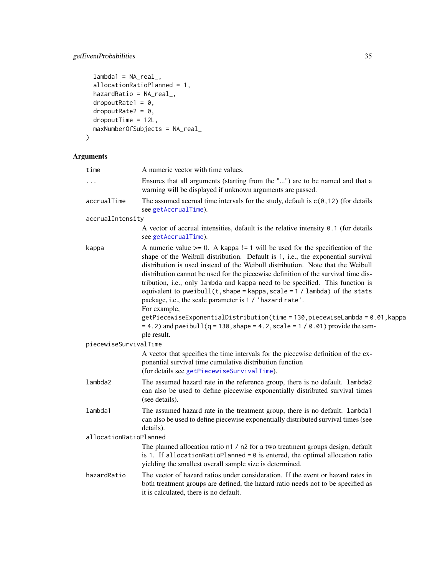# getEventProbabilities 35

```
lambda1 = NA_{real_-,allocationRatioPlanned = 1,
 hazardRatio = NA_real_,
 dropoutRate1 = 0,
 dropoutRate2 = 0,dropoutTime = 12L,
 maxNumberOfSubjects = NA_real_
\mathcal{L}
```
# Arguments

| time                   | A numeric vector with time values.                                                                                                                                                                                                                                                                                                                                                                                                                                                                                                                                                                                                                                        |
|------------------------|---------------------------------------------------------------------------------------------------------------------------------------------------------------------------------------------------------------------------------------------------------------------------------------------------------------------------------------------------------------------------------------------------------------------------------------------------------------------------------------------------------------------------------------------------------------------------------------------------------------------------------------------------------------------------|
| $\cdots$               | Ensures that all arguments (starting from the "") are to be named and that a<br>warning will be displayed if unknown arguments are passed.                                                                                                                                                                                                                                                                                                                                                                                                                                                                                                                                |
| accrualTime            | The assumed accrual time intervals for the study, default is $c(0, 12)$ (for details<br>see getAccrualTime).                                                                                                                                                                                                                                                                                                                                                                                                                                                                                                                                                              |
| accrualIntensity       |                                                                                                                                                                                                                                                                                                                                                                                                                                                                                                                                                                                                                                                                           |
|                        | A vector of accrual intensities, default is the relative intensity 0.1 (for details<br>see getAccrualTime).                                                                                                                                                                                                                                                                                                                                                                                                                                                                                                                                                               |
| kappa                  | A numeric value $>= 0$ . A kappa != 1 will be used for the specification of the<br>shape of the Weibull distribution. Default is 1, i.e., the exponential survival<br>distribution is used instead of the Weibull distribution. Note that the Weibull<br>distribution cannot be used for the piecewise definition of the survival time dis-<br>tribution, i.e., only lambda and kappa need to be specified. This function is<br>equivalent to pweibull $(t, shape = kappa, scale = 1 / lambda)$ of the stats<br>package, i.e., the scale parameter is 1 / 'hazard rate'.<br>For example,<br>getPiecewiseExponentialDistribution(time = 130, piecewiseLambda = 0.01, kappa |
|                        | $= 4.2$ ) and pweibull(q = 130, shape = 4.2, scale = 1 / 0.01) provide the sam-<br>ple result.                                                                                                                                                                                                                                                                                                                                                                                                                                                                                                                                                                            |
| piecewiseSurvivalTime  |                                                                                                                                                                                                                                                                                                                                                                                                                                                                                                                                                                                                                                                                           |
|                        | A vector that specifies the time intervals for the piecewise definition of the ex-<br>ponential survival time cumulative distribution function<br>(for details see getPiecewiseSurvivalTime).                                                                                                                                                                                                                                                                                                                                                                                                                                                                             |
| lambda2                | The assumed hazard rate in the reference group, there is no default. lambda2<br>can also be used to define piecewise exponentially distributed survival times<br>(see details).                                                                                                                                                                                                                                                                                                                                                                                                                                                                                           |
| lambda1                | The assumed hazard rate in the treatment group, there is no default. lambda1<br>can also be used to define piecewise exponentially distributed survival times (see<br>details).                                                                                                                                                                                                                                                                                                                                                                                                                                                                                           |
| allocationRatioPlanned |                                                                                                                                                                                                                                                                                                                                                                                                                                                                                                                                                                                                                                                                           |
|                        | The planned allocation ratio n1 / n2 for a two treatment groups design, default<br>is 1. If allocationRatioPlanned = $0$ is entered, the optimal allocation ratio<br>yielding the smallest overall sample size is determined.                                                                                                                                                                                                                                                                                                                                                                                                                                             |
| hazardRatio            | The vector of hazard ratios under consideration. If the event or hazard rates in<br>both treatment groups are defined, the hazard ratio needs not to be specified as<br>it is calculated, there is no default.                                                                                                                                                                                                                                                                                                                                                                                                                                                            |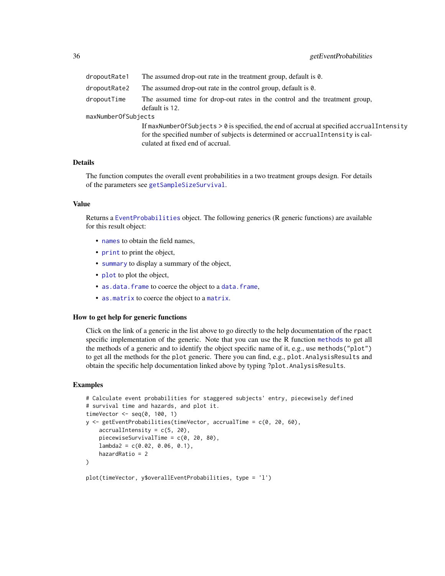| dropoutRate1        | The assumed drop-out rate in the treatment group, default is 0.                                                                                                                                                     |
|---------------------|---------------------------------------------------------------------------------------------------------------------------------------------------------------------------------------------------------------------|
| dropoutRate2        | The assumed drop-out rate in the control group, default is $\theta$ .                                                                                                                                               |
| dropoutTime         | The assumed time for drop-out rates in the control and the treatment group,<br>default is 12.                                                                                                                       |
| maxNumberOfSubjects |                                                                                                                                                                                                                     |
|                     | If maxNumberOfSubjects $> 0$ is specified, the end of accrual at specified accrual Intensity<br>for the specified number of subjects is determined or accrual Intensity is cal-<br>culated at fixed end of accrual. |

#### Details

The function computes the overall event probabilities in a two treatment groups design. For details of the parameters see [getSampleSizeSurvival](#page-67-1).

# Value

Returns a [EventProbabilities](#page-0-0) object. The following generics (R generic functions) are available for this result object:

- [names](#page-0-0) to obtain the field names,
- [print](#page-0-0) to print the object,
- [summary](#page-0-0) to display a summary of the object,
- [plot](#page-116-1) to plot the object,
- [as.data.frame](#page-0-0) to coerce the object to a [data.frame](#page-0-0),
- [as.matrix](#page-0-0) to coerce the object to a [matrix](#page-0-0).

#### How to get help for generic functions

Click on the link of a generic in the list above to go directly to the help documentation of the rpact specific implementation of the generic. Note that you can use the R function [methods](#page-0-0) to get all the methods of a generic and to identify the object specific name of it, e.g., use methods("plot") to get all the methods for the plot generic. There you can find, e.g., plot.AnalysisResults and obtain the specific help documentation linked above by typing ?plot.AnalysisResults.

#### Examples

```
# Calculate event probabilities for staggered subjects' entry, piecewisely defined
# survival time and hazards, and plot it.
timeVector \leq seq(0, 100, 1)
y <- getEventProbabilities(timeVector, accrualTime = c(0, 20, 60),
    accrualIntensity = c(5, 20),
   piecewiseSurvivalTime = c(0, 20, 80),
   lambda2 = c(0.02, 0.06, 0.1),
   hazardRatio = 2
)
```

```
plot(timeVector, y$overallEventProbabilities, type = 'l')
```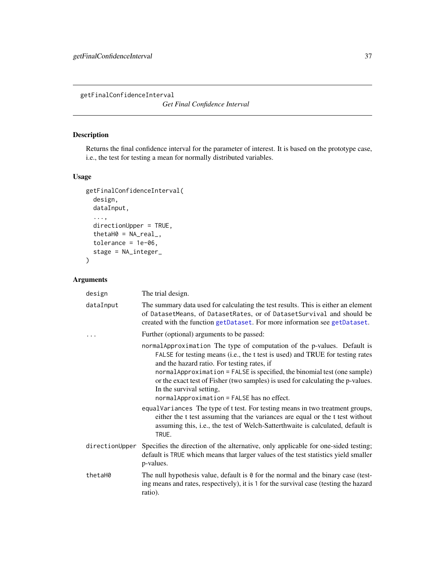<span id="page-36-0"></span>getFinalConfidenceInterval

*Get Final Confidence Interval*

# Description

Returns the final confidence interval for the parameter of interest. It is based on the prototype case, i.e., the test for testing a mean for normally distributed variables.

### Usage

```
getFinalConfidenceInterval(
  design,
 dataInput,
  ...,
 directionUpper = TRUE,
  thetaH0 = NA_{real_-,}tolerance = 1e-06,
  stage = NA_integer_
)
```

| design    | The trial design.                                                                                                                                                                                                                                                                                                                                                                                                                                                                                                                                                                                                                                                                                     |
|-----------|-------------------------------------------------------------------------------------------------------------------------------------------------------------------------------------------------------------------------------------------------------------------------------------------------------------------------------------------------------------------------------------------------------------------------------------------------------------------------------------------------------------------------------------------------------------------------------------------------------------------------------------------------------------------------------------------------------|
| dataInput | The summary data used for calculating the test results. This is either an element<br>of DatasetMeans, of DatasetRates, or of DatasetSurvival and should be<br>created with the function getDataset. For more information see getDataset.                                                                                                                                                                                                                                                                                                                                                                                                                                                              |
| .         | Further (optional) arguments to be passed:                                                                                                                                                                                                                                                                                                                                                                                                                                                                                                                                                                                                                                                            |
|           | normal Approximation The type of computation of the p-values. Default is<br>FALSE for testing means (i.e., the t test is used) and TRUE for testing rates<br>and the hazard ratio. For testing rates, if<br>normalApproximation = FALSE is specified, the binomial test (one sample)<br>or the exact test of Fisher (two samples) is used for calculating the p-values.<br>In the survival setting,<br>normalApproximation = FALSE has no effect.<br>equalVariances The type of t test. For testing means in two treatment groups,<br>either the t test assuming that the variances are equal or the t test without<br>assuming this, i.e., the test of Welch-Satterthwaite is calculated, default is |
|           | TRUE.                                                                                                                                                                                                                                                                                                                                                                                                                                                                                                                                                                                                                                                                                                 |
|           | directionUpper Specifies the direction of the alternative, only applicable for one-sided testing;<br>default is TRUE which means that larger values of the test statistics yield smaller<br>p-values.                                                                                                                                                                                                                                                                                                                                                                                                                                                                                                 |
| thetaH0   | The null hypothesis value, default is $\theta$ for the normal and the binary case (test-<br>ing means and rates, respectively), it is 1 for the survival case (testing the hazard<br>ratio).                                                                                                                                                                                                                                                                                                                                                                                                                                                                                                          |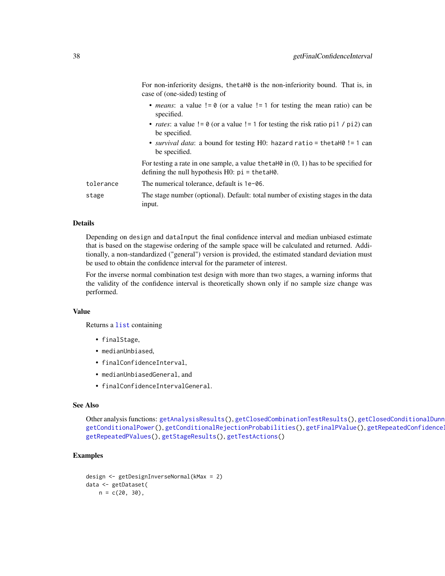|           | case of (one-sided) testing of                                                                                                                          |
|-----------|---------------------------------------------------------------------------------------------------------------------------------------------------------|
|           | • <i>means</i> : a value $!= 0$ (or a value $!= 1$ for testing the mean ratio) can be<br>specified.                                                     |
|           | • <i>rates</i> : a value $!= 0$ (or a value $!= 1$ for testing the risk ratio pi1 / pi2) can<br>be specified.                                           |
|           | • <i>survival data</i> : a bound for testing H0: hazard ratio = thetaH0! = 1 can<br>be specified.                                                       |
|           | For testing a rate in one sample, a value the taller in $(0, 1)$ has to be specified for<br>defining the null hypothesis $H0$ : $pi = \text{thetaH0}$ . |
| tolerance | The numerical tolerance, default is $1e$ –06.                                                                                                           |
| stage     | The stage number (optional). Default: total number of existing stages in the data<br>input.                                                             |

For non-inferiority designs, thetaH0 is the non-inferiority bound. That is, in

### Details

Depending on design and dataInput the final confidence interval and median unbiased estimate that is based on the stagewise ordering of the sample space will be calculated and returned. Additionally, a non-standardized ("general") version is provided, the estimated standard deviation must be used to obtain the confidence interval for the parameter of interest.

For the inverse normal combination test design with more than two stages, a warning informs that the validity of the confidence interval is theoretically shown only if no sample size change was performed.

#### Value

Returns a [list](#page-0-0) containing

- finalStage,
- medianUnbiased,
- finalConfidenceInterval,
- medianUnbiasedGeneral, and
- finalConfidenceIntervalGeneral.

### See Also

Other analysis functions: [getAnalysisResults\(](#page-5-0)), [getClosedCombinationTestResults\(](#page-9-0)), getClosedConditionalDunn [getConditionalPower\(](#page-13-0)), [getConditionalRejectionProbabilities\(](#page-15-0)), [getFinalPValue\(](#page-38-0)), getRepeatedConfidence [getRepeatedPValues\(](#page-61-0)), [getStageResults\(](#page-108-0)), [getTestActions\(](#page-111-0))

```
design <- getDesignInverseNormal(kMax = 2)
data <- getDataset(
   n = c(20, 30),
```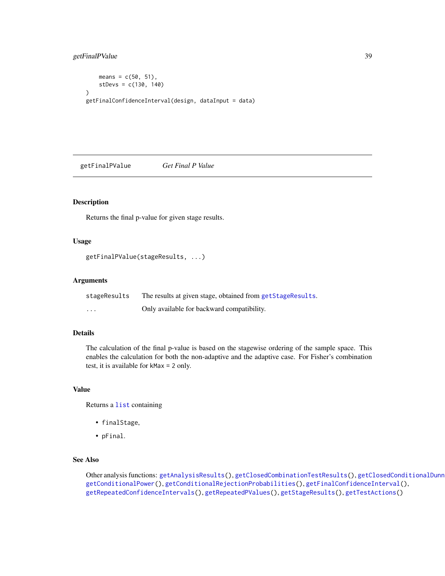```
means = c(50, 51),
    stDevs = c(130, 140)
)
getFinalConfidenceInterval(design, dataInput = data)
```
<span id="page-38-0"></span>getFinalPValue *Get Final P Value*

#### Description

Returns the final p-value for given stage results.

### Usage

```
getFinalPValue(stageResults, ...)
```
# Arguments

| stageResults      | The results at given stage, obtained from getStageResults. |
|-------------------|------------------------------------------------------------|
| $\cdot\cdot\cdot$ | Only available for backward compatibility.                 |

# Details

The calculation of the final p-value is based on the stagewise ordering of the sample space. This enables the calculation for both the non-adaptive and the adaptive case. For Fisher's combination test, it is available for kMax = 2 only.

### Value

Returns a [list](#page-0-0) containing

- finalStage,
- pFinal.

# See Also

Other analysis functions: [getAnalysisResults\(](#page-5-0)), [getClosedCombinationTestResults\(](#page-9-0)), getClosedConditionalDunn [getConditionalPower\(](#page-13-0)), [getConditionalRejectionProbabilities\(](#page-15-0)), [getFinalConfidenceInterval\(](#page-36-0)), [getRepeatedConfidenceIntervals\(](#page-59-0)), [getRepeatedPValues\(](#page-61-0)), [getStageResults\(](#page-108-0)), [getTestActions\(](#page-111-0))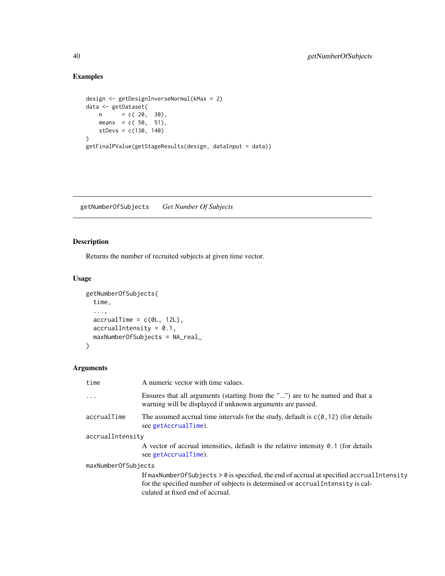# Examples

```
design <- getDesignInverseNormal(kMax = 2)
data <- getDataset(
    n = c(20, 30),means = c(50, 51),stDevs = c(130, 140)
)
getFinalPValue(getStageResults(design, dataInput = data))
```
getNumberOfSubjects *Get Number Of Subjects*

# Description

Returns the number of recruited subjects at given time vector.

# Usage

```
getNumberOfSubjects(
 time,
  ...,
 accrualTime = c(0L, 12L),accrualIntensity = 0.1,maxNumberOfSubjects = NA_real_
)
```

| time                | A numeric vector with time values.                                                                                                                                                                               |  |
|---------------------|------------------------------------------------------------------------------------------------------------------------------------------------------------------------------------------------------------------|--|
| $\cdots$            | Ensures that all arguments (starting from the "") are to be named and that a<br>warning will be displayed if unknown arguments are passed.                                                                       |  |
| accrualTime         | The assumed accrual time intervals for the study, default is $c(0, 12)$ (for details<br>see getAccrualTime).                                                                                                     |  |
| accrualIntensity    |                                                                                                                                                                                                                  |  |
|                     | A vector of accrual intensities, default is the relative intensity $\theta$ . 1 (for details<br>see getAccrualTime).                                                                                             |  |
| maxNumberOfSubjects |                                                                                                                                                                                                                  |  |
|                     | If maxNumberOfSubjects > 0 is specified, the end of accrual at specified accrualIntensity<br>for the specified number of subjects is determined or accrual Intensity is cal-<br>culated at fixed end of accrual. |  |
|                     |                                                                                                                                                                                                                  |  |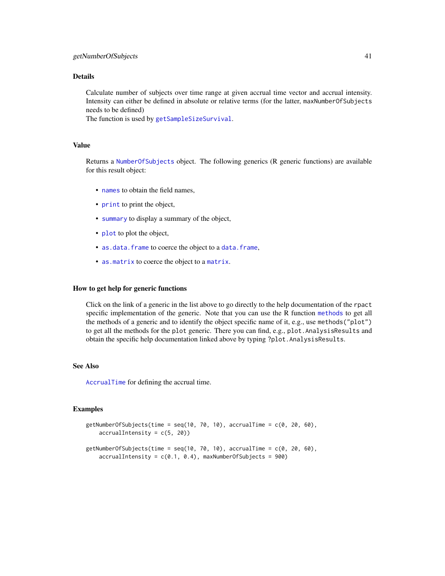Calculate number of subjects over time range at given accrual time vector and accrual intensity. Intensity can either be defined in absolute or relative terms (for the latter, maxNumberOfSubjects needs to be defined)

The function is used by [getSampleSizeSurvival](#page-67-0).

#### Value

Returns a [NumberOfSubjects](#page-0-0) object. The following generics (R generic functions) are available for this result object:

- [names](#page-0-0) to obtain the field names.
- [print](#page-0-0) to print the object,
- [summary](#page-0-0) to display a summary of the object,
- [plot](#page-118-0) to plot the object,
- [as.data.frame](#page-0-0) to coerce the object to a [data.frame](#page-0-0),
- [as.matrix](#page-0-0) to coerce the object to a [matrix](#page-0-0).

# How to get help for generic functions

Click on the link of a generic in the list above to go directly to the help documentation of the rpact specific implementation of the generic. Note that you can use the R function [methods](#page-0-0) to get all the methods of a generic and to identify the object specific name of it, e.g., use methods("plot") to get all the methods for the plot generic. There you can find, e.g., plot.AnalysisResults and obtain the specific help documentation linked above by typing ?plot.AnalysisResults.

#### See Also

[AccrualTime](#page-0-0) for defining the accrual time.

```
getNumberOfSubjects(time = seq(10, 70, 10), accrualTime = c(0, 20, 60),
    accrualIntensity = c(5, 20)getNumberOfSubjects(time = seq(10, 70, 10), accrualTime = c(0, 20, 60),
    accruallIntensity = c(0.1, 0.4), maxNumberOfSubjects = 900)
```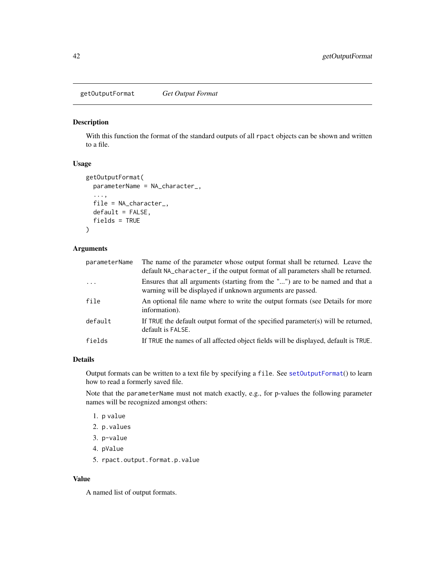getOutputFormat *Get Output Format*

#### Description

With this function the format of the standard outputs of all rpact objects can be shown and written to a file.

#### Usage

```
getOutputFormat(
  parameterName = NA_character_,
  ...,
  file = NA_character_,
  default = FALSE,fields = TRUE
\mathcal{L}
```
# Arguments

| parameterName | The name of the parameter whose output format shall be returned. Leave the<br>default NA_character_ if the output format of all parameters shall be returned. |
|---------------|---------------------------------------------------------------------------------------------------------------------------------------------------------------|
| $\cdots$      | Ensures that all arguments (starting from the "") are to be named and that a<br>warning will be displayed if unknown arguments are passed.                    |
| file          | An optional file name where to write the output formats (see Details for more<br>information).                                                                |
| default       | If TRUE the default output format of the specified parameter(s) will be returned,<br>default is FALSE.                                                        |
| fields        | If TRUE the names of all affected object fields will be displayed, default is TRUE.                                                                           |

# Details

Output formats can be written to a text file by specifying a file. See [setOutputFormat](#page-139-0)() to learn how to read a formerly saved file.

Note that the parameterName must not match exactly, e.g., for p-values the following parameter names will be recognized amongst others:

- 1. p value
- 2. p.values
- 3. p-value
- 4. pValue
- 5. rpact.output.format.p.value

### Value

A named list of output formats.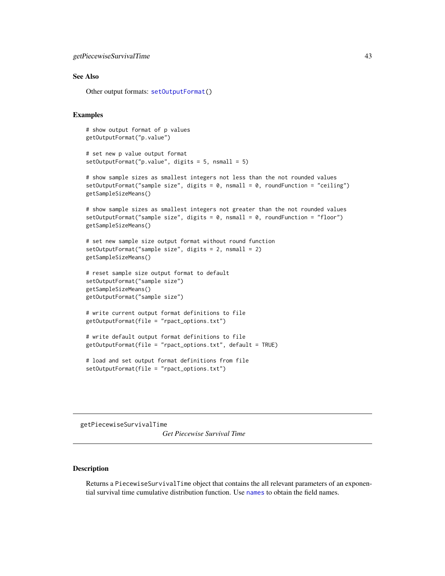#### See Also

Other output formats: [setOutputFormat\(](#page-139-0))

#### Examples

# show output format of p values getOutputFormat("p.value")

```
# set new p value output format
setOutputFormat("p.value", digits = 5, nsmall = 5)
```

```
# show sample sizes as smallest integers not less than the not rounded values
setOutputFormat("sample size", digits = 0, nsmall = 0, roundFunction = "ceiling")
getSampleSizeMeans()
```

```
# show sample sizes as smallest integers not greater than the not rounded values
setOutputFormat("sample size", digits = 0, nsmall = 0, roundFunction = "floor")getSampleSizeMeans()
```

```
# set new sample size output format without round function
setOutputFormat("sample size", digits = 2, nsmall = 2)
getSampleSizeMeans()
```

```
# reset sample size output format to default
setOutputFormat("sample size")
getSampleSizeMeans()
getOutputFormat("sample size")
```

```
# write current output format definitions to file
getOutputFormat(file = "rpact_options.txt")
```

```
# write default output format definitions to file
getOutputFormat(file = "rpact_options.txt", default = TRUE)
```

```
# load and set output format definitions from file
setOutputFormat(file = "rpact_options.txt")
```
<span id="page-42-0"></span>getPiecewiseSurvivalTime

*Get Piecewise Survival Time*

# Description

Returns a PiecewiseSurvivalTime object that contains the all relevant parameters of an exponential survival time cumulative distribution function. Use [names](#page-0-0) to obtain the field names.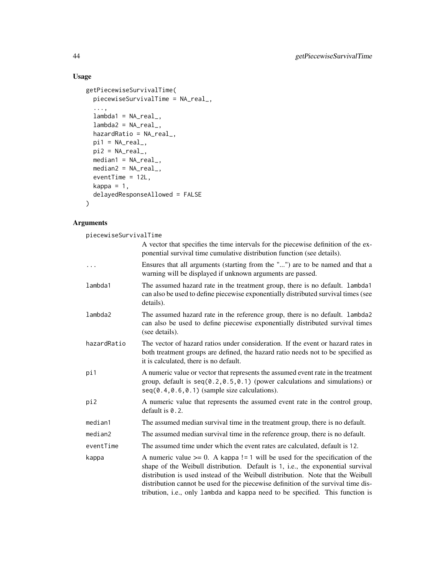# Usage

```
getPiecewiseSurvivalTime(
  piecewiseSurvivalTime = NA_real_,
  ...,
  lambda = NA_{real_-,lambda2 = NA_{real_-,hazardRatio = NA_real_,
  pi1 = NA\_real_pi2 = NA\_real_median1 = NA\_real_,
  median2 = NA\_real_eventTime = 12L,
  kappa = 1,
  delayedResponseAllowed = FALSE
\mathcal{L}
```

| piecewiseSurvivalTime |                                                                                                                                                                                                                                                                                                                                                                                                                              |  |
|-----------------------|------------------------------------------------------------------------------------------------------------------------------------------------------------------------------------------------------------------------------------------------------------------------------------------------------------------------------------------------------------------------------------------------------------------------------|--|
|                       | A vector that specifies the time intervals for the piecewise definition of the ex-<br>ponential survival time cumulative distribution function (see details).                                                                                                                                                                                                                                                                |  |
| $\ddots$              | Ensures that all arguments (starting from the "") are to be named and that a<br>warning will be displayed if unknown arguments are passed.                                                                                                                                                                                                                                                                                   |  |
| lambda1               | The assumed hazard rate in the treatment group, there is no default. lambda1<br>can also be used to define piecewise exponentially distributed survival times (see<br>details).                                                                                                                                                                                                                                              |  |
| lambda2               | The assumed hazard rate in the reference group, there is no default. lambda2<br>can also be used to define piecewise exponentially distributed survival times<br>(see details).                                                                                                                                                                                                                                              |  |
| hazardRatio           | The vector of hazard ratios under consideration. If the event or hazard rates in<br>both treatment groups are defined, the hazard ratio needs not to be specified as<br>it is calculated, there is no default.                                                                                                                                                                                                               |  |
| pi1                   | A numeric value or vector that represents the assumed event rate in the treatment<br>group, default is $seq(0.2, 0.5, 0.1)$ (power calculations and simulations) or<br>$seq(0.4, 0.6, 0.1)$ (sample size calculations).                                                                                                                                                                                                      |  |
| pi2                   | A numeric value that represents the assumed event rate in the control group,<br>default is $0.2$ .                                                                                                                                                                                                                                                                                                                           |  |
| median1               | The assumed median survival time in the treatment group, there is no default.                                                                                                                                                                                                                                                                                                                                                |  |
| median2               | The assumed median survival time in the reference group, there is no default.                                                                                                                                                                                                                                                                                                                                                |  |
| eventTime             | The assumed time under which the event rates are calculated, default is 12.                                                                                                                                                                                                                                                                                                                                                  |  |
| kappa                 | A numeric value $>= 0$ . A kappa != 1 will be used for the specification of the<br>shape of the Weibull distribution. Default is 1, i.e., the exponential survival<br>distribution is used instead of the Weibull distribution. Note that the Weibull<br>distribution cannot be used for the piecewise definition of the survival time dis-<br>tribution, i.e., only lambda and kappa need to be specified. This function is |  |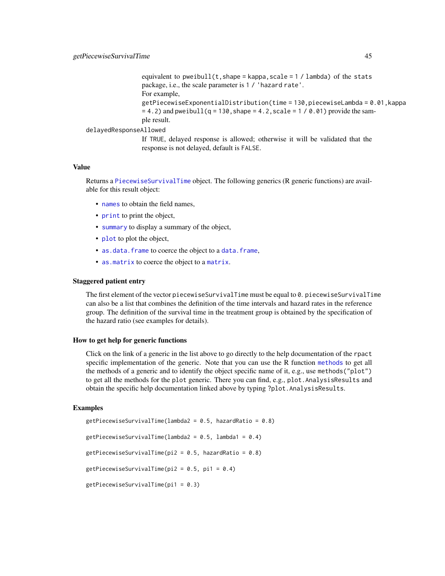```
equivalent to pweibull(t, shape = kappa, scale = 1 / lambda) of the stats
package, i.e., the scale parameter is 1 / 'hazard rate'.
For example,
getPiecewiseExponentialDistribution(time = 130,piecewiseLambda = 0.01,kappa
= 4.2) and pweibull(q = 130, shape = 4.2, scale = 1 / 0.01) provide the sam-
ple result.
```
delayedResponseAllowed

If TRUE, delayed response is allowed; otherwise it will be validated that the response is not delayed, default is FALSE.

# Value

Returns a [PiecewiseSurvivalTime](#page-0-0) object. The following generics (R generic functions) are available for this result object:

- [names](#page-0-0) to obtain the field names.
- [print](#page-0-0) to print the object,
- [summary](#page-0-0) to display a summary of the object,
- [plot](#page-119-0) to plot the object,
- [as.data.frame](#page-0-0) to coerce the object to a [data.frame](#page-0-0),
- [as.matrix](#page-0-0) to coerce the object to a [matrix](#page-0-0).

#### Staggered patient entry

The first element of the vector piecewiseSurvivalTime must be equal to 0. piecewiseSurvivalTime can also be a list that combines the definition of the time intervals and hazard rates in the reference group. The definition of the survival time in the treatment group is obtained by the specification of the hazard ratio (see examples for details).

#### How to get help for generic functions

Click on the link of a generic in the list above to go directly to the help documentation of the rpact specific implementation of the generic. Note that you can use the R function [methods](#page-0-0) to get all the methods of a generic and to identify the object specific name of it, e.g., use methods("plot") to get all the methods for the plot generic. There you can find, e.g., plot.AnalysisResults and obtain the specific help documentation linked above by typing ?plot.AnalysisResults.

```
getPiecewiseSurvivalTime(lambda2 = 0.5, hazardRatio = 0.8)
getPiecewiseSurvivalTime(lambda2 = 0.5, lambda1 = 0.4)
getPiecewiseSurvivalTime(pi2 = 0.5, hazardRatio = 0.8)
getPiecewiseSurvivalTime(pi2 = 0.5, pi1 = 0.4)
getPiecewiseSurvivalTime(pi1 = 0.3)
```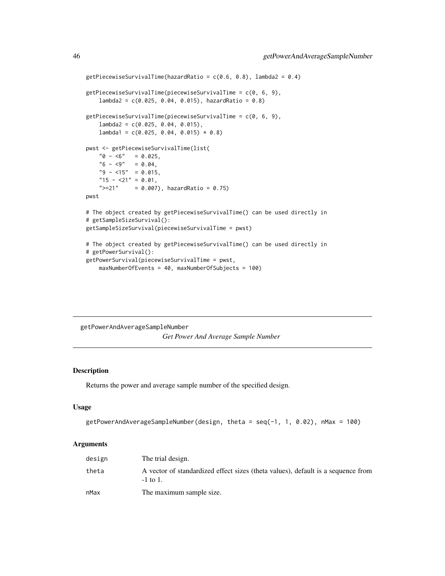```
getPiecewiseSurvivalTime(hazardRatio = c(0.6, 0.8), lambda2 = 0.4)
getPiecewiseSurvivalTime(piecewiseSurvivalTime = c(0, 6, 9),
   lambda2 = c(0.025, 0.04, 0.015), hazardRatio = 0.8)
getPiecewiseSurvivalTime(piecewiseSurvivalTime = c(0, 6, 9),
   lambda2 = c(0.025, 0.04, 0.015),
   lambda1 = c(0.025, 0.04, 0.015) * 0.8)pwst <- getPiecewiseSurvivalTime(list(
   "0 - 6" = 0.025,"6 - <9" = 0.04,"9 - 15" = 0.015,"15 - 21" = 0.01,">=21" = 0.007, hazardRatio = 0.75)
pwst
# The object created by getPiecewiseSurvivalTime() can be used directly in
# getSampleSizeSurvival():
getSampleSizeSurvival(piecewiseSurvivalTime = pwst)
# The object created by getPiecewiseSurvivalTime() can be used directly in
# getPowerSurvival():
getPowerSurvival(piecewiseSurvivalTime = pwst,
   maxNumberOfEvents = 40, maxNumberOfSubjects = 100)
```
getPowerAndAverageSampleNumber *Get Power And Average Sample Number*

### Description

Returns the power and average sample number of the specified design.

### Usage

```
getPowerAndAverageSampleNumber(design, theta = seq(-1, 1, 0.02), nMax = 100)
```

| design | The trial design.                                                                                 |
|--------|---------------------------------------------------------------------------------------------------|
| theta  | A vector of standardized effect sizes (theta values), default is a sequence from<br>$-1$ to $1$ . |
| nMax   | The maximum sample size.                                                                          |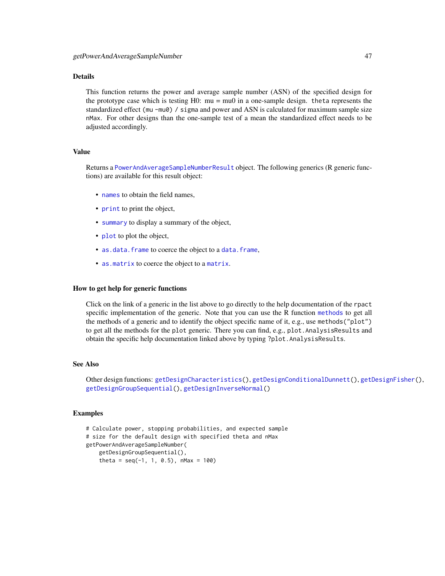This function returns the power and average sample number (ASN) of the specified design for the prototype case which is testing  $H0$ :  $mu = mu0$  in a one-sample design. theta represents the standardized effect (mu -mu0) / sigma and power and ASN is calculated for maximum sample size nMax. For other designs than the one-sample test of a mean the standardized effect needs to be adjusted accordingly.

# Value

Returns a [PowerAndAverageSampleNumberResult](#page-0-0) object. The following generics (R generic functions) are available for this result object:

- [names](#page-0-0) to obtain the field names,
- [print](#page-0-0) to print the object,
- [summary](#page-0-0) to display a summary of the object,
- [plot](#page-119-0) to plot the object,
- [as.data.frame](#page-0-0) to coerce the object to a [data.frame](#page-0-0),
- [as.matrix](#page-0-0) to coerce the object to a [matrix](#page-0-0).

#### How to get help for generic functions

Click on the link of a generic in the list above to go directly to the help documentation of the rpact specific implementation of the generic. Note that you can use the R function [methods](#page-0-0) to get all the methods of a generic and to identify the object specific name of it, e.g., use methods("plot") to get all the methods for the plot generic. There you can find, e.g., plot.AnalysisResults and obtain the specific help documentation linked above by typing ?plot.AnalysisResults.

#### See Also

Other design functions: [getDesignCharacteristics\(](#page-21-0)), [getDesignConditionalDunnett\(](#page-22-0)), [getDesignFisher\(](#page-24-0)), [getDesignGroupSequential\(](#page-26-0)), [getDesignInverseNormal\(](#page-29-0))

```
# Calculate power, stopping probabilities, and expected sample
# size for the default design with specified theta and nMax
getPowerAndAverageSampleNumber(
   getDesignGroupSequential(),
    theta = seq(-1, 1, 0.5), nMax = 100)
```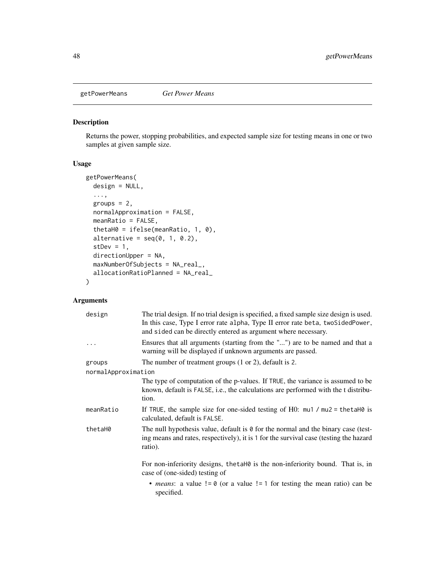<span id="page-47-0"></span>

#### Description

Returns the power, stopping probabilities, and expected sample size for testing means in one or two samples at given sample size.

# Usage

```
getPowerMeans(
 design = NULL,
  ...,
 groups = 2,
 normalApproximation = FALSE,
 meanRatio = FALSE,
  thetaH0 = ifelse(meanRatio, 1, 0),
  alternative = seq(0, 1, 0.2),
  stDev = 1,directionUpper = NA,
 maxNumberOfSubjects = NA_real_,
  allocationRatioPlanned = NA_real_
)
```

| design              | The trial design. If no trial design is specified, a fixed sample size design is used.<br>In this case, Type I error rate alpha, Type II error rate beta, two SidedPower,<br>and sided can be directly entered as argument where necessary. |
|---------------------|---------------------------------------------------------------------------------------------------------------------------------------------------------------------------------------------------------------------------------------------|
| $\ddots$ .          | Ensures that all arguments (starting from the "") are to be named and that a<br>warning will be displayed if unknown arguments are passed.                                                                                                  |
| groups              | The number of treatment groups $(1 \text{ or } 2)$ , default is 2.                                                                                                                                                                          |
| normalApproximation |                                                                                                                                                                                                                                             |
|                     | The type of computation of the p-values. If TRUE, the variance is assumed to be<br>known, default is FALSE, i.e., the calculations are performed with the t distribu-<br>tion.                                                              |
| meanRatio           | If TRUE, the sample size for one-sided testing of $H0$ : $mu1 / mu2 = \text{theta}H0$ is<br>calculated, default is FALSE.                                                                                                                   |
| thetaH0             | The null hypothesis value, default is $\theta$ for the normal and the binary case (test-<br>ing means and rates, respectively), it is 1 for the survival case (testing the hazard<br>ratio).                                                |
|                     | For non-inferiority designs, the taho is the non-inferiority bound. That is, in<br>case of (one-sided) testing of                                                                                                                           |
|                     | • <i>means</i> : a value $!= 0$ (or a value $!= 1$ for testing the mean ratio) can be<br>specified.                                                                                                                                         |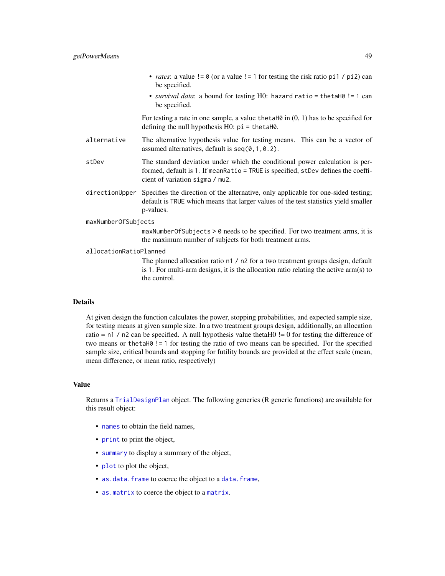- *rates*: a value  $!= 0$  (or a value  $!= 1$  for testing the risk ratio pi1 / pi2) can be specified.
- *survival data*: a bound for testing H0: hazard ratio = thetaH0 != 1 can be specified.

For testing a rate in one sample, a value the talled in  $(0, 1)$  has to be specified for defining the null hypothesis H0: pi = thetaH0.

- alternative The alternative hypothesis value for testing means. This can be a vector of assumed alternatives, default is  $seq(0, 1, 0.2)$ .
- stDev The standard deviation under which the conditional power calculation is performed, default is 1. If meanRatio = TRUE is specified, stDev defines the coefficient of variation sigma / mu2.
- directionUpper Specifies the direction of the alternative, only applicable for one-sided testing; default is TRUE which means that larger values of the test statistics yield smaller p-values.

maxNumberOfSubjects

maxNumberOfSubjects > 0 needs to be specified. For two treatment arms, it is the maximum number of subjects for both treatment arms.

allocationRatioPlanned

The planned allocation ratio n1 / n2 for a two treatment groups design, default is 1. For multi-arm designs, it is the allocation ratio relating the active arm(s) to the control.

#### Details

At given design the function calculates the power, stopping probabilities, and expected sample size, for testing means at given sample size. In a two treatment groups design, additionally, an allocation ratio  $= n1 / n2$  can be specified. A null hypothesis value thetaH0  $!= 0$  for testing the difference of two means or thetaH0 != 1 for testing the ratio of two means can be specified. For the specified sample size, critical bounds and stopping for futility bounds are provided at the effect scale (mean, mean difference, or mean ratio, respectively)

# Value

Returns a [TrialDesignPlan](#page-0-0) object. The following generics (R generic functions) are available for this result object:

- [names](#page-0-0) to obtain the field names,
- [print](#page-0-0) to print the object,
- [summary](#page-0-0) to display a summary of the object,
- [plot](#page-129-0) to plot the object,
- [as.data.frame](#page-0-0) to coerce the object to a [data.frame](#page-0-0),
- [as.matrix](#page-0-0) to coerce the object to a [matrix](#page-0-0).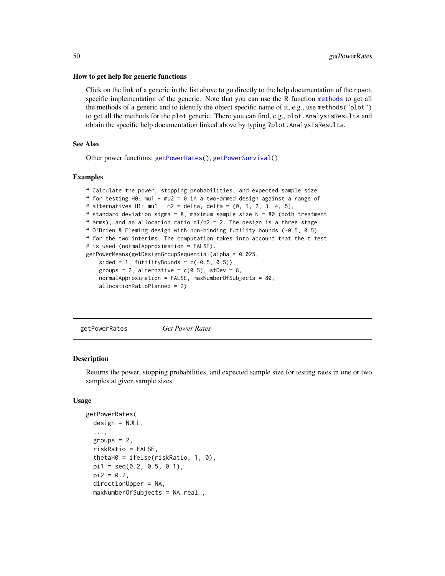#### How to get help for generic functions

Click on the link of a generic in the list above to go directly to the help documentation of the rpact specific implementation of the generic. Note that you can use the R function [methods](#page-0-0) to get all the methods of a generic and to identify the object specific name of it, e.g., use methods("plot") to get all the methods for the plot generic. There you can find, e.g., plot. AnalysisResults and obtain the specific help documentation linked above by typing ?plot.AnalysisResults.

## See Also

Other power functions: [getPowerRates\(](#page-49-0)), [getPowerSurvival\(](#page-52-0))

#### Examples

```
# Calculate the power, stopping probabilities, and expected sample size
# for testing H0: mu1 - mu2 = 0 in a two-armed design against a range of
# alternatives H1: mu1 - m2 = delta, delta = (0, 1, 2, 3, 4, 5),
# standard deviation sigma = 8, maximum sample size N = 80 (both treatment
# arms), and an allocation ratio n1/n2 = 2. The design is a three stage
# O'Brien & Fleming design with non-binding futility bounds (-0.5, 0.5)
# for the two interims. The computation takes into account that the t test
# is used (normalApproximation = FALSE).
getPowerMeans(getDesignGroupSequential(alpha = 0.025,
    sided = 1, futilityBounds = c(-0.5, 0.5),
    groups = 2, alternative = c(0:5), stDev = 8,
    normalApproximation = FALSE, maxNumberOfSubjects = 80,
    allocationRatioPlanned = 2)
```
<span id="page-49-0"></span>getPowerRates *Get Power Rates*

#### **Description**

Returns the power, stopping probabilities, and expected sample size for testing rates in one or two samples at given sample sizes.

#### Usage

```
getPowerRates(
  design = NULL,
  ...,
  groups = 2,
  riskRatio = FALSE,
  thetaH0 = ifelse(riskRatio, 1, 0),
 pi1 = seq(0.2, 0.5, 0.1),
 pi2 = 0.2,
  directionUpper = NA,
  maxNumberOfSubjects = NA_real_,
```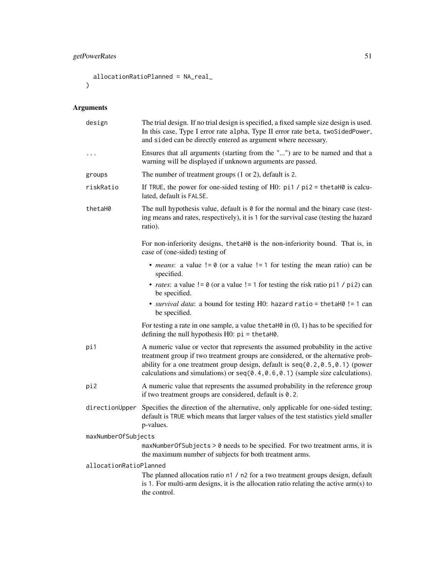# getPowerRates 51

```
allocationRatioPlanned = NA_real_
\mathcal{L}
```

| design                 | The trial design. If no trial design is specified, a fixed sample size design is used.<br>In this case, Type I error rate alpha, Type II error rate beta, twoSidedPower,<br>and sided can be directly entered as argument where necessary.                                                                                                   |  |
|------------------------|----------------------------------------------------------------------------------------------------------------------------------------------------------------------------------------------------------------------------------------------------------------------------------------------------------------------------------------------|--|
| .                      | Ensures that all arguments (starting from the "") are to be named and that a<br>warning will be displayed if unknown arguments are passed.                                                                                                                                                                                                   |  |
| groups                 | The number of treatment groups $(1 or 2)$ , default is 2.                                                                                                                                                                                                                                                                                    |  |
| riskRatio              | If TRUE, the power for one-sided testing of H0: $pi1 / pi2 = \text{theta}$ is calcu-<br>lated, default is FALSE.                                                                                                                                                                                                                             |  |
| thetaH0                | The null hypothesis value, default is $\theta$ for the normal and the binary case (test-<br>ing means and rates, respectively), it is 1 for the survival case (testing the hazard<br>ratio).                                                                                                                                                 |  |
|                        | For non-inferiority designs, the taH0 is the non-inferiority bound. That is, in<br>case of (one-sided) testing of                                                                                                                                                                                                                            |  |
|                        | • <i>means</i> : a value $!= 0$ (or a value $!= 1$ for testing the mean ratio) can be<br>specified.                                                                                                                                                                                                                                          |  |
|                        | • <i>rates</i> : a value $!= 0$ (or a value $!= 1$ for testing the risk ratio pi1 / pi2) can<br>be specified.                                                                                                                                                                                                                                |  |
|                        | • survival data: a bound for testing H0: hazard ratio = thetaH0 != 1 can<br>be specified.                                                                                                                                                                                                                                                    |  |
|                        | For testing a rate in one sample, a value the taller in $(0, 1)$ has to be specified for<br>defining the null hypothesis $H0$ : $pi = \text{thetaH0}$ .                                                                                                                                                                                      |  |
| pi1                    | A numeric value or vector that represents the assumed probability in the active<br>treatment group if two treatment groups are considered, or the alternative prob-<br>ability for a one treatment group design, default is $seq(0.2, 0.5, 0.1)$ (power<br>calculations and simulations) or $seq(0.4, 0.6, 0.1)$ (sample size calculations). |  |
| pi2                    | A numeric value that represents the assumed probability in the reference group<br>if two treatment groups are considered, default is $0.2$ .                                                                                                                                                                                                 |  |
| directionUpper         | Specifies the direction of the alternative, only applicable for one-sided testing;<br>default is TRUE which means that larger values of the test statistics yield smaller<br>p-values.                                                                                                                                                       |  |
| maxNumberOfSubjects    |                                                                                                                                                                                                                                                                                                                                              |  |
|                        | maxNumberOfSubjects > 0 needs to be specified. For two treatment arms, it is<br>the maximum number of subjects for both treatment arms.                                                                                                                                                                                                      |  |
| allocationRatioPlanned | The planned allocation ratio n1 / n2 for a two treatment groups design, default<br>is 1. For multi-arm designs, it is the allocation ratio relating the active arm(s) to<br>the control.                                                                                                                                                     |  |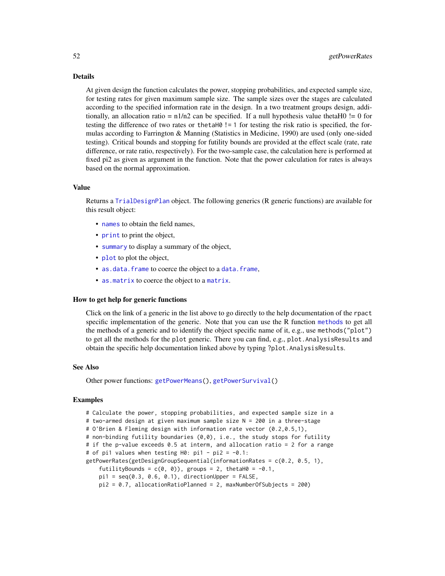At given design the function calculates the power, stopping probabilities, and expected sample size, for testing rates for given maximum sample size. The sample sizes over the stages are calculated according to the specified information rate in the design. In a two treatment groups design, additionally, an allocation ratio =  $n1/n2$  can be specified. If a null hypothesis value thetaH $0$  != 0 for testing the difference of two rates or the tah  $l = 1$  for testing the risk ratio is specified, the formulas according to Farrington & Manning (Statistics in Medicine, 1990) are used (only one-sided testing). Critical bounds and stopping for futility bounds are provided at the effect scale (rate, rate difference, or rate ratio, respectively). For the two-sample case, the calculation here is performed at fixed pi2 as given as argument in the function. Note that the power calculation for rates is always based on the normal approximation.

#### Value

Returns a [TrialDesignPlan](#page-0-0) object. The following generics (R generic functions) are available for this result object:

- [names](#page-0-0) to obtain the field names,
- [print](#page-0-0) to print the object,
- [summary](#page-0-0) to display a summary of the object,
- [plot](#page-129-0) to plot the object,
- [as.data.frame](#page-0-0) to coerce the object to a [data.frame](#page-0-0),
- [as.matrix](#page-0-0) to coerce the object to a [matrix](#page-0-0).

### How to get help for generic functions

Click on the link of a generic in the list above to go directly to the help documentation of the rpact specific implementation of the generic. Note that you can use the R function [methods](#page-0-0) to get all the methods of a generic and to identify the object specific name of it, e.g., use methods("plot") to get all the methods for the plot generic. There you can find, e.g., plot.AnalysisResults and obtain the specific help documentation linked above by typing ?plot.AnalysisResults.

#### See Also

Other power functions: [getPowerMeans\(](#page-47-0)), [getPowerSurvival\(](#page-52-0))

```
# Calculate the power, stopping probabilities, and expected sample size in a
# two-armed design at given maximum sample size N = 200 in a three-stage
# O'Brien & Fleming design with information rate vector (0.2,0.5,1),
# non-binding futility boundaries (0,0), i.e., the study stops for futility
# if the p-value exceeds 0.5 at interm, and allocation ratio = 2 for a range
# of pi1 values when testing H0: pi1 - pi2 = -0.1:
getPowerRates(getDesignGroupSequential(informationRates = c(0.2, 0.5, 1),
    futilityBounds = c(\emptyset, \emptyset), groups = 2, thetaH\emptyset = -\emptyset.1,
    pi1 = seq(0.3, 0.6, 0.1), directionUpper = FALSE,
    pi2 = 0.7, allocationRatioPlanned = 2, maxNumberOfSubjects = 200)
```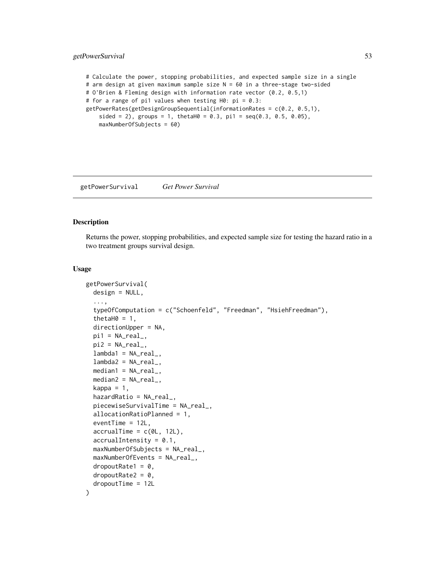# getPowerSurvival 53

```
# Calculate the power, stopping probabilities, and expected sample size in a single
# arm design at given maximum sample size N = 60 in a three-stage two-sided
# O'Brien & Fleming design with information rate vector (0.2, 0.5,1)
# for a range of pi1 values when testing H0: pi = 0.3:
getPowerRates(getDesignGroupSequential(informationRates = c(0.2, 0.5,1),
    sided = 2), groups = 1, thetaH0 = 0.3, pi1 = seq(0.3, 0.5, 0.05),
   maxNumberOfSubjects = 60)
```
<span id="page-52-0"></span>getPowerSurvival *Get Power Survival*

### Description

Returns the power, stopping probabilities, and expected sample size for testing the hazard ratio in a two treatment groups survival design.

#### Usage

```
getPowerSurvival(
 design = NULL,
  ...,
  typeOfComputation = c("Schoenfeld", "Freedman", "HsiehFreedman"),
  thetaH0 = 1,
 directionUpper = NA,
 pi1 = NA\_real_pi2 = NA\_real_lambda = NA\_real,
  lambda2 = NA_{real_-,median1 = NA\_real_median2 = NA\_real_kappa = 1,
 hazardRatio = NA\_real,
 piecewiseSurvivalTime = NA_real_,
  allocationRatioPlanned = 1,
  eventTime = 12L,
  accrualTime = c(0L, 12L),accrualIntensity = 0.1,maxNumberOfSubjects = NA_real_,
 maxNumberOfEvents = NA_real_,
  dropoutRate1 = 0,
  droputRate2 = 0,dropoutTime = 12L
)
```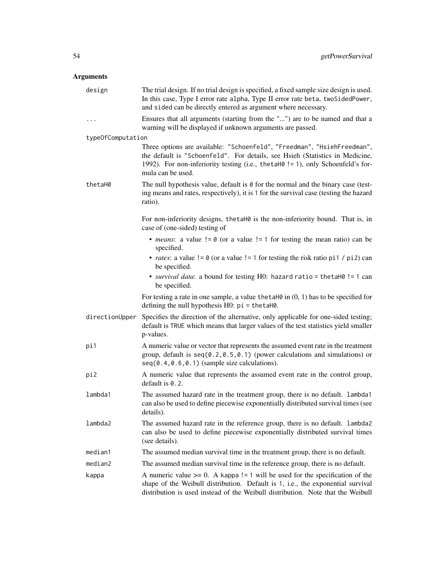| design            | The trial design. If no trial design is specified, a fixed sample size design is used.<br>In this case, Type I error rate alpha, Type II error rate beta, twoSidedPower,<br>and sided can be directly entered as argument where necessary.                       |
|-------------------|------------------------------------------------------------------------------------------------------------------------------------------------------------------------------------------------------------------------------------------------------------------|
| $\cdots$          | Ensures that all arguments (starting from the "") are to be named and that a<br>warning will be displayed if unknown arguments are passed.                                                                                                                       |
| typeOfComputation |                                                                                                                                                                                                                                                                  |
|                   | Three options are available: "Schoenfeld", "Freedman", "HsiehFreedman",<br>the default is "Schoenfeld". For details, see Hsieh (Statistics in Medicine,<br>1992). For non-inferiority testing (i.e., the taH0 != 1), only Schoenfeld's for-<br>mula can be used. |
| thetaH0           | The null hypothesis value, default is $\theta$ for the normal and the binary case (test-<br>ing means and rates, respectively), it is 1 for the survival case (testing the hazard<br>ratio).                                                                     |
|                   | For non-inferiority designs, the taH0 is the non-inferiority bound. That is, in<br>case of (one-sided) testing of                                                                                                                                                |
|                   | • <i>means</i> : a value $!= 0$ (or a value $!= 1$ for testing the mean ratio) can be<br>specified.                                                                                                                                                              |
|                   | • <i>rates</i> : a value $!= 0$ (or a value $!= 1$ for testing the risk ratio pi1 / pi2) can<br>be specified.                                                                                                                                                    |
|                   | • survival data: a bound for testing H0: hazard ratio = thetaH0 != 1 can<br>be specified.                                                                                                                                                                        |
|                   | For testing a rate in one sample, a value the taller in $(0, 1)$ has to be specified for<br>defining the null hypothesis $H0$ : $pi = \text{thetaH0}$ .                                                                                                          |
| directionUpper    | Specifies the direction of the alternative, only applicable for one-sided testing;<br>default is TRUE which means that larger values of the test statistics yield smaller<br>p-values.                                                                           |
| pi1               | A numeric value or vector that represents the assumed event rate in the treatment<br>group, default is $seq(0.2, 0.5, 0.1)$ (power calculations and simulations) or<br>$seq(0.4, 0.6, 0.1)$ (sample size calculations).                                          |
| pi2               | A numeric value that represents the assumed event rate in the control group,<br>default is $0.2$ .                                                                                                                                                               |
| lambda1           | The assumed hazard rate in the treatment group, there is no default. lambda1<br>can also be used to define piecewise exponentially distributed survival times (see<br>details).                                                                                  |
| lambda2           | The assumed hazard rate in the reference group, there is no default. lambda2<br>can also be used to define piecewise exponentially distributed survival times<br>(see details).                                                                                  |
| median1           | The assumed median survival time in the treatment group, there is no default.                                                                                                                                                                                    |
| median2           | The assumed median survival time in the reference group, there is no default.                                                                                                                                                                                    |
| kappa             | A numeric value $>= 0$ . A kappa != 1 will be used for the specification of the<br>shape of the Weibull distribution. Default is 1, i.e., the exponential survival<br>distribution is used instead of the Weibull distribution. Note that the Weibull            |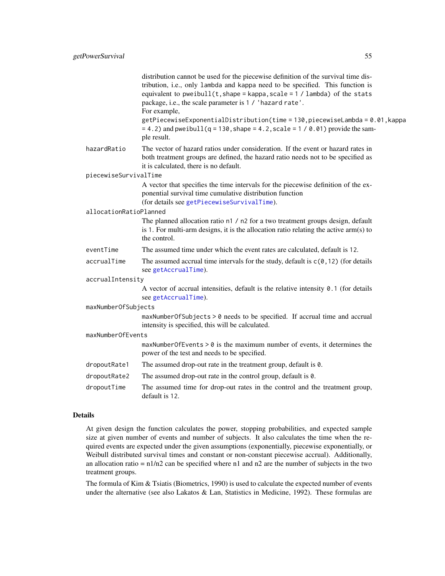|                        | distribution cannot be used for the piecewise definition of the survival time dis-<br>tribution, i.e., only lambda and kappa need to be specified. This function is<br>equivalent to pweibull $(t,$ shape = kappa, scale = 1 / lambda) of the stats<br>package, i.e., the scale parameter is 1 / 'hazard rate'.<br>For example, |
|------------------------|---------------------------------------------------------------------------------------------------------------------------------------------------------------------------------------------------------------------------------------------------------------------------------------------------------------------------------|
|                        | getPiecewiseExponentialDistribution(time = 130, piecewiseLambda = 0.01, kappa<br>$= 4.2$ ) and pweibull(q = 130, shape = 4.2, scale = 1/0.01) provide the sam-<br>ple result.                                                                                                                                                   |
| hazardRatio            | The vector of hazard ratios under consideration. If the event or hazard rates in<br>both treatment groups are defined, the hazard ratio needs not to be specified as<br>it is calculated, there is no default.                                                                                                                  |
| piecewiseSurvivalTime  |                                                                                                                                                                                                                                                                                                                                 |
|                        | A vector that specifies the time intervals for the piecewise definition of the ex-<br>ponential survival time cumulative distribution function<br>(for details see getPiecewiseSurvivalTime).                                                                                                                                   |
| allocationRatioPlanned |                                                                                                                                                                                                                                                                                                                                 |
|                        | The planned allocation ratio n1 / n2 for a two treatment groups design, default<br>is 1. For multi-arm designs, it is the allocation ratio relating the active $arm(s)$ to<br>the control.                                                                                                                                      |
| eventTime              | The assumed time under which the event rates are calculated, default is 12.                                                                                                                                                                                                                                                     |
| accrualTime            | The assumed accrual time intervals for the study, default is $c(0, 12)$ (for details<br>see getAccrualTime).                                                                                                                                                                                                                    |
| accrualIntensity       |                                                                                                                                                                                                                                                                                                                                 |
|                        | A vector of accrual intensities, default is the relative intensity 0.1 (for details<br>see getAccrualTime).                                                                                                                                                                                                                     |
| maxNumberOfSubjects    |                                                                                                                                                                                                                                                                                                                                 |
|                        | maxNumberOfSubjects > 0 needs to be specified. If accrual time and accrual<br>intensity is specified, this will be calculated.                                                                                                                                                                                                  |
| maxNumberOfEvents      |                                                                                                                                                                                                                                                                                                                                 |
|                        | $maxNumberOfEvents > 0$ is the maximum number of events, it determines the<br>power of the test and needs to be specified.                                                                                                                                                                                                      |
| dropoutRate1           | The assumed drop-out rate in the treatment group, default is 0.                                                                                                                                                                                                                                                                 |
| dropoutRate2           | The assumed drop-out rate in the control group, default is 0.                                                                                                                                                                                                                                                                   |
| dropoutTime            | The assumed time for drop-out rates in the control and the treatment group,<br>default is 12.                                                                                                                                                                                                                                   |
|                        |                                                                                                                                                                                                                                                                                                                                 |

At given design the function calculates the power, stopping probabilities, and expected sample size at given number of events and number of subjects. It also calculates the time when the required events are expected under the given assumptions (exponentially, piecewise exponentially, or Weibull distributed survival times and constant or non-constant piecewise accrual). Additionally, an allocation ratio =  $n1/n2$  can be specified where n1 and n2 are the number of subjects in the two treatment groups.

The formula of Kim & Tsiatis (Biometrics, 1990) is used to calculate the expected number of events under the alternative (see also Lakatos & Lan, Statistics in Medicine, 1992). These formulas are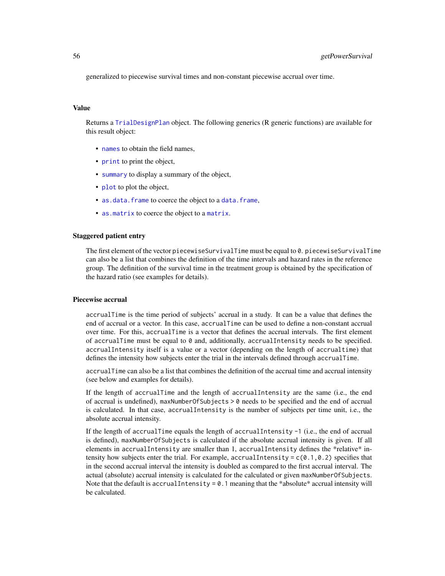generalized to piecewise survival times and non-constant piecewise accrual over time.

#### Value

Returns a [TrialDesignPlan](#page-0-0) object. The following generics (R generic functions) are available for this result object:

- [names](#page-0-0) to obtain the field names,
- [print](#page-0-0) to print the object,
- [summary](#page-0-0) to display a summary of the object,
- [plot](#page-129-0) to plot the object,
- [as.data.frame](#page-0-0) to coerce the object to a [data.frame](#page-0-0),
- [as.matrix](#page-0-0) to coerce the object to a [matrix](#page-0-0).

#### Staggered patient entry

The first element of the vector piecewiseSurvivalTime must be equal to 0. piecewiseSurvivalTime can also be a list that combines the definition of the time intervals and hazard rates in the reference group. The definition of the survival time in the treatment group is obtained by the specification of the hazard ratio (see examples for details).

#### Piecewise accrual

accrualTime is the time period of subjects' accrual in a study. It can be a value that defines the end of accrual or a vector. In this case, accrualTime can be used to define a non-constant accrual over time. For this, accrualTime is a vector that defines the accrual intervals. The first element of accrualTime must be equal to  $\theta$  and, additionally, accrualIntensity needs to be specified. accrualIntensity itself is a value or a vector (depending on the length of accrualtime) that defines the intensity how subjects enter the trial in the intervals defined through accrualTime.

accrualTime can also be a list that combines the definition of the accrual time and accrual intensity (see below and examples for details).

If the length of accrualTime and the length of accrualIntensity are the same (i.e., the end of accrual is undefined), maxNumberOfSubjects > 0 needs to be specified and the end of accrual is calculated. In that case, accrualIntensity is the number of subjects per time unit, i.e., the absolute accrual intensity.

If the length of accrualTime equals the length of accrualIntensity -1 (i.e., the end of accrual is defined), maxNumberOfSubjects is calculated if the absolute accrual intensity is given. If all elements in accrualIntensity are smaller than 1, accrualIntensity defines the \*relative\* intensity how subjects enter the trial. For example, accrualIntensity =  $c(0.1, 0.2)$  specifies that in the second accrual interval the intensity is doubled as compared to the first accrual interval. The actual (absolute) accrual intensity is calculated for the calculated or given maxNumberOfSubjects. Note that the default is accrual Intensity =  $0.1$  meaning that the \*absolute\* accrual intensity will be calculated.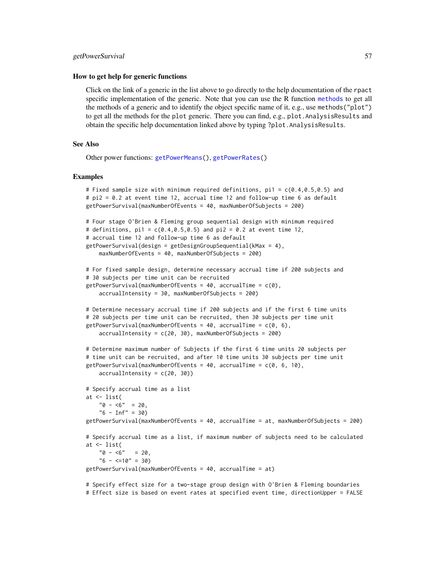#### getPowerSurvival 57

#### How to get help for generic functions

Click on the link of a generic in the list above to go directly to the help documentation of the rpact specific implementation of the generic. Note that you can use the R function [methods](#page-0-0) to get all the methods of a generic and to identify the object specific name of it, e.g., use methods("plot") to get all the methods for the plot generic. There you can find, e.g., plot.AnalysisResults and obtain the specific help documentation linked above by typing ?plot.AnalysisResults.

#### See Also

Other power functions: [getPowerMeans\(](#page-47-0)), [getPowerRates\(](#page-49-0))

#### Examples

```
# Fixed sample size with minimum required definitions, pi1 = c(0.4, 0.5, 0.5) and
# pi2 = 0.2 at event time 12, accrual time 12 and follow-up time 6 as default
getPowerSurvival(maxNumberOfEvents = 40, maxNumberOfSubjects = 200)
# Four stage O'Brien & Fleming group sequential design with minimum required
# definitions, pi1 = c(0.4, 0.5, 0.5) and pi2 = 0.2 at event time 12,
# accrual time 12 and follow-up time 6 as default
getPowerSurvival(design = getDesignGroupSequential(kMax = 4),
   maxNumberOfEvents = 40, maxNumberOfSubjects = 200)
# For fixed sample design, determine necessary accrual time if 200 subjects and
# 30 subjects per time unit can be recruited
getPowerSurvival(maxNumberOfEvents = 40, accrualTime = c(0),
   accrualIntensity = 30, maxNumberOfSubjects = 200)
# Determine necessary accrual time if 200 subjects and if the first 6 time units
# 20 subjects per time unit can be recruited, then 30 subjects per time unit
getPowerSurvival(maxNumberOfEvents = 40, accrualTime = c(0, 6),
    accrualIntensity = c(20, 30), maxNumberOfSubjects = 200)
# Determine maximum number of Subjects if the first 6 time units 20 subjects per
# time unit can be recruited, and after 10 time units 30 subjects per time unit
getPowerSurvival(maxNumberOfEvents = 40, accrualTime = c(0, 6, 10),
   accrualIntensity = c(20, 30))
# Specify accrual time as a list
at <- list(
   "0 - 5" = 20,"6 - Inf" = 30)getPowerSurvival(maxNumberOfEvents = 40, accrualTime = at, maxNumberOfSubjects = 200)
# Specify accrual time as a list, if maximum number of subjects need to be calculated
at <- list(
   "0 - 6" = 20,"6 - \langle =10" = 30)getPowerSurvival(maxNumberOfEvents = 40, accrualTime = at)
# Specify effect size for a two-stage group design with O'Brien & Fleming boundaries
```
# Effect size is based on event rates at specified event time, directionUpper = FALSE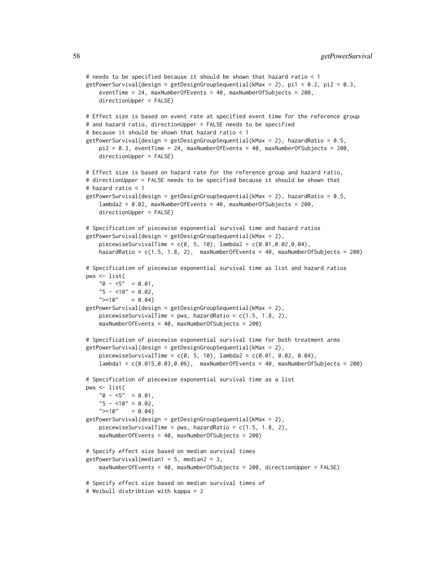```
# needs to be specified because it should be shown that hazard ratio < 1
getPowerSurvival(design = getDesignGroupSequential(kMax = 2), pi1 = 0.2, pi2 = 0.3,
    eventTime = 24, maxNumberOfEvents = 40, maxNumberOfSubjects = 200,
    directionUpper = FALSE)
# Effect size is based on event rate at specified event time for the reference group
# and hazard ratio, directionUpper = FALSE needs to be specified
# because it should be shown that hazard ratio < 1
getPowerSurvival(design = getDesignGroupSequential(kMax = 2), hazardRatio = 0.5,
    pi2 = 0.3, eventTime = 24, maxNumberOfEvents = 40, maxNumberOfSubjects = 200,
   directionUpper = FALSE)
# Effect size is based on hazard rate for the reference group and hazard ratio,
# directionUpper = FALSE needs to be specified because it should be shown that
# hazard ratio < 1
getPowerSurvival(design = getDesignGroupSequential(kMax = 2), hazardRatio = 0.5,
    lambda2 = 0.02, maxNumberOfEvents = 40, maxNumberOfSubjects = 200,
    directionUpper = FALSE)
# Specification of piecewise exponential survival time and hazard ratios
getPowerSurvival(design = getDesignGroupSequential(kMax = 2),
    piecewiseSurvivalTime = c(0, 5, 10), lambda2 = c(0.01, 0.02, 0.04),
    hazardRatio = c(1.5, 1.8, 2), maxNumberOfEvents = 40, maxNumberOfSubjects = 200)
# Specification of piecewise exponential survival time as list and hazard ratios
pws <- list(
    "0 - 5" = 0.01,"5 - 10" = 0.02,">=10" = 0.04)
getPowerSurvival(design = getDesignGroupSequential(kMax = 2),
    piecewiseSurvivalTime = pws, hazardRatio = c(1.5, 1.8, 2),
    maxNumberOfEvents = 40, maxNumberOfSubjects = 200)
# Specification of piecewise exponential survival time for both treatment arms
getPowerSurvival(design = getDesignGroupSequential(kMax = 2),
    piecewiseSurvivalTime = c(0, 5, 10), lambda2 = c(0.01, 0.02, 0.04),
    lambda1 = c(0.015,0.03,0.06), maxNumberOfEvents = 40, maxNumberOfSubjects = 200)
# Specification of piecewise exponential survival time as a list
pws <- list(
    "0 - 5" = 0.01,"5 - 10" = 0.02,">=10" = 0.04)
getPowerSurvival(design = getDesignGroupSequential(kMax = 2),
    piecewiseSurvivalTime = pws, hazardRatio = c(1.5, 1.8, 2),
    maxNumberOfEvents = 40, maxNumberOfSubjects = 200)
# Specify effect size based on median survival times
getPowerSurvival(median1 = 5, median2 = 3,
    maxNumberOfEvents = 40, maxNumberOfSubjects = 200, directionUpper = FALSE)
# Specify effect size based on median survival times of
# Weibull distribtion with kappa = 2
```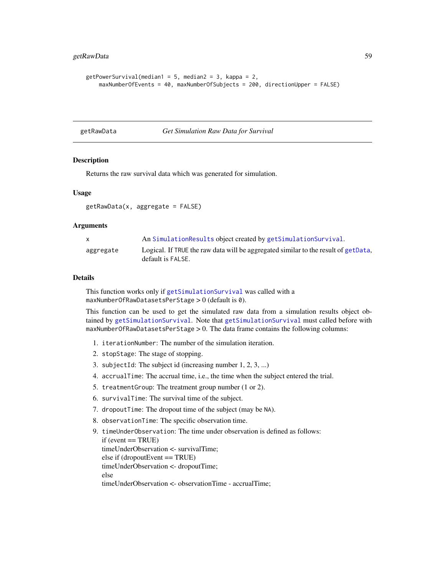```
getPowerSurvival(median1 = 5, median2 = 3, kappa = 2,maxNumberOfEvents = 40, maxNumberOfSubjects = 200, directionUpper = FALSE)
```
getRawData *Get Simulation Raw Data for Survival*

# **Description**

Returns the raw survival data which was generated for simulation.

#### Usage

getRawData(x, aggregate = FALSE)

#### Arguments

| $\mathsf{X}$ | An SimulationResults object created by getSimulationSurvival.                                           |
|--------------|---------------------------------------------------------------------------------------------------------|
| aggregate    | Logical. If TRUE the raw data will be aggregated similar to the result of getData,<br>default is FALSE. |

#### Details

This function works only if [getSimulationSurvival](#page-98-0) was called with a maxNumberOfRawDatasetsPerStage > 0 (default is 0).

This function can be used to get the simulated raw data from a simulation results object obtained by [getSimulationSurvival](#page-98-0). Note that [getSimulationSurvival](#page-98-0) must called before with maxNumberOfRawDatasetsPerStage  $> 0$ . The data frame contains the following columns:

- 1. iterationNumber: The number of the simulation iteration.
- 2. stopStage: The stage of stopping.
- 3. subjectId: The subject id (increasing number 1, 2, 3, ...)
- 4. accrualTime: The accrual time, i.e., the time when the subject entered the trial.
- 5. treatmentGroup: The treatment group number (1 or 2).
- 6. survivalTime: The survival time of the subject.
- 7. dropoutTime: The dropout time of the subject (may be NA).
- 8. observationTime: The specific observation time.

```
9. timeUnderObservation: The time under observation is defined as follows:
  if (event == TRUE)timeUnderObservation <- survivalTime;
  else if (dropoutEvent == TRUE)timeUnderObservation <- dropoutTime;
  else
  timeUnderObservation <- observationTime - accrualTime;
```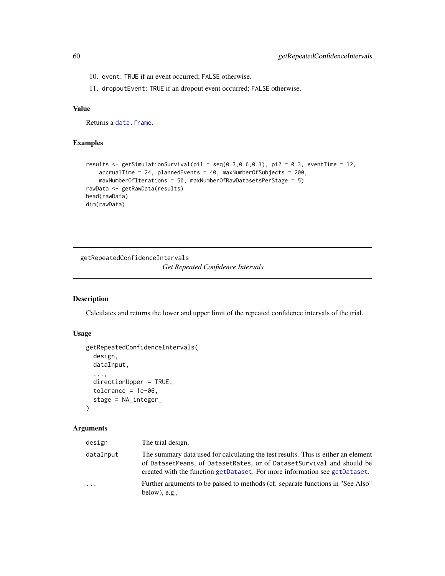- 10. event: TRUE if an event occurred; FALSE otherwise.
- 11. dropoutEvent: TRUE if an dropout event occurred; FALSE otherwise.

# Value

Returns a [data.frame](#page-0-0).

# Examples

```
results \leq getSimulationSurvival(pi1 = seq(0.3,0.6,0.1), pi2 = 0.3, eventTime = 12,
   accrualTime = 24, plannedEvents = 40, maxNumberOfSubjects = 200,
   maxNumberOfIterations = 50, maxNumberOfRawDatasetsPerStage = 5)
rawData <- getRawData(results)
head(rawData)
dim(rawData)
```
<span id="page-59-0"></span>getRepeatedConfidenceIntervals *Get Repeated Confidence Intervals*

# Description

Calculates and returns the lower and upper limit of the repeated confidence intervals of the trial.

# Usage

```
getRepeatedConfidenceIntervals(
  design,
  dataInput,
  ...,
 directionUpper = TRUE,
  tolerance = 1e-06,
  stage = NA_integer_
)
```

| design    | The trial design.                                                                                                                                                                                                                        |
|-----------|------------------------------------------------------------------------------------------------------------------------------------------------------------------------------------------------------------------------------------------|
| dataInput | The summary data used for calculating the test results. This is either an element<br>of DatasetMeans, of DatasetRates, or of DatasetSurvival and should be<br>created with the function getDataset. For more information see getDataset. |
| $\cdots$  | Further arguments to be passed to methods (cf. separate functions in "See Also"<br>below), $e.g.,$                                                                                                                                       |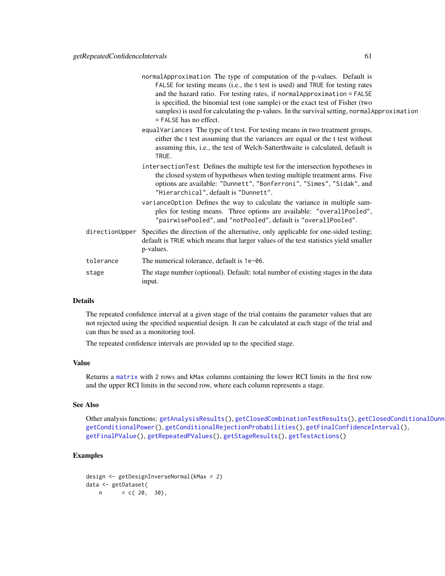|           | normalApproximation The type of computation of the p-values. Default is<br>FALSE for testing means (i.e., the t test is used) and TRUE for testing rates<br>and the hazard ratio. For testing rates, if normal Approximation = FALSE<br>is specified, the binomial test (one sample) or the exact test of Fisher (two<br>samples) is used for calculating the p-values. In the survival setting, normal Approximation<br>= FALSE has no effect. |
|-----------|-------------------------------------------------------------------------------------------------------------------------------------------------------------------------------------------------------------------------------------------------------------------------------------------------------------------------------------------------------------------------------------------------------------------------------------------------|
|           | equalVariances The type of t test. For testing means in two treatment groups,<br>either the t test assuming that the variances are equal or the t test without<br>assuming this, i.e., the test of Welch-Satterthwaite is calculated, default is<br>TRUE.                                                                                                                                                                                       |
|           | intersectionTest Defines the multiple test for the intersection hypotheses in<br>the closed system of hypotheses when testing multiple treatment arms. Five<br>options are available: "Dunnett", "Bonferroni", "Simes", "Sidak", and<br>"Hierarchical", default is "Dunnett".                                                                                                                                                                   |
|           | variance Option Defines the way to calculate the variance in multiple sam-<br>ples for testing means. Three options are available: "overallPooled",<br>"pairwisePooled", and "notPooled", default is "overallPooled".                                                                                                                                                                                                                           |
|           | directionUpper Specifies the direction of the alternative, only applicable for one-sided testing;<br>default is TRUE which means that larger values of the test statistics yield smaller<br>p-values.                                                                                                                                                                                                                                           |
| tolerance | The numerical tolerance, default is 1e-06.                                                                                                                                                                                                                                                                                                                                                                                                      |
| stage     | The stage number (optional). Default: total number of existing stages in the data<br>input.                                                                                                                                                                                                                                                                                                                                                     |

The repeated confidence interval at a given stage of the trial contains the parameter values that are not rejected using the specified sequential design. It can be calculated at each stage of the trial and can thus be used as a monitoring tool.

The repeated confidence intervals are provided up to the specified stage.

#### Value

Returns a [matrix](#page-0-0) with 2 rows and kMax columns containing the lower RCI limits in the first row and the upper RCI limits in the second row, where each column represents a stage.

# See Also

Other analysis functions: [getAnalysisResults\(](#page-5-0)), [getClosedCombinationTestResults\(](#page-9-0)), getClosedConditionalDunn [getConditionalPower\(](#page-13-0)), [getConditionalRejectionProbabilities\(](#page-15-0)), [getFinalConfidenceInterval\(](#page-36-0)), [getFinalPValue\(](#page-38-0)), [getRepeatedPValues\(](#page-61-0)), [getStageResults\(](#page-108-0)), [getTestActions\(](#page-111-0))

```
design <- getDesignInverseNormal(kMax = 2)
data <- getDataset(
  n = c(20, 30),
```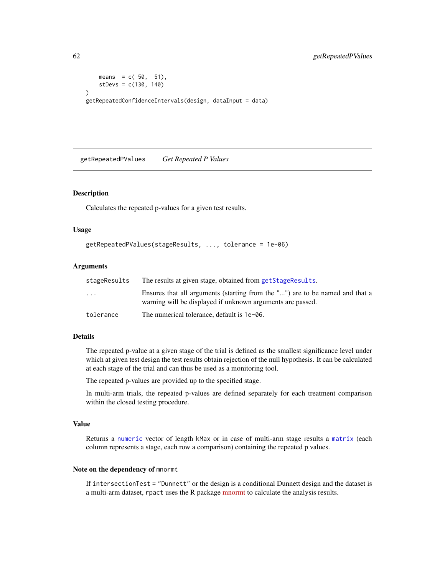```
means = c(50, 51),
   stDevs = c(130, 140)
)
getRepeatedConfidenceIntervals(design, dataInput = data)
```
<span id="page-61-0"></span>getRepeatedPValues *Get Repeated P Values*

#### Description

Calculates the repeated p-values for a given test results.

#### Usage

```
getRepeatedPValues(stageResults, ..., tolerance = 1e-06)
```
#### Arguments

| stageResults            | The results at given stage, obtained from getStageResults.                                                                                 |
|-------------------------|--------------------------------------------------------------------------------------------------------------------------------------------|
| $\cdot$ $\cdot$ $\cdot$ | Ensures that all arguments (starting from the "") are to be named and that a<br>warning will be displayed if unknown arguments are passed. |
| tolerance               | The numerical tolerance, default is $1e$ –06.                                                                                              |

#### Details

The repeated p-value at a given stage of the trial is defined as the smallest significance level under which at given test design the test results obtain rejection of the null hypothesis. It can be calculated at each stage of the trial and can thus be used as a monitoring tool.

The repeated p-values are provided up to the specified stage.

In multi-arm trials, the repeated p-values are defined separately for each treatment comparison within the closed testing procedure.

#### Value

Returns a [numeric](#page-0-0) vector of length kMax or in case of multi-arm stage results a [matrix](#page-0-0) (each column represents a stage, each row a comparison) containing the repeated p values.

#### Note on the dependency of mnormt

If intersectionTest = "Dunnett" or the design is a conditional Dunnett design and the dataset is a multi-arm dataset, rpact uses the R package [mnormt](https://cran.r-project.org/package=mnormt) to calculate the analysis results.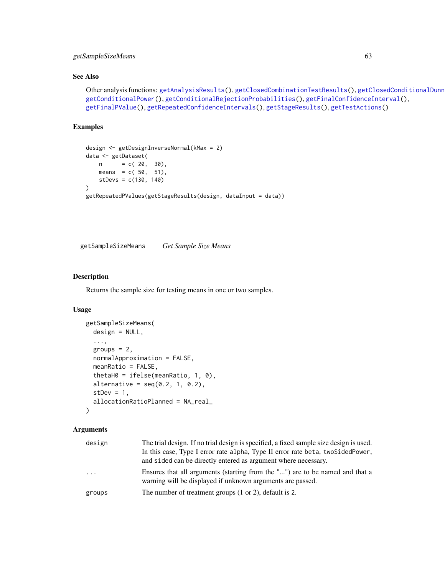# getSampleSizeMeans 63

# See Also

```
getAnalysisResults(getClosedCombinationTestResults(), getClosedConditionalDunn
getConditionalPower(), getConditionalRejectionProbabilities(), getFinalConfidenceInterval(),
getFinalPValue(), getRepeatedConfidenceIntervals(), getStageResults(), getTestActions()
```
# Examples

```
design <- getDesignInverseNormal(kMax = 2)
data <- getDataset(
   n = c(20, 30),means = c(50, 51),
    stDevs = c(130, 140)
\mathcal{L}getRepeatedPValues(getStageResults(design, dataInput = data))
```
<span id="page-62-0"></span>getSampleSizeMeans *Get Sample Size Means*

### Description

Returns the sample size for testing means in one or two samples.

#### Usage

```
getSampleSizeMeans(
  design = NULL,
  ...,
 groups = 2,
 normalApproximation = FALSE,
 meanRatio = FALSE,
  thetaH0 = ifelse(meanRatio, 1, 0),
 alternative = seq(0.2, 1, 0.2),
  stDev = 1,allocationRatioPlanned = NA_real_
)
```

| design | The trial design. If no trial design is specified, a fixed sample size design is used.<br>In this case, Type I error rate alpha, Type II error rate beta, two Sided Power,<br>and sided can be directly entered as argument where necessary. |
|--------|----------------------------------------------------------------------------------------------------------------------------------------------------------------------------------------------------------------------------------------------|
| .      | Ensures that all arguments (starting from the "") are to be named and that a<br>warning will be displayed if unknown arguments are passed.                                                                                                   |
| groups | The number of treatment groups $(1 or 2)$ , default is 2.                                                                                                                                                                                    |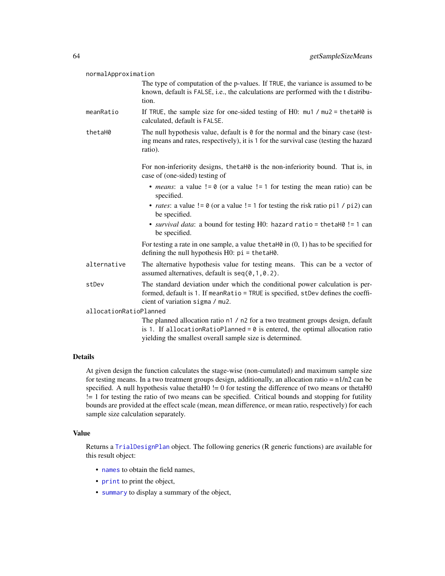| normalApproximation    |                                                                                                                                                                                                                               |
|------------------------|-------------------------------------------------------------------------------------------------------------------------------------------------------------------------------------------------------------------------------|
|                        | The type of computation of the p-values. If TRUE, the variance is assumed to be<br>known, default is FALSE, i.e., the calculations are performed with the t distribu-<br>tion.                                                |
| meanRatio              | If TRUE, the sample size for one-sided testing of H0: $mu1 / mu2 = \text{thetaH0}$ is<br>calculated, default is FALSE.                                                                                                        |
| thetaH0                | The null hypothesis value, default is $\theta$ for the normal and the binary case (test-<br>ing means and rates, respectively), it is 1 for the survival case (testing the hazard<br>ratio).                                  |
|                        | For non-inferiority designs, the taH0 is the non-inferiority bound. That is, in<br>case of (one-sided) testing of                                                                                                             |
|                        | • <i>means</i> : a value $!= 0$ (or a value $!= 1$ for testing the mean ratio) can be<br>specified.                                                                                                                           |
|                        | • <i>rates</i> : a value $!= 0$ (or a value $!= 1$ for testing the risk ratio pi1 / pi2) can<br>be specified.                                                                                                                 |
|                        | • survival data: a bound for testing H0: hazard ratio = thetaH0 != 1 can<br>be specified.                                                                                                                                     |
|                        | For testing a rate in one sample, a value the talled in $(0, 1)$ has to be specified for<br>defining the null hypothesis $H0$ : $pi = \text{thetaH0}$ .                                                                       |
| alternative            | The alternative hypothesis value for testing means. This can be a vector of<br>assumed alternatives, default is $seq(0, 1, 0.2)$ .                                                                                            |
| stDev                  | The standard deviation under which the conditional power calculation is per-<br>formed, default is 1. If meanRatio = TRUE is specified, stDev defines the coeffi-<br>cient of variation sigma / mu2.                          |
| allocationRatioPlanned |                                                                                                                                                                                                                               |
|                        | The planned allocation ratio n1 / n2 for a two treatment groups design, default<br>is 1. If allocationRatioPlanned = $0$ is entered, the optimal allocation ratio<br>yielding the smallest overall sample size is determined. |

At given design the function calculates the stage-wise (non-cumulated) and maximum sample size for testing means. In a two treatment groups design, additionally, an allocation ratio =  $n1/n2$  can be specified. A null hypothesis value thetaH0 != 0 for testing the difference of two means or thetaH0 != 1 for testing the ratio of two means can be specified. Critical bounds and stopping for futility bounds are provided at the effect scale (mean, mean difference, or mean ratio, respectively) for each sample size calculation separately.

# Value

Returns a [TrialDesignPlan](#page-0-0) object. The following generics (R generic functions) are available for this result object:

- [names](#page-0-0) to obtain the field names,
- [print](#page-0-0) to print the object,
- [summary](#page-0-0) to display a summary of the object,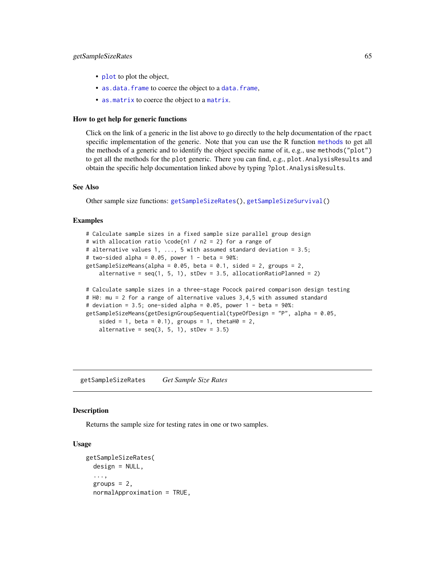#### getSampleSizeRates 65

- [plot](#page-129-0) to plot the object,
- [as.data.frame](#page-0-0) to coerce the object to a [data.frame](#page-0-0),
- [as.matrix](#page-0-0) to coerce the object to a [matrix](#page-0-0).

#### How to get help for generic functions

Click on the link of a generic in the list above to go directly to the help documentation of the rpact specific implementation of the generic. Note that you can use the R function [methods](#page-0-0) to get all the methods of a generic and to identify the object specific name of it, e.g., use methods("plot") to get all the methods for the plot generic. There you can find, e.g., plot.AnalysisResults and obtain the specific help documentation linked above by typing ?plot.AnalysisResults.

#### See Also

Other sample size functions: [getSampleSizeRates\(](#page-64-0)), [getSampleSizeSurvival\(](#page-67-0))

#### Examples

# Calculate sample sizes in a fixed sample size parallel group design # with allocation ratio \code{n1 / n2 = 2} for a range of # alternative values 1, ..., 5 with assumed standard deviation = 3.5; # two-sided alpha =  $0.05$ , power 1 - beta =  $90\%$ : getSampleSizeMeans(alpha =  $0.05$ , beta =  $0.1$ , sided = 2, groups = 2, alternative =  $seq(1, 5, 1)$ ,  $step = 3.5$ , allocationRatioPlanned = 2) # Calculate sample sizes in a three-stage Pocock paired comparison design testing # H0: mu = 2 for a range of alternative values 3,4,5 with assumed standard # deviation =  $3.5$ ; one-sided alpha =  $0.05$ , power 1 - beta =  $90\%$ : getSampleSizeMeans(getDesignGroupSequential(typeOfDesign = "P", alpha = 0.05, sided = 1, beta =  $0.1$ ), groups = 1, thetaH $0 = 2$ , alternative =  $seq(3, 5, 1)$ ,  $step = 3.5)$ 

<span id="page-64-0"></span>getSampleSizeRates *Get Sample Size Rates*

#### **Description**

Returns the sample size for testing rates in one or two samples.

#### Usage

```
getSampleSizeRates(
  design = NULL,
  ...,
  groups = 2,
  normalApproximation = TRUE,
```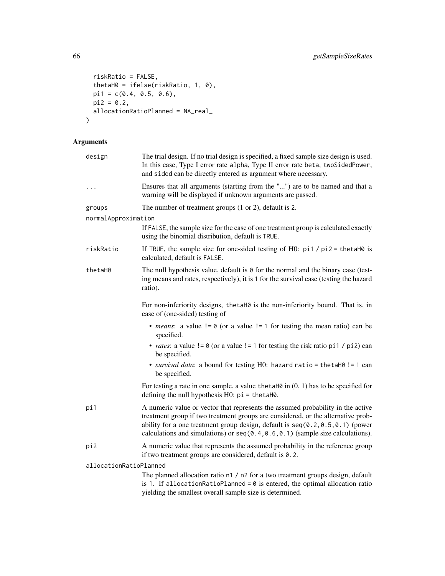```
riskRatio = FALSE,
 thetaH0 = ifelse(riskRatio, 1, 0),
 pi1 = c(0.4, 0.5, 0.6),
 pi2 = 0.2,
 allocationRatioPlanned = NA_real_
\mathcal{L}
```
# Arguments

| design                 | The trial design. If no trial design is specified, a fixed sample size design is used.<br>In this case, Type I error rate alpha, Type II error rate beta, twoSidedPower,<br>and sided can be directly entered as argument where necessary.                                                                                                   |
|------------------------|----------------------------------------------------------------------------------------------------------------------------------------------------------------------------------------------------------------------------------------------------------------------------------------------------------------------------------------------|
| $\cdots$               | Ensures that all arguments (starting from the "") are to be named and that a<br>warning will be displayed if unknown arguments are passed.                                                                                                                                                                                                   |
| groups                 | The number of treatment groups $(1 or 2)$ , default is 2.                                                                                                                                                                                                                                                                                    |
| normalApproximation    |                                                                                                                                                                                                                                                                                                                                              |
|                        | If FALSE, the sample size for the case of one treatment group is calculated exactly<br>using the binomial distribution, default is TRUE.                                                                                                                                                                                                     |
| riskRatio              | If TRUE, the sample size for one-sided testing of H0: $pi1 / pi2 = \text{thetaH0}$ is<br>calculated, default is FALSE.                                                                                                                                                                                                                       |
| thetaH0                | The null hypothesis value, default is $\theta$ for the normal and the binary case (test-<br>ing means and rates, respectively), it is 1 for the survival case (testing the hazard<br>ratio).                                                                                                                                                 |
|                        | For non-inferiority designs, the taH0 is the non-inferiority bound. That is, in<br>case of (one-sided) testing of                                                                                                                                                                                                                            |
|                        | • <i>means</i> : a value $!= 0$ (or a value $!= 1$ for testing the mean ratio) can be<br>specified.                                                                                                                                                                                                                                          |
|                        | • <i>rates</i> : a value $!= 0$ (or a value $!= 1$ for testing the risk ratio pi1 / pi2) can<br>be specified.                                                                                                                                                                                                                                |
|                        | • survival data: a bound for testing H0: hazard ratio = thetaH0 != 1 can<br>be specified.                                                                                                                                                                                                                                                    |
|                        | For testing a rate in one sample, a value the tah $\emptyset$ in $(0, 1)$ has to be specified for<br>defining the null hypothesis $H0$ : $pi = \text{thetaH0}$ .                                                                                                                                                                             |
| pi1                    | A numeric value or vector that represents the assumed probability in the active<br>treatment group if two treatment groups are considered, or the alternative prob-<br>ability for a one treatment group design, default is $seq(0.2, 0.5, 0.1)$ (power<br>calculations and simulations) or $seq(0.4, 0.6, 0.1)$ (sample size calculations). |
| pi2                    | A numeric value that represents the assumed probability in the reference group<br>if two treatment groups are considered, default is 0.2.                                                                                                                                                                                                    |
| allocationRatioPlanned |                                                                                                                                                                                                                                                                                                                                              |
|                        | The planned allocation ratio n1 / n2 for a two treatment groups design, default<br>is 1. If allocationRatioPlanned = $0$ is entered, the optimal allocation ratio                                                                                                                                                                            |

yielding the smallest overall sample size is determined.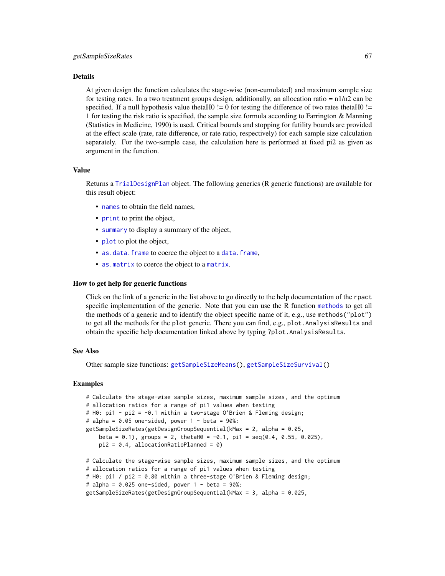At given design the function calculates the stage-wise (non-cumulated) and maximum sample size for testing rates. In a two treatment groups design, additionally, an allocation ratio =  $n1/n2$  can be specified. If a null hypothesis value thetaH0  $!=$  0 for testing the difference of two rates thetaH0  $!=$ 1 for testing the risk ratio is specified, the sample size formula according to Farrington & Manning (Statistics in Medicine, 1990) is used. Critical bounds and stopping for futility bounds are provided at the effect scale (rate, rate difference, or rate ratio, respectively) for each sample size calculation separately. For the two-sample case, the calculation here is performed at fixed pi2 as given as argument in the function.

#### Value

Returns a [TrialDesignPlan](#page-0-0) object. The following generics (R generic functions) are available for this result object:

- [names](#page-0-0) to obtain the field names,
- [print](#page-0-0) to print the object,
- [summary](#page-0-0) to display a summary of the object,
- [plot](#page-129-0) to plot the object,
- [as.data.frame](#page-0-0) to coerce the object to a [data.frame](#page-0-0),
- [as.matrix](#page-0-0) to coerce the object to a [matrix](#page-0-0).

#### How to get help for generic functions

Click on the link of a generic in the list above to go directly to the help documentation of the rpact specific implementation of the generic. Note that you can use the R function [methods](#page-0-0) to get all the methods of a generic and to identify the object specific name of it, e.g., use methods("plot") to get all the methods for the plot generic. There you can find, e.g., plot. AnalysisResults and obtain the specific help documentation linked above by typing ?plot.AnalysisResults.

### See Also

Other sample size functions: [getSampleSizeMeans\(](#page-62-0)), [getSampleSizeSurvival\(](#page-67-0))

```
# Calculate the stage-wise sample sizes, maximum sample sizes, and the optimum
# allocation ratios for a range of pi1 values when testing
# H0: pi1 - pi2 = -0.1 within a two-stage O'Brien & Fleming design;
# alpha = 0.05 one-sided, power 1 - \beta = 90\%:
getSampleSizeRates(getDesignGroupSequential(kMax = 2, alpha = 0.05,
   beta = (0.1), groups = 2, thetaH(0.1, \text{pi}) = seq(0.4, 0.55, 0.025),
   pi2 = 0.4, allocationRatioPlanned = 0)
# Calculate the stage-wise sample sizes, maximum sample sizes, and the optimum
# allocation ratios for a range of pi1 values when testing
# H0: pi1 / pi2 = 0.80 within a three-stage O'Brien & Fleming design;
# alpha = 0.025 one-sided, power 1 - \beta beta = 90\%:
getSampleSizeRates(getDesignGroupSequential(kMax = 3, alpha = 0.025,
```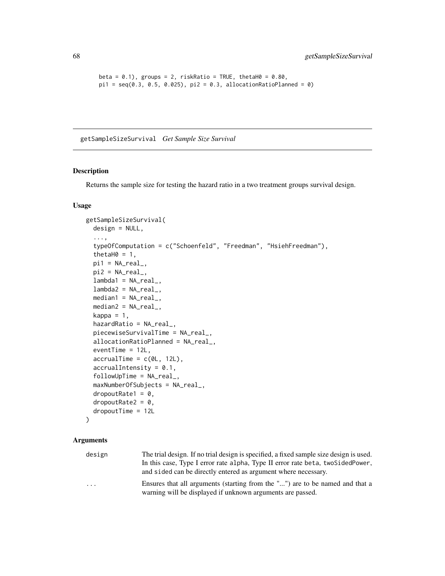```
beta = 0.1), groups = 2, riskRatio = TRUE, thetaH0 = 0.80,
pi1 = seq(0.3, 0.5, 0.025), pi2 = 0.3, allocationRatioPlanned = 0)
```
<span id="page-67-0"></span>getSampleSizeSurvival *Get Sample Size Survival*

# Description

Returns the sample size for testing the hazard ratio in a two treatment groups survival design.

### Usage

```
getSampleSizeSurvival(
 design = NULL,
  ...,
  typeOfComputation = c("Schoenfeld", "Freedman", "HsiehFreedman"),
  thetaH0 = 1,
 pi1 = NA\_real_pi2 = NA\_real_lambda1 = NA\_real_lambda2 = NA_{real_-,median1 = NA\_real_,
 median2 = NA_{real_kappa = 1,
 hazardRatio = NA_real_,
 piecewiseSurvivalTime = NA_real_,
 allocationRatioPlanned = NA_real_,
  eventTime = 12L,
  accrualTime = c(0L, 12L),accrualIntensity = 0.1,followUpTime = NA_real_,
 maxNumberOfSubjects = NA_real_,
  droputRate1 = 0,droputRate2 = 0,dropoutTime = 12L
```

```
)
```

| design                  | The trial design. If no trial design is specified, a fixed sample size design is used. |
|-------------------------|----------------------------------------------------------------------------------------|
|                         | In this case, Type I error rate alpha, Type II error rate beta, two Sided Power,       |
|                         | and sided can be directly entered as argument where necessary.                         |
| $\cdot$ $\cdot$ $\cdot$ | Ensures that all arguments (starting from the "") are to be named and that a           |
|                         | warning will be displayed if unknown arguments are passed.                             |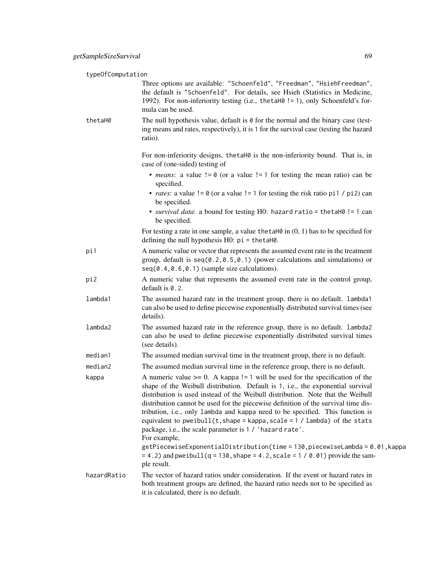| typeOfComputation |                                                                                                                                                                                                                                                                                                                                                                                                                                                                                                                                                                                                                                                                              |
|-------------------|------------------------------------------------------------------------------------------------------------------------------------------------------------------------------------------------------------------------------------------------------------------------------------------------------------------------------------------------------------------------------------------------------------------------------------------------------------------------------------------------------------------------------------------------------------------------------------------------------------------------------------------------------------------------------|
|                   | Three options are available: "Schoenfeld", "Freedman", "HsiehFreedman",<br>the default is "Schoenfeld". For details, see Hsieh (Statistics in Medicine,<br>1992). For non-inferiority testing (i.e., thetaH0 != 1), only Schoenfeld's for-<br>mula can be used.                                                                                                                                                                                                                                                                                                                                                                                                              |
| thetaH0           | The null hypothesis value, default is 0 for the normal and the binary case (test-<br>ing means and rates, respectively), it is 1 for the survival case (testing the hazard<br>ratio).                                                                                                                                                                                                                                                                                                                                                                                                                                                                                        |
|                   | For non-inferiority designs, the taho is the non-inferiority bound. That is, in<br>case of (one-sided) testing of                                                                                                                                                                                                                                                                                                                                                                                                                                                                                                                                                            |
|                   | • <i>means</i> : a value $!= 0$ (or a value $!= 1$ for testing the mean ratio) can be<br>specified.                                                                                                                                                                                                                                                                                                                                                                                                                                                                                                                                                                          |
|                   | • <i>rates</i> : a value $!= 0$ (or a value $!= 1$ for testing the risk ratio pi1 / pi2) can<br>be specified.                                                                                                                                                                                                                                                                                                                                                                                                                                                                                                                                                                |
|                   | • survival data: a bound for testing HO: hazard ratio = thetaH0 != 1 can<br>be specified.                                                                                                                                                                                                                                                                                                                                                                                                                                                                                                                                                                                    |
|                   | For testing a rate in one sample, a value the taller in $(0, 1)$ has to be specified for<br>defining the null hypothesis $H0$ : $pi = \text{thetaH0}$ .                                                                                                                                                                                                                                                                                                                                                                                                                                                                                                                      |
| pi1               | A numeric value or vector that represents the assumed event rate in the treatment<br>group, default is $seq(0.2, 0.5, 0.1)$ (power calculations and simulations) or<br>$seq(0.4, 0.6, 0.1)$ (sample size calculations).                                                                                                                                                                                                                                                                                                                                                                                                                                                      |
| pi2               | A numeric value that represents the assumed event rate in the control group,<br>default is $0.2$ .                                                                                                                                                                                                                                                                                                                                                                                                                                                                                                                                                                           |
| lambda1           | The assumed hazard rate in the treatment group, there is no default. lambda1<br>can also be used to define piecewise exponentially distributed survival times (see<br>details).                                                                                                                                                                                                                                                                                                                                                                                                                                                                                              |
| lambda2           | The assumed hazard rate in the reference group, there is no default. lambda2<br>can also be used to define piecewise exponentially distributed survival times<br>(see details).                                                                                                                                                                                                                                                                                                                                                                                                                                                                                              |
| median1           | The assumed median survival time in the treatment group, there is no default.                                                                                                                                                                                                                                                                                                                                                                                                                                                                                                                                                                                                |
| median2           | The assumed median survival time in the reference group, there is no default.                                                                                                                                                                                                                                                                                                                                                                                                                                                                                                                                                                                                |
| kappa             | A numeric value $\ge$ = 0. A kappa ! = 1 will be used for the specification of the<br>shape of the Weibull distribution. Default is 1, i.e., the exponential survival<br>distribution is used instead of the Weibull distribution. Note that the Weibull<br>distribution cannot be used for the piecewise definition of the survival time dis-<br>tribution, i.e., only lambda and kappa need to be specified. This function is<br>equivalent to pweibull $(t, shape = kappa, scale = 1 / lambda)$ of the stats<br>package, i.e., the scale parameter is 1 / 'hazard rate'.<br>For example,<br>getPiecewiseExponentialDistribution(time = 130, piecewiseLambda = 0.01, kappa |
|                   | $= 4.2$ ) and pweibull(q = 130, shape = 4.2, scale = 1 / 0.01) provide the sam-<br>ple result.                                                                                                                                                                                                                                                                                                                                                                                                                                                                                                                                                                               |
| hazardRatio       | The vector of hazard ratios under consideration. If the event or hazard rates in<br>both treatment groups are defined, the hazard ratio needs not to be specified as<br>it is calculated, there is no default.                                                                                                                                                                                                                                                                                                                                                                                                                                                               |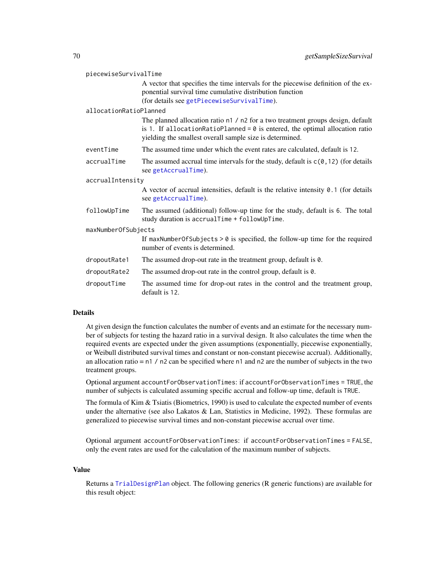| piecewiseSurvivalTime  |                                                                                                                                                                                                                               |
|------------------------|-------------------------------------------------------------------------------------------------------------------------------------------------------------------------------------------------------------------------------|
|                        | A vector that specifies the time intervals for the piecewise definition of the ex-<br>ponential survival time cumulative distribution function                                                                                |
|                        | (for details see getPiecewiseSurvivalTime).                                                                                                                                                                                   |
| allocationRatioPlanned |                                                                                                                                                                                                                               |
|                        | The planned allocation ratio n1 / n2 for a two treatment groups design, default<br>is 1. If allocationRatioPlanned = $0$ is entered, the optimal allocation ratio<br>yielding the smallest overall sample size is determined. |
| eventTime              | The assumed time under which the event rates are calculated, default is 12.                                                                                                                                                   |
| accrualTime            | The assumed accrual time intervals for the study, default is $c(0, 12)$ (for details<br>see getAccrualTime).                                                                                                                  |
| accrualIntensity       |                                                                                                                                                                                                                               |
|                        | A vector of accrual intensities, default is the relative intensity $0.1$ (for details<br>see getAccrualTime).                                                                                                                 |
| followUpTime           | The assumed (additional) follow-up time for the study, default is 6. The total<br>study duration is accrualTime + followUpTime.                                                                                               |
| maxNumberOfSubjects    |                                                                                                                                                                                                                               |
|                        | If maxNumberOfSubjects $> 0$ is specified, the follow-up time for the required<br>number of events is determined.                                                                                                             |
| dropoutRate1           | The assumed drop-out rate in the treatment group, default is 0.                                                                                                                                                               |
| dropoutRate2           | The assumed drop-out rate in the control group, default is 0.                                                                                                                                                                 |
| dropoutTime            | The assumed time for drop-out rates in the control and the treatment group,<br>default is 12.                                                                                                                                 |

At given design the function calculates the number of events and an estimate for the necessary number of subjects for testing the hazard ratio in a survival design. It also calculates the time when the required events are expected under the given assumptions (exponentially, piecewise exponentially, or Weibull distributed survival times and constant or non-constant piecewise accrual). Additionally, an allocation ratio =  $n1 / n2$  can be specified where  $n1$  and  $n2$  are the number of subjects in the two treatment groups.

Optional argument accountForObservationTimes: if accountForObservationTimes = TRUE, the number of subjects is calculated assuming specific accrual and follow-up time, default is TRUE.

The formula of Kim & Tsiatis (Biometrics, 1990) is used to calculate the expected number of events under the alternative (see also Lakatos & Lan, Statistics in Medicine, 1992). These formulas are generalized to piecewise survival times and non-constant piecewise accrual over time.

Optional argument accountForObservationTimes: if accountForObservationTimes = FALSE, only the event rates are used for the calculation of the maximum number of subjects.

#### Value

Returns a [TrialDesignPlan](#page-0-0) object. The following generics (R generic functions) are available for this result object: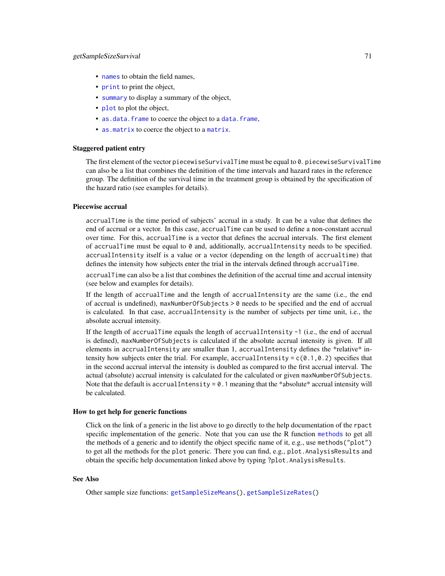# getSampleSizeSurvival 71

- [names](#page-0-0) to obtain the field names,
- [print](#page-0-0) to print the object,
- [summary](#page-0-0) to display a summary of the object,
- [plot](#page-129-0) to plot the object,
- [as.data.frame](#page-0-0) to coerce the object to a [data.frame](#page-0-0),
- [as.matrix](#page-0-0) to coerce the object to a [matrix](#page-0-0).

#### Staggered patient entry

The first element of the vector piecewiseSurvivalTime must be equal to 0. piecewiseSurvivalTime can also be a list that combines the definition of the time intervals and hazard rates in the reference group. The definition of the survival time in the treatment group is obtained by the specification of the hazard ratio (see examples for details).

# Piecewise accrual

accrualTime is the time period of subjects' accrual in a study. It can be a value that defines the end of accrual or a vector. In this case, accrualTime can be used to define a non-constant accrual over time. For this, accrualTime is a vector that defines the accrual intervals. The first element of accrualTime must be equal to  $0$  and, additionally, accrualIntensity needs to be specified. accrualIntensity itself is a value or a vector (depending on the length of accrualtime) that defines the intensity how subjects enter the trial in the intervals defined through accrualTime.

accrualTime can also be a list that combines the definition of the accrual time and accrual intensity (see below and examples for details).

If the length of accrualTime and the length of accrualIntensity are the same (i.e., the end of accrual is undefined), maxNumberOfSubjects > 0 needs to be specified and the end of accrual is calculated. In that case, accrualIntensity is the number of subjects per time unit, i.e., the absolute accrual intensity.

If the length of accrualTime equals the length of accrualIntensity -1 (i.e., the end of accrual is defined), maxNumberOfSubjects is calculated if the absolute accrual intensity is given. If all elements in accrualIntensity are smaller than 1, accrualIntensity defines the \*relative\* intensity how subjects enter the trial. For example, accrualIntensity =  $c(0.1, 0.2)$  specifies that in the second accrual interval the intensity is doubled as compared to the first accrual interval. The actual (absolute) accrual intensity is calculated for the calculated or given maxNumberOfSubjects. Note that the default is accrual Intensity =  $0.1$  meaning that the \*absolute\* accrual intensity will be calculated.

### How to get help for generic functions

Click on the link of a generic in the list above to go directly to the help documentation of the rpact specific implementation of the generic. Note that you can use the R function [methods](#page-0-0) to get all the methods of a generic and to identify the object specific name of it, e.g., use methods("plot") to get all the methods for the plot generic. There you can find, e.g., plot.AnalysisResults and obtain the specific help documentation linked above by typing ?plot.AnalysisResults.

#### See Also

Other sample size functions: [getSampleSizeMeans\(](#page-62-0)), [getSampleSizeRates\(](#page-64-0))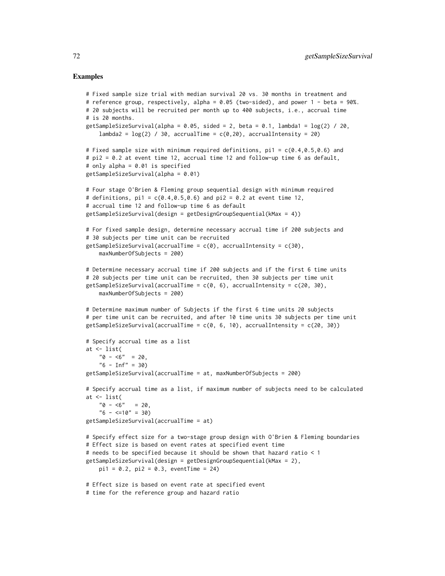```
# Fixed sample size trial with median survival 20 vs. 30 months in treatment and
# reference group, respectively, alpha = 0.05 (two-sided), and power 1 - beta = 90%.
# 20 subjects will be recruited per month up to 400 subjects, i.e., accrual time
# is 20 months.
getSampleSizeSurvival(alpha = 0.05, sided = 2, beta = 0.1, lambda1 = \log(2) / 20,
    lambda2 = \log(2) / 30, accrualTime = c(0, 20), accrualIntensity = 20)
# Fixed sample size with minimum required definitions, pi1 = c(0.4, 0.5, 0.6) and
# pi2 = 0.2 at event time 12, accrual time 12 and follow-up time 6 as default,
# only alpha = 0.01 is specified
getSampleSizeSurvival(alpha = 0.01)
# Four stage O'Brien & Fleming group sequential design with minimum required
# definitions, pi1 = c(0.4, 0.5, 0.6) and pi2 = 0.2 at event time 12,
# accrual time 12 and follow-up time 6 as default
getSampleSizeSurvival(design = getDesignGroupSequential(kMax = 4))
# For fixed sample design, determine necessary accrual time if 200 subjects and
# 30 subjects per time unit can be recruited
getSampleSizeSurvival(accrualTime = c(\emptyset), accrualIntensity = c(3\emptyset),
    maxNumberOfSubjects = 200)
# Determine necessary accrual time if 200 subjects and if the first 6 time units
# 20 subjects per time unit can be recruited, then 30 subjects per time unit
getSampleSizeSurvival(accrualTime = c(\emptyset, 6), accrualIntensity = c(2\emptyset, 3\emptyset),
   maxNumberOfSubjects = 200)
# Determine maximum number of Subjects if the first 6 time units 20 subjects
# per time unit can be recruited, and after 10 time units 30 subjects per time unit
getSampleSizeSurvival(accrualTime = c(0, 6, 10), accrualIntensity = c(20, 30))
# Specify accrual time as a list
at <- list(
    "0 - 5" = 20,"6 - Inf" = 30)getSampleSizeSurvival(accrualTime = at, maxNumberOfSubjects = 200)
# Specify accrual time as a list, if maximum number of subjects need to be calculated
at <- list(
    "0 - 5" = 20,"6 - \langle =10" = 30\ranglegetSampleSizeSurvival(accrualTime = at)
# Specify effect size for a two-stage group design with O'Brien & Fleming boundaries
# Effect size is based on event rates at specified event time
# needs to be specified because it should be shown that hazard ratio < 1
getSampleSizeSurvival(design = getDesignGroupSequential(kMax = 2),
   pi1 = 0.2, pi2 = 0.3, eventTime = 24)
# Effect size is based on event rate at specified event
# time for the reference group and hazard ratio
```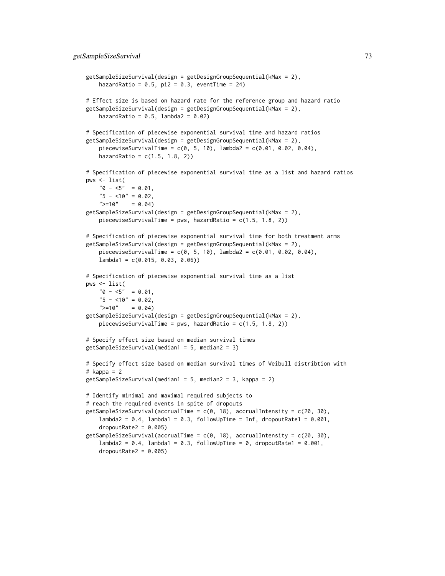```
getSampleSizeSurvival(design = getDesignGroupSequential(kMax = 2),
    hazardRatio = 0.5, pi2 = 0.3, eventTime = 24)
# Effect size is based on hazard rate for the reference group and hazard ratio
getSampleSizeSurvival(design = getDesignGroupSequential(kMax = 2),
   hazardRatio = 0.5, lambda2 = 0.02)
# Specification of piecewise exponential survival time and hazard ratios
getSampleSizeSurvival(design = getDesignGroupSequential(kMax = 2),
    piecewiseCurvivalTime = c(0, 5, 10), lambda = c(0.01, 0.02, 0.04),hazardRatio = c(1.5, 1.8, 2)# Specification of piecewise exponential survival time as a list and hazard ratios
pws <- list(
    "0 - 5" = 0.01,"5 - 10" = 0.02,">=10" = 0.04getSampleSizeSurvival(design = getDesignGroupSequential(kMax = 2),
   piecewiseSurvivalTime = pws, hazardRatio = c(1.5, 1.8, 2))
# Specification of piecewise exponential survival time for both treatment arms
getSampleSizeSurvival(design = getDesignGroupSequential(kMax = 2),
    piecewiseSurvivalTime = c(0, 5, 10), lambda2 = c(0.01, 0.02, 0.04),lambda1 = c(0.015, 0.03, 0.06)# Specification of piecewise exponential survival time as a list
pws <- list(
    "0 - 5" = 0.01,"5 - 10" = 0.02,">=10" = 0.04getSampleSizeSurvival(design = getDesignGroupSequential(kMax = 2),
   piecewiseSurvivalTime = pws, hazardRatio = c(1.5, 1.8, 2))
# Specify effect size based on median survival times
getSampleSizeSurvival(median1 = 5, median2 = 3)
# Specify effect size based on median survival times of Weibull distribtion with
# kappa = 2
getSampleSizeSurvival(median1 = 5, median2 = 3, kappa = 2)
# Identify minimal and maximal required subjects to
# reach the required events in spite of dropouts
getSampleSizeSurvival(accrualTime = c(0, 18), accrualIntensity = c(20, 30),
    lambda2 = 0.4, lambda1 = 0.3, followUpTime = Inf, dropoutRate1 = 0.001,
    droputRate2 = 0.005getSampleSizeSurvival(accrualTime = c(0, 18), accrualIntensity = c(20, 30),
    lambda2 = 0.4, lambda1 = 0.3, followUpTime = 0, dropoutRate1 = 0.001,
    droputRate2 = 0.005
```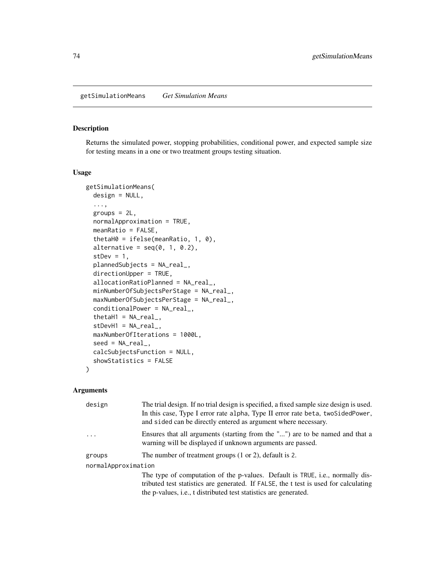# Description

Returns the simulated power, stopping probabilities, conditional power, and expected sample size for testing means in a one or two treatment groups testing situation.

# Usage

```
getSimulationMeans(
  design = NULL,
  ...,
 groups = 2L,
 normalApproximation = TRUE,
 meanRatio = FALSE,
  thetaH0 = ifelse(meanRatio, 1, 0),
  alternative = seq(0, 1, 0.2),
  stDev = 1,plannedSubjects = NA_real_,
  directionUpper = TRUE,
  allocationRatioPlanned = NA_real_,
 minNumberOfSubjectsPerStage = NA_real_,
 maxNumberOfSubjectsPerStage = NA_real_,
 conditionalPower = NA_real_,
  thetaH1 = NA\_real_,
  stDevH1 = NA\_real_maxNumberOfIterations = 1000L,
  seed = NA\_real_calcSubjectsFunction = NULL,
  showStatistics = FALSE
)
```
# Arguments

| design              | The trial design. If no trial design is specified, a fixed sample size design is used.<br>In this case, Type I error rate alpha, Type II error rate beta, two Sided Power,<br>and sided can be directly entered as argument where necessary.      |
|---------------------|---------------------------------------------------------------------------------------------------------------------------------------------------------------------------------------------------------------------------------------------------|
|                     | Ensures that all arguments (starting from the "") are to be named and that a<br>warning will be displayed if unknown arguments are passed.                                                                                                        |
| groups              | The number of treatment groups $(1 \text{ or } 2)$ , default is 2.                                                                                                                                                                                |
| normalApproximation |                                                                                                                                                                                                                                                   |
|                     | The type of computation of the p-values. Default is TRUE, i.e., normally dis-<br>tributed test statistics are generated. If FALSE, the t test is used for calculating<br>the p-values, <i>i.e.</i> , t distributed test statistics are generated. |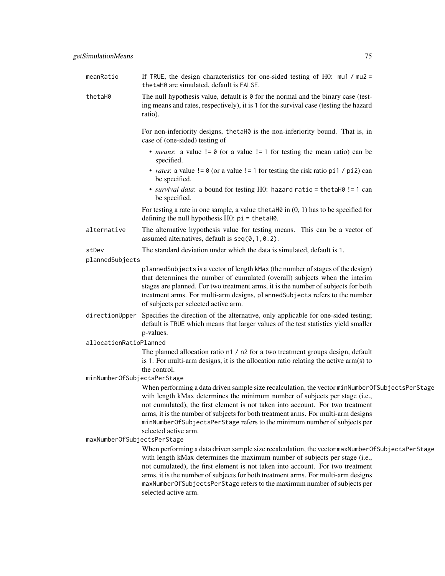| meanRatio                   | If TRUE, the design characteristics for one-sided testing of H0: $mu1 / mu2 =$<br>thetaH0 are simulated, default is FALSE.                                                                                                                                                                                                                                                                                                                                |
|-----------------------------|-----------------------------------------------------------------------------------------------------------------------------------------------------------------------------------------------------------------------------------------------------------------------------------------------------------------------------------------------------------------------------------------------------------------------------------------------------------|
| thetaH0                     | The null hypothesis value, default is $\theta$ for the normal and the binary case (test-<br>ing means and rates, respectively), it is 1 for the survival case (testing the hazard<br>ratio).                                                                                                                                                                                                                                                              |
|                             | For non-inferiority designs, thetaH0 is the non-inferiority bound. That is, in<br>case of (one-sided) testing of                                                                                                                                                                                                                                                                                                                                          |
|                             | • <i>means</i> : a value $!= 0$ (or a value $!= 1$ for testing the mean ratio) can be<br>specified.                                                                                                                                                                                                                                                                                                                                                       |
|                             | • <i>rates</i> : a value $!= 0$ (or a value $!= 1$ for testing the risk ratio pi1 / pi2) can<br>be specified.                                                                                                                                                                                                                                                                                                                                             |
|                             | • survival data: a bound for testing H0: hazard ratio = thetaH0 != 1 can<br>be specified.                                                                                                                                                                                                                                                                                                                                                                 |
|                             | For testing a rate in one sample, a value the tah $\emptyset$ in $(0, 1)$ has to be specified for<br>defining the null hypothesis $H0$ : $pi = \text{thetaH0}$ .                                                                                                                                                                                                                                                                                          |
| alternative                 | The alternative hypothesis value for testing means. This can be a vector of<br>assumed alternatives, default is $seq(0, 1, 0.2)$ .                                                                                                                                                                                                                                                                                                                        |
| stDev<br>plannedSubjects    | The standard deviation under which the data is simulated, default is 1.                                                                                                                                                                                                                                                                                                                                                                                   |
|                             | plannedSubjects is a vector of length kMax (the number of stages of the design)<br>that determines the number of cumulated (overall) subjects when the interim<br>stages are planned. For two treatment arms, it is the number of subjects for both<br>treatment arms. For multi-arm designs, plannedSubjects refers to the number<br>of subjects per selected active arm.                                                                                |
| directionUpper              | Specifies the direction of the alternative, only applicable for one-sided testing;<br>default is TRUE which means that larger values of the test statistics yield smaller<br>p-values.                                                                                                                                                                                                                                                                    |
| allocationRatioPlanned      |                                                                                                                                                                                                                                                                                                                                                                                                                                                           |
|                             | The planned allocation ratio n1 / n2 for a two treatment groups design, default<br>is 1. For multi-arm designs, it is the allocation ratio relating the active $arm(s)$ to<br>the control.                                                                                                                                                                                                                                                                |
| minNumberOfSubjectsPerStage |                                                                                                                                                                                                                                                                                                                                                                                                                                                           |
|                             | When performing a data driven sample size recalculation, the vector minNumberOfSubjectsPerStage<br>with length kMax determines the minimum number of subjects per stage (i.e.,<br>not cumulated), the first element is not taken into account. For two treatment<br>arms, it is the number of subjects for both treatment arms. For multi-arm designs<br>minNumberOfSubjectsPerStage refers to the minimum number of subjects per<br>selected active arm. |
| maxNumberOfSubjectsPerStage | When performing a data driven sample size recalculation, the vector maxNumberOfSubjectsPerStage<br>with length kMax determines the maximum number of subjects per stage (i.e.,<br>not cumulated), the first element is not taken into account. For two treatment<br>arms, it is the number of subjects for both treatment arms. For multi-arm designs<br>maxNumberOfSubjectsPerStage refers to the maximum number of subjects per<br>selected active arm. |
|                             |                                                                                                                                                                                                                                                                                                                                                                                                                                                           |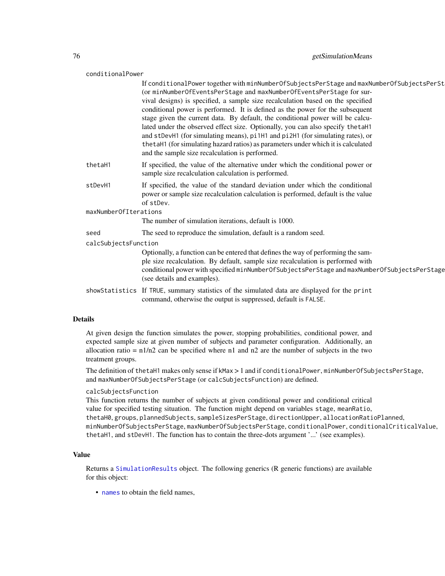#### conditionalPower

|                       | If conditionalPower together with minNumberOfSubjectsPerStage and maxNumberOfSubjectsPerSt<br>(or minNumberOfEventsPerStage and maxNumberOfEventsPerStage for sur-<br>vival designs) is specified, a sample size recalculation based on the specified<br>conditional power is performed. It is defined as the power for the subsequent<br>stage given the current data. By default, the conditional power will be calcu-<br>lated under the observed effect size. Optionally, you can also specify the taH1<br>and stDevH1 (for simulating means), pi1H1 and pi2H1 (for simulating rates), or<br>the taH1 (for simulating hazard ratios) as parameters under which it is calculated<br>and the sample size recalculation is performed. |  |
|-----------------------|----------------------------------------------------------------------------------------------------------------------------------------------------------------------------------------------------------------------------------------------------------------------------------------------------------------------------------------------------------------------------------------------------------------------------------------------------------------------------------------------------------------------------------------------------------------------------------------------------------------------------------------------------------------------------------------------------------------------------------------|--|
| thetaH1               | If specified, the value of the alternative under which the conditional power or<br>sample size recalculation calculation is performed.                                                                                                                                                                                                                                                                                                                                                                                                                                                                                                                                                                                                 |  |
| stDevH1               | If specified, the value of the standard deviation under which the conditional<br>power or sample size recalculation calculation is performed, default is the value<br>of stDev.                                                                                                                                                                                                                                                                                                                                                                                                                                                                                                                                                        |  |
| maxNumberOfIterations |                                                                                                                                                                                                                                                                                                                                                                                                                                                                                                                                                                                                                                                                                                                                        |  |
|                       | The number of simulation iterations, default is 1000.                                                                                                                                                                                                                                                                                                                                                                                                                                                                                                                                                                                                                                                                                  |  |
| seed                  | The seed to reproduce the simulation, default is a random seed.                                                                                                                                                                                                                                                                                                                                                                                                                                                                                                                                                                                                                                                                        |  |
| calcSubjectsFunction  |                                                                                                                                                                                                                                                                                                                                                                                                                                                                                                                                                                                                                                                                                                                                        |  |
|                       | Optionally, a function can be entered that defines the way of performing the sam-<br>ple size recalculation. By default, sample size recalculation is performed with<br>conditional power with specified minNumberOfSubjectsPerStage and maxNumberOfSubjectsPerStage<br>(see details and examples).                                                                                                                                                                                                                                                                                                                                                                                                                                    |  |
|                       | showStatistics If TRUE, summary statistics of the simulated data are displayed for the print<br>command, otherwise the output is suppressed, default is FALSE.                                                                                                                                                                                                                                                                                                                                                                                                                                                                                                                                                                         |  |

## Details

At given design the function simulates the power, stopping probabilities, conditional power, and expected sample size at given number of subjects and parameter configuration. Additionally, an allocation ratio =  $n1/n2$  can be specified where n1 and n2 are the number of subjects in the two treatment groups.

The definition of thetaH1 makes only sense if kMax > 1 and if conditionalPower, minNumberOfSubjectsPerStage, and maxNumberOfSubjectsPerStage (or calcSubjectsFunction) are defined.

#### calcSubjectsFunction

This function returns the number of subjects at given conditional power and conditional critical value for specified testing situation. The function might depend on variables stage, meanRatio, thetaH0, groups, plannedSubjects, sampleSizesPerStage, directionUpper, allocationRatioPlanned, minNumberOfSubjectsPerStage, maxNumberOfSubjectsPerStage, conditionalPower, conditionalCriticalValue, thetaH1, and stDevH1. The function has to contain the three-dots argument '...' (see examples).

## Value

Returns a [SimulationResults](#page-0-0) object. The following generics (R generic functions) are available for this object:

• [names](#page-0-0) to obtain the field names,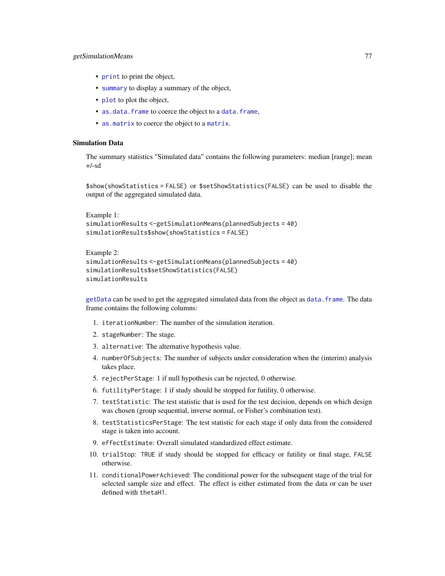# getSimulationMeans 77

- [print](#page-0-0) to print the object,
- [summary](#page-0-0) to display a summary of the object,
- [plot](#page-121-0) to plot the object,
- [as.data.frame](#page-0-0) to coerce the object to a [data.frame](#page-0-0),
- [as.matrix](#page-0-0) to coerce the object to a [matrix](#page-0-0).

# Simulation Data

The summary statistics "Simulated data" contains the following parameters: median [range]; mean +/-sd

\$show(showStatistics = FALSE) or \$setShowStatistics(FALSE) can be used to disable the output of the aggregated simulated data.

```
Example 1:
simulationResults <-getSimulationMeans(plannedSubjects = 40)
simulationResults$show(showStatistics = FALSE)
```

```
Example 2:
simulationResults <-getSimulationMeans(plannedSubjects = 40)
simulationResults$setShowStatistics(FALSE)
simulationResults
```
[getData](#page-16-0) can be used to get the aggregated simulated data from the object as [data.frame](#page-0-0). The data frame contains the following columns:

- 1. iterationNumber: The number of the simulation iteration.
- 2. stageNumber: The stage.
- 3. alternative: The alternative hypothesis value.
- 4. numberOfSubjects: The number of subjects under consideration when the (interim) analysis takes place.
- 5. rejectPerStage: 1 if null hypothesis can be rejected, 0 otherwise.
- 6. futilityPerStage: 1 if study should be stopped for futility, 0 otherwise.
- 7. testStatistic: The test statistic that is used for the test decision, depends on which design was chosen (group sequential, inverse normal, or Fisher's combination test).
- 8. testStatisticsPerStage: The test statistic for each stage if only data from the considered stage is taken into account.
- 9. effectEstimate: Overall simulated standardized effect estimate.
- 10. trialStop: TRUE if study should be stopped for efficacy or futility or final stage, FALSE otherwise.
- 11. conditionalPowerAchieved: The conditional power for the subsequent stage of the trial for selected sample size and effect. The effect is either estimated from the data or can be user defined with thetaH1.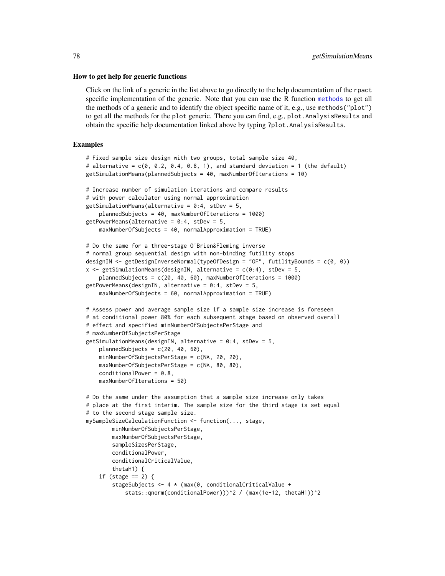#### How to get help for generic functions

Click on the link of a generic in the list above to go directly to the help documentation of the rpact specific implementation of the generic. Note that you can use the R function [methods](#page-0-0) to get all the methods of a generic and to identify the object specific name of it, e.g., use methods("plot") to get all the methods for the plot generic. There you can find, e.g., plot.AnalysisResults and obtain the specific help documentation linked above by typing ?plot.AnalysisResults.

# Examples

```
# Fixed sample size design with two groups, total sample size 40,
# alternative = c(0, 0.2, 0.4, 0.8, 1), and standard deviation = 1 (the default)
getSimulationMeans(plannedSubjects = 40, maxNumberOfIterations = 10)
# Increase number of simulation iterations and compare results
# with power calculator using normal approximation
getSimulationMeans(alternative = 0:4, stDev = 5,
    plannedSubjects = 40, maxNumberOfIterations = 1000)
getPowerMeans(alternative = 0:4, stDev = 5,maxNumberOfSubjects = 40, normalApproximation = TRUE)
# Do the same for a three-stage O'Brien&Fleming inverse
# normal group sequential design with non-binding futility stops
designIN <- getDesignInverseNormal(typeOfDesign = "OF", futilityBounds = c(0, 0))
x \leq - getSimulationMeans(designIN, alternative = c(0:4), stDev = 5,
    plannedSubjects = c(20, 40, 60), maxNumberOfIterations = 1000)
getPowerMeans(designIN, alternative = 0:4, stDev = 5,
   maxNumberOfSubjects = 60, normalApproximation = TRUE)
# Assess power and average sample size if a sample size increase is foreseen
# at conditional power 80% for each subsequent stage based on observed overall
# effect and specified minNumberOfSubjectsPerStage and
# maxNumberOfSubjectsPerStage
getSimulationMeans(designIN, alternative = 0:4, stDev = 5,
    plannedSubjects = c(20, 40, 60),
    minNumberOfSubjectsPerStage = c(NA, 20, 20),
    maxNumberOfSubjectsPerStage = c(NA, 80, 80),
    conditionalPower = 0.8,
   maxNumberOfIterations = 50)
# Do the same under the assumption that a sample size increase only takes
# place at the first interim. The sample size for the third stage is set equal
# to the second stage sample size.
mySampleSizeCalculationFunction <- function(..., stage,
       minNumberOfSubjectsPerStage,
       maxNumberOfSubjectsPerStage,
       sampleSizesPerStage,
       conditionalPower,
       conditionalCriticalValue,
       thetaH1) {
    if (stage == 2) {
       stageSubjects <- 4 * (max(0, conditionalCriticalValue +
            stats::qnorm(conditionalPower)))^2 / (max(1e-12, thetaH1))^2
```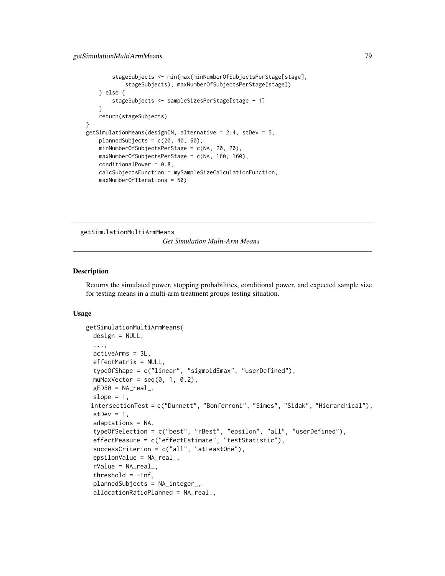```
stageSubjects <- min(max(minNumberOfSubjectsPerStage[stage],
            stageSubjects), maxNumberOfSubjectsPerStage[stage])
    } else {
       stageSubjects <- sampleSizesPerStage[stage - 1]
    }
   return(stageSubjects)
}
getSimulationMeans(designIN, alternative = 2:4, stDev = 5,
   plannedSubjects = c(20, 40, 60),
   minNumberOfSubjectsPerStage = c(NA, 20, 20),
   maxNumberOfSubjectsPerStage = c(NA, 160, 160),
   conditionalPower = 0.8,
    calcSubjectsFunction = mySampleSizeCalculationFunction,
    maxNumberOfIterations = 50)
```
getSimulationMultiArmMeans

*Get Simulation Multi-Arm Means*

## Description

Returns the simulated power, stopping probabilities, conditional power, and expected sample size for testing means in a multi-arm treatment groups testing situation.

## Usage

```
getSimulationMultiArmMeans(
  design = NULL,
  ...,
  activeArms = 3L,
  effectMatrix = NULL,typeOfShape = c("linear", "sigmoidEmax", "userDefined"),
  muMaxVector = seq(0, 1, 0.2),
  gED50 = NA\_real_slope = 1,
 intersectionTest = c("Dunnett", "Bonferroni", "Simes", "Sidak", "Hierarchical"),
  stDev = 1,adaptations = NA,
  typeOfSelection = c("best", "rBest", "epsilon", "all", "userDefined"),
  effectMeasure = c("effectEstimate", "testStatistic"),
  successCriterion = c("all", "atLeastOne"),
  epsilonValue = NA_real_,
  rValue = NA_{real}.
  threshold = -Inf,
  plannedSubjects = NA_integer_,
  allocationRatioPlanned = NA_real_,
```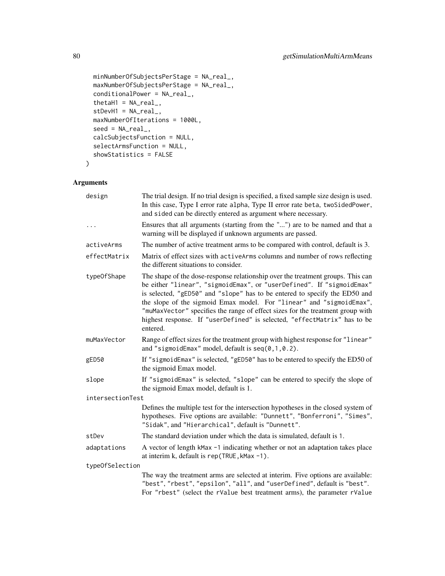```
minNumberOfSubjectsPerStage = NA_real_,
 maxNumberOfSubjectsPerStage = NA_real_,
 conditionalPower = NA_real_,
  thetaH1 = NA_{real_stDevH1 = NA_real_maxNumberOfIterations = 1000L,
  seed = NA\_real_calcSubjectsFunction = NULL,
  selectArmsFunction = NULL,
  showStatistics = FALSE
\mathcal{L}
```
# Arguments

| design           | The trial design. If no trial design is specified, a fixed sample size design is used.<br>In this case, Type I error rate alpha, Type II error rate beta, twoSidedPower,<br>and sided can be directly entered as argument where necessary.                                                                                                                                                                                                                                               |
|------------------|------------------------------------------------------------------------------------------------------------------------------------------------------------------------------------------------------------------------------------------------------------------------------------------------------------------------------------------------------------------------------------------------------------------------------------------------------------------------------------------|
| $\cdots$         | Ensures that all arguments (starting from the "") are to be named and that a<br>warning will be displayed if unknown arguments are passed.                                                                                                                                                                                                                                                                                                                                               |
| activeArms       | The number of active treatment arms to be compared with control, default is 3.                                                                                                                                                                                                                                                                                                                                                                                                           |
| effectMatrix     | Matrix of effect sizes with active Arms columns and number of rows reflecting<br>the different situations to consider.                                                                                                                                                                                                                                                                                                                                                                   |
| type0fShape      | The shape of the dose-response relationship over the treatment groups. This can<br>be either "linear", "sigmoidEmax", or "userDefined". If "sigmoidEmax"<br>is selected, "gED50" and "slope" has to be entered to specify the ED50 and<br>the slope of the sigmoid Emax model. For "linear" and "sigmoidEmax",<br>"muMaxVector" specifies the range of effect sizes for the treatment group with<br>highest response. If "userDefined" is selected, "effectMatrix" has to be<br>entered. |
| muMaxVector      | Range of effect sizes for the treatment group with highest response for "linear"<br>and "sigmoidEmax" model, default is $seq(0, 1, 0.2)$ .                                                                                                                                                                                                                                                                                                                                               |
| gED50            | If "sigmoidEmax" is selected, "gED50" has to be entered to specify the ED50 of<br>the sigmoid Emax model.                                                                                                                                                                                                                                                                                                                                                                                |
| slope            | If "sigmoidEmax" is selected, "slope" can be entered to specify the slope of<br>the sigmoid Emax model, default is 1.                                                                                                                                                                                                                                                                                                                                                                    |
| intersectionTest |                                                                                                                                                                                                                                                                                                                                                                                                                                                                                          |
|                  | Defines the multiple test for the intersection hypotheses in the closed system of<br>hypotheses. Five options are available: "Dunnett", "Bonferroni", "Simes",<br>"Sidak", and "Hierarchical", default is "Dunnett".                                                                                                                                                                                                                                                                     |
| stDev            | The standard deviation under which the data is simulated, default is 1.                                                                                                                                                                                                                                                                                                                                                                                                                  |
| adaptations      | A vector of length kMax -1 indicating whether or not an adaptation takes place<br>at interim k, default is rep(TRUE, kMax -1).                                                                                                                                                                                                                                                                                                                                                           |
| typeOfSelection  |                                                                                                                                                                                                                                                                                                                                                                                                                                                                                          |
|                  | The way the treatment arms are selected at interim. Five options are available:<br>"best", "rbest", "epsilon", "all", and "userDefined", default is "best".<br>For "rbest" (select the rValue best treatment arms), the parameter rValue                                                                                                                                                                                                                                                 |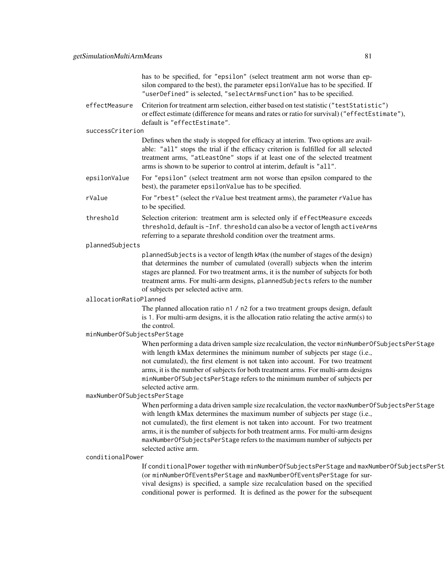has to be specified, for "epsilon" (select treatment arm not worse than epsilon compared to the best), the parameter epsilonValue has to be specified. If "userDefined" is selected, "selectArmsFunction" has to be specified.

effectMeasure Criterion for treatment arm selection, either based on test statistic ("testStatistic") or effect estimate (difference for means and rates or ratio for survival) ("effectEstimate"), default is "effectEstimate".

#### successCriterion

Defines when the study is stopped for efficacy at interim. Two options are available: "all" stops the trial if the efficacy criterion is fulfilled for all selected treatment arms, "atLeastOne" stops if at least one of the selected treatment arms is shown to be superior to control at interim, default is "all".

- epsilonValue For "epsilon" (select treatment arm not worse than epsilon compared to the best), the parameter epsilonValue has to be specified.
- rValue For "rbest" (select the rValue best treatment arms), the parameter rValue has to be specified.
- threshold Selection criterion: treatment arm is selected only if effectMeasure exceeds threshold, default is -Inf. threshold can also be a vector of length activeArms referring to a separate threshold condition over the treatment arms.

#### plannedSubjects

plannedSubjects is a vector of length kMax (the number of stages of the design) that determines the number of cumulated (overall) subjects when the interim stages are planned. For two treatment arms, it is the number of subjects for both treatment arms. For multi-arm designs, plannedSubjects refers to the number of subjects per selected active arm.

## allocationRatioPlanned

The planned allocation ratio n1 / n2 for a two treatment groups design, default is 1. For multi-arm designs, it is the allocation ratio relating the active arm(s) to the control.

## minNumberOfSubjectsPerStage

When performing a data driven sample size recalculation, the vector minNumberOfSubjectsPerStage with length kMax determines the minimum number of subjects per stage (i.e., not cumulated), the first element is not taken into account. For two treatment arms, it is the number of subjects for both treatment arms. For multi-arm designs minNumberOfSubjectsPerStage refers to the minimum number of subjects per selected active arm.

#### maxNumberOfSubjectsPerStage

When performing a data driven sample size recalculation, the vector maxNumberOfSubjectsPerStage with length kMax determines the maximum number of subjects per stage (i.e., not cumulated), the first element is not taken into account. For two treatment arms, it is the number of subjects for both treatment arms. For multi-arm designs maxNumberOfSubjectsPerStage refers to the maximum number of subjects per selected active arm.

## conditionalPower

If conditionalPower together with minNumberOfSubjectsPerStage and maxNumberOfSubjectsPerSt (or minNumberOfEventsPerStage and maxNumberOfEventsPerStage for survival designs) is specified, a sample size recalculation based on the specified conditional power is performed. It is defined as the power for the subsequent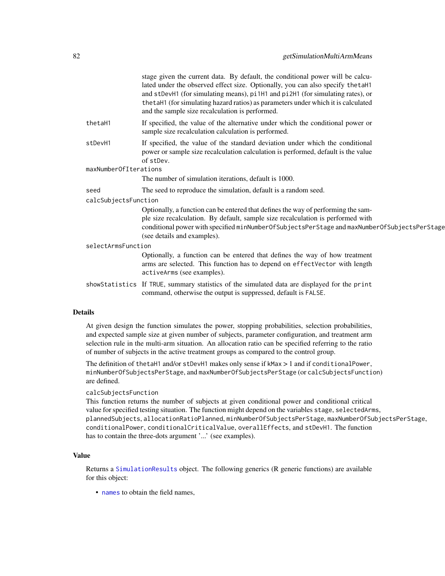|                       | stage given the current data. By default, the conditional power will be calcu-<br>lated under the observed effect size. Optionally, you can also specify the taH1<br>and stDevH1 (for simulating means), pi1H1 and pi2H1 (for simulating rates), or<br>the taH1 (for simulating hazard ratios) as parameters under which it is calculated<br>and the sample size recalculation is performed. |
|-----------------------|----------------------------------------------------------------------------------------------------------------------------------------------------------------------------------------------------------------------------------------------------------------------------------------------------------------------------------------------------------------------------------------------|
| thetaH1               | If specified, the value of the alternative under which the conditional power or<br>sample size recalculation calculation is performed.                                                                                                                                                                                                                                                       |
| stDevH1               | If specified, the value of the standard deviation under which the conditional<br>power or sample size recalculation calculation is performed, default is the value<br>of stDev.                                                                                                                                                                                                              |
| maxNumberOfIterations |                                                                                                                                                                                                                                                                                                                                                                                              |
|                       | The number of simulation iterations, default is 1000.                                                                                                                                                                                                                                                                                                                                        |
| seed                  | The seed to reproduce the simulation, default is a random seed.                                                                                                                                                                                                                                                                                                                              |
| calcSubjectsFunction  |                                                                                                                                                                                                                                                                                                                                                                                              |
|                       | Optionally, a function can be entered that defines the way of performing the sam-<br>ple size recalculation. By default, sample size recalculation is performed with<br>conditional power with specified minNumberOfSubjectsPerStage and maxNumberOfSubjectsPerStage<br>(see details and examples).                                                                                          |
| selectArmsFunction    |                                                                                                                                                                                                                                                                                                                                                                                              |
|                       | Optionally, a function can be entered that defines the way of how treatment<br>arms are selected. This function has to depend on effectVector with length<br>activeArms (see examples).                                                                                                                                                                                                      |
|                       | showStatistics If TRUE, summary statistics of the simulated data are displayed for the print<br>command, otherwise the output is suppressed, default is FALSE.                                                                                                                                                                                                                               |
| etails                |                                                                                                                                                                                                                                                                                                                                                                                              |

# Details

At given design the function simulates the power, stopping probabilities, selection probabilities, and expected sample size at given number of subjects, parameter configuration, and treatment arm selection rule in the multi-arm situation. An allocation ratio can be specified referring to the ratio of number of subjects in the active treatment groups as compared to the control group.

The definition of thetaH1 and/or stDevH1 makes only sense if kMax > 1 and if conditionalPower, minNumberOfSubjectsPerStage, and maxNumberOfSubjectsPerStage (or calcSubjectsFunction) are defined.

# calcSubjectsFunction

This function returns the number of subjects at given conditional power and conditional critical value for specified testing situation. The function might depend on the variables stage, selectedArms, plannedSubjects, allocationRatioPlanned, minNumberOfSubjectsPerStage, maxNumberOfSubjectsPerStage, conditionalPower, conditionalCriticalValue, overallEffects, and stDevH1. The function has to contain the three-dots argument '...' (see examples).

# Value

Returns a [SimulationResults](#page-0-0) object. The following generics (R generic functions) are available for this object:

• [names](#page-0-0) to obtain the field names,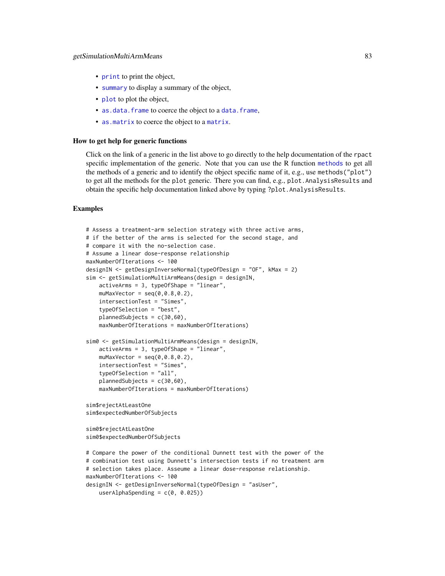- [print](#page-0-0) to print the object,
- [summary](#page-0-0) to display a summary of the object,
- [plot](#page-121-0) to plot the object,
- [as.data.frame](#page-0-0) to coerce the object to a [data.frame](#page-0-0),
- [as.matrix](#page-0-0) to coerce the object to a [matrix](#page-0-0).

#### How to get help for generic functions

Click on the link of a generic in the list above to go directly to the help documentation of the rpact specific implementation of the generic. Note that you can use the R function [methods](#page-0-0) to get all the methods of a generic and to identify the object specific name of it, e.g., use methods("plot") to get all the methods for the plot generic. There you can find, e.g., plot.AnalysisResults and obtain the specific help documentation linked above by typing ?plot.AnalysisResults.

# Examples

```
# Assess a treatment-arm selection strategy with three active arms,
# if the better of the arms is selected for the second stage, and
# compare it with the no-selection case.
# Assume a linear dose-response relationship
maxNumberOfIterations <- 100
designIN <- getDesignInverseNormal(typeOfDesign = "OF", kMax = 2)
sim <- getSimulationMultiArmMeans(design = designIN,
   activeArms = 3, typeOfShape = "linear",
    muMaxVector = seq(0, 0.8, 0.2),
    intersectionTest = "Simes",
    typeOfSelection = "best",
    plannedSubjects = c(30,60),
    maxNumberOfIterations = maxNumberOfIterations)
sim0 <- getSimulationMultiArmMeans(design = designIN,
    activeArms = 3, typeOfShape = "linear",
    muMaxVector = seq(0, 0.8, 0.2),
    intersectionTest = "Simes",
    typeOfSelection = "all",
    plannedSubjects = c(30,60),
    maxNumberOfIterations = maxNumberOfIterations)
sim$rejectAtLeastOne
sim$expectedNumberOfSubjects
sim0$rejectAtLeastOne
sim0$expectedNumberOfSubjects
# Compare the power of the conditional Dunnett test with the power of the
# combination test using Dunnett's intersection tests if no treatment arm
# selection takes place. Asseume a linear dose-response relationship.
maxNumberOfIterations <- 100
designIN <- getDesignInverseNormal(typeOfDesign = "asUser",
```

```
userAlphaSpending = c(0, 0.025)
```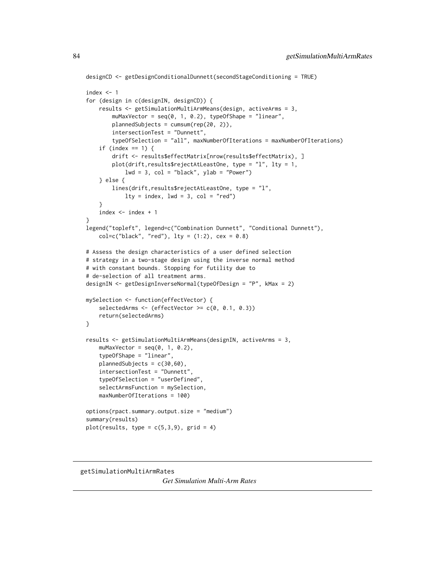```
designCD <- getDesignConditionalDunnett(secondStageConditioning = TRUE)
index <-1for (design in c(designIN, designCD)) {
    results <- getSimulationMultiArmMeans(design, activeArms = 3,
        muMaxVector = seq(0, 1, 0.2), typeOfShape = "linear",
        plannedSubjects = cumsum(rep(20, 2)),
        intersectionTest = "Dunnett",
        typeOfSelection = "all", maxNumberOfIterations = maxNumberOfIterations)
    if (index == 1) {
        drift <- results$effectMatrix[nrow(results$effectMatrix), ]
        plot(drift,results$rejectAtLeastOne, type = "l", lty = 1,
            1wd = 3, col = "black", ylab = "Power")} else {
        lines(drift,results$rejectAtLeastOne, type = "l",
            lty = index, lwd = 3, col = "red")}
    index <- index + 1
}
legend("topleft", legend=c("Combination Dunnett", "Conditional Dunnett"),
   col=c("black", "red"), \; lty = (1:2), \; cex = 0.8)# Assess the design characteristics of a user defined selection
# strategy in a two-stage design using the inverse normal method
# with constant bounds. Stopping for futility due to
# de-selection of all treatment arms.
designIN <- getDesignInverseNormal(typeOfDesign = "P", kMax = 2)
mySelection <- function(effectVector) {
   selectedArms \leq (effectVector \geq c(0, 0.1, 0.3))
   return(selectedArms)
}
results <- getSimulationMultiArmMeans(designIN, activeArms = 3,
    muMaxVector = seq(0, 1, 0.2),
    typeOfShape = "linear",
   plannedSubjects = c(30,60),
    intersectionTest = "Dunnett",
    typeOfSelection = "userDefined",
    selectArmsFunction = mySelection,
    maxNumberOfIterations = 100)
options(rpact.summary.output.size = "medium")
summary(results)
plot(results, type = c(5,3,9), grid = 4)
```
getSimulationMultiArmRates

*Get Simulation Multi-Arm Rates*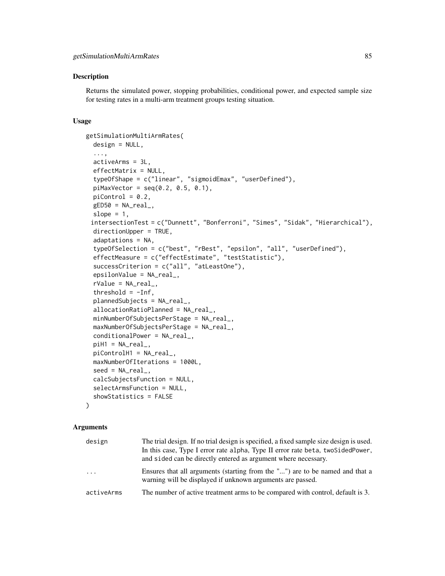#### Description

Returns the simulated power, stopping probabilities, conditional power, and expected sample size for testing rates in a multi-arm treatment groups testing situation.

#### Usage

```
getSimulationMultiArmRates(
  design = NULL,
  ...,
 activeArms = 3L,
  effectMatrix = NULL,
  typeOfShape = c("linear", "sigmoidEmax", "userDefined"),
  piMaxVector = seq(0.2, 0.5, 0.1),
 picontrol = 0.2,
 gED50 = NA\_real_slope = 1,
 intersectionTest = c("Dunnett", "Bonferroni", "Simes", "Sidak", "Hierarchical"),
 directionUpper = TRUE,
  adaptations = NA,
  typeOfSelection = c("best", "rBest", "epsilon", "all", "userDefined"),
  effectMeasure = c("effectEstimate", "testStatistic"),
  successCriterion = c("all", "atLeastOne"),
  epsilonValue = NA_real_,
  rValue = NA_real_,
  threshold = -Inf,
  plannedSubjects = NA_real_,
  allocationRatioPlanned = NA_real_,
  minNumberOfSubjectsPerStage = NA_real_,
 maxNumberOfSubjectsPerStage = NA_real_,
  conditionalPower = NA_real_,
 piH1 = NA_real_piControlH1 = NA_real_,
 maxNumberOfIterations = 1000L,
  seed = NA\_real_calcSubjectsFunction = NULL,
  selectArmsFunction = NULL,
  showStatistics = FALSE
```
 $\lambda$ 

#### Arguments

| design     | The trial design. If no trial design is specified, a fixed sample size design is used.<br>In this case, Type I error rate alpha, Type II error rate beta, two SidedPower,<br>and sided can be directly entered as argument where necessary. |
|------------|---------------------------------------------------------------------------------------------------------------------------------------------------------------------------------------------------------------------------------------------|
| $\cdots$   | Ensures that all arguments (starting from the "") are to be named and that a<br>warning will be displayed if unknown arguments are passed.                                                                                                  |
| activeArms | The number of active treatment arms to be compared with control, default is 3.                                                                                                                                                              |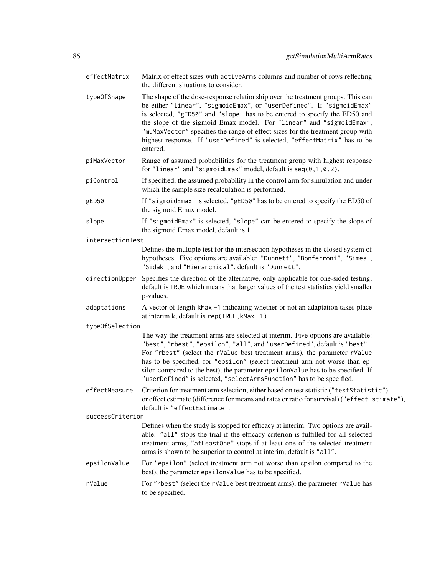effectMatrix Matrix of effect sizes with activeArms columns and number of rows reflecting the different situations to consider. typeOfShape The shape of the dose-response relationship over the treatment groups. This can be either "linear", "sigmoidEmax", or "userDefined". If "sigmoidEmax" is selected, "gED50" and "slope" has to be entered to specify the ED50 and the slope of the sigmoid Emax model. For "linear" and "sigmoidEmax", "muMaxVector" specifies the range of effect sizes for the treatment group with highest response. If "userDefined" is selected, "effectMatrix" has to be entered. piMaxVector Range of assumed probabilities for the treatment group with highest response for "linear" and "sigmoidEmax" model, default is seq(0,1,0.2). piControl If specified, the assumed probability in the control arm for simulation and under which the sample size recalculation is performed. gED50 If "sigmoidEmax" is selected, "gED50" has to be entered to specify the ED50 of the sigmoid Emax model. slope If "sigmoidEmax" is selected, "slope" can be entered to specify the slope of the sigmoid Emax model, default is 1. intersectionTest Defines the multiple test for the intersection hypotheses in the closed system of hypotheses. Five options are available: "Dunnett", "Bonferroni", "Simes", "Sidak", and "Hierarchical", default is "Dunnett". directionUpper Specifies the direction of the alternative, only applicable for one-sided testing; default is TRUE which means that larger values of the test statistics yield smaller p-values. adaptations A vector of length kMax -1 indicating whether or not an adaptation takes place at interim k, default is rep(TRUE,kMax -1). typeOfSelection The way the treatment arms are selected at interim. Five options are available: "best", "rbest", "epsilon", "all", and "userDefined", default is "best". For "rbest" (select the rValue best treatment arms), the parameter rValue has to be specified, for "epsilon" (select treatment arm not worse than epsilon compared to the best), the parameter epsilonValue has to be specified. If "userDefined" is selected, "selectArmsFunction" has to be specified. effectMeasure Criterion for treatment arm selection, either based on test statistic ("testStatistic") or effect estimate (difference for means and rates or ratio for survival) ("effectEstimate"), default is "effectEstimate". successCriterion Defines when the study is stopped for efficacy at interim. Two options are available: "all" stops the trial if the efficacy criterion is fulfilled for all selected treatment arms, "atLeastOne" stops if at least one of the selected treatment arms is shown to be superior to control at interim, default is "all". epsilonValue For "epsilon" (select treatment arm not worse than epsilon compared to the best), the parameter epsilonValue has to be specified. rValue For "rbest" (select the rValue best treatment arms), the parameter rValue has to be specified.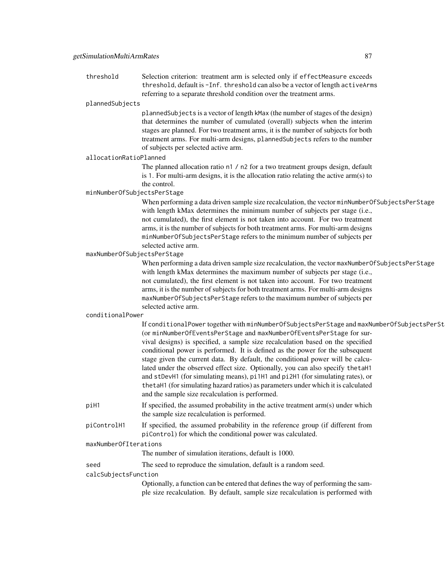threshold Selection criterion: treatment arm is selected only if effectMeasure exceeds threshold, default is -Inf. threshold can also be a vector of length activeArms referring to a separate threshold condition over the treatment arms.

#### plannedSubjects

plannedSubjects is a vector of length kMax (the number of stages of the design) that determines the number of cumulated (overall) subjects when the interim stages are planned. For two treatment arms, it is the number of subjects for both treatment arms. For multi-arm designs, plannedSubjects refers to the number of subjects per selected active arm.

#### allocationRatioPlanned

The planned allocation ratio n1 / n2 for a two treatment groups design, default is 1. For multi-arm designs, it is the allocation ratio relating the active arm(s) to the control.

# minNumberOfSubjectsPerStage

When performing a data driven sample size recalculation, the vector minNumberOfSubjectsPerStage with length kMax determines the minimum number of subjects per stage (i.e., not cumulated), the first element is not taken into account. For two treatment arms, it is the number of subjects for both treatment arms. For multi-arm designs minNumberOfSubjectsPerStage refers to the minimum number of subjects per selected active arm.

## maxNumberOfSubjectsPerStage

When performing a data driven sample size recalculation, the vector maxNumberOfSubjectsPerStage with length kMax determines the maximum number of subjects per stage (i.e., not cumulated), the first element is not taken into account. For two treatment arms, it is the number of subjects for both treatment arms. For multi-arm designs maxNumberOfSubjectsPerStage refers to the maximum number of subjects per selected active arm.

#### conditionalPower

|                       | If conditionalPower together with minNumberOfSubjectsPerStage and maxNumberOfSubjectsPerSt                                                    |
|-----------------------|-----------------------------------------------------------------------------------------------------------------------------------------------|
|                       | (or minNumberOfEventsPerStage and maxNumberOfEventsPerStage for sur-                                                                          |
|                       | vival designs) is specified, a sample size recalculation based on the specified                                                               |
|                       | conditional power is performed. It is defined as the power for the subsequent                                                                 |
|                       | stage given the current data. By default, the conditional power will be calcu-                                                                |
|                       | lated under the observed effect size. Optionally, you can also specify the taH1                                                               |
|                       | and stDevH1 (for simulating means), pi1H1 and pi2H1 (for simulating rates), or                                                                |
|                       | the tah 1 (for simulating hazard ratios) as parameters under which it is calculated                                                           |
|                       | and the sample size recalculation is performed.                                                                                               |
| piH1                  | If specified, the assumed probability in the active treatment arm(s) under which                                                              |
|                       | the sample size recalculation is performed.                                                                                                   |
| piControlH1           | If specified, the assumed probability in the reference group (if different from<br>piControl) for which the conditional power was calculated. |
| maxNumberOfIterations |                                                                                                                                               |
|                       | The number of simulation iterations, default is 1000.                                                                                         |
| seed                  | The seed to reproduce the simulation, default is a random seed.                                                                               |
|                       |                                                                                                                                               |

calcSubjectsFunction

Optionally, a function can be entered that defines the way of performing the sample size recalculation. By default, sample size recalculation is performed with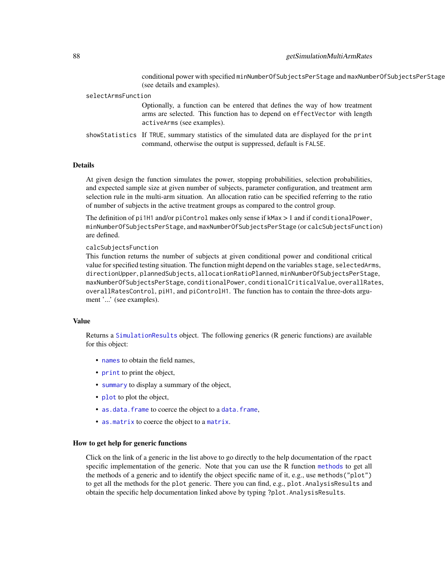### 88 getSimulationMultiArmRates

conditional power with specified minNumberOfSubjectsPerStage and maxNumberOfSubjectsPerStage (see details and examples).

| selectArmsFunction |                                                                                                                                                                                         |  |
|--------------------|-----------------------------------------------------------------------------------------------------------------------------------------------------------------------------------------|--|
|                    | Optionally, a function can be entered that defines the way of how treatment<br>arms are selected. This function has to depend on effectVector with length<br>activeArms (see examples). |  |
|                    | shows tatistics If TRUE, summary statistics of the simulated data are displayed for the print<br>command, otherwise the output is suppressed, default is FALSE.                         |  |

## Details

At given design the function simulates the power, stopping probabilities, selection probabilities, and expected sample size at given number of subjects, parameter configuration, and treatment arm selection rule in the multi-arm situation. An allocation ratio can be specified referring to the ratio of number of subjects in the active treatment groups as compared to the control group.

The definition of pi1H1 and/or piControl makes only sense if kMax > 1 and if conditionalPower, minNumberOfSubjectsPerStage, and maxNumberOfSubjectsPerStage (or calcSubjectsFunction) are defined.

## calcSubjectsFunction

This function returns the number of subjects at given conditional power and conditional critical value for specified testing situation. The function might depend on the variables stage, selectedArms, directionUpper, plannedSubjects, allocationRatioPlanned, minNumberOfSubjectsPerStage, maxNumberOfSubjectsPerStage, conditionalPower, conditionalCriticalValue, overallRates, overallRatesControl, piH1, and piControlH1. The function has to contain the three-dots argument '...' (see examples).

## Value

Returns a [SimulationResults](#page-0-0) object. The following generics (R generic functions) are available for this object:

- [names](#page-0-0) to obtain the field names,
- [print](#page-0-0) to print the object,
- [summary](#page-0-0) to display a summary of the object,
- [plot](#page-121-0) to plot the object,
- [as.data.frame](#page-0-0) to coerce the object to a [data.frame](#page-0-0),
- [as.matrix](#page-0-0) to coerce the object to a [matrix](#page-0-0).

## How to get help for generic functions

Click on the link of a generic in the list above to go directly to the help documentation of the rpact specific implementation of the generic. Note that you can use the R function [methods](#page-0-0) to get all the methods of a generic and to identify the object specific name of it, e.g., use methods("plot") to get all the methods for the plot generic. There you can find, e.g., plot. AnalysisResults and obtain the specific help documentation linked above by typing ?plot.AnalysisResults.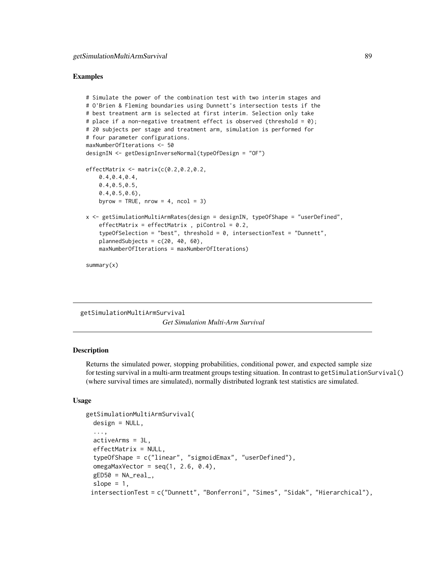#### Examples

```
# Simulate the power of the combination test with two interim stages and
# O'Brien & Fleming boundaries using Dunnett's intersection tests if the
# best treatment arm is selected at first interim. Selection only take
# place if a non-negative treatment effect is observed (threshold = \emptyset);
# 20 subjects per stage and treatment arm, simulation is performed for
# four parameter configurations.
maxNumberOfIterations <- 50
designIN <- getDesignInverseNormal(typeOfDesign = "OF")
effectMatrix <- matrix(c(0.2, 0.2, 0.2,0.4,0.4,0.4,
   0.4,0.5,0.5,
   0.4,0.5,0.6),
   byrow = TRUE, nrow = 4, ncol = 3)
x <- getSimulationMultiArmRates(design = designIN, typeOfShape = "userDefined",
    effectMatrix = effectMatrix, picontrol = 0.2,typeOfSelection = "best", threshold = 0, intersectionTest = "Dunnett",
   plannedSubjects = c(20, 40, 60),
   maxNumberOfIterations = maxNumberOfIterations)
```
summary(x)

getSimulationMultiArmSurvival *Get Simulation Multi-Arm Survival*

## Description

Returns the simulated power, stopping probabilities, conditional power, and expected sample size for testing survival in a multi-arm treatment groups testing situation. In contrast to getSimulationSurvival() (where survival times are simulated), normally distributed logrank test statistics are simulated.

## Usage

```
getSimulationMultiArmSurvival(
  design = NULL,
  ...,
  activeArms = 3L,
  effectMatrix = NULL,
  typeOfShape = c("linear", "sigmoidEmax", "userDefined"),
  omegaAaxVector = seq(1, 2.6, 0.4),
  gED50 = NA\_real_slope = 1,
 intersectionTest = c("Dunnett", "Bonferroni", "Simes", "Sidak", "Hierarchical"),
```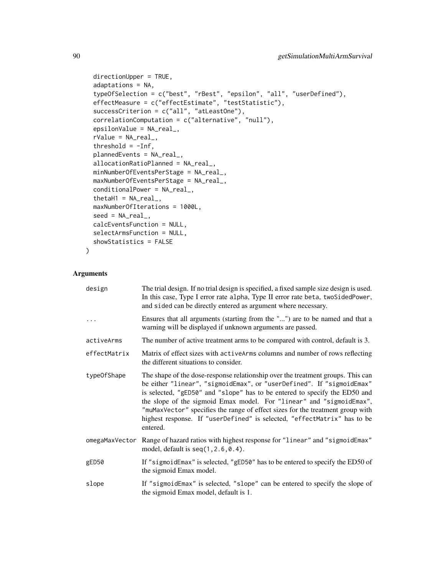```
directionUpper = TRUE,
adaptations = NA,
typeOfSelection = c("best", "rBest", "epsilon", "all", "userDefined"),
effectMeasure = c("effectEstimate", "testStatistic"),
successCriterion = c("all", "atLeastOne"),
correlationComputation = c("alternative", "null"),
epsilon = NA\_real_,
rValue = NA\_real_threshold = -Inf,
plannedEvents = NA_real_,
allocationRatioPlanned = NA_real_,
minNumberOfEventsPerStage = NA_real_,
maxNumberOfEventsPerStage = NA_real_,
conditionalPower = NA_real_,
thetaH1 = NA\_real_,
maxNumberOfIterations = 1000L,
seed = NA_real_,
calcEventsFunction = NULL,
selectArmsFunction = NULL,
showStatistics = FALSE
```

```
Arguments
```
)

| design         | The trial design. If no trial design is specified, a fixed sample size design is used.<br>In this case, Type I error rate alpha, Type II error rate beta, twoSidedPower,<br>and sided can be directly entered as argument where necessary.                                                                                                                                                                                                                                               |
|----------------|------------------------------------------------------------------------------------------------------------------------------------------------------------------------------------------------------------------------------------------------------------------------------------------------------------------------------------------------------------------------------------------------------------------------------------------------------------------------------------------|
| $\ddots$       | Ensures that all arguments (starting from the "") are to be named and that a<br>warning will be displayed if unknown arguments are passed.                                                                                                                                                                                                                                                                                                                                               |
| activeArms     | The number of active treatment arms to be compared with control, default is 3.                                                                                                                                                                                                                                                                                                                                                                                                           |
| effectMatrix   | Matrix of effect sizes with active Arms columns and number of rows reflecting<br>the different situations to consider.                                                                                                                                                                                                                                                                                                                                                                   |
| type0fShape    | The shape of the dose-response relationship over the treatment groups. This can<br>be either "linear", "sigmoidEmax", or "userDefined". If "sigmoidEmax"<br>is selected, "gED50" and "slope" has to be entered to specify the ED50 and<br>the slope of the sigmoid Emax model. For "linear" and "sigmoidEmax",<br>"muMaxVector" specifies the range of effect sizes for the treatment group with<br>highest response. If "userDefined" is selected, "effectMatrix" has to be<br>entered. |
| omegaMaxVector | Range of hazard ratios with highest response for "linear" and "sigmoidEmax"<br>model, default is $seq(1, 2.6, 0.4)$ .                                                                                                                                                                                                                                                                                                                                                                    |
| gED50          | If "sigmoidEmax" is selected, "gED50" has to be entered to specify the ED50 of<br>the sigmoid Emax model.                                                                                                                                                                                                                                                                                                                                                                                |
| slope          | If "sigmoidEmax" is selected, "slope" can be entered to specify the slope of<br>the sigmoid Emax model, default is 1.                                                                                                                                                                                                                                                                                                                                                                    |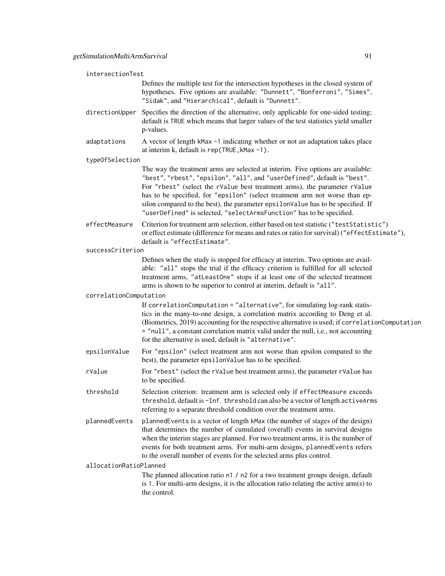| intersectionTest       |                                                                                                                                                                                                                                                                                                                                                                                                                                                                                    |
|------------------------|------------------------------------------------------------------------------------------------------------------------------------------------------------------------------------------------------------------------------------------------------------------------------------------------------------------------------------------------------------------------------------------------------------------------------------------------------------------------------------|
|                        | Defines the multiple test for the intersection hypotheses in the closed system of<br>hypotheses. Five options are available: "Dunnett", "Bonferroni", "Simes",<br>"Sidak", and "Hierarchical", default is "Dunnett".                                                                                                                                                                                                                                                               |
| directionUpper         | Specifies the direction of the alternative, only applicable for one-sided testing;<br>default is TRUE which means that larger values of the test statistics yield smaller<br>p-values.                                                                                                                                                                                                                                                                                             |
| adaptations            | A vector of length kMax -1 indicating whether or not an adaptation takes place<br>at interim k, default is rep(TRUE, kMax -1).                                                                                                                                                                                                                                                                                                                                                     |
| typeOfSelection        |                                                                                                                                                                                                                                                                                                                                                                                                                                                                                    |
|                        | The way the treatment arms are selected at interim. Five options are available:<br>"best", "rbest", "epsilon", "all", and "userDefined", default is "best".<br>For "rbest" (select the rValue best treatment arms), the parameter rValue<br>has to be specified, for "epsilon" (select treatment arm not worse than ep-<br>silon compared to the best), the parameter epsilonValue has to be specified. If<br>"userDefined" is selected, "selectArmsFunction" has to be specified. |
| effectMeasure          | Criterion for treatment arm selection, either based on test statistic ("testStatistic")<br>or effect estimate (difference for means and rates or ratio for survival) ("effectEstimate"),<br>default is "effectEstimate".                                                                                                                                                                                                                                                           |
| successCriterion       |                                                                                                                                                                                                                                                                                                                                                                                                                                                                                    |
|                        | Defines when the study is stopped for efficacy at interim. Two options are avail-<br>able: "all" stops the trial if the efficacy criterion is fulfilled for all selected<br>treatment arms, "atLeastOne" stops if at least one of the selected treatment<br>arms is shown to be superior to control at interim, default is "all".                                                                                                                                                  |
| correlationComputation |                                                                                                                                                                                                                                                                                                                                                                                                                                                                                    |
|                        | If correlationComputation = "alternative", for simulating log-rank statis-<br>tics in the many-to-one design, a correlation matrix according to Deng et al.<br>(Biometrics, 2019) accounting for the respective alternative is used; if correlationComputation<br>= "null", a constant correlation matrix valid under the null, i.e., not accounting<br>for the alternative is used, default is "alternative".                                                                     |
| epsilonValue           | For "epsilon" (select treatment arm not worse than epsilon compared to the<br>best), the parameter epsilonValue has to be specified.                                                                                                                                                                                                                                                                                                                                               |
| rValue                 | For "rbest" (select the rValue best treatment arms), the parameter rValue has<br>to be specified.                                                                                                                                                                                                                                                                                                                                                                                  |
| threshold              | Selection criterion: treatment arm is selected only if effectMeasure exceeds<br>threshold, default is -Inf. threshold can also be a vector of length activeArms<br>referring to a separate threshold condition over the treatment arms.                                                                                                                                                                                                                                            |
| plannedEvents          | plannedEvents is a vector of length kMax (the number of stages of the design)<br>that determines the number of cumulated (overall) events in survival designs<br>when the interim stages are planned. For two treatment arms, it is the number of<br>events for both treatment arms. For multi-arm designs, plannedEvents refers<br>to the overall number of events for the selected arms plus control.                                                                            |
| allocationRatioPlanned |                                                                                                                                                                                                                                                                                                                                                                                                                                                                                    |
|                        | The planned allocation ratio n1 / n2 for a two treatment groups design, default<br>is 1. For multi-arm designs, it is the allocation ratio relating the active $arm(s)$ to<br>the control.                                                                                                                                                                                                                                                                                         |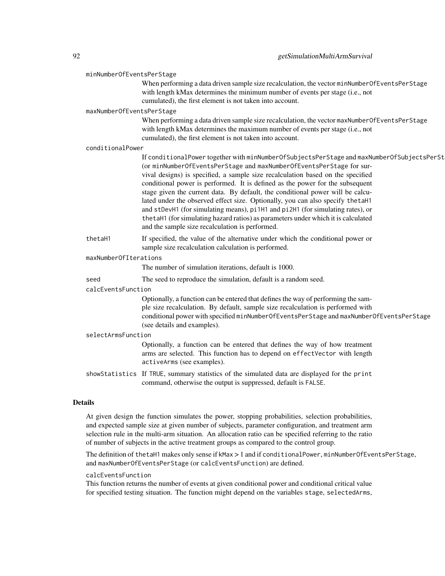#### minNumberOfEventsPerStage

When performing a data driven sample size recalculation, the vector minNumberOfEventsPerStage with length kMax determines the minimum number of events per stage (i.e., not cumulated), the first element is not taken into account.

#### maxNumberOfEventsPerStage

When performing a data driven sample size recalculation, the vector maxNumberOfEventsPerStage with length kMax determines the maximum number of events per stage (i.e., not cumulated), the first element is not taken into account.

#### conditionalPower

If conditionalPower together with minNumberOfSubjectsPerStage and maxNumberOfSubjectsPerSt (or minNumberOfEventsPerStage and maxNumberOfEventsPerStage for survival designs) is specified, a sample size recalculation based on the specified conditional power is performed. It is defined as the power for the subsequent stage given the current data. By default, the conditional power will be calculated under the observed effect size. Optionally, you can also specify thetaH1 and stDevH1 (for simulating means), pi1H1 and pi2H1 (for simulating rates), or thetaH1 (for simulating hazard ratios) as parameters under which it is calculated and the sample size recalculation is performed.

thetaH1 If specified, the value of the alternative under which the conditional power or sample size recalculation calculation is performed.

## maxNumberOfIterations

The number of simulation iterations, default is 1000.

seed The seed to reproduce the simulation, default is a random seed.

#### calcEventsFunction

Optionally, a function can be entered that defines the way of performing the sample size recalculation. By default, sample size recalculation is performed with conditional power with specified minNumberOfEventsPerStage and maxNumberOfEventsPerStage (see details and examples).

## selectArmsFunction

Optionally, a function can be entered that defines the way of how treatment arms are selected. This function has to depend on effectVector with length activeArms (see examples).

showStatistics If TRUE, summary statistics of the simulated data are displayed for the print command, otherwise the output is suppressed, default is FALSE.

## **Details**

At given design the function simulates the power, stopping probabilities, selection probabilities, and expected sample size at given number of subjects, parameter configuration, and treatment arm selection rule in the multi-arm situation. An allocation ratio can be specified referring to the ratio of number of subjects in the active treatment groups as compared to the control group.

The definition of thetaH1 makes only sense if kMax > 1 and if conditionalPower, minNumberOfEventsPerStage, and maxNumberOfEventsPerStage (or calcEventsFunction) are defined.

## calcEventsFunction

This function returns the number of events at given conditional power and conditional critical value for specified testing situation. The function might depend on the variables stage, selectedArms,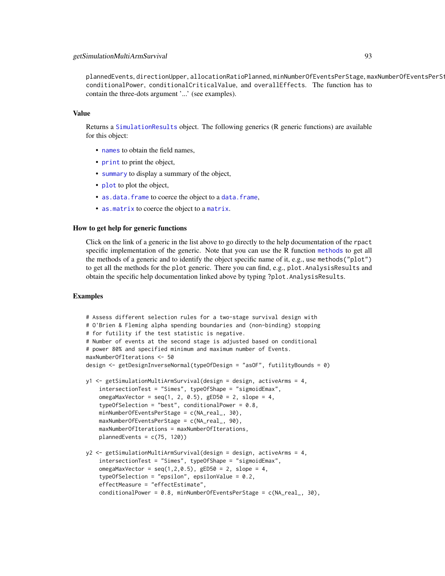plannedEvents, directionUpper, allocationRatioPlanned, minNumberOfEventsPerStage, maxNumberOfEventsPerStage, conditionalPower, conditionalCriticalValue, and overallEffects. The function has to contain the three-dots argument '...' (see examples).

#### Value

Returns a [SimulationResults](#page-0-0) object. The following generics (R generic functions) are available for this object:

- [names](#page-0-0) to obtain the field names,
- [print](#page-0-0) to print the object,
- [summary](#page-0-0) to display a summary of the object,
- [plot](#page-121-0) to plot the object,
- [as.data.frame](#page-0-0) to coerce the object to a [data.frame](#page-0-0),
- [as.matrix](#page-0-0) to coerce the object to a [matrix](#page-0-0).

## How to get help for generic functions

Click on the link of a generic in the list above to go directly to the help documentation of the rpact specific implementation of the generic. Note that you can use the R function [methods](#page-0-0) to get all the methods of a generic and to identify the object specific name of it, e.g., use methods("plot") to get all the methods for the plot generic. There you can find, e.g., plot.AnalysisResults and obtain the specific help documentation linked above by typing ?plot.AnalysisResults.

#### Examples

```
# Assess different selection rules for a two-stage survival design with
# O'Brien & Fleming alpha spending boundaries and (non-binding) stopping
# for futility if the test statistic is negative.
# Number of events at the second stage is adjusted based on conditional
# power 80% and specified minimum and maximum number of Events.
maxNumberOfIterations <- 50
design <- getDesignInverseNormal(typeOfDesign = "asOF", futilityBounds = 0)
y1 <- getSimulationMultiArmSurvival(design = design, activeArms = 4,
    intersectionTest = "Simes", typeOfShape = "sigmoidEmax",
    omegaMaxVector = seq(1, 2, 0.5), gED50 = 2, slope = 4,
    typeOfSelection = "best", conditionalPower = 0.8,
    minNumberOfEventsPerStage = c(NA_real_, 30),
   maxNumberOfEventsPerStage = c(NA_real_, 90),
   maxNumberOfIterations = maxNumberOfIterations,
   plannedEvents = c(75, 120)y2 <- getSimulationMultiArmSurvival(design = design, activeArms = 4,
    intersectionTest = "Simes", typeOfShape = "sigmoidEmax",
    omegaMaxVector = seq(1, 2, 0.5), gED50 = 2, slope = 4,
    typeOfSelection = "epsilon", epsilonValue = 0.2,
    effectMeasure = "effectEstimate",
    conditionalPower = 0.8, minNumberOfEventsPerStage = c(NA_real_, 30),
```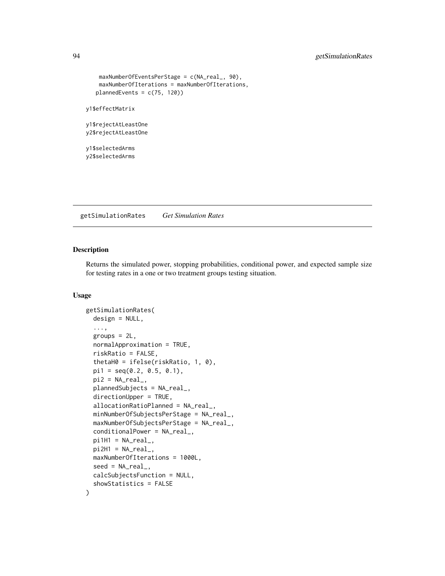# 94 getSimulationRates

```
maxNumberOfEventsPerStage = c(NA_real_, 90),
   maxNumberOfIterations = maxNumberOfIterations,
  plannedEvents = c(75, 120))
y1$effectMatrix
```
y1\$rejectAtLeastOne y2\$rejectAtLeastOne

y1\$selectedArms y2\$selectedArms

getSimulationRates *Get Simulation Rates*

## Description

Returns the simulated power, stopping probabilities, conditional power, and expected sample size for testing rates in a one or two treatment groups testing situation.

#### Usage

```
getSimulationRates(
  design = NULL,
  ...,
 groups = 2L,
 normalApproximation = TRUE,
 riskRatio = FALSE,
  thetaH0 = ifelse(riskRatio, 1, 0),
 pi1 = seq(0.2, 0.5, 0.1),pi2 = NA\_real_plannedSubjects = NA_real_,
  directionUpper = TRUE,
  allocationRatioPlanned = NA_real_,
 minNumberOfSubjectsPerStage = NA_real_,
 maxNumberOfSubjectsPerStage = NA_real_,
  conditionalPower = NA_real_,
 pi1H1 = NA\_real_pi2H1 = NA\_real_maxNumberOfIterations = 1000L,
  seed = NA\_real_.
  calcSubjectsFunction = NULL,
  showStatistics = FALSE
)
```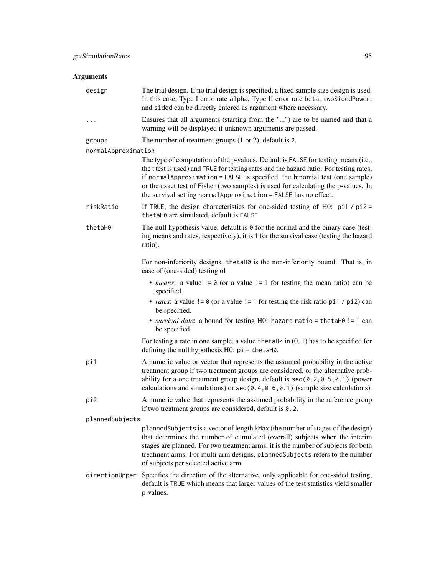# Arguments

| design              | The trial design. If no trial design is specified, a fixed sample size design is used.<br>In this case, Type I error rate alpha, Type II error rate beta, twoSidedPower,<br>and sided can be directly entered as argument where necessary.                                                                                                                                                                             |
|---------------------|------------------------------------------------------------------------------------------------------------------------------------------------------------------------------------------------------------------------------------------------------------------------------------------------------------------------------------------------------------------------------------------------------------------------|
| $\cdots$            | Ensures that all arguments (starting from the "") are to be named and that a<br>warning will be displayed if unknown arguments are passed.                                                                                                                                                                                                                                                                             |
| groups              | The number of treatment groups $(1 \text{ or } 2)$ , default is 2.                                                                                                                                                                                                                                                                                                                                                     |
| normalApproximation |                                                                                                                                                                                                                                                                                                                                                                                                                        |
|                     | The type of computation of the p-values. Default is FALSE for testing means (i.e.,<br>the t test is used) and TRUE for testing rates and the hazard ratio. For testing rates,<br>if normalApproximation = FALSE is specified, the binomial test (one sample)<br>or the exact test of Fisher (two samples) is used for calculating the p-values. In<br>the survival setting normal Approximation = FALSE has no effect. |
| riskRatio           | If TRUE, the design characteristics for one-sided testing of H0: $pi1 / pi2 =$<br>thetaH0 are simulated, default is FALSE.                                                                                                                                                                                                                                                                                             |
| thetaH0             | The null hypothesis value, default is $\theta$ for the normal and the binary case (test-<br>ing means and rates, respectively), it is 1 for the survival case (testing the hazard<br>ratio).                                                                                                                                                                                                                           |
|                     | For non-inferiority designs, the taH0 is the non-inferiority bound. That is, in<br>case of (one-sided) testing of                                                                                                                                                                                                                                                                                                      |
|                     | • <i>means</i> : a value $!= 0$ (or a value $!= 1$ for testing the mean ratio) can be<br>specified.                                                                                                                                                                                                                                                                                                                    |
|                     | • <i>rates</i> : a value $!= 0$ (or a value $!= 1$ for testing the risk ratio pi1 / pi2) can<br>be specified.                                                                                                                                                                                                                                                                                                          |
|                     | • survival data: a bound for testing HO: hazard ratio = thetaH0 != 1 can<br>be specified.                                                                                                                                                                                                                                                                                                                              |
|                     | For testing a rate in one sample, a value the taller in $(0, 1)$ has to be specified for<br>defining the null hypothesis $H0$ : $pi = \text{thetaH0}$ .                                                                                                                                                                                                                                                                |
| pi1                 | A numeric value or vector that represents the assumed probability in the active<br>treatment group if two treatment groups are considered, or the alternative prob-<br>ability for a one treatment group design, default is $seq(0.2, 0.5, 0.1)$ (power<br>calculations and simulations) or $seq(0.4, 0.6, 0.1)$ (sample size calculations).                                                                           |
| pi2                 | A numeric value that represents the assumed probability in the reference group<br>if two treatment groups are considered, default is 0.2.                                                                                                                                                                                                                                                                              |
| plannedSubjects     |                                                                                                                                                                                                                                                                                                                                                                                                                        |
|                     | plannedSubjects is a vector of length kMax (the number of stages of the design)<br>that determines the number of cumulated (overall) subjects when the interim<br>stages are planned. For two treatment arms, it is the number of subjects for both<br>treatment arms. For multi-arm designs, plannedSubjects refers to the number<br>of subjects per selected active arm.                                             |
| directionUpper      | Specifies the direction of the alternative, only applicable for one-sided testing;<br>default is TRUE which means that larger values of the test statistics yield smaller<br>p-values.                                                                                                                                                                                                                                 |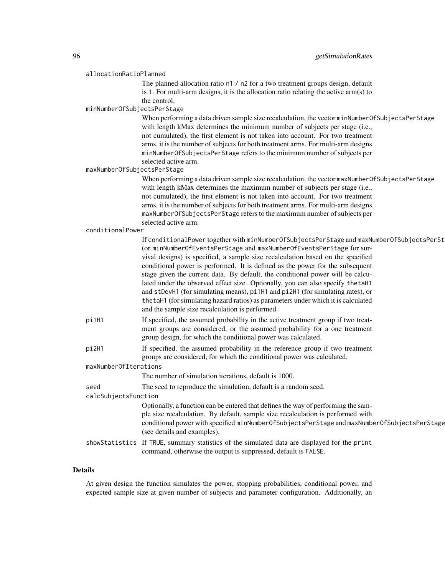# allocationRatioPlanned

The planned allocation ratio n1 / n2 for a two treatment groups design, default is 1. For multi-arm designs, it is the allocation ratio relating the active arm(s) to the control.

#### minNumberOfSubjectsPerStage

When performing a data driven sample size recalculation, the vector minNumberOfSubjectsPerStage with length kMax determines the minimum number of subjects per stage (i.e., not cumulated), the first element is not taken into account. For two treatment arms, it is the number of subjects for both treatment arms. For multi-arm designs minNumberOfSubjectsPerStage refers to the minimum number of subjects per selected active arm.

maxNumberOfSubjectsPerStage

When performing a data driven sample size recalculation, the vector maxNumberOfSubjectsPerStage with length kMax determines the maximum number of subjects per stage (i.e., not cumulated), the first element is not taken into account. For two treatment arms, it is the number of subjects for both treatment arms. For multi-arm designs maxNumberOfSubjectsPerStage refers to the maximum number of subjects per selected active arm.

#### conditionalPower

|                       | If conditionalPower together with minNumberOfSubjectsPerStage and maxNumberOfSubjectsPerSt<br>(or minNumberOfEventsPerStage and maxNumberOfEventsPerStage for sur-<br>vival designs) is specified, a sample size recalculation based on the specified<br>conditional power is performed. It is defined as the power for the subsequent<br>stage given the current data. By default, the conditional power will be calcu-<br>lated under the observed effect size. Optionally, you can also specify the taH1<br>and stDevH1 (for simulating means), pi1H1 and pi2H1 (for simulating rates), or<br>the taH1 (for simulating hazard ratios) as parameters under which it is calculated<br>and the sample size recalculation is performed. |  |
|-----------------------|----------------------------------------------------------------------------------------------------------------------------------------------------------------------------------------------------------------------------------------------------------------------------------------------------------------------------------------------------------------------------------------------------------------------------------------------------------------------------------------------------------------------------------------------------------------------------------------------------------------------------------------------------------------------------------------------------------------------------------------|--|
| pi1H1                 | If specified, the assumed probability in the active treatment group if two treat-<br>ment groups are considered, or the assumed probability for a one treatment<br>group design, for which the conditional power was calculated.                                                                                                                                                                                                                                                                                                                                                                                                                                                                                                       |  |
| pi2H1                 | If specified, the assumed probability in the reference group if two treatment<br>groups are considered, for which the conditional power was calculated.                                                                                                                                                                                                                                                                                                                                                                                                                                                                                                                                                                                |  |
| maxNumberOfIterations |                                                                                                                                                                                                                                                                                                                                                                                                                                                                                                                                                                                                                                                                                                                                        |  |
|                       | The number of simulation iterations, default is 1000.                                                                                                                                                                                                                                                                                                                                                                                                                                                                                                                                                                                                                                                                                  |  |
| seed                  | The seed to reproduce the simulation, default is a random seed.                                                                                                                                                                                                                                                                                                                                                                                                                                                                                                                                                                                                                                                                        |  |
| calcSubjectsFunction  |                                                                                                                                                                                                                                                                                                                                                                                                                                                                                                                                                                                                                                                                                                                                        |  |
|                       | Optionally, a function can be entered that defines the way of performing the sam-<br>ple size recalculation. By default, sample size recalculation is performed with<br>conditional power with specified minNumberOfSubjectsPerStage and maxNumberOfSubjectsPerStage<br>(see details and examples).                                                                                                                                                                                                                                                                                                                                                                                                                                    |  |
|                       | showStatistics If TRUE, summary statistics of the simulated data are displayed for the print<br>command, otherwise the output is suppressed, default is FALSE.                                                                                                                                                                                                                                                                                                                                                                                                                                                                                                                                                                         |  |
|                       |                                                                                                                                                                                                                                                                                                                                                                                                                                                                                                                                                                                                                                                                                                                                        |  |

## Details

At given design the function simulates the power, stopping probabilities, conditional power, and expected sample size at given number of subjects and parameter configuration. Additionally, an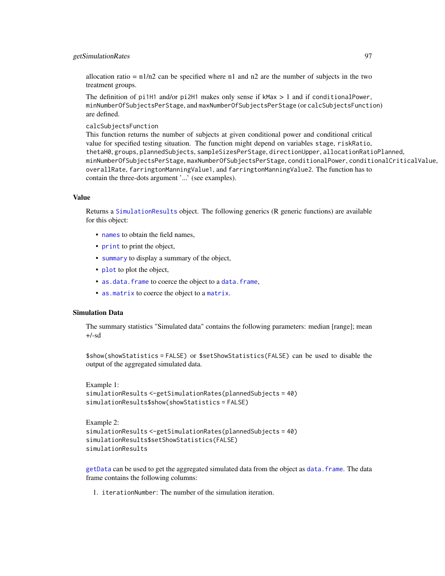# getSimulationRates 97

allocation ratio =  $n1/n2$  can be specified where n1 and n2 are the number of subjects in the two treatment groups.

The definition of pi1H1 and/or pi2H1 makes only sense if kMax  $> 1$  and if conditionalPower, minNumberOfSubjectsPerStage, and maxNumberOfSubjectsPerStage (or calcSubjectsFunction) are defined.

calcSubjectsFunction

This function returns the number of subjects at given conditional power and conditional critical value for specified testing situation. The function might depend on variables stage, riskRatio, thetaH0, groups, plannedSubjects, sampleSizesPerStage, directionUpper, allocationRatioPlanned, minNumberOfSubjectsPerStage, maxNumberOfSubjectsPerStage, conditionalPower, conditionalCriticalValue, overallRate, farringtonManningValue1, and farringtonManningValue2. The function has to contain the three-dots argument '...' (see examples).

## Value

Returns a [SimulationResults](#page-0-0) object. The following generics (R generic functions) are available for this object:

- [names](#page-0-0) to obtain the field names,
- [print](#page-0-0) to print the object,
- [summary](#page-0-0) to display a summary of the object,
- [plot](#page-121-0) to plot the object,
- [as.data.frame](#page-0-0) to coerce the object to a [data.frame](#page-0-0),
- [as.matrix](#page-0-0) to coerce the object to a [matrix](#page-0-0).

## Simulation Data

The summary statistics "Simulated data" contains the following parameters: median [range]; mean +/-sd

\$show(showStatistics = FALSE) or \$setShowStatistics(FALSE) can be used to disable the output of the aggregated simulated data.

```
Example 1:
simulationResults <-getSimulationRates(plannedSubjects = 40)
simulationResults$show(showStatistics = FALSE)
```

```
Example 2:
simulationResults <-getSimulationRates(plannedSubjects = 40)
simulationResults$setShowStatistics(FALSE)
simulationResults
```
[getData](#page-16-0) can be used to get the aggregated simulated data from the object as [data.frame](#page-0-0). The data frame contains the following columns:

1. iterationNumber: The number of the simulation iteration.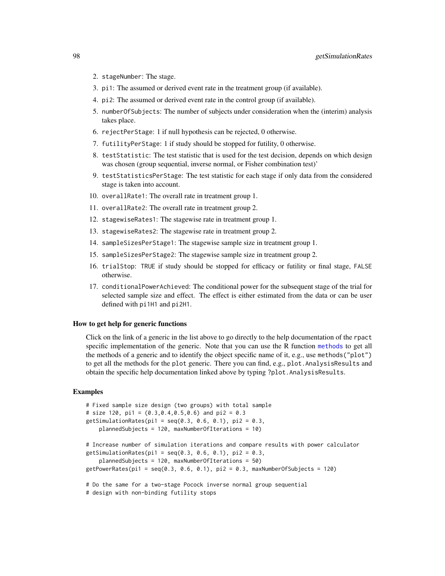- 2. stageNumber: The stage.
- 3. pi1: The assumed or derived event rate in the treatment group (if available).
- 4. pi2: The assumed or derived event rate in the control group (if available).
- 5. numberOfSubjects: The number of subjects under consideration when the (interim) analysis takes place.
- 6. rejectPerStage: 1 if null hypothesis can be rejected, 0 otherwise.
- 7. futilityPerStage: 1 if study should be stopped for futility, 0 otherwise.
- 8. testStatistic: The test statistic that is used for the test decision, depends on which design was chosen (group sequential, inverse normal, or Fisher combination test)'
- 9. testStatisticsPerStage: The test statistic for each stage if only data from the considered stage is taken into account.
- 10. overallRate1: The overall rate in treatment group 1.
- 11. overallRate2: The overall rate in treatment group 2.
- 12. stagewiseRates1: The stagewise rate in treatment group 1.
- 13. stagewiseRates2: The stagewise rate in treatment group 2.
- 14. sampleSizesPerStage1: The stagewise sample size in treatment group 1.
- 15. sampleSizesPerStage2: The stagewise sample size in treatment group 2.
- 16. trialStop: TRUE if study should be stopped for efficacy or futility or final stage, FALSE otherwise.
- 17. conditionalPowerAchieved: The conditional power for the subsequent stage of the trial for selected sample size and effect. The effect is either estimated from the data or can be user defined with pi1H1 and pi2H1.

#### How to get help for generic functions

Click on the link of a generic in the list above to go directly to the help documentation of the rpact specific implementation of the generic. Note that you can use the R function [methods](#page-0-0) to get all the methods of a generic and to identify the object specific name of it, e.g., use methods("plot") to get all the methods for the plot generic. There you can find, e.g., plot.AnalysisResults and obtain the specific help documentation linked above by typing ?plot.AnalysisResults.

#### Examples

```
# Fixed sample size design (two groups) with total sample
# size 120, pi1 = (0.3, 0.4, 0.5, 0.6) and pi2 = 0.3
getSimulationRates(pi1 = seq(0.3, 0.6, 0.1), pi2 = 0.3,
    plannedSubjects = 120, maxNumberOfIterations = 10)
# Increase number of simulation iterations and compare results with power calculator
getSimulation Rates(pi1 = seq(0.3, 0.6, 0.1), pi2 = 0.3,plannedSubjects = 120, maxNumberOfIterations = 50)
getPowerRates(pi1 = seq(0.3, 0.6, 0.1), pi2 = 0.3, maxNumberOfSubjects = 120)
# Do the same for a two-stage Pocock inverse normal group sequential
# design with non-binding futility stops
```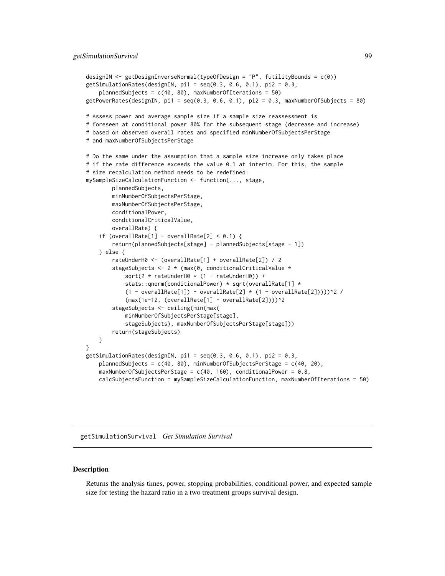```
designIN <- getDesignInverseNormal(typeOfDesign = "P", futilityBounds = c(0))
getSimulationRates(designIN, pi = seq(0.3, 0.6, 0.1), pi2 = 0.3,
   plannedSubjects = c(40, 80), maxNumberOfIterations = 50)
getPowerRates(designIN, pi1 = seq(0.3, 0.6, 0.1), pi2 = 0.3, maxNumberOfSubjects = 80)
# Assess power and average sample size if a sample size reassessment is
# foreseen at conditional power 80% for the subsequent stage (decrease and increase)
# based on observed overall rates and specified minNumberOfSubjectsPerStage
# and maxNumberOfSubjectsPerStage
# Do the same under the assumption that a sample size increase only takes place
# if the rate difference exceeds the value 0.1 at interim. For this, the sample
# size recalculation method needs to be redefined:
mySampleSizeCalculationFunction <- function(..., stage,
       plannedSubjects,
       minNumberOfSubjectsPerStage,
       maxNumberOfSubjectsPerStage,
       conditionalPower,
       conditionalCriticalValue,
       overallRate) {
   if (overallRate[1] - overallRate[2] < 0.1) {
       return(plannedSubjects[stage] - plannedSubjects[stage - 1])
   } else {
       rateUnderH0 <- (overallRate[1] + overallRate[2]) / 2
       stageSubjects <- 2 * (max(0, conditionalCriticalValue *
            sqrt(2 * rateUnderH0 * (1 - rateUnderH0)) +
            stats::qnorm(conditionalPower) * sqrt(overallRate[1] *
            (1 - overallRate[1]) + overallRate[2] * (1 - overallRate[2]))<sup>2</sup>/
            (max(1e-12, (overallRate[1] - overallRate[2])))^2
       stageSubjects <- ceiling(min(max(
           minNumberOfSubjectsPerStage[stage],
           stageSubjects), maxNumberOfSubjectsPerStage[stage]))
       return(stageSubjects)
   }
}
getSimulationRates(designIN, pi = seq(0.3, 0.6, 0.1), pi2 = 0.3,
   plannedSubjects = c(40, 80), minNumberOfSubjectsPerStage = c(40, 20),
   maxNumberOfSubjectsPerStage = c(40, 160), conditionalPower = 0.8,
   calcSubjectsFunction = mySampleSizeCalculationFunction, maxNumberOfIterations = 50)
```
getSimulationSurvival *Get Simulation Survival*

#### **Description**

Returns the analysis times, power, stopping probabilities, conditional power, and expected sample size for testing the hazard ratio in a two treatment groups survival design.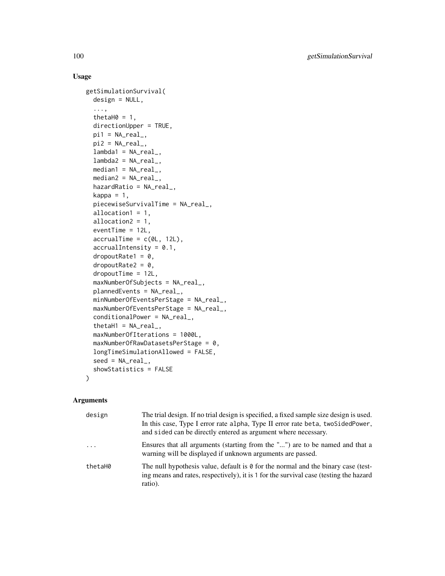# Usage

```
getSimulationSurvival(
  design = NULL,
  ...,
  thetaH0 = 1,
  directionUpper = TRUE,
  pi1 = NA\_real_pi2 = NA\_real_lambda = NA_{real_-,lambda2 = NA_{real_median1 = NA\_real_,
  median2 = NA_{real_hazardRatio = NA_real_,
  kappa = 1,
  piecewiseSurvivalTime = NA_real_,
  allocation1 = 1,
  allocation2 = 1,
  eventTime = 12L,
  accrualTime = c(0L, 12L),accrualIntensity = 0.1,
  droputRate1 = 0,dropoutRate2 = 0,
  dropoutTime = 12L,
  maxNumberOfSubjects = NA_real_,
  plannedEvents = NA_real_,
  minNumberOfEventsPerStage = NA_real_,
  maxNumberOfEventsPerStage = NA_real_,
  conditionalPower = NA_real_,
  thetaH1 = NA_{real_-,}maxNumberOfIterations = 1000L,
  maxNumberOfRawDatasetsPerStage = 0,
  longTimeSimulationAllowed = FALSE,
  seed = NA\_real_showStatistics = FALSE
)
```
# Arguments

| design   | The trial design. If no trial design is specified, a fixed sample size design is used.<br>In this case, Type I error rate alpha, Type II error rate beta, twoSidedPower,<br>and sided can be directly entered as argument where necessary. |
|----------|--------------------------------------------------------------------------------------------------------------------------------------------------------------------------------------------------------------------------------------------|
| $\cdots$ | Ensures that all arguments (starting from the "") are to be named and that a<br>warning will be displayed if unknown arguments are passed.                                                                                                 |
| thetaH0  | The null hypothesis value, default is $\theta$ for the normal and the binary case (test-<br>ing means and rates, respectively), it is 1 for the survival case (testing the hazard<br>ratio).                                               |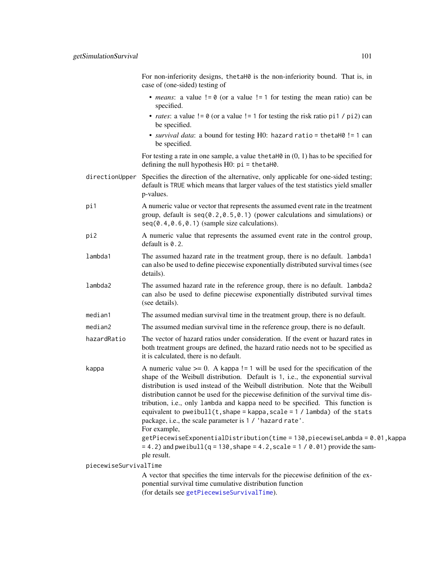For non-inferiority designs, thetaH0 is the non-inferiority bound. That is, in case of (one-sided) testing of

- *means*: a value != 0 (or a value != 1 for testing the mean ratio) can be specified.
- *rates*: a value  $!= 0$  (or a value  $!= 1$  for testing the risk ratio pi1 / pi2) can be specified.
- *survival data*: a bound for testing H0: hazard ratio = thetaH0 != 1 can be specified.

For testing a rate in one sample, a value the tah $\emptyset$  in  $(0, 1)$  has to be specified for defining the null hypothesis H0: pi = thetaH0.

- directionUpper Specifies the direction of the alternative, only applicable for one-sided testing; default is TRUE which means that larger values of the test statistics yield smaller p-values.
- pi1 A numeric value or vector that represents the assumed event rate in the treatment group, default is seq(0.2,0.5,0.1) (power calculations and simulations) or seq(0.4,0.6,0.1) (sample size calculations).
- pi2 A numeric value that represents the assumed event rate in the control group, default is  $0.2$ .
- lambda1 The assumed hazard rate in the treatment group, there is no default. lambda1 can also be used to define piecewise exponentially distributed survival times (see details).
- lambda2 The assumed hazard rate in the reference group, there is no default. lambda2 can also be used to define piecewise exponentially distributed survival times (see details).
- median1 The assumed median survival time in the treatment group, there is no default.
- median2 The assumed median survival time in the reference group, there is no default.
- hazardRatio The vector of hazard ratios under consideration. If the event or hazard rates in both treatment groups are defined, the hazard ratio needs not to be specified as it is calculated, there is no default.
- kappa  $\blacksquare$  A numeric value  $\gt = 0$ . A kappa != 1 will be used for the specification of the shape of the Weibull distribution. Default is 1, i.e., the exponential survival distribution is used instead of the Weibull distribution. Note that the Weibull distribution cannot be used for the piecewise definition of the survival time distribution, i.e., only lambda and kappa need to be specified. This function is equivalent to pweibull(t, shape = kappa, scale =  $1 /$  lambda) of the stats package, i.e., the scale parameter is 1 / 'hazard rate'.
	- For example,
		- getPiecewiseExponentialDistribution(time = 130,piecewiseLambda = 0.01,kappa  $= 4.2$ ) and pweibull(q = 130, shape = 4.2, scale = 1 / 0.01) provide the sample result.

piecewiseSurvivalTime

A vector that specifies the time intervals for the piecewise definition of the exponential survival time cumulative distribution function (for details see [getPiecewiseSurvivalTime](#page-42-0)).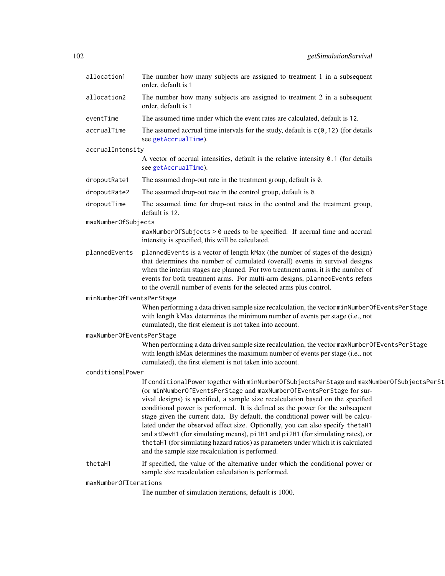| allocation1               | The number how many subjects are assigned to treatment 1 in a subsequent<br>order, default is 1                                                                                                                                                                                                                                                                                                                                                                                                                                                                                                                                                                                                                                        |  |
|---------------------------|----------------------------------------------------------------------------------------------------------------------------------------------------------------------------------------------------------------------------------------------------------------------------------------------------------------------------------------------------------------------------------------------------------------------------------------------------------------------------------------------------------------------------------------------------------------------------------------------------------------------------------------------------------------------------------------------------------------------------------------|--|
| allocation2               | The number how many subjects are assigned to treatment 2 in a subsequent<br>order, default is 1                                                                                                                                                                                                                                                                                                                                                                                                                                                                                                                                                                                                                                        |  |
| eventTime                 | The assumed time under which the event rates are calculated, default is 12.                                                                                                                                                                                                                                                                                                                                                                                                                                                                                                                                                                                                                                                            |  |
| accrualTime               | The assumed accrual time intervals for the study, default is $c(0, 12)$ (for details<br>see getAccrualTime).                                                                                                                                                                                                                                                                                                                                                                                                                                                                                                                                                                                                                           |  |
| accrualIntensity          |                                                                                                                                                                                                                                                                                                                                                                                                                                                                                                                                                                                                                                                                                                                                        |  |
|                           | A vector of accrual intensities, default is the relative intensity $0.1$ (for details<br>see getAccrualTime).                                                                                                                                                                                                                                                                                                                                                                                                                                                                                                                                                                                                                          |  |
| dropoutRate1              | The assumed drop-out rate in the treatment group, default is $0$ .                                                                                                                                                                                                                                                                                                                                                                                                                                                                                                                                                                                                                                                                     |  |
| dropoutRate2              | The assumed drop-out rate in the control group, default is 0.                                                                                                                                                                                                                                                                                                                                                                                                                                                                                                                                                                                                                                                                          |  |
| dropoutTime               | The assumed time for drop-out rates in the control and the treatment group,<br>default is 12.                                                                                                                                                                                                                                                                                                                                                                                                                                                                                                                                                                                                                                          |  |
| maxNumberOfSubjects       |                                                                                                                                                                                                                                                                                                                                                                                                                                                                                                                                                                                                                                                                                                                                        |  |
|                           | maxNumberOfSubjects > 0 needs to be specified. If accrual time and accrual<br>intensity is specified, this will be calculated.                                                                                                                                                                                                                                                                                                                                                                                                                                                                                                                                                                                                         |  |
| plannedEvents             | plannedEvents is a vector of length kMax (the number of stages of the design)<br>that determines the number of cumulated (overall) events in survival designs<br>when the interim stages are planned. For two treatment arms, it is the number of<br>events for both treatment arms. For multi-arm designs, plannedEvents refers<br>to the overall number of events for the selected arms plus control.                                                                                                                                                                                                                                                                                                                                |  |
| minNumberOfEventsPerStage |                                                                                                                                                                                                                                                                                                                                                                                                                                                                                                                                                                                                                                                                                                                                        |  |
|                           | When performing a data driven sample size recalculation, the vector minNumberOfEventsPerStage<br>with length kMax determines the minimum number of events per stage (i.e., not<br>cumulated), the first element is not taken into account.                                                                                                                                                                                                                                                                                                                                                                                                                                                                                             |  |
| maxNumberOfEventsPerStage |                                                                                                                                                                                                                                                                                                                                                                                                                                                                                                                                                                                                                                                                                                                                        |  |
|                           | When performing a data driven sample size recalculation, the vector maxNumberOfEventsPerStage<br>with length kMax determines the maximum number of events per stage (i.e., not<br>cumulated), the first element is not taken into account.                                                                                                                                                                                                                                                                                                                                                                                                                                                                                             |  |
| conditionalPower          |                                                                                                                                                                                                                                                                                                                                                                                                                                                                                                                                                                                                                                                                                                                                        |  |
|                           | If conditionalPower together with minNumberOfSubjectsPerStage and maxNumberOfSubjectsPerSt<br>(or minNumberOfEventsPerStage and maxNumberOfEventsPerStage for sur-<br>vival designs) is specified, a sample size recalculation based on the specified<br>conditional power is performed. It is defined as the power for the subsequent<br>stage given the current data. By default, the conditional power will be calcu-<br>lated under the observed effect size. Optionally, you can also specify the taH1<br>and stDevH1 (for simulating means), pi1H1 and pi2H1 (for simulating rates), or<br>the taH1 (for simulating hazard ratios) as parameters under which it is calculated<br>and the sample size recalculation is performed. |  |
| thetaH1                   | If specified, the value of the alternative under which the conditional power or<br>sample size recalculation calculation is performed.                                                                                                                                                                                                                                                                                                                                                                                                                                                                                                                                                                                                 |  |
| maxNumberOfIterations     |                                                                                                                                                                                                                                                                                                                                                                                                                                                                                                                                                                                                                                                                                                                                        |  |
|                           |                                                                                                                                                                                                                                                                                                                                                                                                                                                                                                                                                                                                                                                                                                                                        |  |

The number of simulation iterations, default is 1000.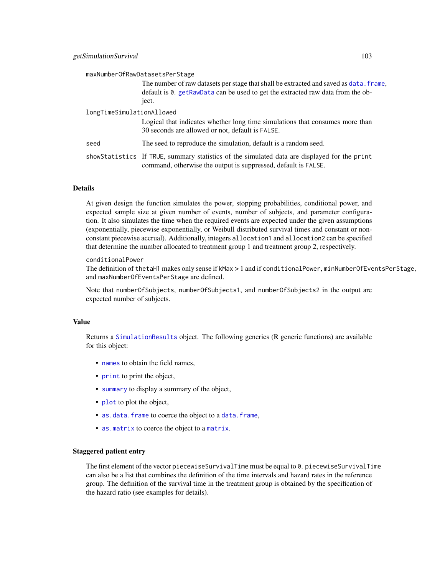| maxNumberOfRawDatasetsPerStage |                                                                                                                                                                                    |  |
|--------------------------------|------------------------------------------------------------------------------------------------------------------------------------------------------------------------------------|--|
|                                | The number of raw datasets per stage that shall be extracted and saved as data. frame,<br>default is 0. getRawData can be used to get the extracted raw data from the ob-<br>ject. |  |
| longTimeSimulationAllowed      |                                                                                                                                                                                    |  |
|                                | Logical that indicates whether long time simulations that consumes more than<br>30 seconds are allowed or not, default is FALSE.                                                   |  |
| seed                           | The seed to reproduce the simulation, default is a random seed.                                                                                                                    |  |
|                                | showStatistics If TRUE, summary statistics of the simulated data are displayed for the print<br>command, otherwise the output is suppressed, default is FALSE.                     |  |

# Details

At given design the function simulates the power, stopping probabilities, conditional power, and expected sample size at given number of events, number of subjects, and parameter configuration. It also simulates the time when the required events are expected under the given assumptions (exponentially, piecewise exponentially, or Weibull distributed survival times and constant or nonconstant piecewise accrual). Additionally, integers allocation1 and allocation2 can be specified that determine the number allocated to treatment group 1 and treatment group 2, respectively.

#### conditionalPower

The definition of thetaH1 makes only sense if kMax > 1 and if conditionalPower, minNumberOfEventsPerStage, and maxNumberOfEventsPerStage are defined.

Note that numberOfSubjects, numberOfSubjects1, and numberOfSubjects2 in the output are expected number of subjects.

#### Value

Returns a [SimulationResults](#page-0-0) object. The following generics (R generic functions) are available for this object:

- [names](#page-0-0) to obtain the field names,
- [print](#page-0-0) to print the object,
- [summary](#page-0-0) to display a summary of the object,
- [plot](#page-121-0) to plot the object,
- [as.data.frame](#page-0-0) to coerce the object to a [data.frame](#page-0-0),
- [as.matrix](#page-0-0) to coerce the object to a [matrix](#page-0-0).

## Staggered patient entry

The first element of the vector piecewiseSurvivalTime must be equal to 0. piecewiseSurvivalTime can also be a list that combines the definition of the time intervals and hazard rates in the reference group. The definition of the survival time in the treatment group is obtained by the specification of the hazard ratio (see examples for details).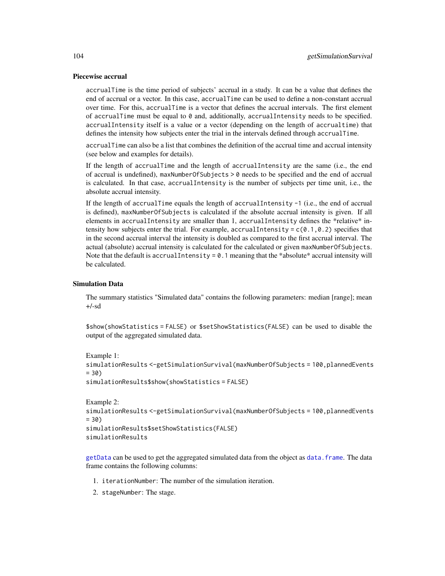#### Piecewise accrual

accrualTime is the time period of subjects' accrual in a study. It can be a value that defines the end of accrual or a vector. In this case, accrualTime can be used to define a non-constant accrual over time. For this, accrualTime is a vector that defines the accrual intervals. The first element of accrualTime must be equal to 0 and, additionally, accrualIntensity needs to be specified. accrualIntensity itself is a value or a vector (depending on the length of accrualtime) that defines the intensity how subjects enter the trial in the intervals defined through accrualTime.

accrualTime can also be a list that combines the definition of the accrual time and accrual intensity (see below and examples for details).

If the length of accrualTime and the length of accrualIntensity are the same (i.e., the end of accrual is undefined), maxNumberOfSubjects > 0 needs to be specified and the end of accrual is calculated. In that case, accrualIntensity is the number of subjects per time unit, i.e., the absolute accrual intensity.

If the length of accrualTime equals the length of accrualIntensity -1 (i.e., the end of accrual is defined), maxNumberOfSubjects is calculated if the absolute accrual intensity is given. If all elements in accrualIntensity are smaller than 1, accrualIntensity defines the \*relative\* intensity how subjects enter the trial. For example, accrualIntensity =  $c(0.1, 0.2)$  specifies that in the second accrual interval the intensity is doubled as compared to the first accrual interval. The actual (absolute) accrual intensity is calculated for the calculated or given maxNumberOfSubjects. Note that the default is accrualIntensity =  $0.1$  meaning that the \*absolute\* accrual intensity will be calculated.

#### Simulation Data

The summary statistics "Simulated data" contains the following parameters: median [range]; mean +/-sd

\$show(showStatistics = FALSE) or \$setShowStatistics(FALSE) can be used to disable the output of the aggregated simulated data.

```
Example 1:
```

```
simulationResults <-getSimulationSurvival(maxNumberOfSubjects = 100, plannedEvents
= 30
```
simulationResults\$show(showStatistics = FALSE)

```
Example 2:
simulationResults <-getSimulationSurvival(maxNumberOfSubjects = 100,plannedEvents
= 30simulationResults$setShowStatistics(FALSE)
simulationResults
```
[getData](#page-16-0) can be used to get the aggregated simulated data from the object as [data.frame](#page-0-0). The data frame contains the following columns:

- 1. iterationNumber: The number of the simulation iteration.
- 2. stageNumber: The stage.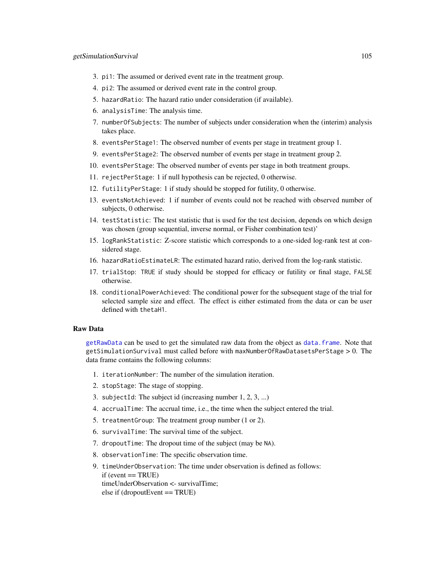- 3. pi1: The assumed or derived event rate in the treatment group.
- 4. pi2: The assumed or derived event rate in the control group.
- 5. hazardRatio: The hazard ratio under consideration (if available).
- 6. analysisTime: The analysis time.
- 7. numberOfSubjects: The number of subjects under consideration when the (interim) analysis takes place.
- 8. eventsPerStage1: The observed number of events per stage in treatment group 1.
- 9. eventsPerStage2: The observed number of events per stage in treatment group 2.
- 10. eventsPerStage: The observed number of events per stage in both treatment groups.
- 11. rejectPerStage: 1 if null hypothesis can be rejected, 0 otherwise.
- 12. futilityPerStage: 1 if study should be stopped for futility, 0 otherwise.
- 13. eventsNotAchieved: 1 if number of events could not be reached with observed number of subjects, 0 otherwise.
- 14. testStatistic: The test statistic that is used for the test decision, depends on which design was chosen (group sequential, inverse normal, or Fisher combination test)'
- 15. logRankStatistic: Z-score statistic which corresponds to a one-sided log-rank test at considered stage.
- 16. hazardRatioEstimateLR: The estimated hazard ratio, derived from the log-rank statistic.
- 17. trialStop: TRUE if study should be stopped for efficacy or futility or final stage, FALSE otherwise.
- 18. conditionalPowerAchieved: The conditional power for the subsequent stage of the trial for selected sample size and effect. The effect is either estimated from the data or can be user defined with thetaH1.

# Raw Data

[getRawData](#page-58-0) can be used to get the simulated raw data from the object as [data.frame](#page-0-0). Note that getSimulationSurvival must called before with maxNumberOfRawDatasetsPerStage > 0. The data frame contains the following columns:

- 1. iterationNumber: The number of the simulation iteration.
- 2. stopStage: The stage of stopping.
- 3. subjectId: The subject id (increasing number 1, 2, 3, ...)
- 4. accrualTime: The accrual time, i.e., the time when the subject entered the trial.
- 5. treatmentGroup: The treatment group number (1 or 2).
- 6. survivalTime: The survival time of the subject.
- 7. dropoutTime: The dropout time of the subject (may be NA).
- 8. observationTime: The specific observation time.
- 9. timeUnderObservation: The time under observation is defined as follows:  $if (event == TRUE)$ timeUnderObservation <- survivalTime; else if (dropoutEvent == TRUE)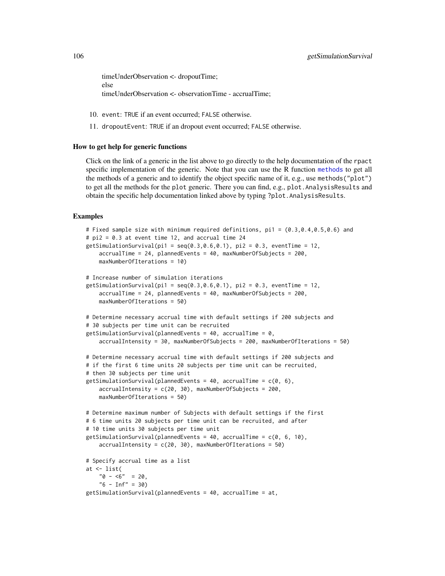timeUnderObservation <- dropoutTime; else timeUnderObservation <- observationTime - accrualTime;

- 10. event: TRUE if an event occurred; FALSE otherwise.
- 11. dropoutEvent: TRUE if an dropout event occurred; FALSE otherwise.

## How to get help for generic functions

Click on the link of a generic in the list above to go directly to the help documentation of the rpact specific implementation of the generic. Note that you can use the R function [methods](#page-0-0) to get all the methods of a generic and to identify the object specific name of it, e.g., use methods("plot") to get all the methods for the plot generic. There you can find, e.g., plot.AnalysisResults and obtain the specific help documentation linked above by typing ?plot.AnalysisResults.

## Examples

```
# Fixed sample size with minimum required definitions, pi1 = (0.3,0.4,0.5,0.6) and
# pi2 = 0.3 at event time 12, and accrual time 24
getSimulationSurvival(pi1 = seq(0.3, 0.6, 0.1), pi2 = 0.3, eventTime = 12,
    accrualTime = 24, plannedEvents = 40, maxNumberOfSubjects = 200,
    maxNumberOfIterations = 10)
# Increase number of simulation iterations
getSimulationSurvival(pi1 = seq(0.3, 0.6, 0.1), pi2 = 0.3, eventTime = 12,
    accrualTime = 24, plannedEvents = 40, maxNumberOfSubjects = 200,
   maxNumberOfIterations = 50)
# Determine necessary accrual time with default settings if 200 subjects and
# 30 subjects per time unit can be recruited
getSimulationSurvival(plannedEvents = 40, accrualTime = 0,
    accrualIntensity = 30, maxNumberOfSubjects = 200, maxNumberOfIterations = 50)
# Determine necessary accrual time with default settings if 200 subjects and
# if the first 6 time units 20 subjects per time unit can be recruited,
# then 30 subjects per time unit
getSimulationSurvival(plannedEvents = 40, accrualTime = c(0, 6),
    accrualIntensity = c(20, 30), maxNumberOfSubjects = 200,
    maxNumberOfIterations = 50)
# Determine maximum number of Subjects with default settings if the first
# 6 time units 20 subjects per time unit can be recruited, and after
# 10 time units 30 subjects per time unit
getSimulationSurvival(plannedEvents = 40, accrualTime = c(0, 6, 10),
    accrualIntensity = c(20, 30), maxNumberOfIterations = 50)
# Specify accrual time as a list
at <- list(
    "0 - 5" = 20,"6 - Inf" = 30)getSimulationSurvival(plannedEvents = 40, accrualTime = at,
```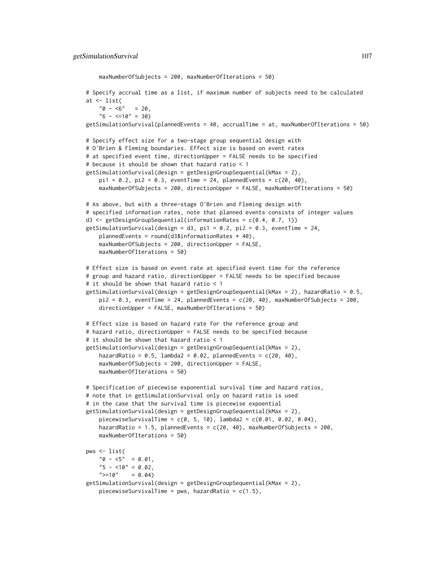```
maxNumberOfSubjects = 200, maxNumberOfIterations = 50)
# Specify accrual time as a list, if maximum number of subjects need to be calculated
at <- list(
    "0 - 5" = 20,"6 - \leq 10" = 30getSimulationSurvival(plannedEvents = 40, accrualTime = at, maxNumberOfIterations = 50)
# Specify effect size for a two-stage group sequential design with
# O'Brien & Fleming boundaries. Effect size is based on event rates
# at specified event time, directionUpper = FALSE needs to be specified
# because it should be shown that hazard ratio < 1
getSimulationSurvival(design = getDesignGroupSequential(kMax = 2),
    pi1 = 0.2, pi2 = 0.3, eventTime = 24, plannedEvents = c(20, 40),
    maxNumberOfSubjects = 200, directionUpper = FALSE, maxNumberOfIterations = 50)
# As above, but with a three-stage O'Brien and Fleming design with
# specified information rates, note that planned events consists of integer values
d3 \le getDesignGroupSequential(informationRates = c(0.4, 0.7, 1))
getSimulationSurvival(design = d3, pi1 = 0.2, pi2 = 0.3, eventTime = 24,
    plannedEvents = round(d3$information Rates * 40),
    maxNumberOfSubjects = 200, directionUpper = FALSE,
    maxNumberOfIterations = 50)
# Effect size is based on event rate at specified event time for the reference
# group and hazard ratio, directionUpper = FALSE needs to be specified because
# it should be shown that hazard ratio < 1
getSimulationSurvival(design = getDesignGroupSequential(kMax = 2), hazardRatio = 0.5,
    pi2 = 0.3, eventTime = 24, plannedEvents = c(20, 40), maxNumberOfSubjects = 200,
    directionUpper = FALSE, maxNumberOfIterations = 50)
# Effect size is based on hazard rate for the reference group and
# hazard ratio, directionUpper = FALSE needs to be specified because
# it should be shown that hazard ratio < 1
getSimulationSurvival(design = getDesignGroupSequential(kMax = 2),
    hazardRatio = 0.5, lambda2 = 0.02, plannedEvents = c(20, 40),
    maxNumberOfSubjects = 200, directionUpper = FALSE,
   maxNumberOfIterations = 50)
# Specification of piecewise exponential survival time and hazard ratios,
# note that in getSimulationSurvival only on hazard ratio is used
# in the case that the survival time is piecewise expoential
getSimulationSurvival(design = getDesignGroupSequential(kMax = 2),
    piecewiseSurvivalTime = c(0, 5, 10), lambda2 = c(0.01, 0.02, 0.04),
    hazardRatio = 1.5, plannedEvents = c(20, 40), maxNumberOfSubjects = 200,
    maxNumberOfIterations = 50)
pws <- list(
    "0 - 5" = 0.01,"5 - 10" = 0.02">=10" = 0.04getSimulationSurvival(design = getDesignGroupSequential(kMax = 2),
    piecewiseSurvivalTime = pws, hazardRatio = c(1.5),
```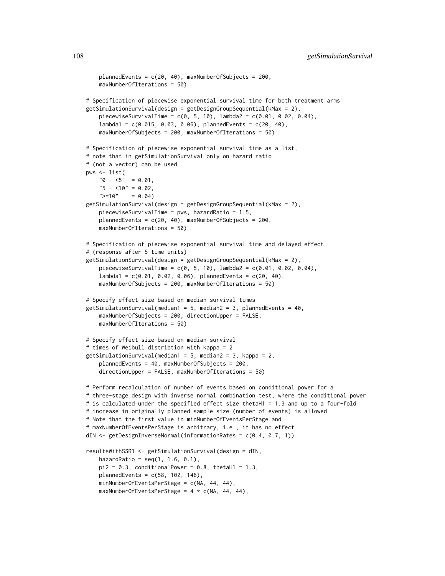```
plannedEvents = c(20, 40), maxNumberOfSubjects = 200,
    maxNumberOfIterations = 50)
# Specification of piecewise exponential survival time for both treatment arms
getSimulationSurvival(design = getDesignGroupSequential(kMax = 2),
    piecewiseSurvivalTime = c(0, 5, 10), lambda = c(0.01, 0.02, 0.04),lambda1 = c(0.015, 0.03, 0.06), plannedEvents = c(20, 40),
    maxNumberOfSubjects = 200, maxNumberOfIterations = 50)
# Specification of piecewise exponential survival time as a list,
# note that in getSimulationSurvival only on hazard ratio
# (not a vector) can be used
pws <- list(
    "0 - 5" = 0.01,
    "5 - 10" = 0.02,">=10" = 0.04getSimulationSurvival(design = getDesignGroupSequential(kMax = 2),
    piecewiseSurvivalTime = pws, hazardRatio = 1.5,
    plannedEvents = c(20, 40), maxNumberOfSubjects = 200,
    maxNumberOfIterations = 50)
# Specification of piecewise exponential survival time and delayed effect
# (response after 5 time units)
getSimulationSurvival(design = getDesignGroupSequential(kMax = 2),
    piecewiseSurvivalTime = c(0, 5, 10), lambda = c(0.01, 0.02, 0.04),lambda1 = c(0.01, 0.02, 0.06), plannedEvents = c(20, 40),
    maxNumberOfSubjects = 200, maxNumberOfIterations = 50)
# Specify effect size based on median survival times
getSimulationSurvival(median1 = 5, median2 = 3, plannedEvents = 40,
    maxNumberOfSubjects = 200, directionUpper = FALSE,
    maxNumberOfIterations = 50)
# Specify effect size based on median survival
# times of Weibull distribtion with kappa = 2
getSimulationSurvival(median1 = 5, median2 = 3, kappa = 2,
    plannedEvents = 40, maxNumberOfSubjects = 200,
    directionUpper = FALSE, maxNumberOfIterations = 50)
# Perform recalculation of number of events based on conditional power for a
# three-stage design with inverse normal combination test, where the conditional power
# is calculated under the specified effect size thetaH1 = 1.3 and up to a four-fold
# increase in originally planned sample size (number of events) is allowed
# Note that the first value in minNumberOfEventsPerStage and
# maxNumberOfEventsPerStage is arbitrary, i.e., it has no effect.
dIN <- getDesignInverseNormal(informationRates = c(0.4, 0.7, 1))
resultsWithSSR1 <- getSimulationSurvival(design = dIN,
    hazardRatio = seq(1, 1.6, 0.1),
   pi2 = 0.3, conditionalPower = 0.8, thetaH1 = 1.3,
   plannedEvents = c(58, 102, 146),
    minNumberOfEventsPerStage = c(NA, 44, 44),
    maxNumberOfEventsPerStage = 4 * c(NA, 44, 44),
```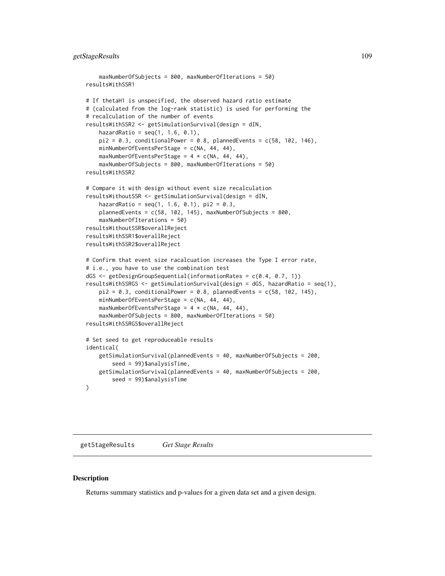## getStageResults 109

```
maxNumberOfSubjects = 800, maxNumberOfIterations = 50)
resultsWithSSR1
# If thetaH1 is unspecified, the observed hazard ratio estimate
# (calculated from the log-rank statistic) is used for performing the
# recalculation of the number of events
resultsWithSSR2 <- getSimulationSurvival(design = dIN,
   hazardRatio = seq(1, 1.6, 0.1),
   pi2 = 0.3, conditionalPower = 0.8, plannedEvents = c(58, 102, 146),
   minNumberOfEventsPerStage = c(NA, 44, 44),
   maxNumberOfEventsPerStage = 4 * c(NA, 44, 44),
    maxNumberOfSubjects = 800, maxNumberOfIterations = 50)
resultsWithSSR2
# Compare it with design without event size recalculation
resultsWithoutSSR <- getSimulationSurvival(design = dIN,
    hazardRatio = seq(1, 1.6, 0.1), pi2 = 0.3,plannedEvents = c(58, 102, 145), maxNumberOfSubjects = 800,
    maxNumberOfIterations = 50)
resultsWithoutSSR$overallReject
resultsWithSSR1$overallReject
resultsWithSSR2$overallReject
# Confirm that event size racalcuation increases the Type I error rate,
# i.e., you have to use the combination test
dGS <- getDesignGroupSequential(informationRates = c(0.4, 0.7, 1))
resultsWithSSRGS <- getSimulationSurvival(design = dGS, hazardRatio = seq(1),
    pi2 = 0.3, conditionalPower = 0.8, plannedEvents = c(58, 102, 145),
    minNumberOfEventsPerStage = c(NA, 44, 44),
   maxNumberOfEventsPerStage = 4 * c(NA, 44, 44),
    maxNumberOfSubjects = 800, maxNumberOfIterations = 50)
resultsWithSSRGS$overallReject
# Set seed to get reproduceable results
identical(
   getSimulationSurvival(plannedEvents = 40, maxNumberOfSubjects = 200,
        seed = 99)$analysisTime,
    getSimulationSurvival(plannedEvents = 40, maxNumberOfSubjects = 200,
        seed = 99)$analysisTime
\lambda
```
<span id="page-108-0"></span>getStageResults *Get Stage Results*

#### **Description**

Returns summary statistics and p-values for a given data set and a given design.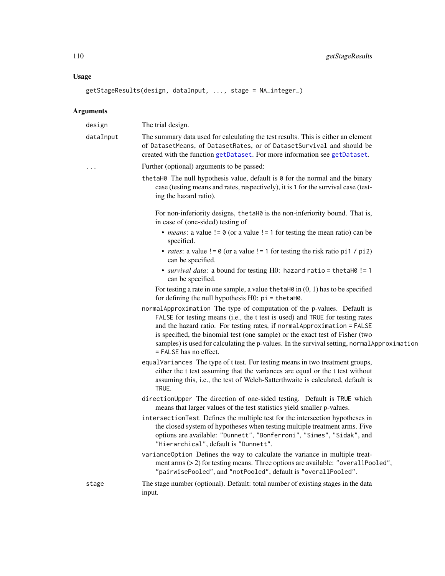## Usage

```
getStageResults(design, dataInput, ..., stage = NA_integer_)
```

| design    | The trial design.                                                                                                                                                                                                                                                                                                                                                                                                                                 |
|-----------|---------------------------------------------------------------------------------------------------------------------------------------------------------------------------------------------------------------------------------------------------------------------------------------------------------------------------------------------------------------------------------------------------------------------------------------------------|
| dataInput | The summary data used for calculating the test results. This is either an element<br>of DatasetMeans, of DatasetRates, or of DatasetSurvival and should be<br>created with the function getDataset. For more information see getDataset.                                                                                                                                                                                                          |
| .         | Further (optional) arguments to be passed:                                                                                                                                                                                                                                                                                                                                                                                                        |
|           | the taH0 The null hypothesis value, default is 0 for the normal and the binary<br>case (testing means and rates, respectively), it is 1 for the survival case (test-<br>ing the hazard ratio).                                                                                                                                                                                                                                                    |
|           | For non-inferiority designs, the taH0 is the non-inferiority bound. That is,<br>in case of (one-sided) testing of                                                                                                                                                                                                                                                                                                                                 |
|           | • <i>means</i> : a value $!= 0$ (or a value $!= 1$ for testing the mean ratio) can be<br>specified.                                                                                                                                                                                                                                                                                                                                               |
|           | • <i>rates</i> : a value $!= 0$ (or a value $!= 1$ for testing the risk ratio pi1 / pi2)<br>can be specified.                                                                                                                                                                                                                                                                                                                                     |
|           | • survival data: a bound for testing H0: hazard ratio = thetaH0 != 1<br>can be specified.                                                                                                                                                                                                                                                                                                                                                         |
|           | For testing a rate in one sample, a value the taH $\theta$ in $(0, 1)$ has to be specified<br>for defining the null hypothesis $H0$ : $pi = \theta$ = the tah $\theta$ .                                                                                                                                                                                                                                                                          |
|           | normalApproximation The type of computation of the p-values. Default is<br>FALSE for testing means (i.e., the t test is used) and TRUE for testing rates<br>and the hazard ratio. For testing rates, if normal Approximation = FALSE<br>is specified, the binomial test (one sample) or the exact test of Fisher (two<br>samples) is used for calculating the p-values. In the survival setting, normal Approximation<br>$=$ FALSE has no effect. |
|           | equalVariances The type of t test. For testing means in two treatment groups,<br>either the t test assuming that the variances are equal or the t test without<br>assuming this, i.e., the test of Welch-Satterthwaite is calculated, default is<br>TRUE.                                                                                                                                                                                         |
|           | directionUpper The direction of one-sided testing. Default is TRUE which<br>means that larger values of the test statistics yield smaller p-values.                                                                                                                                                                                                                                                                                               |
|           | intersectionTest Defines the multiple test for the intersection hypotheses in<br>the closed system of hypotheses when testing multiple treatment arms. Five<br>options are available: "Dunnett", "Bonferroni", "Simes", "Sidak", and<br>"Hierarchical", default is "Dunnett".                                                                                                                                                                     |
|           | varianceOption Defines the way to calculate the variance in multiple treat-<br>ment arms $(>2)$ for testing means. Three options are available: "overallPooled",<br>"pairwisePooled", and "notPooled", default is "overallPooled".                                                                                                                                                                                                                |
| stage     | The stage number (optional). Default: total number of existing stages in the data<br>input.                                                                                                                                                                                                                                                                                                                                                       |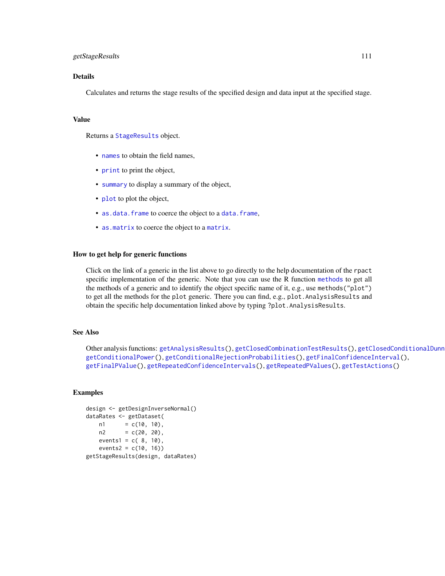## getStageResults 111

#### Details

Calculates and returns the stage results of the specified design and data input at the specified stage.

#### Value

Returns a [StageResults](#page-0-0) object.

- [names](#page-0-0) to obtain the field names.
- [print](#page-0-0) to print the object,
- [summary](#page-0-0) to display a summary of the object,
- [plot](#page-124-0) to plot the object,
- [as.data.frame](#page-0-0) to coerce the object to a [data.frame](#page-0-0),
- [as.matrix](#page-0-0) to coerce the object to a [matrix](#page-0-0).

#### How to get help for generic functions

Click on the link of a generic in the list above to go directly to the help documentation of the rpact specific implementation of the generic. Note that you can use the R function [methods](#page-0-0) to get all the methods of a generic and to identify the object specific name of it, e.g., use methods("plot") to get all the methods for the plot generic. There you can find, e.g., plot. AnalysisResults and obtain the specific help documentation linked above by typing ?plot.AnalysisResults.

#### See Also

Other analysis functions: [getAnalysisResults\(](#page-5-0)), [getClosedCombinationTestResults\(](#page-9-0)), getClosedConditionalDunn [getConditionalPower\(](#page-13-0)), [getConditionalRejectionProbabilities\(](#page-15-0)), [getFinalConfidenceInterval\(](#page-36-0)), [getFinalPValue\(](#page-38-0)), [getRepeatedConfidenceIntervals\(](#page-59-0)), [getRepeatedPValues\(](#page-61-0)), [getTestActions\(](#page-111-0))

```
design <- getDesignInverseNormal()
dataRates <- getDataset(
   n1 = c(10, 10),n2 = c(20, 20),events1 = c(8, 10),
   events2 = c(10, 16)getStageResults(design, dataRates)
```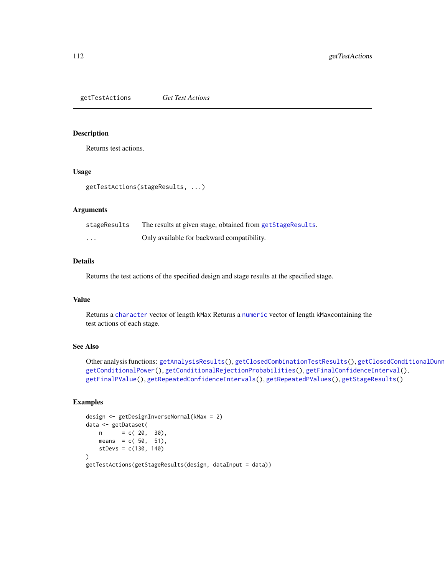<span id="page-111-0"></span>getTestActions *Get Test Actions*

#### Description

Returns test actions.

## Usage

```
getTestActions(stageResults, ...)
```
## Arguments

| stageResults | The results at given stage, obtained from getStageResults. |
|--------------|------------------------------------------------------------|
| .            | Only available for backward compatibility.                 |

#### Details

Returns the test actions of the specified design and stage results at the specified stage.

#### Value

Returns a [character](#page-0-0) vector of length kMax Returns a [numeric](#page-0-0) vector of length kMaxcontaining the test actions of each stage.

#### See Also

```
getAnalysisResults(getClosedCombinationTestResults(), getClosedConditionalDunn
getConditionalPower(), getConditionalRejectionProbabilities(), getFinalConfidenceInterval(),
getFinalPValue(), getRepeatedConfidenceIntervals(), getRepeatedPValues(), getStageResults()
```

```
design <- getDesignInverseNormal(kMax = 2)
data <- getDataset(
   n = c(20, 30),means = c(50, 51),
   stDevs = c(130, 140)
)
getTestActions(getStageResults(design, dataInput = data))
```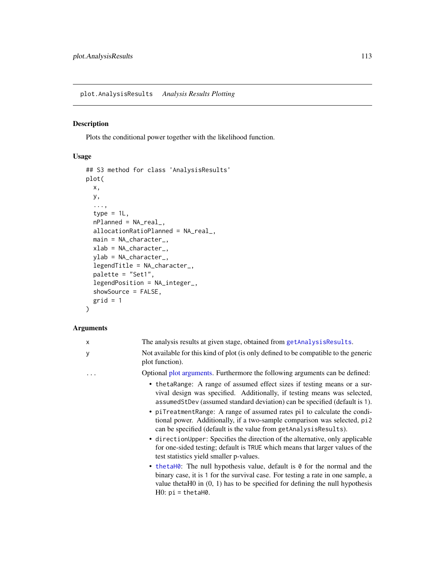## Description

Plots the conditional power together with the likelihood function.

# Usage

```
## S3 method for class 'AnalysisResults'
plot(
  x,
 y,
  ...,
  type = 1L,
 nPlanned = NA_real_,
  allocationRatioPlanned = NA_real_,
 main = NA_character_,
 xlab = NA_character_,
 ylab = NA_character_,
  legendTitle = NA_character_,
 palette = "Set1",
  legendPosition = NA_integer_,
  showSource = FALSE,
  grid = 1\mathcal{L}
```

| X | The analysis results at given stage, obtained from getAnalysisResults.                                                                                                                                                                                                                                                                                                                                                                                                                                                                                                                                                                                                                                                                                                                                                                                                                                                                                            |
|---|-------------------------------------------------------------------------------------------------------------------------------------------------------------------------------------------------------------------------------------------------------------------------------------------------------------------------------------------------------------------------------------------------------------------------------------------------------------------------------------------------------------------------------------------------------------------------------------------------------------------------------------------------------------------------------------------------------------------------------------------------------------------------------------------------------------------------------------------------------------------------------------------------------------------------------------------------------------------|
| У | Not available for this kind of plot (is only defined to be compatible to the generic<br>plot function).                                                                                                                                                                                                                                                                                                                                                                                                                                                                                                                                                                                                                                                                                                                                                                                                                                                           |
| . | Optional plot arguments. Furthermore the following arguments can be defined:                                                                                                                                                                                                                                                                                                                                                                                                                                                                                                                                                                                                                                                                                                                                                                                                                                                                                      |
|   | • the takange: A range of assumed effect sizes if testing means or a sur-<br>vival design was specified. Additionally, if testing means was selected,<br>assumedStDev (assumed standard deviation) can be specified (default is 1).<br>• piTreatmentRange: A range of assumed rates pi1 to calculate the condi-<br>tional power. Additionally, if a two-sample comparison was selected, pi2<br>can be specified (default is the value from getAnalysisResults).<br>• direction Upper: Specifies the direction of the alternative, only applicable<br>for one-sided testing; default is TRUE which means that larger values of the<br>test statistics yield smaller p-values.<br>• the tames The null hypothesis value, default is $\theta$ for the normal and the<br>binary case, it is 1 for the survival case. For testing a rate in one sample, a<br>value thetaH $0$ in $(0, 1)$ has to be specified for defining the null hypothesis<br>$H0: pi = thetah0$ . |
|   |                                                                                                                                                                                                                                                                                                                                                                                                                                                                                                                                                                                                                                                                                                                                                                                                                                                                                                                                                                   |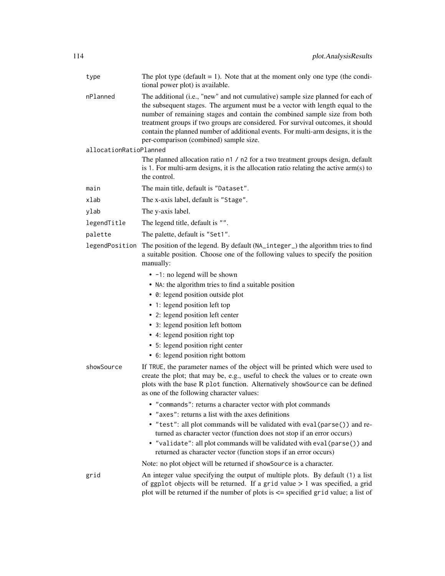| type                   | The plot type (default $= 1$ ). Note that at the moment only one type (the condi-<br>tional power plot) is available.                                                                                                                                                                                                                                                                                                                                           |
|------------------------|-----------------------------------------------------------------------------------------------------------------------------------------------------------------------------------------------------------------------------------------------------------------------------------------------------------------------------------------------------------------------------------------------------------------------------------------------------------------|
| nPlanned               | The additional (i.e., "new" and not cumulative) sample size planned for each of<br>the subsequent stages. The argument must be a vector with length equal to the<br>number of remaining stages and contain the combined sample size from both<br>treatment groups if two groups are considered. For survival outcomes, it should<br>contain the planned number of additional events. For multi-arm designs, it is the<br>per-comparison (combined) sample size. |
| allocationRatioPlanned |                                                                                                                                                                                                                                                                                                                                                                                                                                                                 |
|                        | The planned allocation ratio n1 / n2 for a two treatment groups design, default<br>is 1. For multi-arm designs, it is the allocation ratio relating the active $arm(s)$ to<br>the control.                                                                                                                                                                                                                                                                      |
| main                   | The main title, default is "Dataset".                                                                                                                                                                                                                                                                                                                                                                                                                           |
| xlab                   | The x-axis label, default is "Stage".                                                                                                                                                                                                                                                                                                                                                                                                                           |
| ylab                   | The y-axis label.                                                                                                                                                                                                                                                                                                                                                                                                                                               |
| legendTitle            | The legend title, default is "".                                                                                                                                                                                                                                                                                                                                                                                                                                |
| palette                | The palette, default is "Set1".                                                                                                                                                                                                                                                                                                                                                                                                                                 |
| legendPosition         | The position of the legend. By default (NA_integer_) the algorithm tries to find<br>a suitable position. Choose one of the following values to specify the position<br>manually:                                                                                                                                                                                                                                                                                |
|                        | • -1: no legend will be shown                                                                                                                                                                                                                                                                                                                                                                                                                                   |
|                        | • NA: the algorithm tries to find a suitable position                                                                                                                                                                                                                                                                                                                                                                                                           |
|                        | • 0: legend position outside plot                                                                                                                                                                                                                                                                                                                                                                                                                               |
|                        | • 1: legend position left top                                                                                                                                                                                                                                                                                                                                                                                                                                   |
|                        | • 2: legend position left center                                                                                                                                                                                                                                                                                                                                                                                                                                |
|                        | • 3: legend position left bottom                                                                                                                                                                                                                                                                                                                                                                                                                                |
|                        | • 4: legend position right top<br>• 5: legend position right center                                                                                                                                                                                                                                                                                                                                                                                             |
|                        | • 6: legend position right bottom                                                                                                                                                                                                                                                                                                                                                                                                                               |
| showSource             | If TRUE, the parameter names of the object will be printed which were used to<br>create the plot; that may be, e.g., useful to check the values or to create own<br>plots with the base R plot function. Alternatively showSource can be defined<br>as one of the following character values:                                                                                                                                                                   |
|                        | • "commands": returns a character vector with plot commands                                                                                                                                                                                                                                                                                                                                                                                                     |
|                        | • "axes": returns a list with the axes definitions                                                                                                                                                                                                                                                                                                                                                                                                              |
|                        | • "test": all plot commands will be validated with eval (parse()) and re-                                                                                                                                                                                                                                                                                                                                                                                       |
|                        | turned as character vector (function does not stop if an error occurs)<br>• "validate": all plot commands will be validated with eval (parse ()) and<br>returned as character vector (function stops if an error occurs)                                                                                                                                                                                                                                        |
|                        | Note: no plot object will be returned if showSource is a character.                                                                                                                                                                                                                                                                                                                                                                                             |
| grid                   | An integer value specifying the output of multiple plots. By default (1) a list<br>of ggplot objects will be returned. If a grid value $> 1$ was specified, a grid<br>plot will be returned if the number of plots is $\leq$ specified grid value; a list of                                                                                                                                                                                                    |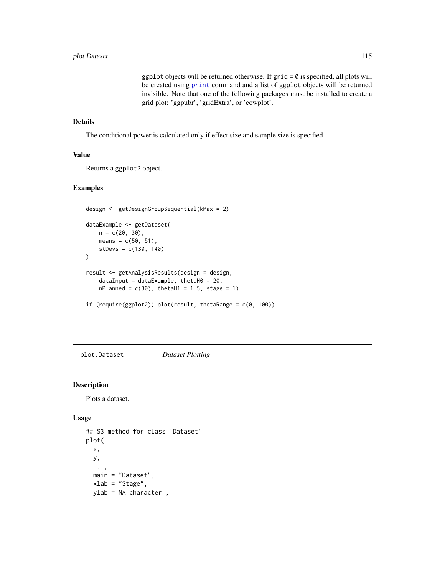ggplot objects will be returned otherwise. If  $grid = 0$  is specified, all plots will be created using [print](#page-0-0) command and a list of ggplot objects will be returned invisible. Note that one of the following packages must be installed to create a grid plot: 'ggpubr', 'gridExtra', or 'cowplot'.

#### Details

The conditional power is calculated only if effect size and sample size is specified.

#### Value

Returns a ggplot2 object.

## Examples

```
design <- getDesignGroupSequential(kMax = 2)
dataExample <- getDataset(
   n = c(20, 30),means = c(50, 51),
   stDevs = c(130, 140)
\lambdaresult <- getAnalysisResults(design = design,
    dataInput = dataExample, thetaH0 = 20,
   nPlanned = c(30), thetaH1 = 1.5, stage = 1)
if (require(ggplot2)) plot(result, thetaRange = c(0, 100))
```
<span id="page-114-0"></span>plot.Dataset *Dataset Plotting*

#### Description

Plots a dataset.

#### Usage

```
## S3 method for class 'Dataset'
plot(
  x,
 y,
  ...,
 main = "Dataset",
 xlab = "Stage",
 ylab = NA_character_,
```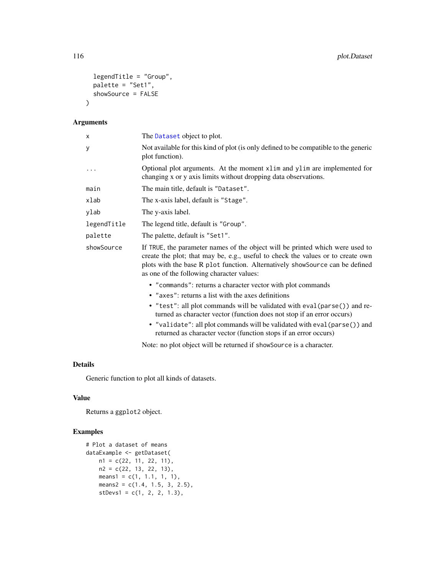```
legendTitle = "Group",
  palette = "Set1",
  showSource = FALSE
\lambda
```
## Arguments

| X           | The Dataset object to plot.                                                                                                                                                                                                                                                                   |
|-------------|-----------------------------------------------------------------------------------------------------------------------------------------------------------------------------------------------------------------------------------------------------------------------------------------------|
| У           | Not available for this kind of plot (is only defined to be compatible to the generic<br>plot function).                                                                                                                                                                                       |
|             | Optional plot arguments. At the moment x1 im and y1 im are implemented for<br>changing x or y axis limits without dropping data observations.                                                                                                                                                 |
| main        | The main title, default is "Dataset".                                                                                                                                                                                                                                                         |
| xlab        | The x-axis label, default is "Stage".                                                                                                                                                                                                                                                         |
| ylab        | The y-axis label.                                                                                                                                                                                                                                                                             |
| legendTitle | The legend title, default is "Group".                                                                                                                                                                                                                                                         |
| palette     | The palette, default is "Set1".                                                                                                                                                                                                                                                               |
| showSource  | If TRUE, the parameter names of the object will be printed which were used to<br>create the plot; that may be, e.g., useful to check the values or to create own<br>plots with the base R plot function. Alternatively showSource can be defined<br>as one of the following character values: |
|             | • "commands": returns a character vector with plot commands                                                                                                                                                                                                                                   |
|             | • "axes": returns a list with the axes definitions                                                                                                                                                                                                                                            |
|             | • "test": all plot commands will be validated with eval(parse()) and re-<br>turned as character vector (function does not stop if an error occurs)                                                                                                                                            |
|             | $H_1$ , and the state $H_2$ and $H_3$ are seen in the state of the state $H_3$ and $H_4$ are stated in the state of $H_3$ and $H_4$ are stated in the state of $H_3$ and $H_4$ are stated in the state of $H_3$ and $H_4$ are                                                                 |

• "validate": all plot commands will be validated with eval(parse()) and returned as character vector (function stops if an error occurs)

Note: no plot object will be returned if showSource is a character.

## Details

Generic function to plot all kinds of datasets.

## Value

Returns a ggplot2 object.

```
# Plot a dataset of means
dataExample <- getDataset(
   n1 = c(22, 11, 22, 11),
   n2 = c(22, 13, 22, 13),
   means1 = c(1, 1.1, 1, 1),means2 = c(1.4, 1.5, 3, 2.5),
   stDevs1 = c(1, 2, 2, 1.3),
```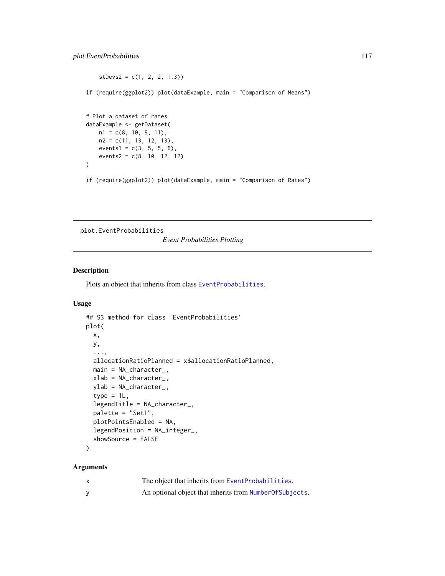```
stDevs2 = c(1, 2, 2, 1.3))if (require(ggplot2)) plot(dataExample, main = "Comparison of Means")
# Plot a dataset of rates
dataExample <- getDataset(
   n1 = c(8, 10, 9, 11),n2 = c(11, 13, 12, 13),
   events1 = c(3, 5, 5, 6),
   events2 = c(8, 10, 12, 12)
)
if (require(ggplot2)) plot(dataExample, main = "Comparison of Rates")
```
plot.EventProbabilities

*Event Probabilities Plotting*

#### Description

Plots an object that inherits from class [EventProbabilities](#page-0-0).

#### Usage

```
## S3 method for class 'EventProbabilities'
plot(
 x,
 y,
  ...,
 allocationRatioPlanned = x$allocationRatioPlanned,
 main = NA_character_,
 xlab = NA_character_,
  ylab = NA_character_,
  type = 1L,
  legendTitle = NA_character_,
  palette = "Set1",
 plotPointsEnabled = NA,
  legendPosition = NA_integer_,
  showSource = FALSE
)
```

| $\mathsf{x}$ | The object that inherits from EventProbabilities.         |
|--------------|-----------------------------------------------------------|
|              | An optional object that inherits from Number Of Subjects. |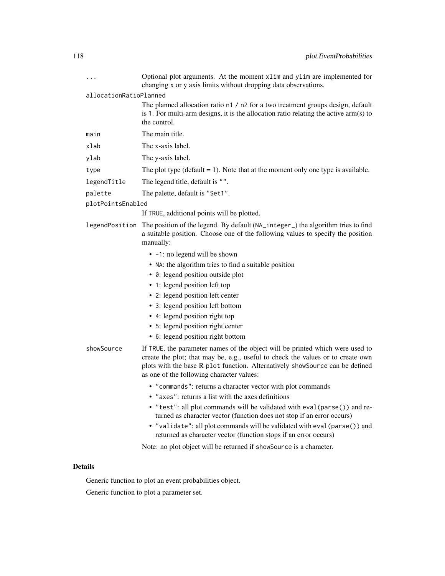| .                      | Optional plot arguments. At the moment xlim and ylim are implemented for<br>changing x or y axis limits without dropping data observations.                                                                                                                                                   |
|------------------------|-----------------------------------------------------------------------------------------------------------------------------------------------------------------------------------------------------------------------------------------------------------------------------------------------|
| allocationRatioPlanned |                                                                                                                                                                                                                                                                                               |
|                        | The planned allocation ratio n1 / n2 for a two treatment groups design, default<br>is 1. For multi-arm designs, it is the allocation ratio relating the active $arm(s)$ to<br>the control.                                                                                                    |
| main                   | The main title.                                                                                                                                                                                                                                                                               |
| xlab                   | The x-axis label.                                                                                                                                                                                                                                                                             |
| ylab                   | The y-axis label.                                                                                                                                                                                                                                                                             |
| type                   | The plot type ( $default = 1$ ). Note that at the moment only one type is available.                                                                                                                                                                                                          |
| legendTitle            | The legend title, default is "".                                                                                                                                                                                                                                                              |
| palette                | The palette, default is "Set1".                                                                                                                                                                                                                                                               |
| plotPointsEnabled      |                                                                                                                                                                                                                                                                                               |
|                        | If TRUE, additional points will be plotted.                                                                                                                                                                                                                                                   |
|                        | legendPosition The position of the legend. By default (NA_integer_) the algorithm tries to find<br>a suitable position. Choose one of the following values to specify the position<br>manually:                                                                                               |
|                        | $\bullet$ -1: no legend will be shown                                                                                                                                                                                                                                                         |
|                        | • NA: the algorithm tries to find a suitable position                                                                                                                                                                                                                                         |
|                        | • 0: legend position outside plot                                                                                                                                                                                                                                                             |
|                        | • 1: legend position left top                                                                                                                                                                                                                                                                 |
|                        | • 2: legend position left center                                                                                                                                                                                                                                                              |
|                        | • 3: legend position left bottom                                                                                                                                                                                                                                                              |
|                        | • 4: legend position right top                                                                                                                                                                                                                                                                |
|                        | • 5: legend position right center                                                                                                                                                                                                                                                             |
|                        | • 6: legend position right bottom                                                                                                                                                                                                                                                             |
| showSource             | If TRUE, the parameter names of the object will be printed which were used to<br>create the plot; that may be, e.g., useful to check the values or to create own<br>plots with the base R plot function. Alternatively showSource can be defined<br>as one of the following character values: |
|                        | • "commands": returns a character vector with plot commands                                                                                                                                                                                                                                   |
|                        | • "axes": returns a list with the axes definitions                                                                                                                                                                                                                                            |
|                        | • "test": all plot commands will be validated with eval (parse()) and re-<br>turned as character vector (function does not stop if an error occurs)                                                                                                                                           |
|                        | • "validate": all plot commands will be validated with eval (parse ()) and<br>returned as character vector (function stops if an error occurs)                                                                                                                                                |
|                        | Note: no plot object will be returned if showSource is a character.                                                                                                                                                                                                                           |

Generic function to plot an event probabilities object.

Generic function to plot a parameter set.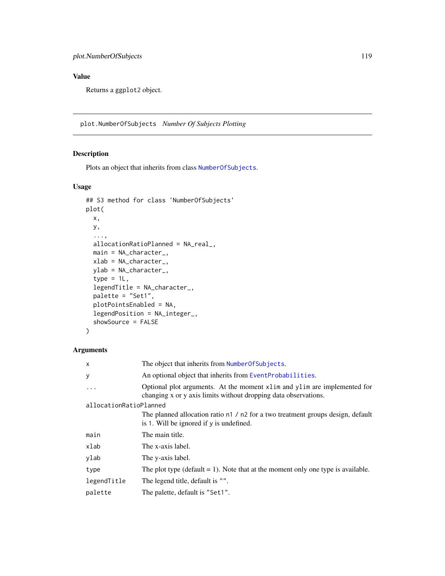## Value

Returns a ggplot2 object.

plot.NumberOfSubjects *Number Of Subjects Plotting*

## Description

Plots an object that inherits from class [NumberOfSubjects](#page-0-0).

## Usage

```
## S3 method for class 'NumberOfSubjects'
plot(
 x,
 y,
  ...,
 allocationRatioPlanned = NA_real_,
 main = NA_character_,
 xlab = NA_character_,
 ylab = NA_character_,
  type = 1L,
  legendTitle = NA_character_,
 palette = "Set1",
 plotPointsEnabled = NA,
  legendPosition = NA_integer_,
  showSource = FALSE
)
```

| X                      | The object that inherits from Number Of Subjects.                                                                                             |
|------------------------|-----------------------------------------------------------------------------------------------------------------------------------------------|
| У                      | An optional object that inherits from EventProbabilities.                                                                                     |
|                        | Optional plot arguments. At the moment x1 im and y1 im are implemented for<br>changing x or y axis limits without dropping data observations. |
| allocationRatioPlanned |                                                                                                                                               |
|                        | The planned allocation ratio n1 / n2 for a two treatment groups design, default<br>is 1. Will be ignored if y is undefined.                   |
| main                   | The main title.                                                                                                                               |
| xlab                   | The x-axis label.                                                                                                                             |
| ylab                   | The y-axis label.                                                                                                                             |
| type                   | The plot type ( $default = 1$ ). Note that at the moment only one type is available.                                                          |
| legendTitle            | The legend title, default is "".                                                                                                              |
| palette                | The palette, default is "Set1".                                                                                                               |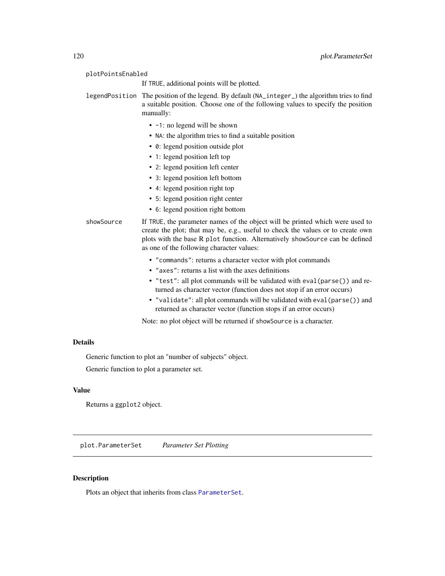| plotPointsEnabled |                                                                                                                                                                                                                                                                                               |
|-------------------|-----------------------------------------------------------------------------------------------------------------------------------------------------------------------------------------------------------------------------------------------------------------------------------------------|
|                   | If TRUE, additional points will be plotted.                                                                                                                                                                                                                                                   |
|                   | legendPosition The position of the legend. By default (NA_integer_) the algorithm tries to find<br>a suitable position. Choose one of the following values to specify the position<br>manually:                                                                                               |
|                   | $\bullet$ -1: no legend will be shown                                                                                                                                                                                                                                                         |
|                   | • NA: the algorithm tries to find a suitable position                                                                                                                                                                                                                                         |
|                   | • 0: legend position outside plot                                                                                                                                                                                                                                                             |
|                   | • 1: legend position left top                                                                                                                                                                                                                                                                 |
|                   | • 2: legend position left center                                                                                                                                                                                                                                                              |
|                   | • 3: legend position left bottom                                                                                                                                                                                                                                                              |
|                   | • 4: legend position right top                                                                                                                                                                                                                                                                |
|                   | • 5: legend position right center                                                                                                                                                                                                                                                             |
|                   | • 6: legend position right bottom                                                                                                                                                                                                                                                             |
| showSource        | If TRUE, the parameter names of the object will be printed which were used to<br>create the plot; that may be, e.g., useful to check the values or to create own<br>plots with the base R plot function. Alternatively showSource can be defined<br>as one of the following character values: |
|                   | • "commands": returns a character vector with plot commands                                                                                                                                                                                                                                   |
|                   | • "axes": returns a list with the axes definitions                                                                                                                                                                                                                                            |
|                   | • "test": all plot commands will be validated with eval (parse()) and re-<br>turned as character vector (function does not stop if an error occurs)                                                                                                                                           |
|                   | • "validate": all plot commands will be validated with eval (parse()) and<br>returned as character vector (function stops if an error occurs)                                                                                                                                                 |
|                   | Note: no plot object will be returned if showSource is a character.                                                                                                                                                                                                                           |
|                   |                                                                                                                                                                                                                                                                                               |

Generic function to plot an "number of subjects" object.

Generic function to plot a parameter set.

## Value

Returns a ggplot2 object.

plot.ParameterSet *Parameter Set Plotting*

# Description

Plots an object that inherits from class [ParameterSet](#page-0-0).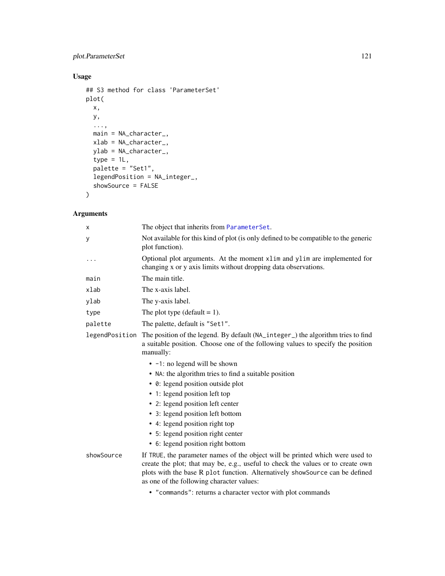## plot.ParameterSet 121

## Usage

```
## S3 method for class 'ParameterSet'
plot(
  x,
  y,
  ...,
  main = NA_character_,
  xlab = NA_character_,
  ylab = NA_character_,
  type = 1L,
  palette = "Set1",
  legendPosition = NA_integer_,
  showSource = FALSE
\mathcal{L}
```

| х              | The object that inherits from ParameterSet.                                                                                                                                                                                                                                                   |
|----------------|-----------------------------------------------------------------------------------------------------------------------------------------------------------------------------------------------------------------------------------------------------------------------------------------------|
| У              | Not available for this kind of plot (is only defined to be compatible to the generic<br>plot function).                                                                                                                                                                                       |
|                | Optional plot arguments. At the moment x1im and y1im are implemented for<br>changing x or y axis limits without dropping data observations.                                                                                                                                                   |
| main           | The main title.                                                                                                                                                                                                                                                                               |
| xlab           | The x-axis label.                                                                                                                                                                                                                                                                             |
| ylab           | The y-axis label.                                                                                                                                                                                                                                                                             |
| type           | The plot type (default $= 1$ ).                                                                                                                                                                                                                                                               |
| palette        | The palette, default is "Set1".                                                                                                                                                                                                                                                               |
| legendPosition | The position of the legend. By default (NA_integer_) the algorithm tries to find<br>a suitable position. Choose one of the following values to specify the position<br>manually:                                                                                                              |
|                | • -1: no legend will be shown                                                                                                                                                                                                                                                                 |
|                | • NA: the algorithm tries to find a suitable position                                                                                                                                                                                                                                         |
|                | • 0: legend position outside plot                                                                                                                                                                                                                                                             |
|                | • 1: legend position left top                                                                                                                                                                                                                                                                 |
|                | • 2: legend position left center                                                                                                                                                                                                                                                              |
|                | • 3: legend position left bottom                                                                                                                                                                                                                                                              |
|                | • 4: legend position right top                                                                                                                                                                                                                                                                |
|                | • 5: legend position right center                                                                                                                                                                                                                                                             |
|                | • 6: legend position right bottom                                                                                                                                                                                                                                                             |
| showSource     | If TRUE, the parameter names of the object will be printed which were used to<br>create the plot; that may be, e.g., useful to check the values or to create own<br>plots with the base R plot function. Alternatively showSource can be defined<br>as one of the following character values: |
|                | • "commands": returns a character vector with plot commands                                                                                                                                                                                                                                   |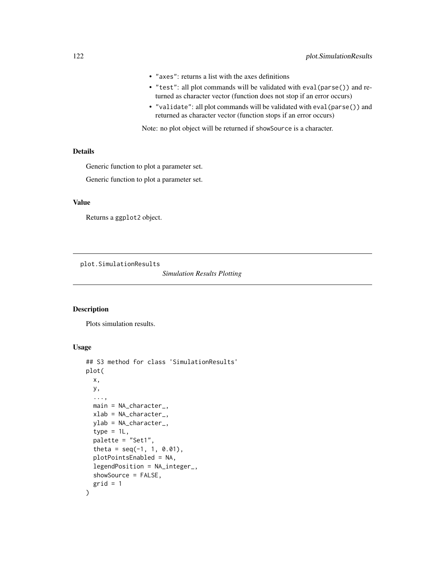- "axes": returns a list with the axes definitions
- "test": all plot commands will be validated with eval(parse()) and returned as character vector (function does not stop if an error occurs)
- "validate": all plot commands will be validated with eval(parse()) and returned as character vector (function stops if an error occurs)

Note: no plot object will be returned if showSource is a character.

#### Details

Generic function to plot a parameter set.

Generic function to plot a parameter set.

#### Value

Returns a ggplot2 object.

plot.SimulationResults

*Simulation Results Plotting*

#### Description

Plots simulation results.

#### Usage

```
## S3 method for class 'SimulationResults'
plot(
  x,
 y,
  ...,
 main = NA_character_,
 xlab = NA_character_,
 ylab = NA_character_,
  type = 1L,
  palette = "Set1",
  theta = seq(-1, 1, 0.01),
  plotPointsEnabled = NA,
  legendPosition = NA_integer_,
  showSource = FALSE,
  grid = 1)
```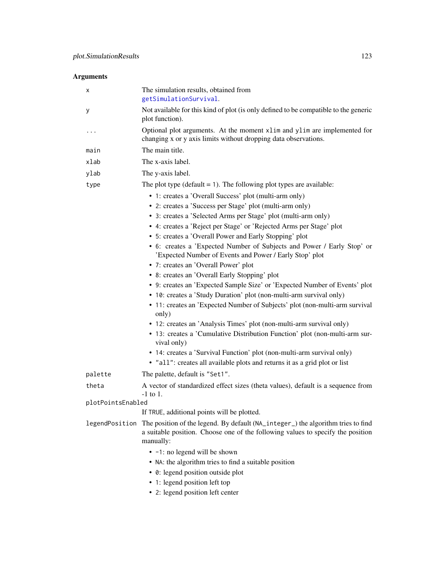| х                 | The simulation results, obtained from<br>getSimulationSurvival.                                                                                                                  |
|-------------------|----------------------------------------------------------------------------------------------------------------------------------------------------------------------------------|
| у                 | Not available for this kind of plot (is only defined to be compatible to the generic<br>plot function).                                                                          |
| $\cdots$          | Optional plot arguments. At the moment xlim and ylim are implemented for<br>changing x or y axis limits without dropping data observations.                                      |
| main              | The main title.                                                                                                                                                                  |
| xlab              | The x-axis label.                                                                                                                                                                |
| ylab              | The y-axis label.                                                                                                                                                                |
| type              | The plot type ( $default = 1$ ). The following plot types are available:                                                                                                         |
|                   | • 1: creates a 'Overall Success' plot (multi-arm only)                                                                                                                           |
|                   | • 2: creates a 'Success per Stage' plot (multi-arm only)                                                                                                                         |
|                   | • 3: creates a 'Selected Arms per Stage' plot (multi-arm only)                                                                                                                   |
|                   | • 4: creates a 'Reject per Stage' or 'Rejected Arms per Stage' plot                                                                                                              |
|                   | • 5: creates a 'Overall Power and Early Stopping' plot                                                                                                                           |
|                   | • 6: creates a 'Expected Number of Subjects and Power / Early Stop' or<br>'Expected Number of Events and Power / Early Stop' plot                                                |
|                   | • 7: creates an 'Overall Power' plot                                                                                                                                             |
|                   | • 8: creates an 'Overall Early Stopping' plot                                                                                                                                    |
|                   | • 9: creates an 'Expected Sample Size' or 'Expected Number of Events' plot                                                                                                       |
|                   | • 10: creates a 'Study Duration' plot (non-multi-arm survival only)                                                                                                              |
|                   | • 11: creates an 'Expected Number of Subjects' plot (non-multi-arm survival<br>only)                                                                                             |
|                   | • 12: creates an 'Analysis Times' plot (non-multi-arm survival only)                                                                                                             |
|                   | • 13: creates a 'Cumulative Distribution Function' plot (non-multi-arm sur-<br>vival only)                                                                                       |
|                   | • 14: creates a 'Survival Function' plot (non-multi-arm survival only)                                                                                                           |
|                   | · "all": creates all available plots and returns it as a grid plot or list                                                                                                       |
| palette           | The palette, default is "Set1".                                                                                                                                                  |
| theta             | A vector of standardized effect sizes (theta values), default is a sequence from<br>$-1$ to 1.                                                                                   |
| plotPointsEnabled |                                                                                                                                                                                  |
|                   | If TRUE, additional points will be plotted.                                                                                                                                      |
| legendPosition    | The position of the legend. By default (NA_integer_) the algorithm tries to find<br>a suitable position. Choose one of the following values to specify the position<br>manually: |
|                   | $\bullet$ -1: no legend will be shown                                                                                                                                            |
|                   | • NA: the algorithm tries to find a suitable position                                                                                                                            |
|                   | • 0: legend position outside plot                                                                                                                                                |
|                   | • 1: legend position left top                                                                                                                                                    |
|                   | • 2: legend position left center                                                                                                                                                 |
|                   |                                                                                                                                                                                  |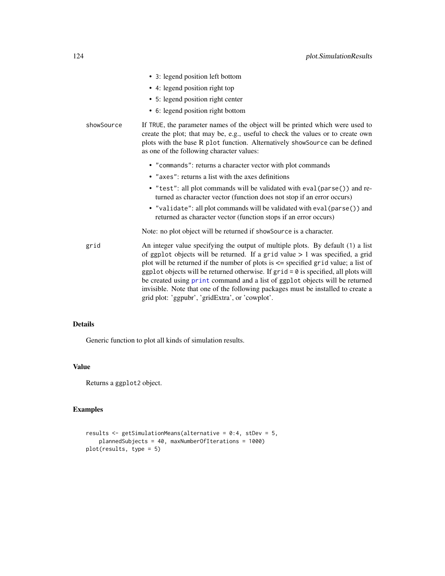|            | • 3: legend position left bottom                                                                                                                                                                                                                                                                                                                                                                                                                                                                                                                                             |
|------------|------------------------------------------------------------------------------------------------------------------------------------------------------------------------------------------------------------------------------------------------------------------------------------------------------------------------------------------------------------------------------------------------------------------------------------------------------------------------------------------------------------------------------------------------------------------------------|
|            | • 4: legend position right top                                                                                                                                                                                                                                                                                                                                                                                                                                                                                                                                               |
|            | • 5: legend position right center                                                                                                                                                                                                                                                                                                                                                                                                                                                                                                                                            |
|            | • 6: legend position right bottom                                                                                                                                                                                                                                                                                                                                                                                                                                                                                                                                            |
| showSource | If TRUE, the parameter names of the object will be printed which were used to<br>create the plot; that may be, e.g., useful to check the values or to create own<br>plots with the base R plot function. Alternatively showSource can be defined<br>as one of the following character values:                                                                                                                                                                                                                                                                                |
|            | • "commands": returns a character vector with plot commands                                                                                                                                                                                                                                                                                                                                                                                                                                                                                                                  |
|            | • "axes": returns a list with the axes definitions                                                                                                                                                                                                                                                                                                                                                                                                                                                                                                                           |
|            | • "test": all plot commands will be validated with eval (parse()) and re-<br>turned as character vector (function does not stop if an error occurs)                                                                                                                                                                                                                                                                                                                                                                                                                          |
|            | • "validate": all plot commands will be validated with eval (parse()) and<br>returned as character vector (function stops if an error occurs)                                                                                                                                                                                                                                                                                                                                                                                                                                |
|            | Note: no plot object will be returned if showSource is a character.                                                                                                                                                                                                                                                                                                                                                                                                                                                                                                          |
| grid       | An integer value specifying the output of multiple plots. By default (1) a list<br>of ggplot objects will be returned. If a grid value $> 1$ was specified, a grid<br>plot will be returned if the number of plots is $\leq$ specified grid value; a list of<br>ggplot objects will be returned otherwise. If $grid = 0$ is specified, all plots will<br>be created using print command and a list of ggplot objects will be returned<br>invisible. Note that one of the following packages must be installed to create a<br>grid plot: 'ggpubr', 'gridExtra', or 'cowplot'. |

Generic function to plot all kinds of simulation results.

#### Value

Returns a ggplot2 object.

```
results <- getSimulationMeans(alternative = 0:4, stDev = 5,
   plannedSubjects = 40, maxNumberOfIterations = 1000)
plot(results, type = 5)
```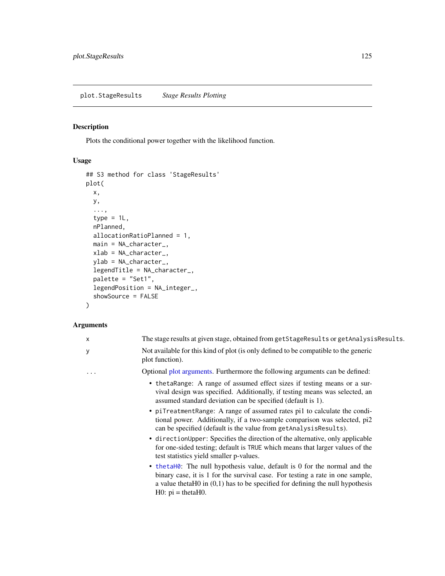## <span id="page-124-0"></span>Description

Plots the conditional power together with the likelihood function.

## Usage

```
## S3 method for class 'StageResults'
plot(
 x,
 y,
  ...,
  type = 1L,
  nPlanned,
 allocationRatioPlanned = 1,
 main = NA_character_,
 xlab = NA_character_,
 ylab = NA_character_,
  legendTitle = NA_character_,
  palette = "Set1",
  legendPosition = NA_integer_,
  showSource = FALSE
\mathcal{L}
```

| X | The stage results at given stage, obtained from getStageResults or getAnalysisResults.                                                                                                                                                                                   |
|---|--------------------------------------------------------------------------------------------------------------------------------------------------------------------------------------------------------------------------------------------------------------------------|
| у | Not available for this kind of plot (is only defined to be compatible to the generic<br>plot function).                                                                                                                                                                  |
| . | Optional plot arguments. Furthermore the following arguments can be defined:                                                                                                                                                                                             |
|   | • the takange: A range of assumed effect sizes if testing means or a sur-<br>vival design was specified. Additionally, if testing means was selected, an<br>assumed standard deviation can be specified (default is 1).                                                  |
|   | • piTreatmentRange: A range of assumed rates pi1 to calculate the condi-<br>tional power. Additionally, if a two-sample comparison was selected, pi2<br>can be specified (default is the value from getAnalysisResults).                                                 |
|   | • directionUpper: Specifies the direction of the alternative, only applicable<br>for one-sided testing; default is TRUE which means that larger values of the<br>test statistics yield smaller p-values.                                                                 |
|   | • the tames The null hypothesis value, default is 0 for the normal and the<br>binary case, it is 1 for the survival case. For testing a rate in one sample,<br>a value theta $H0$ in $(0,1)$ has to be specified for defining the null hypothesis<br>$H0: pi = thetaH0.$ |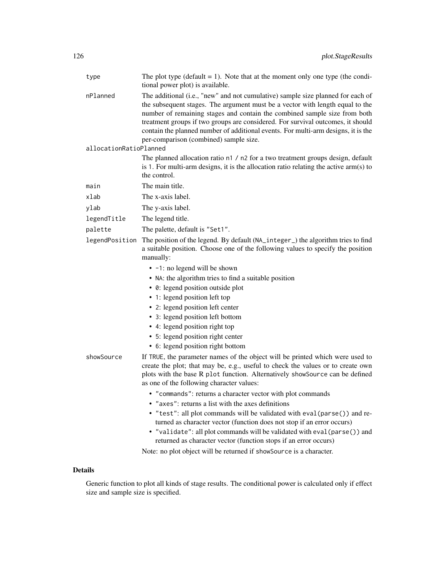| type                   | The plot type (default $= 1$ ). Note that at the moment only one type (the condi-<br>tional power plot) is available.                                                                                                                                                                                                                                                                                                                                           |
|------------------------|-----------------------------------------------------------------------------------------------------------------------------------------------------------------------------------------------------------------------------------------------------------------------------------------------------------------------------------------------------------------------------------------------------------------------------------------------------------------|
| nPlanned               | The additional (i.e., "new" and not cumulative) sample size planned for each of<br>the subsequent stages. The argument must be a vector with length equal to the<br>number of remaining stages and contain the combined sample size from both<br>treatment groups if two groups are considered. For survival outcomes, it should<br>contain the planned number of additional events. For multi-arm designs, it is the<br>per-comparison (combined) sample size. |
| allocationRatioPlanned |                                                                                                                                                                                                                                                                                                                                                                                                                                                                 |
|                        | The planned allocation ratio n1 / n2 for a two treatment groups design, default<br>is 1. For multi-arm designs, it is the allocation ratio relating the active arm(s) to<br>the control.                                                                                                                                                                                                                                                                        |
| main                   | The main title.                                                                                                                                                                                                                                                                                                                                                                                                                                                 |
| xlab                   | The x-axis label.                                                                                                                                                                                                                                                                                                                                                                                                                                               |
| ylab                   | The y-axis label.                                                                                                                                                                                                                                                                                                                                                                                                                                               |
| legendTitle            | The legend title.                                                                                                                                                                                                                                                                                                                                                                                                                                               |
| palette                | The palette, default is "Set1".                                                                                                                                                                                                                                                                                                                                                                                                                                 |
| legendPosition         | The position of the legend. By default (NA_integer_) the algorithm tries to find<br>a suitable position. Choose one of the following values to specify the position<br>manually:                                                                                                                                                                                                                                                                                |
|                        | • -1: no legend will be shown                                                                                                                                                                                                                                                                                                                                                                                                                                   |
|                        | • NA: the algorithm tries to find a suitable position                                                                                                                                                                                                                                                                                                                                                                                                           |
|                        | • 0: legend position outside plot                                                                                                                                                                                                                                                                                                                                                                                                                               |
|                        | • 1: legend position left top                                                                                                                                                                                                                                                                                                                                                                                                                                   |
|                        | • 2: legend position left center                                                                                                                                                                                                                                                                                                                                                                                                                                |
|                        | • 3: legend position left bottom                                                                                                                                                                                                                                                                                                                                                                                                                                |
|                        | • 4: legend position right top                                                                                                                                                                                                                                                                                                                                                                                                                                  |
|                        | • 5: legend position right center                                                                                                                                                                                                                                                                                                                                                                                                                               |
|                        | • 6: legend position right bottom                                                                                                                                                                                                                                                                                                                                                                                                                               |
| showSource             | If TRUE, the parameter names of the object will be printed which were used to<br>create the plot; that may be, e.g., useful to check the values or to create own<br>plots with the base R plot function. Alternatively showSource can be defined<br>as one of the following character values:                                                                                                                                                                   |
|                        | • "commands": returns a character vector with plot commands                                                                                                                                                                                                                                                                                                                                                                                                     |
|                        | • "axes": returns a list with the axes definitions                                                                                                                                                                                                                                                                                                                                                                                                              |
|                        | • "test": all plot commands will be validated with eval (parse()) and re-<br>turned as character vector (function does not stop if an error occurs)<br>• "validate": all plot commands will be validated with eval (parse ()) and                                                                                                                                                                                                                               |
|                        | returned as character vector (function stops if an error occurs)                                                                                                                                                                                                                                                                                                                                                                                                |

Note: no plot object will be returned if showSource is a character.

## Details

Generic function to plot all kinds of stage results. The conditional power is calculated only if effect size and sample size is specified.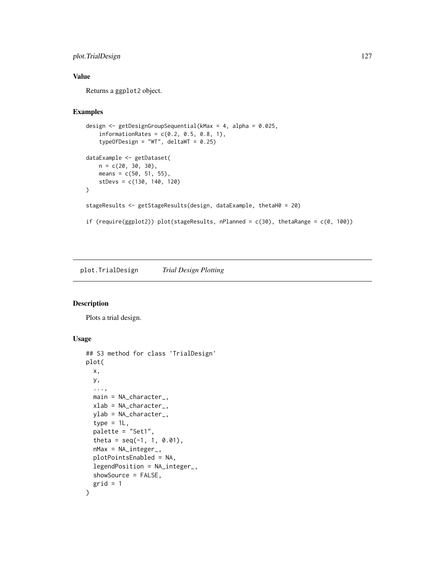## plot.TrialDesign 127

## Value

Returns a ggplot2 object.

## Examples

```
design <- getDesignGroupSequential(kMax = 4, alpha = 0.025,
    information Rates = c(0.2, 0.5, 0.8, 1),typeOfDesign = "WT", deltaWT = 0.25)
dataExample <- getDataset(
   n = c(20, 30, 30),
   means = c(50, 51, 55),
   stDevs = c(130, 140, 120)
)
stageResults <- getStageResults(design, dataExample, thetaH0 = 20)
if (require(ggplot2)) plot(stageResults, nPlanned = c(30), thetaRange = c(0, 100))
```
plot.TrialDesign *Trial Design Plotting*

#### Description

Plots a trial design.

#### Usage

```
## S3 method for class 'TrialDesign'
plot(
 x,
 y,
  ...,
 main = NA_character_,
 xlab = NA_character_,
 ylab = NA_character_,
 type = 1L,
 palette = "Set1",
  theta = seq(-1, 1, 0.01),
  nMax = NA_integer_,
 plotPointsEnabled = NA,
  legendPosition = NA_integer_,
  showSource = FALSE,
 grid = 1)
```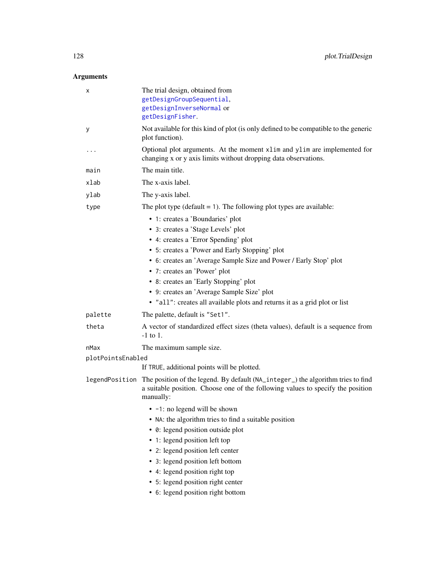| х                 | The trial design, obtained from<br>getDesignGroupSequential,<br>getDesignInverseNormal or<br>getDesignFisher.                                                                                   |
|-------------------|-------------------------------------------------------------------------------------------------------------------------------------------------------------------------------------------------|
| у                 | Not available for this kind of plot (is only defined to be compatible to the generic<br>plot function).                                                                                         |
|                   | Optional plot arguments. At the moment xlim and ylim are implemented for<br>changing x or y axis limits without dropping data observations.                                                     |
| main              | The main title.                                                                                                                                                                                 |
| xlab              | The x-axis label.                                                                                                                                                                               |
| ylab              | The y-axis label.                                                                                                                                                                               |
| type              | The plot type ( $default = 1$ ). The following plot types are available:                                                                                                                        |
|                   | • 1: creates a 'Boundaries' plot                                                                                                                                                                |
|                   | • 3: creates a 'Stage Levels' plot                                                                                                                                                              |
|                   | • 4: creates a 'Error Spending' plot                                                                                                                                                            |
|                   | • 5: creates a 'Power and Early Stopping' plot                                                                                                                                                  |
|                   | • 6: creates an 'Average Sample Size and Power / Early Stop' plot                                                                                                                               |
|                   | • 7: creates an 'Power' plot                                                                                                                                                                    |
|                   | • 8: creates an 'Early Stopping' plot                                                                                                                                                           |
|                   | • 9: creates an 'Average Sample Size' plot                                                                                                                                                      |
|                   | · "all": creates all available plots and returns it as a grid plot or list                                                                                                                      |
| palette           | The palette, default is "Set1".                                                                                                                                                                 |
| theta             | A vector of standardized effect sizes (theta values), default is a sequence from<br>$-1$ to 1.                                                                                                  |
| nMax              | The maximum sample size.                                                                                                                                                                        |
| plotPointsEnabled |                                                                                                                                                                                                 |
|                   | If TRUE, additional points will be plotted.                                                                                                                                                     |
|                   | legendPosition The position of the legend. By default (NA_integer_) the algorithm tries to find<br>a suitable position. Choose one of the following values to specify the position<br>manually: |
|                   | $\bullet$ -1: no legend will be shown                                                                                                                                                           |
|                   | • NA: the algorithm tries to find a suitable position                                                                                                                                           |
|                   | • 0: legend position outside plot                                                                                                                                                               |
|                   | • 1: legend position left top                                                                                                                                                                   |
|                   | • 2: legend position left center                                                                                                                                                                |
|                   | • 3: legend position left bottom                                                                                                                                                                |
|                   | • 4: legend position right top                                                                                                                                                                  |
|                   | • 5: legend position right center                                                                                                                                                               |
|                   | • 6: legend position right bottom                                                                                                                                                               |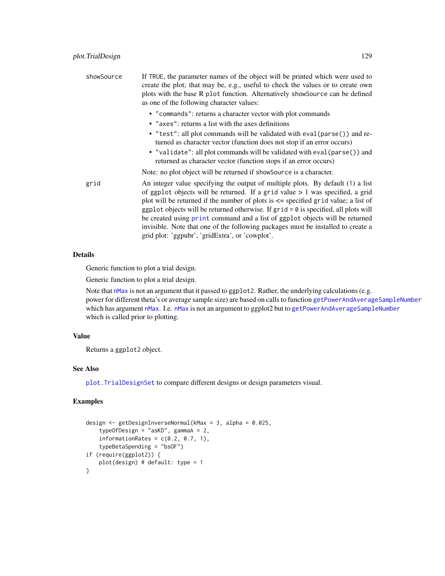| showSource | If TRUE, the parameter names of the object will be printed which were used to<br>create the plot; that may be, e.g., useful to check the values or to create own<br>plots with the base R plot function. Alternatively showSource can be defined<br>as one of the following character values:                                                                                                                                                                                                                                                                                |
|------------|------------------------------------------------------------------------------------------------------------------------------------------------------------------------------------------------------------------------------------------------------------------------------------------------------------------------------------------------------------------------------------------------------------------------------------------------------------------------------------------------------------------------------------------------------------------------------|
|            | • "commands": returns a character vector with plot commands<br>• "axes": returns a list with the axes definitions                                                                                                                                                                                                                                                                                                                                                                                                                                                            |
|            | • "test": all plot commands will be validated with eval(parse()) and re-<br>turned as character vector (function does not stop if an error occurs)                                                                                                                                                                                                                                                                                                                                                                                                                           |
|            | • "validate": all plot commands will be validated with eval (parse ()) and<br>returned as character vector (function stops if an error occurs)                                                                                                                                                                                                                                                                                                                                                                                                                               |
|            | Note: no plot object will be returned if showSource is a character.                                                                                                                                                                                                                                                                                                                                                                                                                                                                                                          |
| grid       | An integer value specifying the output of multiple plots. By default (1) a list<br>of ggplot objects will be returned. If a grid value $> 1$ was specified, a grid<br>plot will be returned if the number of plots is $\leq$ specified grid value; a list of<br>ggplot objects will be returned otherwise. If $grid = 0$ is specified, all plots will<br>be created using print command and a list of ggplot objects will be returned<br>invisible. Note that one of the following packages must be installed to create a<br>grid plot: 'ggpubr', 'gridExtra', or 'cowplot'. |

Generic function to plot a trial design.

Generic function to plot a trial design.

Note that [nMax](#page-0-0) is not an argument that it passed to ggplot2. Rather, the underlying calculations (e.g. power for different theta's or average sample size) are based on calls to function [getPowerAndAverageSampleNumber](#page-45-0) which has argument [nMax](#page-0-0). I.e. nMax is not an argument to ggplot2 but to [getPowerAndAverageSampleNumber](#page-45-0) which is called prior to plotting.

## Value

Returns a ggplot2 object.

## See Also

[plot.TrialDesignSet](#page-131-0) to compare different designs or design parameters visual.

```
design <- getDesignInverseNormal(kMax = 3, alpha = 0.025,
    typeOfDesign = "asKD", gammaA = 2,
    informationRates = c(0.2, 0.7, 1),
    typeBetaSpending = "bsOF")
if (require(ggplot2)) {
   plot(design) # default: type = 1
}
```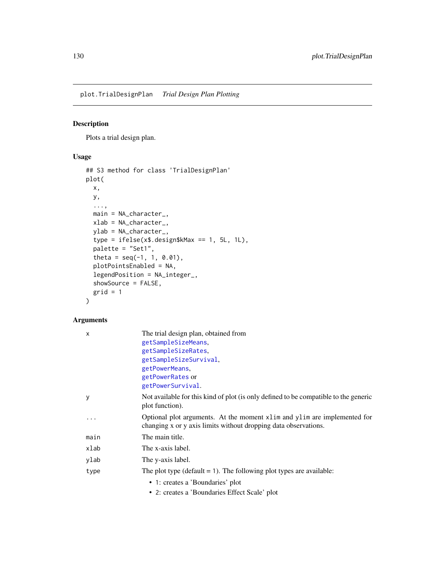plot.TrialDesignPlan *Trial Design Plan Plotting*

## Description

Plots a trial design plan.

## Usage

```
## S3 method for class 'TrialDesignPlan'
plot(
 x,
 y,
  ...,
 main = NA_character_,
 xlab = NA_character_,
 ylab = NA_character_,
  type = ifelse(x$.design$kMax == 1, 5L, 1L),
 palette = "Set1",
  theta = seq(-1, 1, 0.01),
 plotPointsEnabled = NA,
  legendPosition = NA_integer_,
  showSource = FALSE,
  grid = 1)
```

| x    | The trial design plan, obtained from                                                                                                          |
|------|-----------------------------------------------------------------------------------------------------------------------------------------------|
|      | getSampleSizeMeans.                                                                                                                           |
|      | getSampleSizeRates,                                                                                                                           |
|      | getSampleSizeSurvival.                                                                                                                        |
|      | getPowerMeans,                                                                                                                                |
|      | getPowerRates or                                                                                                                              |
|      | getPowerSurvival.                                                                                                                             |
| У    | Not available for this kind of plot (is only defined to be compatible to the generic<br>plot function).                                       |
| .    | Optional plot arguments. At the moment x1 im and y1 im are implemented for<br>changing x or y axis limits without dropping data observations. |
| main | The main title.                                                                                                                               |
| xlab | The x-axis label.                                                                                                                             |
| ylab | The y-axis label.                                                                                                                             |
| type | The plot type ( $default = 1$ ). The following plot types are available:                                                                      |
|      | • 1: creates a 'Boundaries' plot                                                                                                              |
|      | • 2: creates a 'Boundaries Effect Scale' plot                                                                                                 |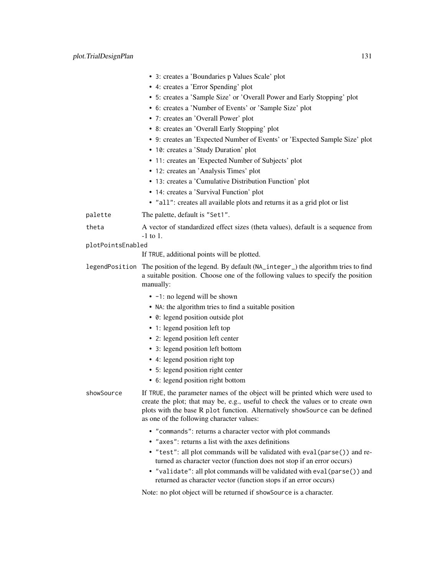|                   | • 3: creates a 'Boundaries p Values Scale' plot                                                                                                                                                              |
|-------------------|--------------------------------------------------------------------------------------------------------------------------------------------------------------------------------------------------------------|
|                   | • 4: creates a 'Error Spending' plot                                                                                                                                                                         |
|                   | • 5: creates a 'Sample Size' or 'Overall Power and Early Stopping' plot                                                                                                                                      |
|                   | • 6: creates a 'Number of Events' or 'Sample Size' plot                                                                                                                                                      |
|                   | • 7: creates an 'Overall Power' plot                                                                                                                                                                         |
|                   | • 8: creates an 'Overall Early Stopping' plot                                                                                                                                                                |
|                   | • 9: creates an 'Expected Number of Events' or 'Expected Sample Size' plot                                                                                                                                   |
|                   | • 10: creates a 'Study Duration' plot                                                                                                                                                                        |
|                   | • 11: creates an 'Expected Number of Subjects' plot                                                                                                                                                          |
|                   | • 12: creates an 'Analysis Times' plot                                                                                                                                                                       |
|                   | • 13: creates a 'Cumulative Distribution Function' plot                                                                                                                                                      |
|                   | • 14: creates a 'Survival Function' plot                                                                                                                                                                     |
|                   | • "all": creates all available plots and returns it as a grid plot or list                                                                                                                                   |
| palette           | The palette, default is "Set1".                                                                                                                                                                              |
| theta             | A vector of standardized effect sizes (theta values), default is a sequence from                                                                                                                             |
|                   | $-1$ to 1.                                                                                                                                                                                                   |
| plotPointsEnabled |                                                                                                                                                                                                              |
|                   | If TRUE, additional points will be plotted.                                                                                                                                                                  |
|                   | legendPosition The position of the legend. By default (NA_integer_) the algorithm tries to find<br>a suitable position. Choose one of the following values to specify the position<br>manually:              |
|                   | • -1: no legend will be shown                                                                                                                                                                                |
|                   | • NA: the algorithm tries to find a suitable position                                                                                                                                                        |
|                   | • 0: legend position outside plot                                                                                                                                                                            |
|                   | • 1: legend position left top                                                                                                                                                                                |
|                   | • 2: legend position left center                                                                                                                                                                             |
|                   | • 3: legend position left bottom                                                                                                                                                                             |
|                   | • 4: legend position right top                                                                                                                                                                               |
|                   | • 5: legend position right center                                                                                                                                                                            |
|                   | • 6: legend position right bottom                                                                                                                                                                            |
| showSource        | If TRUE, the parameter names of the object will be printed which were used to                                                                                                                                |
|                   | create the plot; that may be, e.g., useful to check the values or to create own<br>plots with the base R plot function. Alternatively showSource can be defined<br>as one of the following character values: |
|                   | • "commands": returns a character vector with plot commands                                                                                                                                                  |
|                   | • "axes": returns a list with the axes definitions                                                                                                                                                           |
|                   |                                                                                                                                                                                                              |

- "test": all plot commands will be validated with eval(parse()) and returned as character vector (function does not stop if an error occurs)
- "validate": all plot commands will be validated with eval(parse()) and returned as character vector (function stops if an error occurs)

Note: no plot object will be returned if showSource is a character.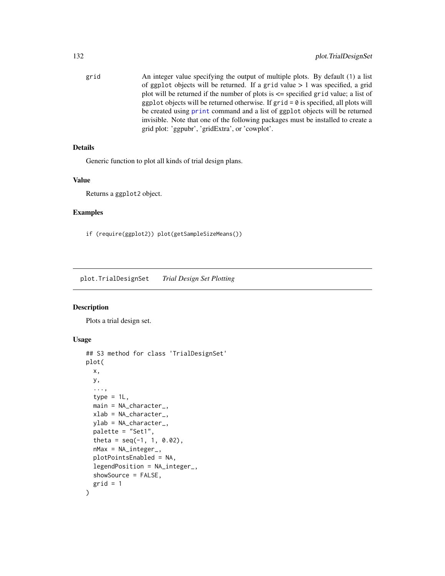grid An integer value specifying the output of multiple plots. By default (1) a list of ggplot objects will be returned. If a grid value  $> 1$  was specified, a grid plot will be returned if the number of plots is <= specified grid value; a list of ggplot objects will be returned otherwise. If  $grid = 0$  is specified, all plots will be created using [print](#page-0-0) command and a list of ggplot objects will be returned invisible. Note that one of the following packages must be installed to create a grid plot: 'ggpubr', 'gridExtra', or 'cowplot'.

## Details

Generic function to plot all kinds of trial design plans.

#### Value

Returns a ggplot2 object.

#### Examples

if (require(ggplot2)) plot(getSampleSizeMeans())

<span id="page-131-0"></span>plot.TrialDesignSet *Trial Design Set Plotting*

#### Description

Plots a trial design set.

#### Usage

```
## S3 method for class 'TrialDesignSet'
plot(
  x,
 y,
  ...,
  type = 1L,
 main = NA_character_,
  xlab = NA_character_,
 ylab = NA_character_,
 palette = "Set1",
  theta = seq(-1, 1, 0.02),
  nMax = NA_integer_,
  plotPointsEnabled = NA,
  legendPosition = NA_integer_,
  showSource = FALSE,
  grid = 1)
```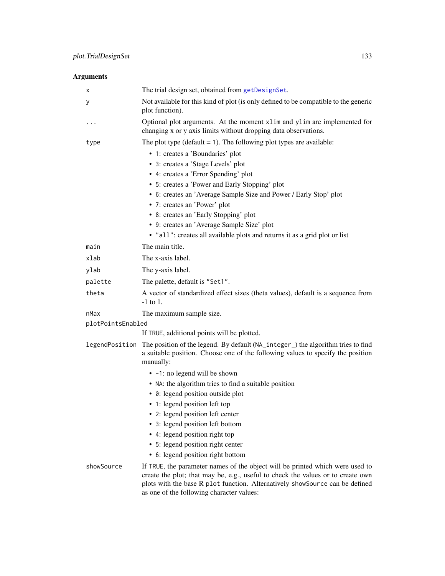| х                 | The trial design set, obtained from getDesignSet.                                                                                                                                                                                                                                             |
|-------------------|-----------------------------------------------------------------------------------------------------------------------------------------------------------------------------------------------------------------------------------------------------------------------------------------------|
| у                 | Not available for this kind of plot (is only defined to be compatible to the generic<br>plot function).                                                                                                                                                                                       |
| .                 | Optional plot arguments. At the moment xlim and ylim are implemented for<br>changing x or y axis limits without dropping data observations.                                                                                                                                                   |
| type              | The plot type ( $default = 1$ ). The following plot types are available:                                                                                                                                                                                                                      |
|                   | • 1: creates a 'Boundaries' plot                                                                                                                                                                                                                                                              |
|                   | • 3: creates a 'Stage Levels' plot                                                                                                                                                                                                                                                            |
|                   | • 4: creates a 'Error Spending' plot                                                                                                                                                                                                                                                          |
|                   | • 5: creates a 'Power and Early Stopping' plot                                                                                                                                                                                                                                                |
|                   | • 6: creates an 'Average Sample Size and Power / Early Stop' plot                                                                                                                                                                                                                             |
|                   | • 7: creates an 'Power' plot                                                                                                                                                                                                                                                                  |
|                   | • 8: creates an 'Early Stopping' plot                                                                                                                                                                                                                                                         |
|                   | • 9: creates an 'Average Sample Size' plot                                                                                                                                                                                                                                                    |
|                   | • "all": creates all available plots and returns it as a grid plot or list                                                                                                                                                                                                                    |
| main              | The main title.                                                                                                                                                                                                                                                                               |
| xlab              | The x-axis label.                                                                                                                                                                                                                                                                             |
| ylab              | The y-axis label.                                                                                                                                                                                                                                                                             |
| palette           | The palette, default is "Set1".                                                                                                                                                                                                                                                               |
| theta             | A vector of standardized effect sizes (theta values), default is a sequence from<br>$-1$ to 1.                                                                                                                                                                                                |
| nMax              | The maximum sample size.                                                                                                                                                                                                                                                                      |
| plotPointsEnabled |                                                                                                                                                                                                                                                                                               |
|                   | If TRUE, additional points will be plotted.                                                                                                                                                                                                                                                   |
|                   | legendPosition The position of the legend. By default (NA_integer_) the algorithm tries to find<br>a suitable position. Choose one of the following values to specify the position<br>manually:                                                                                               |
|                   | • -1: no legend will be shown                                                                                                                                                                                                                                                                 |
|                   | • NA: the algorithm tries to find a suitable position                                                                                                                                                                                                                                         |
|                   | • 0: legend position outside plot                                                                                                                                                                                                                                                             |
|                   | • 1: legend position left top                                                                                                                                                                                                                                                                 |
|                   | • 2: legend position left center                                                                                                                                                                                                                                                              |
|                   | • 3: legend position left bottom                                                                                                                                                                                                                                                              |
|                   | • 4: legend position right top                                                                                                                                                                                                                                                                |
|                   | • 5: legend position right center                                                                                                                                                                                                                                                             |
|                   | • 6: legend position right bottom                                                                                                                                                                                                                                                             |
| showSource        | If TRUE, the parameter names of the object will be printed which were used to<br>create the plot; that may be, e.g., useful to check the values or to create own<br>plots with the base R plot function. Alternatively showSource can be defined<br>as one of the following character values: |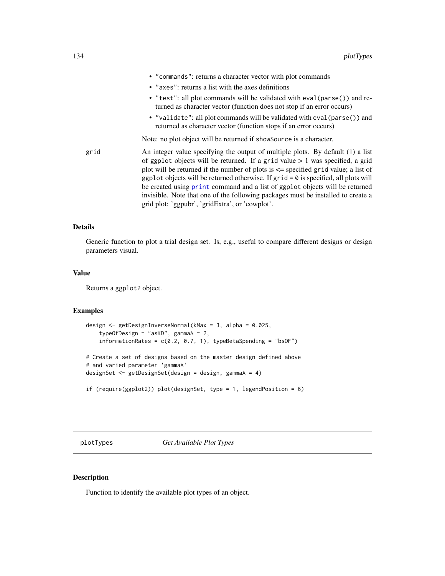|      | • "commands": returns a character vector with plot commands                                                                                                                                                                                                                                                                                                                                                                                                                                                                                                                  |
|------|------------------------------------------------------------------------------------------------------------------------------------------------------------------------------------------------------------------------------------------------------------------------------------------------------------------------------------------------------------------------------------------------------------------------------------------------------------------------------------------------------------------------------------------------------------------------------|
|      | • "axes": returns a list with the axes definitions                                                                                                                                                                                                                                                                                                                                                                                                                                                                                                                           |
|      | • "test": all plot commands will be validated with eval(parse()) and re-<br>turned as character vector (function does not stop if an error occurs)                                                                                                                                                                                                                                                                                                                                                                                                                           |
|      | • "validate": all plot commands will be validated with eval (parse ()) and<br>returned as character vector (function stops if an error occurs)                                                                                                                                                                                                                                                                                                                                                                                                                               |
|      | Note: no plot object will be returned if showsource is a character.                                                                                                                                                                                                                                                                                                                                                                                                                                                                                                          |
| grid | An integer value specifying the output of multiple plots. By default (1) a list<br>of ggplot objects will be returned. If a grid value $> 1$ was specified, a grid<br>plot will be returned if the number of plots is $\leq$ specified grid value; a list of<br>ggplot objects will be returned otherwise. If $grid = 0$ is specified, all plots will<br>be created using print command and a list of ggplot objects will be returned<br>invisible. Note that one of the following packages must be installed to create a<br>grid plot: 'ggpubr', 'gridExtra', or 'cowplot'. |

Generic function to plot a trial design set. Is, e.g., useful to compare different designs or design parameters visual.

#### Value

Returns a ggplot2 object.

#### Examples

```
design <- getDesignInverseNormal(kMax = 3, alpha = 0.025,
    typeOfDesign = "asKD", gammaA = 2,
    informationRates = c(0.2, 0.7, 1), typeBetaSpending = "bsOF")
# Create a set of designs based on the master design defined above
# and varied parameter 'gammaA'
designSet <- getDesignSet(design = design, gammaA = 4)
if (require(ggplot2)) plot(designSet, type = 1, legendPosition = 6)
```

```
plotTypes Get Available Plot Types
```
## Description

Function to identify the available plot types of an object.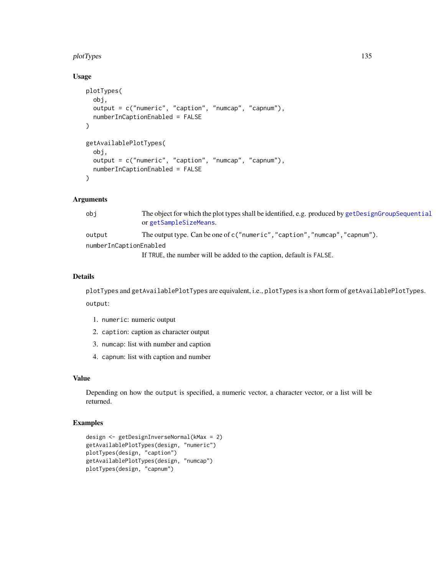#### plotTypes and the state of the state of the state of the state of the state of the state of the state of the state of the state of the state of the state of the state of the state of the state of the state of the state of

## Usage

```
plotTypes(
  obj,
  output = c("numeric", "caption", "numcap", "capnum"),
  numberInCaptionEnabled = FALSE
)
getAvailablePlotTypes(
  obj,
  output = c("numeric", "caption", "numcap", "capnum"),
  numberInCaptionEnabled = FALSE
)
```
## Arguments

| obi                    | The object for which the plot types shall be identified, e.g. produced by getDesignGroupSequential<br>or getSampleSizeMeans. |  |
|------------------------|------------------------------------------------------------------------------------------------------------------------------|--|
| output                 | The output type. Can be one of c("numeric","caption","numcap","capnum").                                                     |  |
| numberInCaptionEnabled |                                                                                                                              |  |
|                        | If TRUE, the number will be added to the caption, default is FALSE.                                                          |  |

#### Details

plotTypes and getAvailablePlotTypes are equivalent, i.e., plotTypes is a short form of getAvailablePlotTypes. output:

- 1. numeric: numeric output
- 2. caption: caption as character output
- 3. numcap: list with number and caption
- 4. capnum: list with caption and number

#### Value

Depending on how the output is specified, a numeric vector, a character vector, or a list will be returned.

```
design <- getDesignInverseNormal(kMax = 2)
getAvailablePlotTypes(design, "numeric")
plotTypes(design, "caption")
getAvailablePlotTypes(design, "numcap")
plotTypes(design, "capnum")
```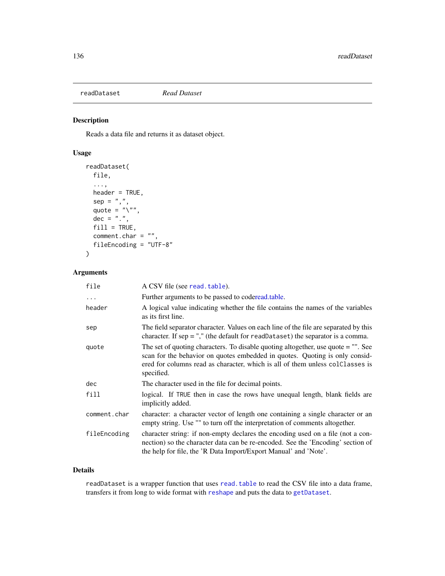<span id="page-135-0"></span>readDataset *Read Dataset*

## Description

Reads a data file and returns it as dataset object.

## Usage

```
readDataset(
 file,
  ...,
 header = TRUE,
 sep = ","quote = \sqrt{n}",
 dec = "."fill = TRUE,comment.char = ",
  fileEncoding = "UTF-8"
)
```
## Arguments

| file         | A CSV file (see read. table).                                                                                                                                                                                                                                    |
|--------------|------------------------------------------------------------------------------------------------------------------------------------------------------------------------------------------------------------------------------------------------------------------|
| $\ddots$     | Further arguments to be passed to coderead.table.                                                                                                                                                                                                                |
| header       | A logical value indicating whether the file contains the names of the variables<br>as its first line.                                                                                                                                                            |
| sep          | The field separator character. Values on each line of the file are separated by this<br>character. If $sep =$ "," (the default for readDataset) the separator is a comma.                                                                                        |
| quote        | The set of quoting characters. To disable quoting altogether, use quote $=$ "". See<br>scan for the behavior on quotes embedded in quotes. Quoting is only consid-<br>ered for columns read as character, which is all of them unless colleases is<br>specified. |
| dec          | The character used in the file for decimal points.                                                                                                                                                                                                               |
| fill         | logical. If TRUE then in case the rows have unequal length, blank fields are<br>implicitly added.                                                                                                                                                                |
| comment.char | character: a character vector of length one containing a single character or an<br>empty string. Use "" to turn off the interpretation of comments altogether.                                                                                                   |
| fileEncoding | character string: if non-empty declares the encoding used on a file (not a con-<br>nection) so the character data can be re-encoded. See the 'Encoding' section of<br>the help for file, the 'R Data Import/Export Manual' and 'Note'.                           |

#### Details

readDataset is a wrapper function that uses [read.table](#page-0-0) to read the CSV file into a data frame, transfers it from long to wide format with [reshape](#page-0-0) and puts the data to [getDataset](#page-17-0).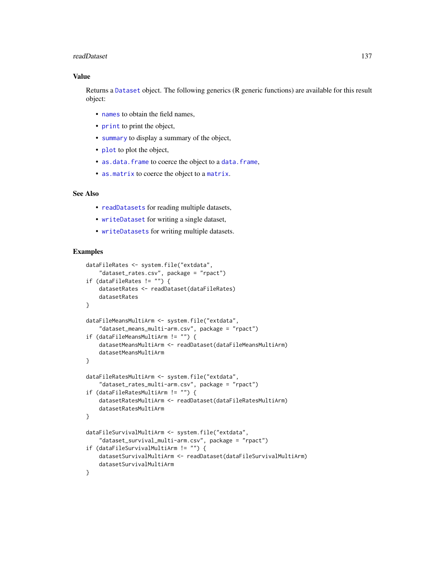#### readDataset 137

#### Value

Returns a [Dataset](#page-0-0) object. The following generics (R generic functions) are available for this result object:

- [names](#page-0-0) to obtain the field names,
- [print](#page-0-0) to print the object,
- [summary](#page-0-0) to display a summary of the object,
- [plot](#page-114-0) to plot the object,
- [as.data.frame](#page-0-0) to coerce the object to a [data.frame](#page-0-0),
- [as.matrix](#page-0-0) to coerce the object to a [matrix](#page-0-0).

#### See Also

- [readDatasets](#page-137-0) for reading multiple datasets,
- [writeDataset](#page-145-0) for writing a single dataset,
- [writeDatasets](#page-147-0) for writing multiple datasets.

```
dataFileRates <- system.file("extdata",
    "dataset_rates.csv", package = "rpact")
if (dataFileRates != "") {
   datasetRates <- readDataset(dataFileRates)
   datasetRates
}
dataFileMeansMultiArm <- system.file("extdata",
    "dataset_means_multi-arm.csv", package = "rpact")
if (dataFileMeansMultiArm != "") {
   datasetMeansMultiArm <- readDataset(dataFileMeansMultiArm)
   datasetMeansMultiArm
}
dataFileRatesMultiArm <- system.file("extdata",
    "dataset_rates_multi-arm.csv", package = "rpact")
if (dataFileRatesMultiArm != "") {
   datasetRatesMultiArm <- readDataset(dataFileRatesMultiArm)
    datasetRatesMultiArm
}
dataFileSurvivalMultiArm <- system.file("extdata",
    "dataset_survival_multi-arm.csv", package = "rpact")
if (dataFileSurvivalMultiArm != "") {
   datasetSurvivalMultiArm <- readDataset(dataFileSurvivalMultiArm)
    datasetSurvivalMultiArm
}
```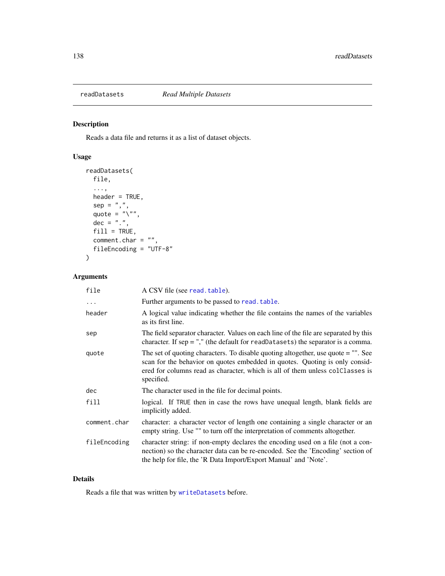<span id="page-137-0"></span>

## Description

Reads a data file and returns it as a list of dataset objects.

## Usage

```
readDatasets(
  file,
  ...,
 header = TRUE,
  sep = ","quote = "\rangle",
 dec = "."fill = TRUE,
  comment.char = ",
  fileEncoding = "UTF-8"
)
```
## Arguments

| file         | A CSV file (see read. table).                                                                                                                                                                                                                                    |
|--------------|------------------------------------------------------------------------------------------------------------------------------------------------------------------------------------------------------------------------------------------------------------------|
| $\cdots$     | Further arguments to be passed to read. table.                                                                                                                                                                                                                   |
| header       | A logical value indicating whether the file contains the names of the variables<br>as its first line.                                                                                                                                                            |
| sep          | The field separator character. Values on each line of the file are separated by this<br>character. If $sep =$ "," (the default for readDatasets) the separator is a comma.                                                                                       |
| quote        | The set of quoting characters. To disable quoting altogether, use quote $=$ "". See<br>scan for the behavior on quotes embedded in quotes. Quoting is only consid-<br>ered for columns read as character, which is all of them unless colleases is<br>specified. |
| dec          | The character used in the file for decimal points.                                                                                                                                                                                                               |
| fill         | logical. If TRUE then in case the rows have unequal length, blank fields are<br>implicitly added.                                                                                                                                                                |
| comment.char | character: a character vector of length one containing a single character or an<br>empty string. Use "" to turn off the interpretation of comments altogether.                                                                                                   |
| fileEncoding | character string: if non-empty declares the encoding used on a file (not a con-<br>nection) so the character data can be re-encoded. See the 'Encoding' section of<br>the help for file, the 'R Data Import/Export Manual' and 'Note'.                           |

## Details

Reads a file that was written by [writeDatasets](#page-147-0) before.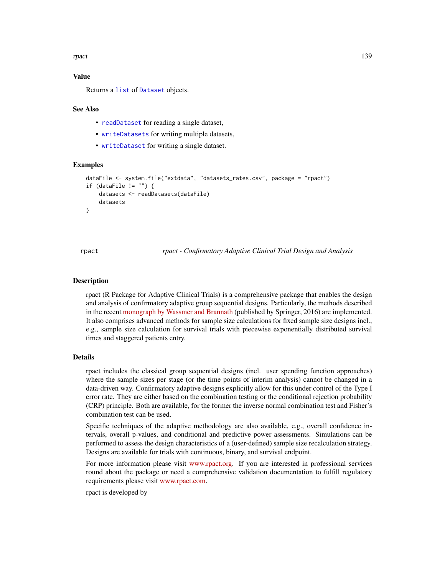rpact the contract of the contract of the contract of the contract of the contract of the contract of the contract of the contract of the contract of the contract of the contract of the contract of the contract of the cont

#### Value

Returns a [list](#page-0-0) of [Dataset](#page-0-0) objects.

#### See Also

- [readDataset](#page-135-0) for reading a single dataset,
- [writeDatasets](#page-147-0) for writing multiple datasets,
- [writeDataset](#page-145-0) for writing a single dataset.

#### Examples

```
dataFile <- system.file("extdata", "datasets_rates.csv", package = "rpact")
if (dataFile != "") {
    datasets <- readDatasets(dataFile)
    datasets
}
```
rpact *rpact - Confirmatory Adaptive Clinical Trial Design and Analysis*

#### Description

rpact (R Package for Adaptive Clinical Trials) is a comprehensive package that enables the design and analysis of confirmatory adaptive group sequential designs. Particularly, the methods described in the recent [monograph by Wassmer and Brannath](https://doi.org/10.1007/978-3-319-32562-0) (published by Springer, 2016) are implemented. It also comprises advanced methods for sample size calculations for fixed sample size designs incl., e.g., sample size calculation for survival trials with piecewise exponentially distributed survival times and staggered patients entry.

#### Details

rpact includes the classical group sequential designs (incl. user spending function approaches) where the sample sizes per stage (or the time points of interim analysis) cannot be changed in a data-driven way. Confirmatory adaptive designs explicitly allow for this under control of the Type I error rate. They are either based on the combination testing or the conditional rejection probability (CRP) principle. Both are available, for the former the inverse normal combination test and Fisher's combination test can be used.

Specific techniques of the adaptive methodology are also available, e.g., overall confidence intervals, overall p-values, and conditional and predictive power assessments. Simulations can be performed to assess the design characteristics of a (user-defined) sample size recalculation strategy. Designs are available for trials with continuous, binary, and survival endpoint.

For more information please visit [www.rpact.org.](https://www.rpact.org) If you are interested in professional services round about the package or need a comprehensive validation documentation to fulfill regulatory requirements please visit [www.rpact.com.](https://www.rpact.com)

rpact is developed by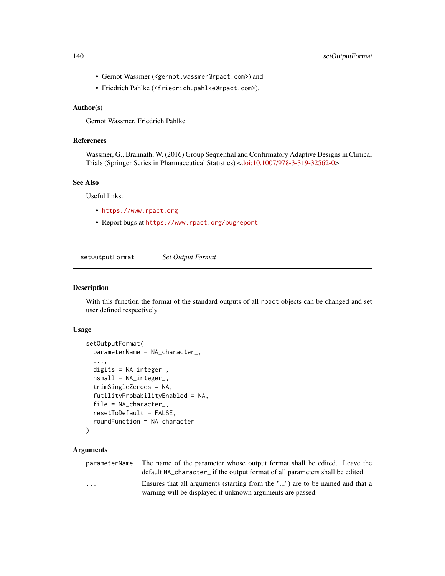#### 140 setOutputFormat

- Gernot Wassmer (<gernot.wassmer@rpact.com>) and
- Friedrich Pahlke (<friedrich.pahlke@rpact.com>).

## Author(s)

Gernot Wassmer, Friedrich Pahlke

## References

Wassmer, G., Brannath, W. (2016) Group Sequential and Confirmatory Adaptive Designs in Clinical Trials (Springer Series in Pharmaceutical Statistics) [<doi:10.1007/978-3-319-32562-0>](https://doi.org/10.1007/978-3-319-32562-0)

#### See Also

Useful links:

- <https://www.rpact.org>
- Report bugs at <https://www.rpact.org/bugreport>

setOutputFormat *Set Output Format*

### Description

With this function the format of the standard outputs of all rpact objects can be changed and set user defined respectively.

#### Usage

```
setOutputFormat(
 parameterName = NA_character_,
  ...,
  digits = NA_integer_,
  nsmall = NA_integer_,
  trimSingleZeroes = NA,
  futilityProbabilityEnabled = NA,
  file = NA_character_,
  resetToDefault = FALSE,
  roundFunction = NA_character_
)
```
## Arguments

parameterName The name of the parameter whose output format shall be edited. Leave the default NA\_character\_ if the output format of all parameters shall be edited. ... Ensures that all arguments (starting from the "...") are to be named and that a warning will be displayed if unknown arguments are passed.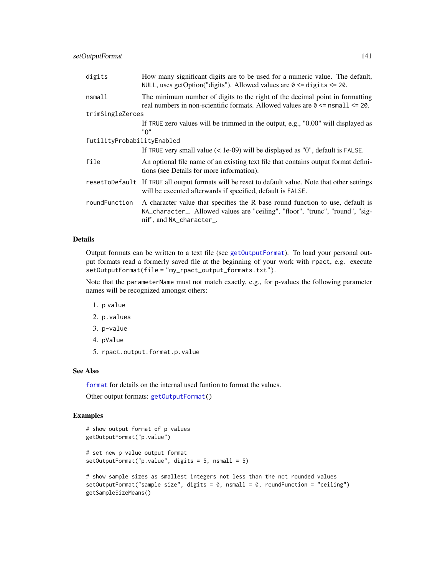| digits                     | How many significant digits are to be used for a numeric value. The default,<br>NULL, uses getOption("digits"). Allowed values are $0 \leq d$ igits $\leq 20$ .                            |  |
|----------------------------|--------------------------------------------------------------------------------------------------------------------------------------------------------------------------------------------|--|
| nsmall                     | The minimum number of digits to the right of the decimal point in formatting<br>real numbers in non-scientific formats. Allowed values are $0 \le$ nsmall $\le$ 20.                        |  |
| trimSingleZeroes           |                                                                                                                                                                                            |  |
|                            | If TRUE zero values will be trimmed in the output, e.g., "0.00" will displayed as<br>"0"                                                                                                   |  |
| futilityProbabilityEnabled |                                                                                                                                                                                            |  |
|                            | If TRUE very small value $(1e-09)$ will be displayed as "0", default is FALSE.                                                                                                             |  |
| file                       | An optional file name of an existing text file that contains output format defini-<br>tions (see Details for more information).                                                            |  |
|                            | resetToDefault If TRUE all output formats will be reset to default value. Note that other settings<br>will be executed afterwards if specified, default is FALSE.                          |  |
| roundFunction              | A character value that specifies the R base round function to use, default is<br>NA_character_. Allowed values are "ceiling", "floor", "trunc", "round", "sig-<br>nif", and NA_character_. |  |

Output formats can be written to a text file (see [getOutputFormat](#page-41-0)). To load your personal output formats read a formerly saved file at the beginning of your work with rpact, e.g. execute setOutputFormat(file = "my\_rpact\_output\_formats.txt").

Note that the parameterName must not match exactly, e.g., for p-values the following parameter names will be recognized amongst others:

- 1. p value
- 2. p.values
- 3. p-value
- 4. pValue
- 5. rpact.output.format.p.value

## See Also

[format](#page-0-0) for details on the internal used funtion to format the values.

Other output formats: [getOutputFormat\(](#page-41-0))

```
# show output format of p values
getOutputFormat("p.value")
# set new p value output format
setOutputFormat("p.value", digits = 5, nsmall = 5)
# show sample sizes as smallest integers not less than the not rounded values
setOutputFormat("sample size", digits = 0, nsmall = 0, roundFunction = "ceiling")
getSampleSizeMeans()
```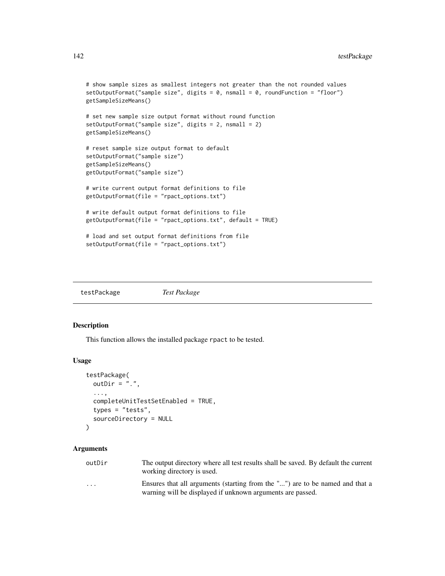```
# show sample sizes as smallest integers not greater than the not rounded values
setOutputFormat("sample size", digits = 0, nsmall = 0, roundFunction = "floor")
getSampleSizeMeans()
# set new sample size output format without round function
setOutputFormat("sample size", digits = 2, nsmall = 2)
getSampleSizeMeans()
# reset sample size output format to default
setOutputFormat("sample size")
getSampleSizeMeans()
getOutputFormat("sample size")
# write current output format definitions to file
getOutputFormat(file = "rpact_options.txt")
# write default output format definitions to file
getOutputFormat(file = "rpact_options.txt", default = TRUE)
# load and set output format definitions from file
setOutputFormat(file = "rpact_options.txt")
```

| testPackage | Test Package |
|-------------|--------------|
|-------------|--------------|

#### Description

This function allows the installed package rpact to be tested.

#### Usage

```
testPackage(
  outDir = "."....,
  completeUnitTestSetEnabled = TRUE,
  types = "tests",
  sourceDirectory = NULL
)
```
#### Arguments

| outDir | The output directory where all test results shall be saved. By default the current |
|--------|------------------------------------------------------------------------------------|
|        | working directory is used.                                                         |
|        | $\mathbf{1}$ $\mathbf{1}$ $\mathbf{1}$ $\mathbf{1}$                                |

... Ensures that all arguments (starting from the "...") are to be named and that a warning will be displayed if unknown arguments are passed.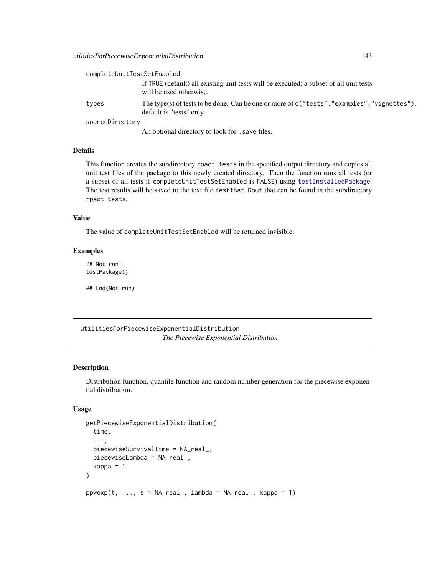| completeUnitTestSetEnabled |                                                                                                                            |
|----------------------------|----------------------------------------------------------------------------------------------------------------------------|
|                            | If TRUE (default) all existing unit tests will be executed; a subset of all unit tests<br>will be used otherwise.          |
| types                      | The type(s) of tests to be done. Can be one or more of $c$ ("tests", "examples", "vignettes"),<br>default is "tests" only. |
| sourceDirectory            |                                                                                                                            |
|                            | An optional directory to look for . save files.                                                                            |

This function creates the subdirectory rpact-tests in the specified output directory and copies all unit test files of the package to this newly created directory. Then the function runs all tests (or a subset of all tests if completeUnitTestSetEnabled is FALSE) using [testInstalledPackage](#page-0-0). The test results will be saved to the text file testthat.Rout that can be found in the subdirectory rpact-tests.

#### Value

The value of completeUnitTestSetEnabled will be returned invisible.

#### Examples

## Not run: testPackage()

## End(Not run)

utilitiesForPiecewiseExponentialDistribution *The Piecewise Exponential Distribution*

#### Description

Distribution function, quantile function and random number generation for the piecewise exponential distribution.

#### Usage

```
getPiecewiseExponentialDistribution(
  time,
  ...,
  piecewiseSurvivalTime = NA_real_,
 piecewiseLambda = NA_real_,
  kappa = 1)
ppwexp(t, ..., s = NA_{real_1}, lambda = NA_{real_1}, kappa = 1)
```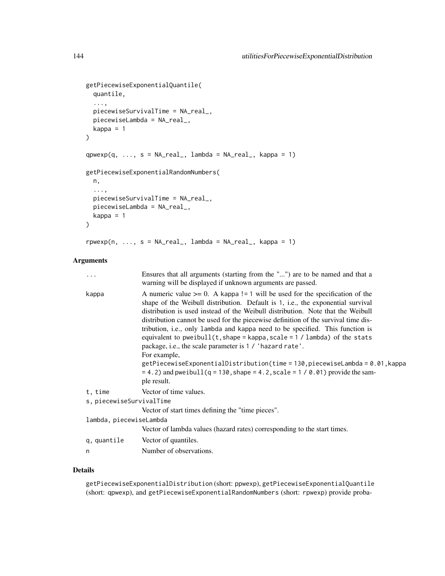```
getPiecewiseExponentialQuantile(
  quantile,
  ...,
 piecewiseSurvivalTime = NA_real_,
 piecewiseLambda = NA_real_,
 kappa = 1
\mathcal{L}qpwexp(q, ..., s = NA_real, lambda = NA_real, kappa = 1)getPiecewiseExponentialRandomNumbers(
 n,
  ...,
 piecewiseSurvivalTime = NA_real_,
 piecewiseLambda = NA_real_,
 kappa = 1
\mathcal{L}
```

```
r p w exp(n, ..., s = NA_{real_1, lambda = NA_{real_2, kappa = 1})
```
## Arguments

| $\cdots$                 | Ensures that all arguments (starting from the "") are to be named and that a<br>warning will be displayed if unknown arguments are passed.                                                                                                                                                                                                                                                                                                                                                                                                                                                                                                                                                                                                                                         |
|--------------------------|------------------------------------------------------------------------------------------------------------------------------------------------------------------------------------------------------------------------------------------------------------------------------------------------------------------------------------------------------------------------------------------------------------------------------------------------------------------------------------------------------------------------------------------------------------------------------------------------------------------------------------------------------------------------------------------------------------------------------------------------------------------------------------|
| kappa                    | A numeric value $>= 0$ . A kappa != 1 will be used for the specification of the<br>shape of the Weibull distribution. Default is 1, i.e., the exponential survival<br>distribution is used instead of the Weibull distribution. Note that the Weibull<br>distribution cannot be used for the piecewise definition of the survival time dis-<br>tribution, i.e., only lambda and kappa need to be specified. This function is<br>equivalent to pweibull $(t, shape = kappa, scale = 1 / lambda)$ of the stats<br>package, i.e., the scale parameter is 1 / 'hazard rate'.<br>For example,<br>$getPiecewise Exponential Distribution (time = 130, piecewise Lambda = 0.01, kappa)$<br>$= 4.2$ ) and pweibull(q = 130, shape = 4.2, scale = 1 / 0.01) provide the sam-<br>ple result. |
| t, time                  | Vector of time values.                                                                                                                                                                                                                                                                                                                                                                                                                                                                                                                                                                                                                                                                                                                                                             |
| s, piecewiseSurvivalTime |                                                                                                                                                                                                                                                                                                                                                                                                                                                                                                                                                                                                                                                                                                                                                                                    |
|                          | Vector of start times defining the "time pieces".                                                                                                                                                                                                                                                                                                                                                                                                                                                                                                                                                                                                                                                                                                                                  |
| lambda, piecewiseLambda  |                                                                                                                                                                                                                                                                                                                                                                                                                                                                                                                                                                                                                                                                                                                                                                                    |
|                          | Vector of lambda values (hazard rates) corresponding to the start times.                                                                                                                                                                                                                                                                                                                                                                                                                                                                                                                                                                                                                                                                                                           |
| q, quantile              | Vector of quantiles.                                                                                                                                                                                                                                                                                                                                                                                                                                                                                                                                                                                                                                                                                                                                                               |
| n                        | Number of observations.                                                                                                                                                                                                                                                                                                                                                                                                                                                                                                                                                                                                                                                                                                                                                            |

#### Details

getPiecewiseExponentialDistribution (short: ppwexp), getPiecewiseExponentialQuantile (short: qpwexp), and getPiecewiseExponentialRandomNumbers (short: rpwexp) provide proba-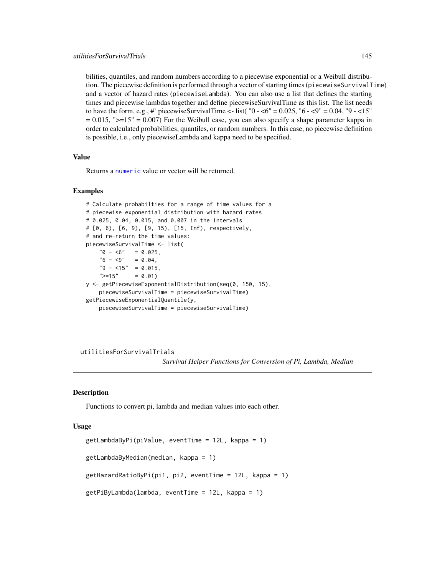<span id="page-144-0"></span>bilities, quantiles, and random numbers according to a piecewise exponential or a Weibull distribution. The piecewise definition is performed through a vector of starting times (piecewiseSurvivalTime) and a vector of hazard rates (piecewiseLambda). You can also use a list that defines the starting times and piecewise lambdas together and define piecewiseSurvivalTime as this list. The list needs to have the form, e.g., #' piecewiseSurvivalTime <- list( $"0 - 5 = 0.025$ ,  $"6 - 5 = 0.04$ ,  $"9 - 5 = 15"$  $= 0.015$ , " $>= 15$ " = 0.007) For the Weibull case, you can also specify a shape parameter kappa in order to calculated probabilities, quantiles, or random numbers. In this case, no piecewise definition is possible, i.e., only piecewiseLambda and kappa need to be specified.

#### Value

Returns a [numeric](#page-0-0) value or vector will be returned.

#### Examples

```
# Calculate probabilties for a range of time values for a
# piecewise exponential distribution with hazard rates
# 0.025, 0.04, 0.015, and 0.007 in the intervals
# [0, 6), [6, 9), [9, 15), [15, Inf), respectively,
# and re-return the time values:
piecewiseSurvivalTime <- list(
    "0 - 6" = 0.025,"6 - <9" = 0.04,"9 - 15" = 0.015,<br>
">=15" = 0.01= 0.01y <- getPiecewiseExponentialDistribution(seq(0, 150, 15),
    piecewiseSurvivalTime = piecewiseSurvivalTime)
getPiecewiseExponentialQuantile(y,
   piecewiseSurvivalTime = piecewiseSurvivalTime)
```
utilitiesForSurvivalTrials

*Survival Helper Functions for Conversion of Pi, Lambda, Median*

#### Description

Functions to convert pi, lambda and median values into each other.

#### Usage

```
getLambdaByPi(piValue, eventTime = 12L, kappa = 1)
getLambdaByMedian(median, kappa = 1)
getHazardRatioByPi(pi1, pi2, eventTime = 12L, kappa = 1)
getPiByLambda(lambda, eventTime = 12L, kappa = 1)
```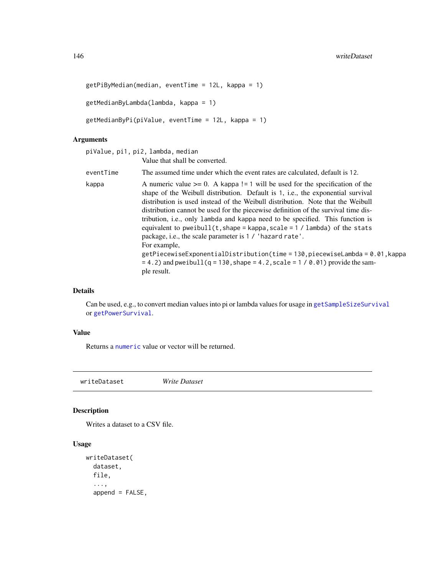```
getPiByMedian(median, eventTime = 12L, kappa = 1)
getMedianByLambda(lambda, kappa = 1)
getMedianByPi(piValue, eventTime = 12L, kappa = 1)
```
# Arguments

|           | piValue, pi1, pi2, lambda, median                                                                                                                                                                                                                                                                                                                                                                                                                                                                                                                                                                                                                                                                                                                                              |
|-----------|--------------------------------------------------------------------------------------------------------------------------------------------------------------------------------------------------------------------------------------------------------------------------------------------------------------------------------------------------------------------------------------------------------------------------------------------------------------------------------------------------------------------------------------------------------------------------------------------------------------------------------------------------------------------------------------------------------------------------------------------------------------------------------|
|           | Value that shall be converted.                                                                                                                                                                                                                                                                                                                                                                                                                                                                                                                                                                                                                                                                                                                                                 |
| eventTime | The assumed time under which the event rates are calculated, default is 12.                                                                                                                                                                                                                                                                                                                                                                                                                                                                                                                                                                                                                                                                                                    |
| kappa     | A numeric value $>= 0$ . A kappa != 1 will be used for the specification of the<br>shape of the Weibull distribution. Default is 1, i.e., the exponential survival<br>distribution is used instead of the Weibull distribution. Note that the Weibull<br>distribution cannot be used for the piecewise definition of the survival time dis-<br>tribution, i.e., only lambda and kappa need to be specified. This function is<br>equivalent to pweibull $(t, shape = kappa, scale = 1 / lambda)$ of the stats<br>package, i.e., the scale parameter is 1 / 'hazard rate'.<br>For example,<br>$getPiecewiseExponentialDistribution(time = 130, piecewiseLambda = 0.01, kappa$<br>$= 4.2$ ) and pweibull (q = 130, shape = 4.2, scale = 1 / 0.01) provide the sam-<br>ple result. |

# Details

Can be used, e.g., to convert median values into pi or lambda values for usage in [getSampleSizeSurvival](#page-67-0) or [getPowerSurvival](#page-52-0).

#### Value

Returns a [numeric](#page-0-0) value or vector will be returned.

<span id="page-145-0"></span>writeDataset *Write Dataset*

# Description

Writes a dataset to a CSV file.

# Usage

```
writeDataset(
  dataset,
  file,
  ...,
  append = FALSE,
```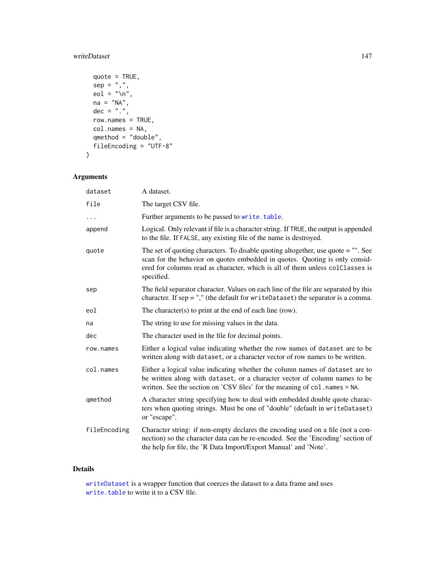# <span id="page-146-0"></span>writeDataset 147

```
quote = TRUE,
 sep = ","eol = "\ln",
 na = "NA",dec = "."row.names = TRUE,
 col.names = NA,
 qmethod = "double",fileEncoding = "UTF-8"
\mathcal{L}
```
# Arguments

| dataset      | A dataset.                                                                                                                                                                                                                                                      |
|--------------|-----------------------------------------------------------------------------------------------------------------------------------------------------------------------------------------------------------------------------------------------------------------|
| file         | The target CSV file.                                                                                                                                                                                                                                            |
|              | Further arguments to be passed to write.table.                                                                                                                                                                                                                  |
| append       | Logical. Only relevant if file is a character string. If TRUE, the output is appended<br>to the file. If FALSE, any existing file of the name is destroyed.                                                                                                     |
| quote        | The set of quoting characters. To disable quoting altogether, use quote = "". See<br>scan for the behavior on quotes embedded in quotes. Quoting is only consid-<br>ered for columns read as character, which is all of them unless colClasses is<br>specified. |
| sep          | The field separator character. Values on each line of the file are separated by this<br>character. If $sep =$ "," (the default for writeDataset) the separator is a comma.                                                                                      |
| eol          | The character(s) to print at the end of each line (row).                                                                                                                                                                                                        |
| na           | The string to use for missing values in the data.                                                                                                                                                                                                               |
| dec          | The character used in the file for decimal points.                                                                                                                                                                                                              |
| row.names    | Either a logical value indicating whether the row names of dataset are to be<br>written along with dataset, or a character vector of row names to be written.                                                                                                   |
| col.names    | Either a logical value indicating whether the column names of dataset are to<br>be written along with dataset, or a character vector of column names to be<br>written. See the section on 'CSV files' for the meaning of col. names = NA.                       |
| qmethod      | A character string specifying how to deal with embedded double quote charac-<br>ters when quoting strings. Must be one of "double" (default in writeDataset)<br>or "escape".                                                                                    |
| fileEncoding | Character string: if non-empty declares the encoding used on a file (not a con-<br>nection) so the character data can be re-encoded. See the 'Encoding' section of<br>the help for file, the 'R Data Import/Export Manual' and 'Note'.                          |

# Details

[writeDataset](#page-145-0) is a wrapper function that coerces the dataset to a data frame and uses [write.table](#page-0-0) to write it to a CSV file.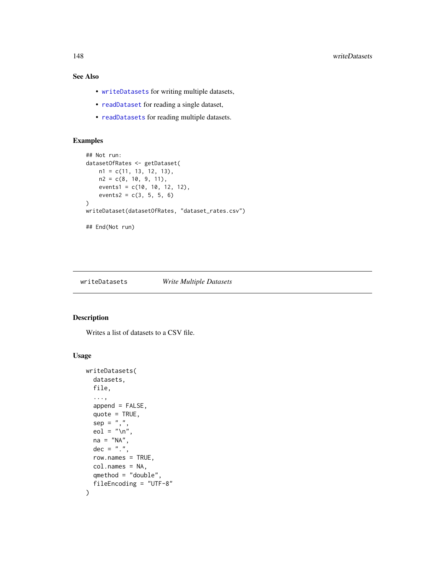# See Also

- [writeDatasets](#page-147-0) for writing multiple datasets,
- [readDataset](#page-135-0) for reading a single dataset,
- [readDatasets](#page-137-0) for reading multiple datasets.

#### Examples

```
## Not run:
datasetOfRates <- getDataset(
    n1 = c(11, 13, 12, 13),
    n2 = c(8, 10, 9, 11),
    events1 = c(10, 10, 12, 12),
    events2 = c(3, 5, 5, 6)\mathcal{L}writeDataset(datasetOfRates, "dataset_rates.csv")
## End(Not run)
```
<span id="page-147-0"></span>writeDatasets *Write Multiple Datasets*

#### Description

Writes a list of datasets to a CSV file.

# Usage

```
writeDatasets(
  datasets,
  file,
  ...,
  append = FALSE,quote = TRUE,sep = ","eol = "\n",
  na = "NA",dec = "."row.names = TRUE,
  col.names = NA,
  qmethod = "double",
  fileEncoding = "UTF-8"
\mathcal{E}
```
<span id="page-147-1"></span>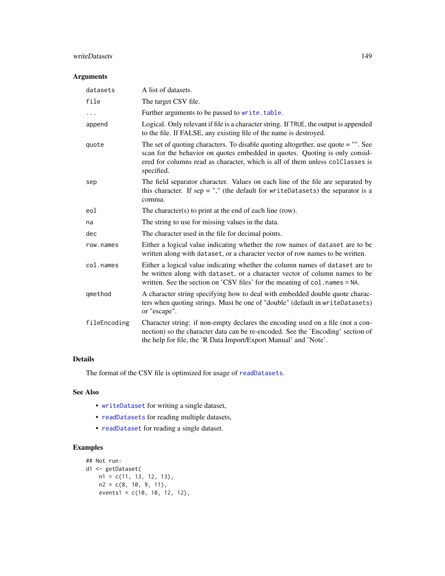# <span id="page-148-0"></span>writeDatasets 149

# Arguments

| datasets     | A list of datasets.                                                                                                                                                                                                                                             |
|--------------|-----------------------------------------------------------------------------------------------------------------------------------------------------------------------------------------------------------------------------------------------------------------|
| file         | The target CSV file.                                                                                                                                                                                                                                            |
| .            | Further arguments to be passed to write.table.                                                                                                                                                                                                                  |
| append       | Logical. Only relevant if file is a character string. If TRUE, the output is appended<br>to the file. If FALSE, any existing file of the name is destroyed.                                                                                                     |
| quote        | The set of quoting characters. To disable quoting altogether, use quote = "". See<br>scan for the behavior on quotes embedded in quotes. Quoting is only consid-<br>ered for columns read as character, which is all of them unless colClasses is<br>specified. |
| sep          | The field separator character. Values on each line of the file are separated by<br>this character. If sep = "," (the default for writeDatasets) the separator is a<br>comma.                                                                                    |
| eol          | The character(s) to print at the end of each line (row).                                                                                                                                                                                                        |
| na           | The string to use for missing values in the data.                                                                                                                                                                                                               |
| dec          | The character used in the file for decimal points.                                                                                                                                                                                                              |
| row.names    | Either a logical value indicating whether the row names of dataset are to be<br>written along with dataset, or a character vector of row names to be written.                                                                                                   |
| col.names    | Either a logical value indicating whether the column names of dataset are to<br>be written along with dataset, or a character vector of column names to be<br>written. See the section on 'CSV files' for the meaning of col. names = NA.                       |
| qmethod      | A character string specifying how to deal with embedded double quote charac-<br>ters when quoting strings. Must be one of "double" (default in writeDatasets)<br>or "escape".                                                                                   |
| fileEncoding | Character string: if non-empty declares the encoding used on a file (not a con-<br>nection) so the character data can be re-encoded. See the 'Encoding' section of<br>the help for file, the 'R Data Import/Export Manual' and 'Note'.                          |

# Details

The format of the CSV file is optimized for usage of [readDatasets](#page-137-0).

# See Also

- [writeDataset](#page-145-0) for writing a single dataset,
- [readDatasets](#page-137-0) for reading multiple datasets,
- [readDataset](#page-135-0) for reading a single dataset.

# Examples

```
## Not run:
d1 <- getDataset(
  n1 = c(11, 13, 12, 13),
   n2 = c(8, 10, 9, 11),events1 = c(10, 10, 12, 12),
```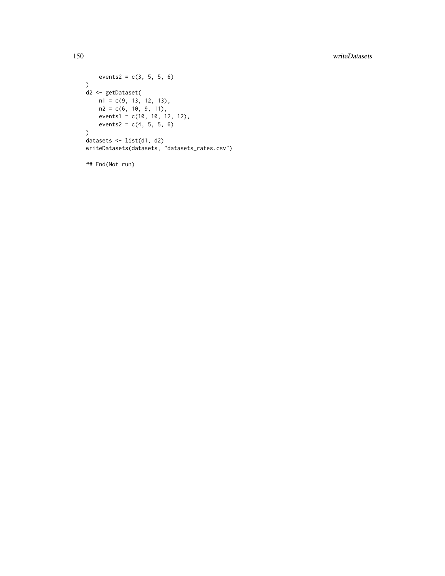# 150 writeDatasets

```
events2 = c(3, 5, 5, 6)\lambdad2 <- getDataset(
   n1 = c(9, 13, 12, 13),
   n2 = c(6, 10, 9, 11),events1 = c(10, 10, 12, 12),
   events2 = c(4, 5, 5, 6))datasets <- list(d1, d2)
writeDatasets(datasets, "datasets_rates.csv")
```
## End(Not run)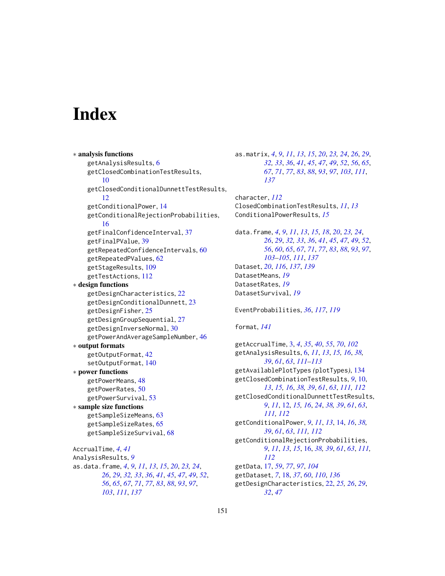# **Index**

```
∗ analysis functions
    getAnalysisResults, 6
    getClosedCombinationTestResults,
         10
    getClosedConditionalDunnettTestResults,
        12
    getConditionalPower, 14
    getConditionalRejectionProbabilities,
         16
    getFinalConfidenceInterval, 37
    getFinalPValue, 39
    getRepeatedConfidenceIntervals, 60
    getRepeatedPValues, 62
    getStageResults, 109
    getTestActions, 112
∗ design functions
    getDesignCharacteristics, 22
    getDesignConditionalDunnett, 23
    getDesignFisher, 25
    getDesignGroupSequential, 27
    getDesignInverseNormal, 30
    getPowerAndAverageSampleNumber, 46
∗ output formats
    getOutputFormat, 42
    setOutputFormat, 140
∗ power functions
    getPowerMeans, 48
    getPowerRates, 50
    getPowerSurvival, 53
∗ sample size functions
    getSampleSizeMeans, 63
    getSampleSizeRates, 65
    getSampleSizeSurvival, 68
AccrualTime, 4, 41
AnalysisResults, 9
as.data.frame, 4, 9, 11, 13, 15, 20, 23, 24,
        26, 29, 32, 33, 36, 41, 45, 47, 49, 52,
        56, 65, 67, 71, 77, 83, 88, 93, 97,
        103, 111, 137
```
as.matrix, *[4](#page-3-0)*, *[9](#page-8-0)*, *[11](#page-10-0)*, *[13](#page-12-0)*, *[15](#page-14-0)*, *[20](#page-19-0)*, *[23,](#page-22-0) [24](#page-23-0)*, *[26](#page-25-0)*, *[29](#page-28-0)*, *[32,](#page-31-0) [33](#page-32-0)*, *[36](#page-35-0)*, *[41](#page-40-0)*, *[45](#page-44-0)*, *[47](#page-46-0)*, *[49](#page-48-0)*, *[52](#page-51-0)*, *[56](#page-55-0)*, *[65](#page-64-0)*, *[67](#page-66-0)*, *[71](#page-70-0)*, *[77](#page-76-0)*, *[83](#page-82-0)*, *[88](#page-87-0)*, *[93](#page-92-0)*, *[97](#page-96-0)*, *[103](#page-102-0)*, *[111](#page-110-0)*, *[137](#page-136-0)* character, *[112](#page-111-0)* ClosedCombinationTestResults, *[11](#page-10-0)*, *[13](#page-12-0)* ConditionalPowerResults, *[15](#page-14-0)* data.frame, *[4](#page-3-0)*, *[9](#page-8-0)*, *[11](#page-10-0)*, *[13](#page-12-0)*, *[15](#page-14-0)*, *[18](#page-17-0)*, *[20](#page-19-0)*, *[23,](#page-22-0) [24](#page-23-0)*, *[26](#page-25-0)*, *[29](#page-28-0)*, *[32,](#page-31-0) [33](#page-32-0)*, *[36](#page-35-0)*, *[41](#page-40-0)*, *[45](#page-44-0)*, *[47](#page-46-0)*, *[49](#page-48-0)*, *[52](#page-51-0)*, *[56](#page-55-0)*, *[60](#page-59-0)*, *[65](#page-64-0)*, *[67](#page-66-0)*, *[71](#page-70-0)*, *[77](#page-76-0)*, *[83](#page-82-0)*, *[88](#page-87-0)*, *[93](#page-92-0)*, *[97](#page-96-0)*, *[103](#page-102-0)[–105](#page-104-0)*, *[111](#page-110-0)*, *[137](#page-136-0)* Dataset, *[20](#page-19-0)*, *[116](#page-115-0)*, *[137](#page-136-0)*, *[139](#page-138-0)* DatasetMeans, *[19](#page-18-0)* DatasetRates, *[19](#page-18-0)* DatasetSurvival, *[19](#page-18-0)* EventProbabilities, *[36](#page-35-0)*, *[117](#page-116-0)*, *[119](#page-118-0)* format, *[141](#page-140-0)* getAccrualTime, [3,](#page-2-0) *[4](#page-3-0)*, *[35](#page-34-0)*, *[40](#page-39-0)*, *[55](#page-54-0)*, *[70](#page-69-0)*, *[102](#page-101-0)* getAnalysisResults, [6,](#page-5-0) *[11](#page-10-0)*, *[13](#page-12-0)*, *[15,](#page-14-0) [16](#page-15-0)*, *[38,](#page-37-0) [39](#page-38-0)*, *[61](#page-60-0)*, *[63](#page-62-0)*, *[111](#page-110-0)[–113](#page-112-0)* getAvailablePlotTypes *(*plotTypes*)*, [134](#page-133-0) getClosedCombinationTestResults, *[9](#page-8-0)*, [10,](#page-9-0) *[13](#page-12-0)*, *[15,](#page-14-0) [16](#page-15-0)*, *[38,](#page-37-0) [39](#page-38-0)*, *[61](#page-60-0)*, *[63](#page-62-0)*, *[111,](#page-110-0) [112](#page-111-0)* getClosedConditionalDunnettTestResults, *[9](#page-8-0)*, *[11](#page-10-0)*, [12,](#page-11-0) *[15,](#page-14-0) [16](#page-15-0)*, *[24](#page-23-0)*, *[38,](#page-37-0) [39](#page-38-0)*, *[61](#page-60-0)*, *[63](#page-62-0)*, *[111,](#page-110-0) [112](#page-111-0)* getConditionalPower, *[9](#page-8-0)*, *[11](#page-10-0)*, *[13](#page-12-0)*, [14,](#page-13-0) *[16](#page-15-0)*, *[38,](#page-37-0) [39](#page-38-0)*, *[61](#page-60-0)*, *[63](#page-62-0)*, *[111,](#page-110-0) [112](#page-111-0)* getConditionalRejectionProbabilities, *[9](#page-8-0)*, *[11](#page-10-0)*, *[13](#page-12-0)*, *[15](#page-14-0)*, [16,](#page-15-0) *[38,](#page-37-0) [39](#page-38-0)*, *[61](#page-60-0)*, *[63](#page-62-0)*, *[111,](#page-110-0) [112](#page-111-0)* getData, [17,](#page-16-0) *[59](#page-58-0)*, *[77](#page-76-0)*, *[97](#page-96-0)*, *[104](#page-103-0)*

getDataset, *[7](#page-6-0)*, [18,](#page-17-0) *[37](#page-36-0)*, *[60](#page-59-0)*, *[110](#page-109-0)*, *[136](#page-135-1)* getDesignCharacteristics, [22,](#page-21-0) *[25,](#page-24-0) [26](#page-25-0)*, *[29](#page-28-0)*, *[32](#page-31-0)*, *[47](#page-46-0)*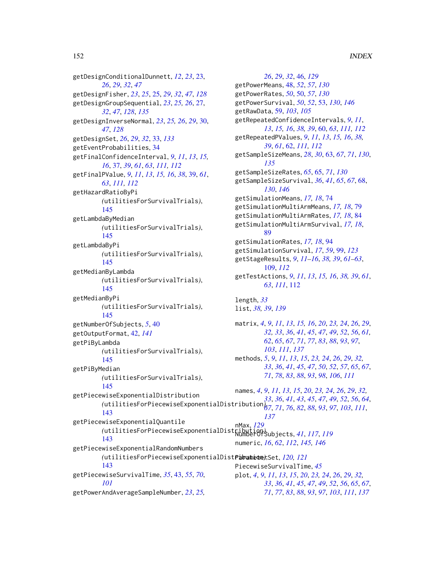getDesignConditionalDunnett, *[12](#page-11-0)*, *[23](#page-22-0)*, [23,](#page-22-0) *[26](#page-25-0)*, *[29](#page-28-0)*, *[32](#page-31-0)*, *[47](#page-46-0)* getDesignFisher, *[23](#page-22-0)*, *[25](#page-24-0)*, [25,](#page-24-0) *[29](#page-28-0)*, *[32](#page-31-0)*, *[47](#page-46-0)*, *[128](#page-127-0)* getDesignGroupSequential, *[23](#page-22-0)*, *[25,](#page-24-0) [26](#page-25-0)*, [27,](#page-26-0) *[32](#page-31-0)*, *[47](#page-46-0)*, *[128](#page-127-0)*, *[135](#page-134-0)*

getDesignInverseNormal, *[23](#page-22-0)*, *[25,](#page-24-0) [26](#page-25-0)*, *[29](#page-28-0)*, [30,](#page-29-0) *[47](#page-46-0)*, *[128](#page-127-0)* getDesignSet, *[26](#page-25-0)*, *[29](#page-28-0)*, *[32](#page-31-0)*, [33,](#page-32-0) *[133](#page-132-0)*

getEventProbabilities, [34](#page-33-0)

getFinalConfidenceInterval, *[9](#page-8-0)*, *[11](#page-10-0)*, *[13](#page-12-0)*, *[15,](#page-14-0) [16](#page-15-0)*, [37,](#page-36-0) *[39](#page-38-0)*, *[61](#page-60-0)*, *[63](#page-62-0)*, *[111,](#page-110-0) [112](#page-111-0)* getFinalPValue, *[9](#page-8-0)*, *[11](#page-10-0)*, *[13](#page-12-0)*, *[15,](#page-14-0) [16](#page-15-0)*, *[38](#page-37-0)*, [39,](#page-38-0) *[61](#page-60-0)*, *[63](#page-62-0)*, *[111,](#page-110-0) [112](#page-111-0)* getHazardRatioByPi

*(*utilitiesForSurvivalTrials*)*, [145](#page-144-0)

getLambdaByMedian *(*utilitiesForSurvivalTrials*)*, [145](#page-144-0)

getLambdaByPi *(*utilitiesForSurvivalTrials*)*, [145](#page-144-0) getMedianByLambda

*(*utilitiesForSurvivalTrials*)*, [145](#page-144-0) getMedianByPi *(*utilitiesForSurvivalTrials*)*,

# [145](#page-144-0)

getNumberOfSubjects, *[5](#page-4-0)*, [40](#page-39-0) getOutputFormat, [42,](#page-41-0) *[141](#page-140-0)*

getPiByLambda *(*utilitiesForSurvivalTrials*)*,

[145](#page-144-0) getPiByMedian

*(*utilitiesForSurvivalTrials*)*,

[143](#page-142-0)

[143](#page-142-0)

[143](#page-142-0)

*[101](#page-100-0)*

[145](#page-144-0)

getPiecewiseExponentialQuantile

getPiecewiseExponentialRandomNumbers

getPiecewiseSurvivalTime, *[35](#page-34-0)*, [43,](#page-42-0) *[55](#page-54-0)*, *[70](#page-69-0)*,

getPowerAndAverageSampleNumber, *[23](#page-22-0)*, *[25,](#page-24-0)*

getPiecewiseExponentialDistribution

getPowerMeans, [48,](#page-47-0) *[52](#page-51-0)*, *[57](#page-56-0)*, *[130](#page-129-0)* getPowerRates, *[50](#page-49-0)*, [50,](#page-49-0) *[57](#page-56-0)*, *[130](#page-129-0)* getPowerSurvival, *[50](#page-49-0)*, *[52](#page-51-0)*, [53,](#page-52-1) *[130](#page-129-0)*, *[146](#page-145-1)* getRawData, [59,](#page-58-0) *[103](#page-102-0)*, *[105](#page-104-0)* getRepeatedConfidenceIntervals, *[9](#page-8-0)*, *[11](#page-10-0)*, *[13](#page-12-0)*, *[15,](#page-14-0) [16](#page-15-0)*, *[38,](#page-37-0) [39](#page-38-0)*, [60,](#page-59-0) *[63](#page-62-0)*, *[111,](#page-110-0) [112](#page-111-0)* getRepeatedPValues, *[9](#page-8-0)*, *[11](#page-10-0)*, *[13](#page-12-0)*, *[15,](#page-14-0) [16](#page-15-0)*, *[38,](#page-37-0) [39](#page-38-0)*, *[61](#page-60-0)*, [62,](#page-61-0) *[111,](#page-110-0) [112](#page-111-0)* getSampleSizeMeans, *[28](#page-27-0)*, *[30](#page-29-0)*, [63,](#page-62-0) *[67](#page-66-0)*, *[71](#page-70-0)*, *[130](#page-129-0)*, *[135](#page-134-0)* getSampleSizeRates, *[65](#page-64-0)*, [65,](#page-64-0) *[71](#page-70-0)*, *[130](#page-129-0)* getSampleSizeSurvival, *[36](#page-35-0)*, *[41](#page-40-0)*, *[65](#page-64-0)*, *[67](#page-66-0)*, [68,](#page-67-1) *[130](#page-129-0)*, *[146](#page-145-1)* getSimulationMeans, *[17,](#page-16-0) [18](#page-17-0)*, [74](#page-73-0) getSimulationMultiArmMeans, *[17,](#page-16-0) [18](#page-17-0)*, [79](#page-78-0) getSimulationMultiArmRates, *[17,](#page-16-0) [18](#page-17-0)*, [84](#page-83-0) getSimulationMultiArmSurvival, *[17,](#page-16-0) [18](#page-17-0)*, [89](#page-88-0) getSimulationRates, *[17,](#page-16-0) [18](#page-17-0)*, [94](#page-93-0) getSimulationSurvival, *[17](#page-16-0)*, *[59](#page-58-0)*, [99,](#page-98-0) *[123](#page-122-0)* getStageResults, *[9](#page-8-0)*, *[11](#page-10-0)[–16](#page-15-0)*, *[38,](#page-37-0) [39](#page-38-0)*, *[61](#page-60-0)[–63](#page-62-0)*, [109,](#page-108-0) *[112](#page-111-0)* getTestActions, *[9](#page-8-0)*, *[11](#page-10-0)*, *[13](#page-12-0)*, *[15,](#page-14-0) [16](#page-15-0)*, *[38,](#page-37-0) [39](#page-38-0)*, *[61](#page-60-0)*, *[63](#page-62-0)*, *[111](#page-110-0)*, [112](#page-111-0) length, *[33](#page-32-0)* list, *[38,](#page-37-0) [39](#page-38-0)*, *[139](#page-138-0)*

*[26](#page-25-0)*, *[29](#page-28-0)*, *[32](#page-31-0)*, [46,](#page-45-0) *[129](#page-128-0)*

matrix, *[4](#page-3-0)*, *[9](#page-8-0)*, *[11](#page-10-0)*, *[13](#page-12-0)*, *[15,](#page-14-0) [16](#page-15-0)*, *[20](#page-19-0)*, *[23,](#page-22-0) [24](#page-23-0)*, *[26](#page-25-0)*, *[29](#page-28-0)*, *[32,](#page-31-0) [33](#page-32-0)*, *[36](#page-35-0)*, *[41](#page-40-0)*, *[45](#page-44-0)*, *[47](#page-46-0)*, *[49](#page-48-0)*, *[52](#page-51-0)*, *[56](#page-55-0)*, *[61,](#page-60-0) [62](#page-61-0)*, *[65](#page-64-0)*, *[67](#page-66-0)*, *[71](#page-70-0)*, *[77](#page-76-0)*, *[83](#page-82-0)*, *[88](#page-87-0)*, *[93](#page-92-0)*, *[97](#page-96-0)*, *[103](#page-102-0)*, *[111](#page-110-0)*, *[137](#page-136-0)* methods, *[5](#page-4-0)*, *[9](#page-8-0)*, *[11](#page-10-0)*, *[13](#page-12-0)*, *[15](#page-14-0)*, *[23,](#page-22-0) [24](#page-23-0)*, *[26](#page-25-0)*, *[29](#page-28-0)*, *[32,](#page-31-0) [33](#page-32-0)*, *[36](#page-35-0)*, *[41](#page-40-0)*, *[45](#page-44-0)*, *[47](#page-46-0)*, *[50](#page-49-0)*, *[52](#page-51-0)*, *[57](#page-56-0)*, *[65](#page-64-0)*, *[67](#page-66-0)*,

*[71](#page-70-0)*, *[78](#page-77-0)*, *[83](#page-82-0)*, *[88](#page-87-0)*, *[93](#page-92-0)*, *[98](#page-97-0)*, *[106](#page-105-0)*, *[111](#page-110-0)*

*(*utilitiesForPiecewiseExponentialDistribution*)*, *[33](#page-32-0)*, *[36](#page-35-0)*, *[41](#page-40-0)*, *[43](#page-42-0)*, *[45](#page-44-0)*, *[47](#page-46-0)*, *[49](#page-48-0)*, *[52](#page-51-0)*, *[56](#page-55-0)*, *[64](#page-63-0)*, names, *[4](#page-3-0)*, *[9](#page-8-0)*, *[11](#page-10-0)*, *[13](#page-12-0)*, *[15](#page-14-0)*, *[20](#page-19-0)*, *[23,](#page-22-0) [24](#page-23-0)*, *[26](#page-25-0)*, *[29](#page-28-0)*, *[32,](#page-31-0) [67](#page-66-0)*, *[71](#page-70-0)*, *[76](#page-75-0)*, *[82](#page-81-0)*, *[88](#page-87-0)*, *[93](#page-92-0)*, *[97](#page-96-0)*, *[103](#page-102-0)*, *[111](#page-110-0)*, *[137](#page-136-0)*

*(*utilitiesForPiecewiseExponentialDistribution*)*, NumberOfSubjects, *[41](#page-40-0)*, *[117](#page-116-0)*, *[119](#page-118-0)* nMax, *[129](#page-128-0)* numeric, *[16](#page-15-0)*, *[62](#page-61-0)*, *[112](#page-111-0)*, *[145,](#page-144-0) [146](#page-145-1)*

*(*utilitiesForPiecewiseExponentialDistribution*)*, ParameterSet, *[120,](#page-119-0) [121](#page-120-0)* PiecewiseSurvivalTime, *[45](#page-44-0)* plot, *[4](#page-3-0)*, *[9](#page-8-0)*, *[11](#page-10-0)*, *[13](#page-12-0)*, *[15](#page-14-0)*, *[20](#page-19-0)*, *[23,](#page-22-0) [24](#page-23-0)*, *[26](#page-25-0)*, *[29](#page-28-0)*, *[32,](#page-31-0) [33](#page-32-0)*, *[36](#page-35-0)*, *[41](#page-40-0)*, *[45](#page-44-0)*, *[47](#page-46-0)*, *[49](#page-48-0)*, *[52](#page-51-0)*, *[56](#page-55-0)*, *[65](#page-64-0)*, *[67](#page-66-0)*, *[71](#page-70-0)*, *[77](#page-76-0)*, *[83](#page-82-0)*, *[88](#page-87-0)*, *[93](#page-92-0)*, *[97](#page-96-0)*, *[103](#page-102-0)*, *[111](#page-110-0)*, *[137](#page-136-0)*